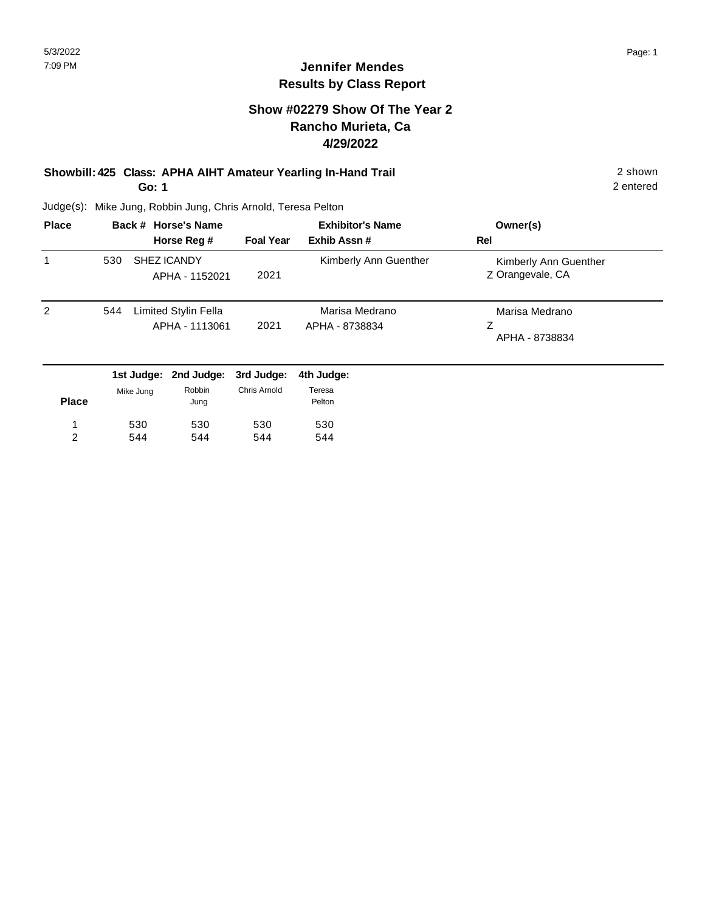#### **Show #02279 Show Of The Year 2 Rancho Murieta, Ca 4/29/2022**

#### **Showbill: 425 Class: APHA AIHT Amateur Yearling In-Hand Trail** 2 shown **Go: 1**

2 entered

| <b>Place</b>   |     | Back # Horse's Name<br>Horse Reg #     | <b>Foal Year</b> | <b>Exhibitor's Name</b><br>Exhib Assn# | Owner(s)<br>Rel                           |
|----------------|-----|----------------------------------------|------------------|----------------------------------------|-------------------------------------------|
|                | 530 | SHEZ ICANDY<br>APHA - 1152021          | 2021             | Kimberly Ann Guenther                  | Kimberly Ann Guenther<br>Z Orangevale, CA |
| $\overline{2}$ | 544 | Limited Stylin Fella<br>APHA - 1113061 | 2021             | Marisa Medrano<br>APHA - 8738834       | Marisa Medrano<br>Z<br>APHA - 8738834     |
|                |     | 1st Judge: 2nd Judge: 3rd Judge:       |                  | 4th Judge:                             |                                           |

|              |           |                |              | .                |
|--------------|-----------|----------------|--------------|------------------|
| <b>Place</b> | Mike Jung | Robbin<br>Jung | Chris Arnold | Teresa<br>Pelton |
| 1            | 530       | 530            | 530          | 530              |
| っ            | 544       | 544            | 544          | 544              |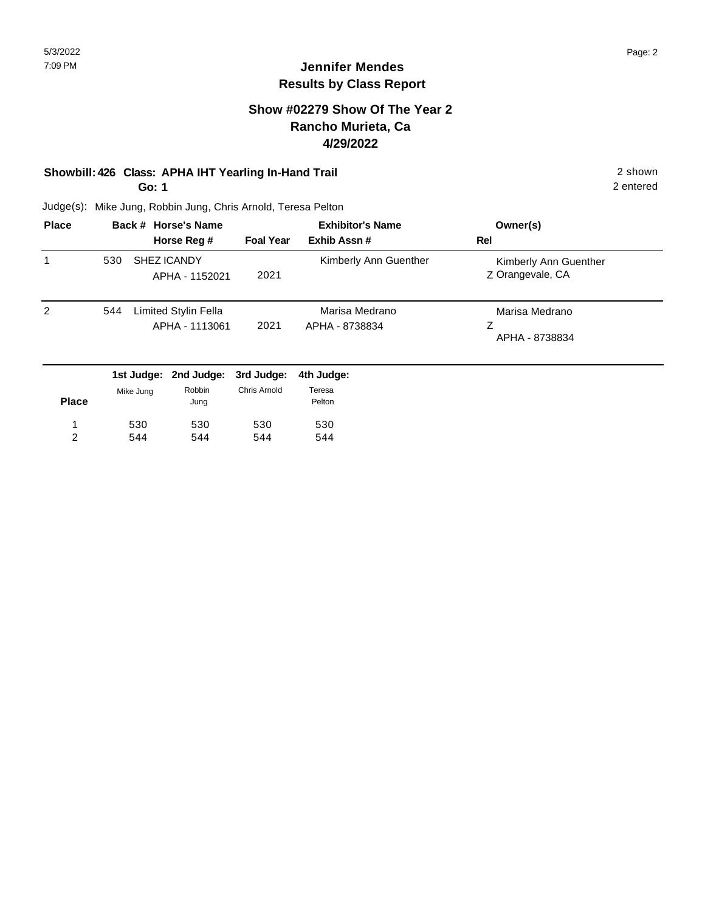#### **Show #02279 Show Of The Year 2 Rancho Murieta, Ca 4/29/2022**

# **Showbill: 426 Class: APHA IHT Yearling In-Hand Trail** 2 shown

**Go: 1**

2 entered

| <b>Place</b> |     | Back # Horse's Name                    |                  | <b>Exhibitor's Name</b>          | Owner(s)                                  |
|--------------|-----|----------------------------------------|------------------|----------------------------------|-------------------------------------------|
|              |     | Horse Reg #                            | <b>Foal Year</b> | Exhib Assn#                      | Rel                                       |
|              | 530 | SHEZ ICANDY<br>APHA - 1152021          | 2021             | Kimberly Ann Guenther            | Kimberly Ann Guenther<br>Z Orangevale, CA |
| 2            | 544 | Limited Stylin Fella<br>APHA - 1113061 | 2021             | Marisa Medrano<br>APHA - 8738834 | Marisa Medrano<br>Z<br>APHA - 8738834     |
|              |     | 1st Judge: 2nd Judge: 3rd Judge:       |                  | 4th Judge:                       |                                           |

|              | .         | $-11999990$    | viu vuunvi   | TUI VUUVU        |
|--------------|-----------|----------------|--------------|------------------|
| <b>Place</b> | Mike Jung | Robbin<br>Jung | Chris Arnold | Teresa<br>Pelton |
| 1            | 530       | 530            | 530          | 530              |
| っ            | 544       | 544            | 544          | 544              |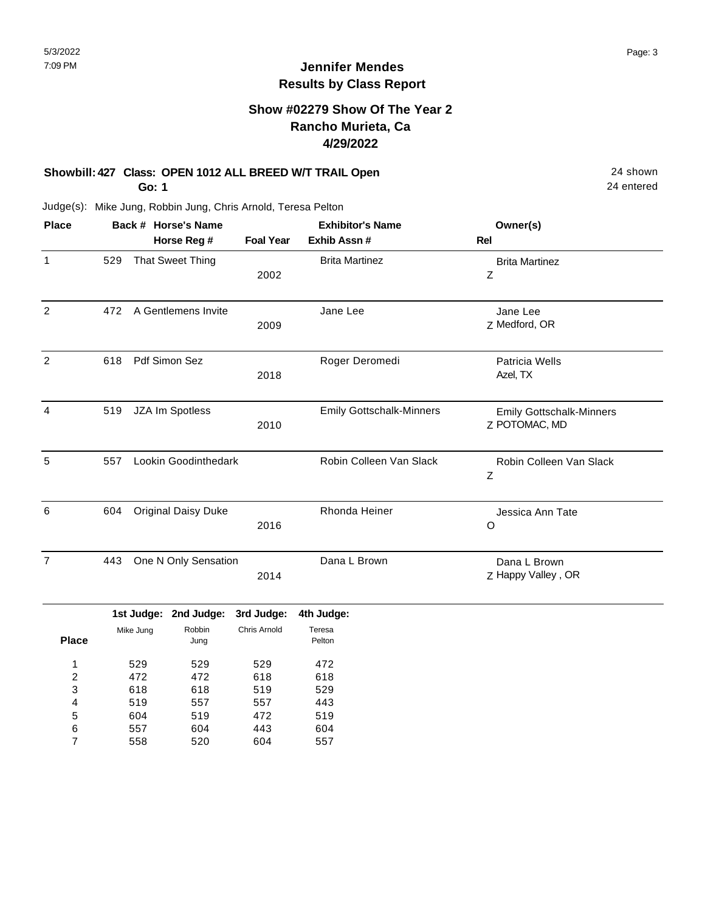#### **Show #02279 Show Of The Year 2 Rancho Murieta, Ca 4/29/2022**

# **Showbill: 427 Class: OPEN 1012 ALL BREED W/T TRAIL Open** 24 shown

**Go: 1**

604 557 558

5 6 7 519 604 520

472 443 604

519 604 557

Judge(s): Mike Jung, Robbin Jung, Chris Arnold, Teresa Pelton

| <b>Place</b>            |     |            | Back # Horse's Name        |                  | <b>Exhibitor's Name</b>         | Owner(s)                                         |
|-------------------------|-----|------------|----------------------------|------------------|---------------------------------|--------------------------------------------------|
|                         |     |            | Horse Reg #                | <b>Foal Year</b> | Exhib Assn #                    | Rel                                              |
| $\mathbf{1}$            | 529 |            | That Sweet Thing           | 2002             | <b>Brita Martinez</b>           | <b>Brita Martinez</b><br>Z                       |
| $\overline{2}$          | 472 |            | A Gentlemens Invite        | 2009             | Jane Lee                        | Jane Lee<br>Z Medford, OR                        |
| $\overline{2}$          | 618 |            | Pdf Simon Sez              | 2018             | Roger Deromedi                  | <b>Patricia Wells</b><br>Azel, TX                |
| $\overline{4}$          | 519 |            | JZA Im Spotless            | 2010             | <b>Emily Gottschalk-Minners</b> | <b>Emily Gottschalk-Minners</b><br>Z POTOMAC, MD |
| 5                       | 557 |            | Lookin Goodinthedark       |                  | Robin Colleen Van Slack         | Robin Colleen Van Slack<br>Z                     |
| 6                       | 604 |            | <b>Original Daisy Duke</b> | 2016             | Rhonda Heiner                   | Jessica Ann Tate<br>O                            |
| $\overline{7}$          | 443 |            | One N Only Sensation       | 2014             | Dana L Brown                    | Dana L Brown<br>Z Happy Valley, OR               |
|                         |     | 1st Judge: | 2nd Judge:                 | 3rd Judge:       | 4th Judge:                      |                                                  |
| <b>Place</b>            |     | Mike Jung  | Robbin<br>Jung             | Chris Arnold     | Teresa<br>Pelton                |                                                  |
| 1                       |     | 529        | 529                        | 529              | 472                             |                                                  |
| $\overline{\mathbf{c}}$ |     | 472        | 472                        | 618              | 618                             |                                                  |
| 3                       |     | 618        | 618                        | 519              | 529                             |                                                  |
| 4                       |     | 519        | 557                        | 557              | 443                             |                                                  |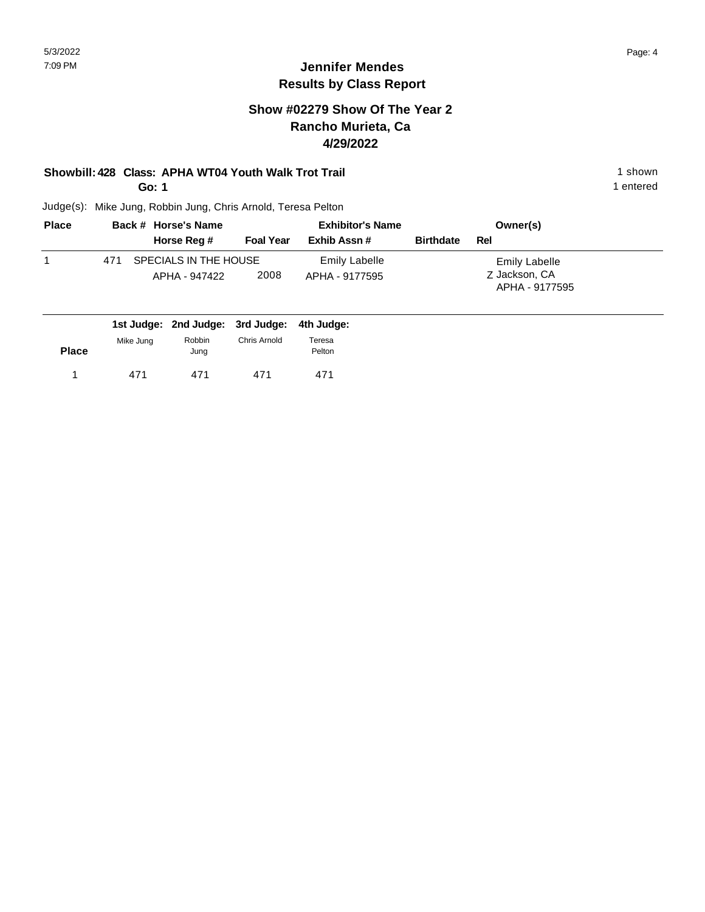### **Show #02279 Show Of The Year 2 Rancho Murieta, Ca 4/29/2022**

# **Showbill: 428 Class: APHA WT04 Youth Walk Trot Trail 1 Shown 1 shown 1 shown**

**Go: 1**

Judge(s): Mike Jung, Robbin Jung, Chris Arnold, Teresa Pelton

| <b>Place</b> | Back # Horse's Name                           |                  | <b>Exhibitor's Name</b>         |                  | Owner(s)                                         |
|--------------|-----------------------------------------------|------------------|---------------------------------|------------------|--------------------------------------------------|
|              | Horse Reg #                                   | <b>Foal Year</b> | Exhib Assn#                     | <b>Birthdate</b> | Rel                                              |
|              | SPECIALS IN THE HOUSE<br>471<br>APHA - 947422 | 2008             | Emily Labelle<br>APHA - 9177595 |                  | Emily Labelle<br>Z Jackson, CA<br>APHA - 9177595 |
|              | $\blacksquare$                                |                  |                                 |                  |                                                  |

|              |           | 1st Judge: 2nd Judge: 3rd Judge: 4th Judge: |              |                  |  |
|--------------|-----------|---------------------------------------------|--------------|------------------|--|
| <b>Place</b> | Mike Jung | Robbin<br>Jung                              | Chris Arnold | Teresa<br>Pelton |  |
|              | 471       | 471                                         | 471          | 471              |  |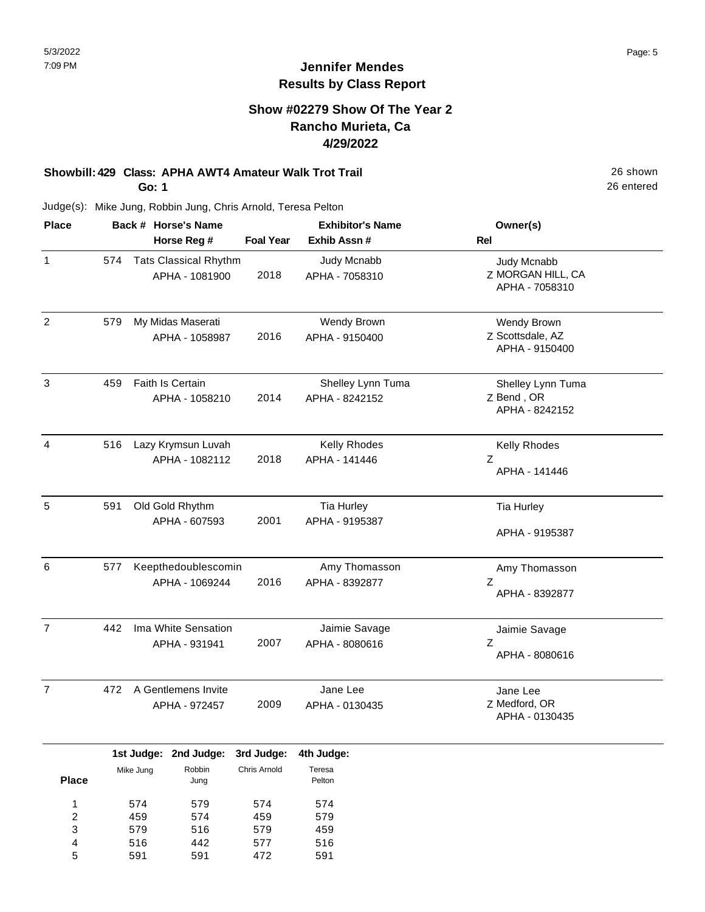#### **Show #02279 Show Of The Year 2 Rancho Murieta, Ca 4/29/2022**

# **Showbill: 429 Class: APHA AWT4 Amateur Walk Trot Trail** 26 shown

**Go: 1**

Judge(s): Mike Jung, Robbin Jung, Chris Arnold, Teresa Pelton

**Back # Horse's Name Place Owner(s) Horse Reg # Exhib Assn # Foal Year Rel Exhibitor's Name** 1 Z MORGAN HILL, CA Judy Mcnabb APHA - 7058310 2018 574 Tats Classical Rhythm APHA - 1081900 Judy Mcnabb APHA - 7058310 2 Z Scottsdale, AZ Wendy Brown APHA - 9150400 2016 My Midas Maserati APHA - 1058987 Wendy Brown APHA - 9150400 579 3 Z Bend , OR Shelley Lynn Tuma APHA - 8242152 2014 Faith Is Certain APHA - 1058210 Shelley Lynn Tuma APHA - 8242152 459 4 Z Kelly Rhodes APHA - 141446 2018 Lazy Krymsun Luvah APHA - 1082112 Kelly Rhodes APHA - 141446 516 5 591 Old Gold Rhythm Tia Hurley Tia Hurley APHA - 9195387 2001 APHA - 607593 Tia Hurley APHA - 9195387 591 6 Z Amy Thomasson APHA - 8392877 2016 Keepthedoublescomin APHA - 1069244 Amy Thomasson APHA - 8392877 577 7 Z Jaimie Savage APHA - 8080616 2007 442 Ima White Sensation APHA - 931941 Jaimie Savage APHA - 8080616 7 Z Medford, OR Jane Lee APHA - 0130435 2009 A Gentlemens Invite 472 APHA - 972457 Jane Lee APHA - 0130435

|                |           | 1st Judge: 2nd Judge: 3rd Judge: 4th Judge: |              |                  |
|----------------|-----------|---------------------------------------------|--------------|------------------|
| <b>Place</b>   | Mike Jung | Robbin<br>Jung                              | Chris Arnold | Teresa<br>Pelton |
| 1              | 574       | 579                                         | 574          | 574              |
| $\overline{2}$ | 459       | 574                                         | 459          | 579              |
| 3              | 579       | 516                                         | 579          | 459              |
| $\overline{4}$ | 516       | 442                                         | 577          | 516              |
| 5              | 591       | 591                                         | 472          | 591              |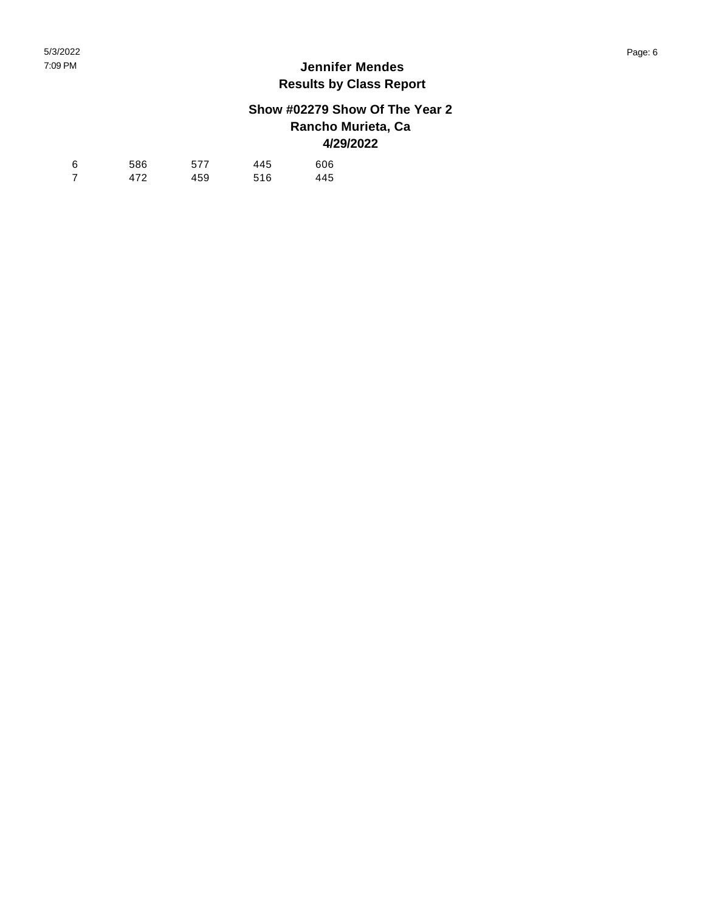## **Show #02279 Show Of The Year 2 Rancho Murieta, Ca 4/29/2022**

| 6              | 586 | 577 | 445 | 606 |
|----------------|-----|-----|-----|-----|
| $\overline{7}$ | 472 | 459 | 516 | 445 |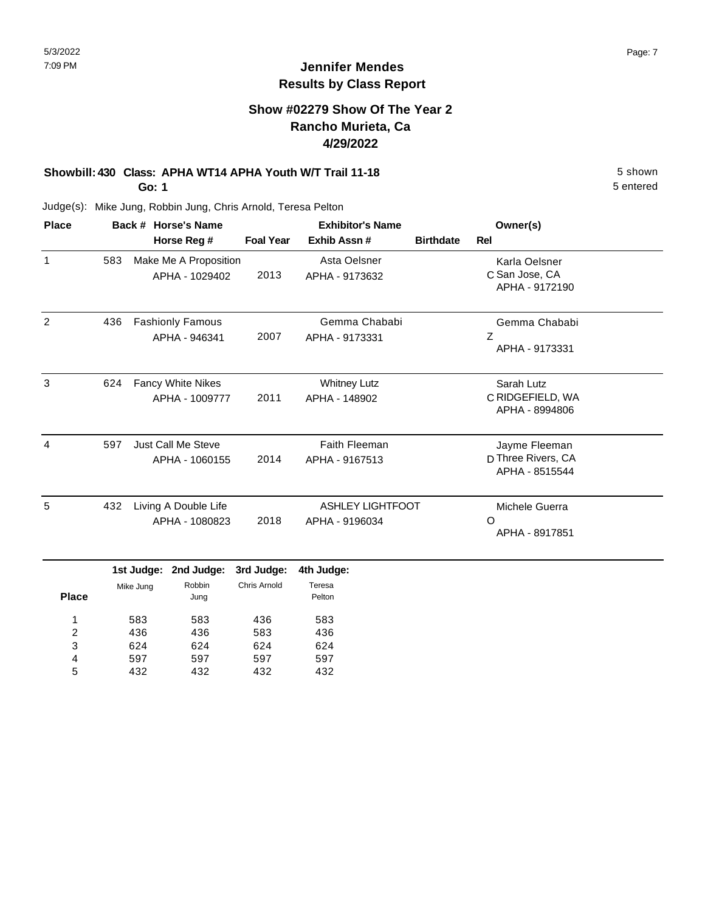#### **Show #02279 Show Of The Year 2 Rancho Murieta, Ca 4/29/2022**

# **Showbill: 430 Class: APHA WT14 APHA Youth W/T Trail 11-18** 5 Shown

**Go: 1**

Judge(s): Mike Jung, Robbin Jung, Chris Arnold, Teresa Pelton

| <b>Place</b> |     | Back # Horse's Name                         | <b>Exhibitor's Name</b> |                                           |                  | Owner(s)                                              |
|--------------|-----|---------------------------------------------|-------------------------|-------------------------------------------|------------------|-------------------------------------------------------|
|              |     | Horse Reg #                                 | <b>Foal Year</b>        | Exhib Assn#                               | <b>Birthdate</b> | <b>Rel</b>                                            |
| 1            | 583 | Make Me A Proposition<br>APHA - 1029402     | 2013                    | Asta Oelsner<br>APHA - 9173632            |                  | Karla Oelsner<br>C San Jose, CA<br>APHA - 9172190     |
| 2            | 436 | <b>Fashionly Famous</b><br>APHA - 946341    | 2007                    | Gemma Chababi<br>APHA - 9173331           |                  | Gemma Chababi<br>$\overline{z}$<br>APHA - 9173331     |
| 3            | 624 | Fancy White Nikes<br>APHA - 1009777         | 2011                    | <b>Whitney Lutz</b><br>APHA - 148902      |                  | Sarah Lutz<br>C RIDGEFIELD, WA<br>APHA - 8994806      |
| 4            | 597 | <b>Just Call Me Steve</b><br>APHA - 1060155 | 2014                    | <b>Faith Fleeman</b><br>APHA - 9167513    |                  | Jayme Fleeman<br>D Three Rivers, CA<br>APHA - 8515544 |
| 5            | 432 | Living A Double Life<br>APHA - 1080823      | 2018                    | <b>ASHLEY LIGHTFOOT</b><br>APHA - 9196034 |                  | Michele Guerra<br>∩<br>APHA - 8917851                 |
|              |     | 1st Judge: 2nd Judge:                       | 3rd Judge:              | 4th Judge:                                |                  |                                                       |

|              |           | 1st Judge: 2nd Judge: | 3rd Judge:   | 4th Judge        |
|--------------|-----------|-----------------------|--------------|------------------|
| <b>Place</b> | Mike Jung | Robbin<br>Jung        | Chris Arnold | Teresa<br>Pelton |
| 1            | 583       | 583                   | 436          | 583              |
| 2            | 436       | 436                   | 583          | 436              |
| 3            | 624       | 624                   | 624          | 624              |
| 4            | 597       | 597                   | 597          | 597              |
| 5            | 432       | 432                   | 432          | 432              |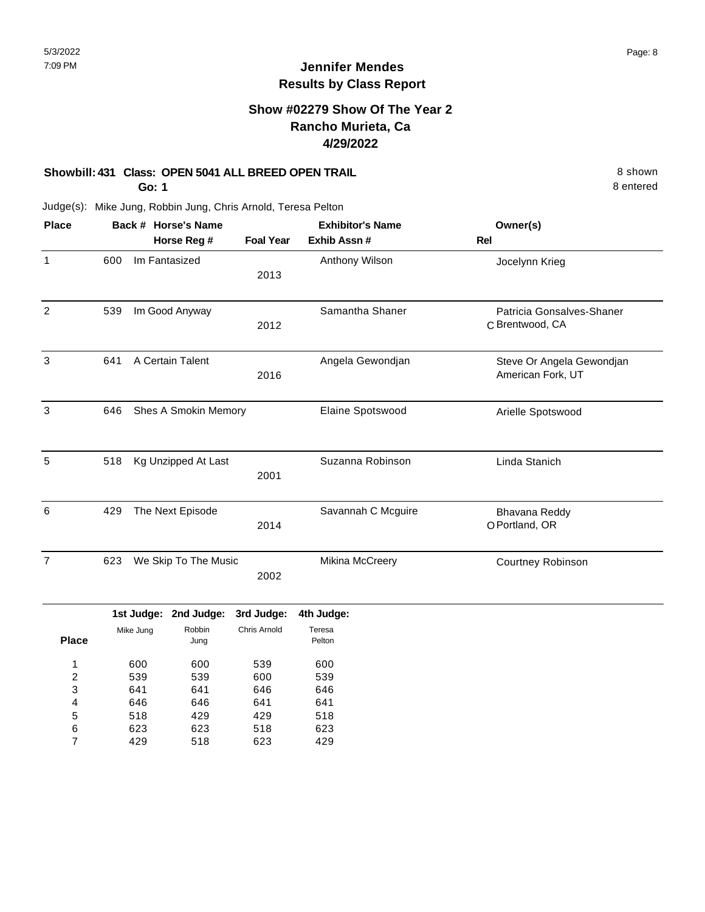### **Show #02279 Show Of The Year 2 Rancho Murieta, Ca 4/29/2022**

#### **Showbill: 431 Class: OPEN 5041 ALL BREED OPEN TRAIL** 8 Shown 8 shown

**Go: 1**

8 entered

| <b>Place</b>   |                             |                      | Back # Horse's Name   |                  | <b>Exhibitor's Name</b> | Owner(s)                                       |
|----------------|-----------------------------|----------------------|-----------------------|------------------|-------------------------|------------------------------------------------|
|                |                             |                      | Horse Reg #           | <b>Foal Year</b> | Exhib Assn #            | <b>Rel</b>                                     |
| $\mathbf{1}$   | 600                         |                      | Im Fantasized         | 2013             | Anthony Wilson          | Jocelynn Krieg                                 |
| $\overline{2}$ | 539                         |                      | Im Good Anyway        | 2012             | Samantha Shaner         | Patricia Gonsalves-Shaner<br>C Brentwood, CA   |
| 3              | 641                         | A Certain Talent     |                       | 2016             | Angela Gewondjan        | Steve Or Angela Gewondjan<br>American Fork, UT |
| 3              | 646                         | Shes A Smokin Memory |                       |                  | Elaine Spotswood        | Arielle Spotswood                              |
| 5              | 518                         |                      | Kg Unzipped At Last   | 2001             | Suzanna Robinson        | Linda Stanich                                  |
| 6              | 429                         |                      | The Next Episode      | 2014             | Savannah C Mcguire      | Bhavana Reddy<br>O Portland, OR                |
| $\overline{7}$ | We Skip To The Music<br>623 |                      | 2002                  | Mikina McCreery  | Courtney Robinson       |                                                |
|                |                             |                      | 1st Judge: 2nd Judge: | 3rd Judge:       | 4th Judge:              |                                                |
| <b>Place</b>   |                             | Mike Jung            | Robbin<br>Jung        | Chris Arnold     | Teresa<br>Pelton        |                                                |
| 1              |                             | 600                  | 600                   | 539              | 600                     |                                                |
| 2              |                             | 539                  | 539                   | 600              | 539                     |                                                |
| 3              |                             | 641                  | 641                   | 646              | 646                     |                                                |
| 4              |                             | 646                  | 646                   | 641              | 641                     |                                                |
| 5              |                             | 518                  | 429                   | 429              | 518                     |                                                |
| 6              |                             | 623                  | 623                   | 518              | 623                     |                                                |
| 7              |                             | 429                  | 518                   | 623              | 429                     |                                                |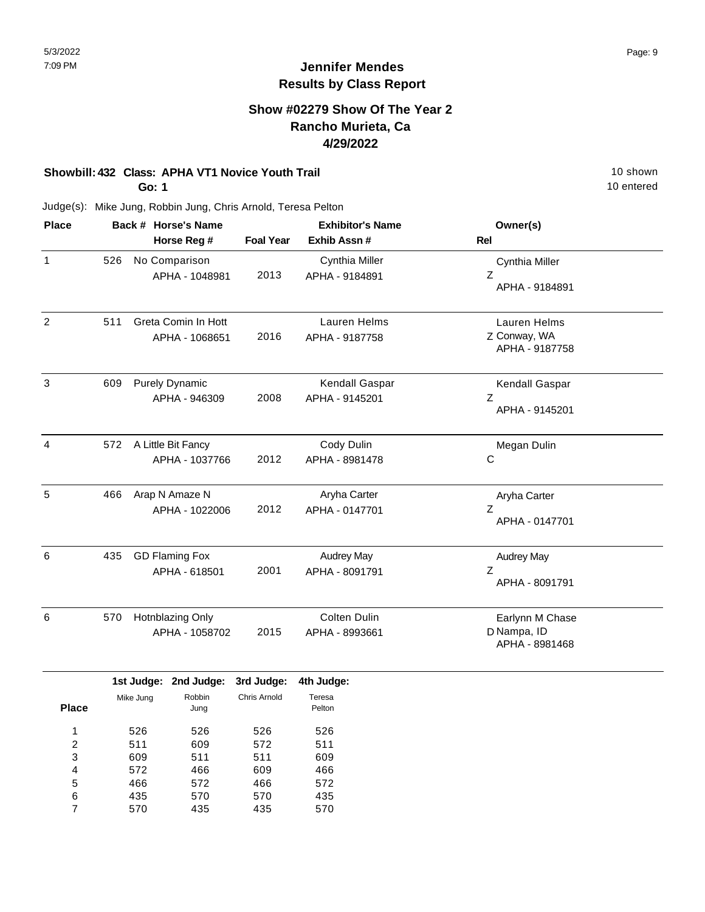#### **Show #02279 Show Of The Year 2 Rancho Murieta, Ca 4/29/2022**

## **Showbill: 432 Class: APHA VT1 Novice Youth Trail 10 Shown 10 Shown 10 Shown**

**Go: 1**

10 entered

| <b>Place</b>   |     | Back # Horse's Name                    |        |                            | <b>Exhibitor's Name</b>             | Owner(s)                                         |  |
|----------------|-----|----------------------------------------|--------|----------------------------|-------------------------------------|--------------------------------------------------|--|
|                |     | Horse Reg #                            |        | <b>Foal Year</b>           | Exhib Assn #                        | Rel                                              |  |
| 1              | 526 | No Comparison<br>APHA - 1048981        |        | 2013                       | Cynthia Miller<br>APHA - 9184891    | Cynthia Miller<br>Z<br>APHA - 9184891            |  |
| $\overline{2}$ | 511 | Greta Comin In Hott<br>APHA - 1068651  |        | 2016                       | Lauren Helms<br>APHA - 9187758      | Lauren Helms<br>Z Conway, WA<br>APHA - 9187758   |  |
| 3              | 609 | <b>Purely Dynamic</b><br>APHA - 946309 |        | 2008                       | Kendall Gaspar<br>APHA - 9145201    | Kendall Gaspar<br>Ζ<br>APHA - 9145201            |  |
| $\overline{4}$ | 572 | A Little Bit Fancy<br>APHA - 1037766   |        | 2012                       | Cody Dulin<br>APHA - 8981478        | Megan Dulin<br>C                                 |  |
| 5              | 466 | Arap N Amaze N<br>APHA - 1022006       |        | 2012                       | Aryha Carter<br>APHA - 0147701      | Aryha Carter<br>Z<br>APHA - 0147701              |  |
| 6              | 435 | <b>GD Flaming Fox</b><br>APHA - 618501 |        | 2001                       | <b>Audrey May</b><br>APHA - 8091791 | <b>Audrey May</b><br>Z<br>APHA - 8091791         |  |
| 6              | 570 | Hotnblazing Only<br>APHA - 1058702     |        | 2015                       | Colten Dulin<br>APHA - 8993661      | Earlynn M Chase<br>D Nampa, ID<br>APHA - 8981468 |  |
|                |     | 1st Judge: 2nd Judge:<br>Mike Juna     | Robbin | 3rd Judge:<br>Chris Arnold | 4th Judge:<br>Teresa                |                                                  |  |

|              | iar ouugo. | <b>ENG VUUYV.</b> | vru vuugu.          | mu vuugu         |
|--------------|------------|-------------------|---------------------|------------------|
| <b>Place</b> | Mike Jung  | Robbin<br>Jung    | <b>Chris Arnold</b> | Teresa<br>Pelton |
| 1            | 526        | 526               | 526                 | 526              |
| 2            | 511        | 609               | 572                 | 511              |
| 3            | 609        | 511               | 511                 | 609              |
| 4            | 572        | 466               | 609                 | 466              |
| 5            | 466        | 572               | 466                 | 572              |
| 6            | 435        | 570               | 570                 | 435              |
| 7            | 570        | 435               | 435                 | 570              |
|              |            |                   |                     |                  |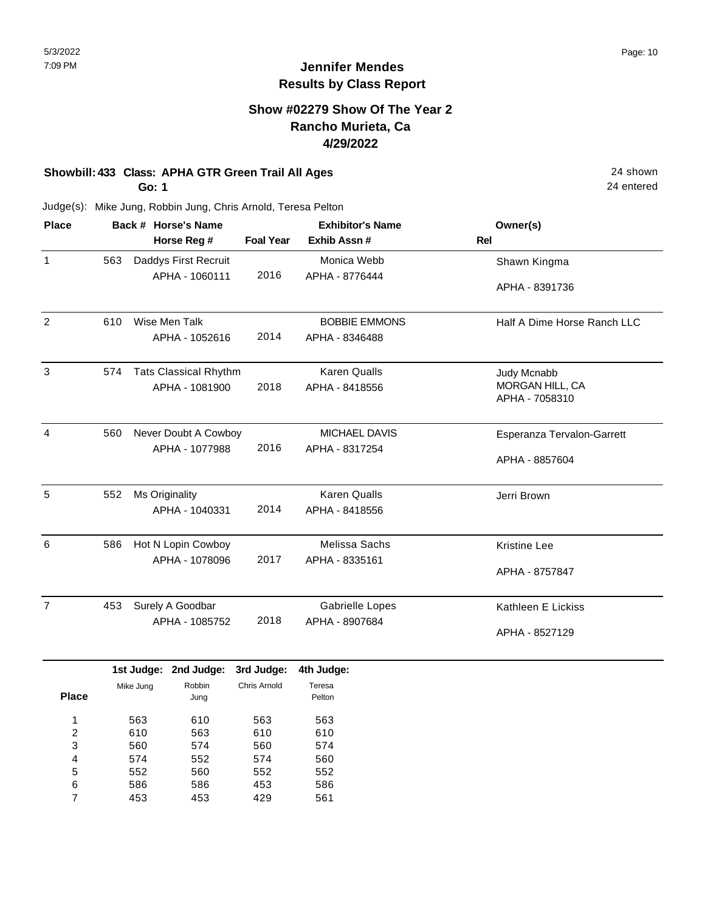### **Show #02279 Show Of The Year 2 Rancho Murieta, Ca 4/29/2022**

## **Showbill: 433 Class: APHA GTR Green Trail All Ages** 24 shown

**Go: 1**

552 586 453

5 6 7 560 586 453

552 453 429

552 586 561

24 entered

|     |     |                         |                                                                                                                                                                              | <b>Exhibitor's Name</b>                                                                                                                                                                                    | Owner(s)                    |
|-----|-----|-------------------------|------------------------------------------------------------------------------------------------------------------------------------------------------------------------------|------------------------------------------------------------------------------------------------------------------------------------------------------------------------------------------------------------|-----------------------------|
|     |     |                         | <b>Foal Year</b>                                                                                                                                                             | Exhib Assn #                                                                                                                                                                                               | Rel                         |
| 563 |     |                         |                                                                                                                                                                              | Monica Webb                                                                                                                                                                                                | Shawn Kingma                |
|     |     |                         | 2016                                                                                                                                                                         | APHA - 8776444                                                                                                                                                                                             |                             |
|     |     |                         |                                                                                                                                                                              |                                                                                                                                                                                                            | APHA - 8391736              |
| 610 |     |                         |                                                                                                                                                                              | <b>BOBBIE EMMONS</b>                                                                                                                                                                                       | Half A Dime Horse Ranch LLC |
|     |     |                         | 2014                                                                                                                                                                         | APHA - 8346488                                                                                                                                                                                             |                             |
| 574 |     |                         |                                                                                                                                                                              | <b>Karen Qualls</b>                                                                                                                                                                                        | Judy Mcnabb                 |
|     |     |                         | 2018                                                                                                                                                                         | APHA - 8418556                                                                                                                                                                                             | MORGAN HILL, CA             |
|     |     |                         |                                                                                                                                                                              |                                                                                                                                                                                                            | APHA - 7058310              |
| 560 |     |                         |                                                                                                                                                                              | MICHAEL DAVIS                                                                                                                                                                                              | Esperanza Tervalon-Garrett  |
|     |     |                         | 2016                                                                                                                                                                         | APHA - 8317254                                                                                                                                                                                             |                             |
|     |     |                         |                                                                                                                                                                              |                                                                                                                                                                                                            | APHA - 8857604              |
| 552 |     |                         |                                                                                                                                                                              | <b>Karen Qualls</b>                                                                                                                                                                                        | Jerri Brown                 |
|     |     |                         | 2014                                                                                                                                                                         | APHA - 8418556                                                                                                                                                                                             |                             |
| 586 |     |                         |                                                                                                                                                                              | Melissa Sachs                                                                                                                                                                                              | <b>Kristine Lee</b>         |
|     |     |                         | 2017                                                                                                                                                                         | APHA - 8335161                                                                                                                                                                                             |                             |
|     |     |                         |                                                                                                                                                                              |                                                                                                                                                                                                            | APHA - 8757847              |
| 453 |     |                         |                                                                                                                                                                              | <b>Gabrielle Lopes</b>                                                                                                                                                                                     | Kathleen E Lickiss          |
|     |     |                         | 2018                                                                                                                                                                         | APHA - 8907684                                                                                                                                                                                             |                             |
|     |     |                         |                                                                                                                                                                              |                                                                                                                                                                                                            | APHA - 8527129              |
|     |     |                         | 3rd Judge:                                                                                                                                                                   | 4th Judge:                                                                                                                                                                                                 |                             |
|     |     | Robbin                  | Chris Arnold                                                                                                                                                                 | Teresa                                                                                                                                                                                                     |                             |
|     |     |                         |                                                                                                                                                                              |                                                                                                                                                                                                            |                             |
|     | 563 | 610                     | 563                                                                                                                                                                          | 563                                                                                                                                                                                                        |                             |
|     |     |                         |                                                                                                                                                                              |                                                                                                                                                                                                            |                             |
|     | 574 | 552                     | 574                                                                                                                                                                          | 560                                                                                                                                                                                                        |                             |
|     |     | Mike Jung<br>610<br>560 | Back # Horse's Name<br>Horse Reg #<br>APHA - 1060111<br>Wise Men Talk<br>Ms Originality<br>APHA - 1040331<br>Surely A Goodbar<br>1st Judge: 2nd Judge:<br>Jung<br>563<br>574 | Daddys First Recruit<br>APHA - 1052616<br><b>Tats Classical Rhythm</b><br>APHA - 1081900<br>Never Doubt A Cowboy<br>APHA - 1077988<br>Hot N Lopin Cowboy<br>APHA - 1078096<br>APHA - 1085752<br>610<br>560 | Pelton<br>610<br>574        |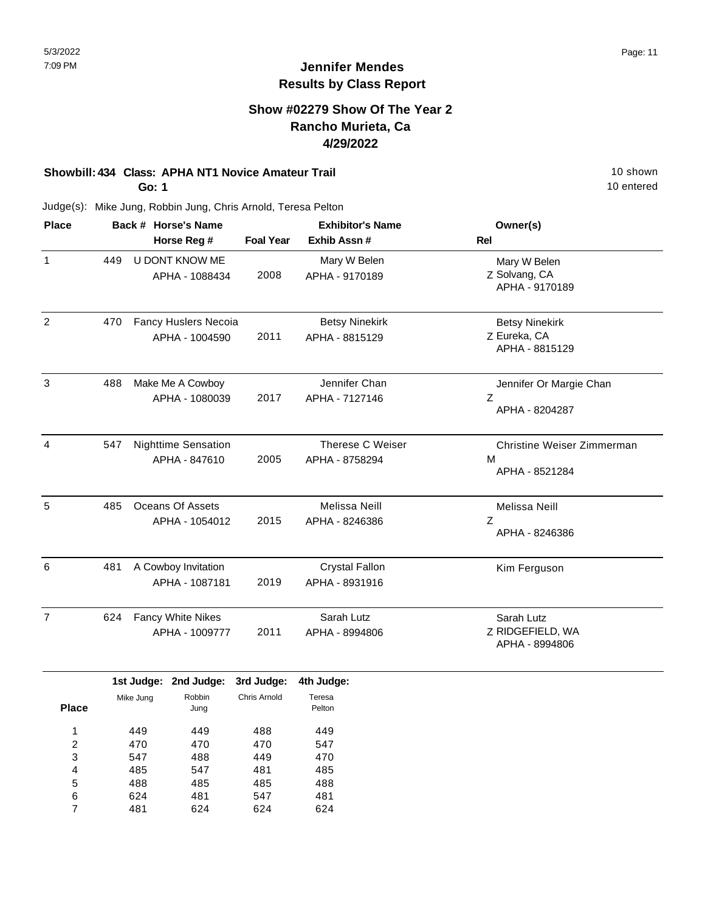### **Show #02279 Show Of The Year 2 Rancho Murieta, Ca 4/29/2022**

# **Showbill: 434 Class: APHA NT1 Novice Amateur Trail 10 Shown 10 Shown 10 Shown**

**Go: 1**

488 624 481

5 6 7 485 481 624

485 547 624 488 481 624 10 entered

| <b>Place</b>   |     |            | Back # Horse's Name        |                  | <b>Exhibitor's Name</b> | Owner(s)                   |
|----------------|-----|------------|----------------------------|------------------|-------------------------|----------------------------|
|                |     |            | Horse Reg #                | <b>Foal Year</b> | Exhib Assn #            | <b>Rel</b>                 |
| $\mathbf{1}$   | 449 |            | U DONT KNOW ME             |                  | Mary W Belen            | Mary W Belen               |
|                |     |            | APHA - 1088434             | 2008             | APHA - 9170189          | Z Solvang, CA              |
|                |     |            |                            |                  |                         | APHA - 9170189             |
| $\overline{2}$ | 470 |            | Fancy Huslers Necoia       |                  | <b>Betsy Ninekirk</b>   | <b>Betsy Ninekirk</b>      |
|                |     |            | APHA - 1004590             | 2011             | APHA - 8815129          | Z Eureka, CA               |
|                |     |            |                            |                  |                         | APHA - 8815129             |
| $\mathbf{3}$   | 488 |            | Make Me A Cowboy           |                  | Jennifer Chan           | Jennifer Or Margie Chan    |
|                |     |            | APHA - 1080039             | 2017             | APHA - 7127146          | Z                          |
|                |     |            |                            |                  |                         | APHA - 8204287             |
| $\overline{4}$ | 547 |            | <b>Nighttime Sensation</b> |                  | Therese C Weiser        | Christine Weiser Zimmerman |
|                |     |            | APHA - 847610              | 2005             | APHA - 8758294          | M                          |
|                |     |            |                            |                  |                         | APHA - 8521284             |
| 5              | 485 |            | <b>Oceans Of Assets</b>    |                  | Melissa Neill           | Melissa Neill              |
|                |     |            | APHA - 1054012             | 2015             | APHA - 8246386          | Z                          |
|                |     |            |                            |                  |                         | APHA - 8246386             |
| 6              | 481 |            | A Cowboy Invitation        |                  | <b>Crystal Fallon</b>   | Kim Ferguson               |
|                |     |            | APHA - 1087181             | 2019             | APHA - 8931916          |                            |
| $\overline{7}$ | 624 |            | Fancy White Nikes          |                  | Sarah Lutz              | Sarah Lutz                 |
|                |     |            | APHA - 1009777             | 2011             | APHA - 8994806          | Z RIDGEFIELD, WA           |
|                |     |            |                            |                  |                         | APHA - 8994806             |
|                |     |            | 1st Judge: 2nd Judge:      | 3rd Judge:       | 4th Judge:              |                            |
|                |     | Mike Jung  | Robbin                     | Chris Arnold     | Teresa                  |                            |
| <b>Place</b>   |     |            | Jung                       |                  | Pelton                  |                            |
| 1              |     | 449        | 449                        | 488              | 449                     |                            |
| 2              |     | 470        | 470                        | 470              | 547                     |                            |
| 3<br>4         |     | 547<br>485 | 488<br>547                 | 449<br>481       | 470<br>485              |                            |
|                |     |            |                            |                  |                         |                            |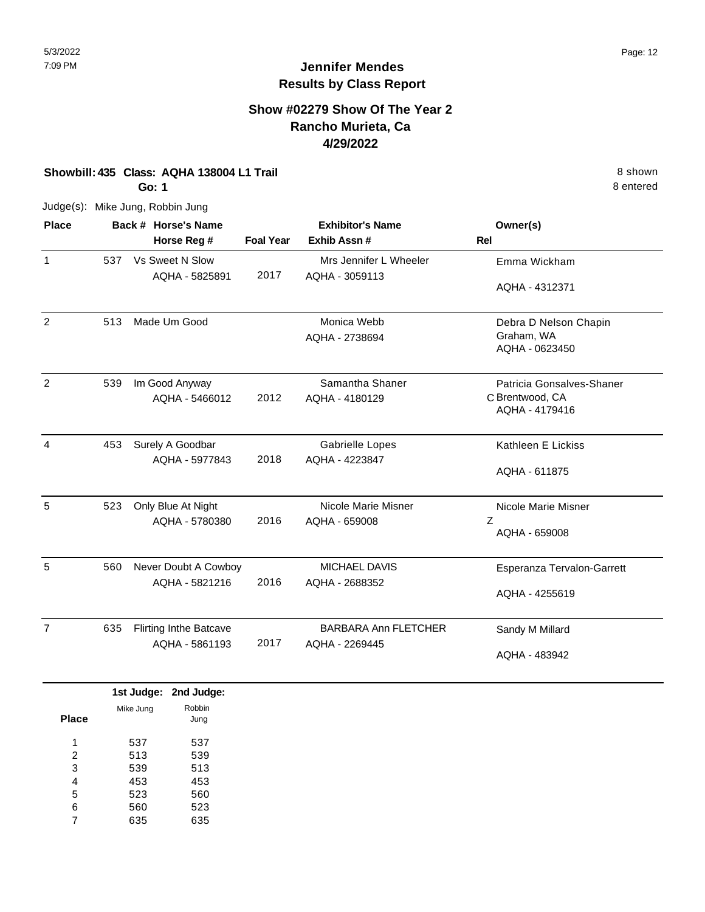#### **Show #02279 Show Of The Year 2 Rancho Murieta, Ca 4/29/2022**

#### **Showbill: 435 Class: AQHA 138004 L1 Trail** 8 shown

**Go: 1**

Judge(s): Mike Jung, Robbin Jung

| <b>Place</b>   |     | Back # Horse's Name               |                  | <b>Exhibitor's Name</b>                  | Owner(s)                          |
|----------------|-----|-----------------------------------|------------------|------------------------------------------|-----------------------------------|
|                |     | Horse Reg #                       | <b>Foal Year</b> | Exhib Assn#                              | <b>Rel</b>                        |
| $\mathbf{1}$   | 537 | Vs Sweet N Slow<br>AQHA - 5825891 | 2017             | Mrs Jennifer L Wheeler<br>AQHA - 3059113 | Emma Wickham                      |
|                |     |                                   |                  |                                          | AQHA - 4312371                    |
| 2              | 513 | Made Um Good                      |                  | Monica Webb                              | Debra D Nelson Chapin             |
|                |     |                                   |                  | AQHA - 2738694                           | Graham, WA<br>AQHA - 0623450      |
| $\overline{2}$ | 539 | Im Good Anyway                    |                  | Samantha Shaner                          | Patricia Gonsalves-Shaner         |
|                |     | AQHA - 5466012                    | 2012             | AQHA - 4180129                           | C Brentwood, CA<br>AQHA - 4179416 |
| 4              | 453 | Surely A Goodbar                  |                  | <b>Gabrielle Lopes</b>                   | Kathleen E Lickiss                |
|                |     | AQHA - 5977843                    | 2018             | AQHA - 4223847                           | AQHA - 611875                     |
| 5              | 523 | Only Blue At Night                |                  | Nicole Marie Misner                      | Nicole Marie Misner               |
|                |     | AQHA - 5780380                    | 2016             | AQHA - 659008                            | Z<br>AQHA - 659008                |
| 5              | 560 | Never Doubt A Cowboy              |                  | <b>MICHAEL DAVIS</b>                     | Esperanza Tervalon-Garrett        |
|                |     | AQHA - 5821216                    | 2016             | AQHA - 2688352                           | AQHA - 4255619                    |
| $\overline{7}$ | 635 | <b>Flirting Inthe Batcave</b>     |                  | <b>BARBARA Ann FLETCHER</b>              | Sandy M Millard                   |
|                |     | AQHA - 5861193                    | 2017             | AQHA - 2269445                           | AQHA - 483942                     |

|       |           | 1st Judge: 2nd Judge: |
|-------|-----------|-----------------------|
|       | Mike Jung | Robbin                |
| Place |           | Jung                  |
| 1     | 537       | 537                   |
| 2     | 513       | 539                   |
| 3     | 539       | 513                   |
| 4     | 453       | 453                   |
| 5     | 523       | 560                   |
| 6     | 560       | 523                   |
|       | 635       | 635                   |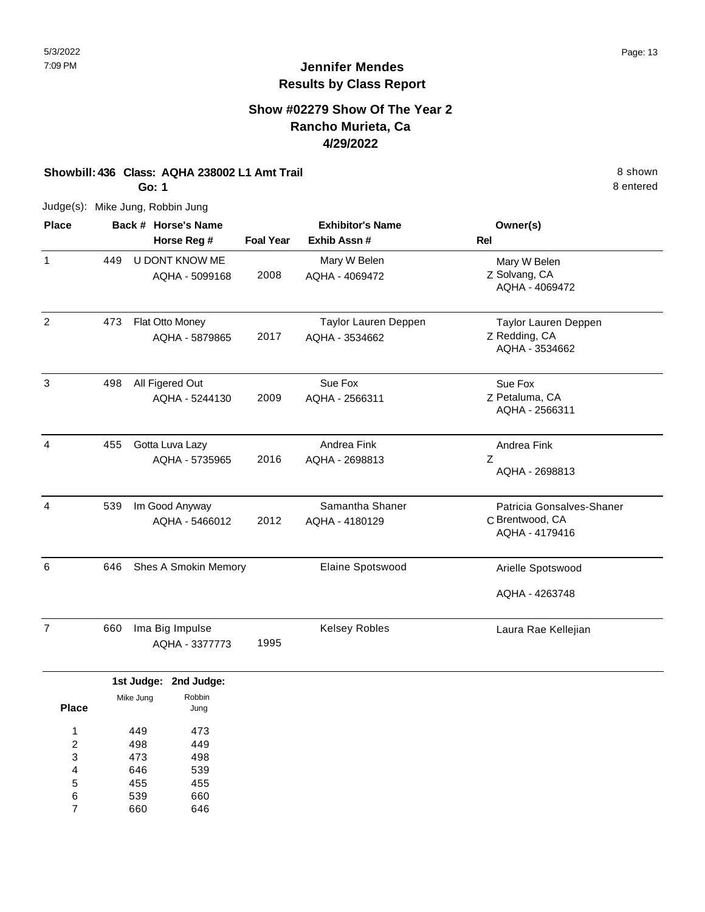### **Show #02279 Show Of The Year 2 Rancho Murieta, Ca 4/29/2022**

#### **Showbill: 436 Class: AQHA 238002 L1 Amt Trail** 8 shown

**Go: 1**

Judge(s): Mike Jung, Robbin Jung

| <b>Place</b>   |     | Back # Horse's Name<br>Horse Reg # | <b>Foal Year</b> | <b>Exhibitor's Name</b><br>Exhib Assn# | Owner(s)<br><b>Rel</b>                                         |
|----------------|-----|------------------------------------|------------------|----------------------------------------|----------------------------------------------------------------|
| 1              | 449 | U DONT KNOW ME<br>AQHA - 5099168   | 2008             | Mary W Belen<br>AQHA - 4069472         | Mary W Belen<br>Z Solvang, CA<br>AQHA - 4069472                |
| 2              | 473 | Flat Otto Money<br>AQHA - 5879865  | 2017             | Taylor Lauren Deppen<br>AQHA - 3534662 | <b>Taylor Lauren Deppen</b><br>Z Redding, CA<br>AQHA - 3534662 |
| 3              | 498 | All Figered Out<br>AQHA - 5244130  | 2009             | Sue Fox<br>AQHA - 2566311              | Sue Fox<br>Z Petaluma, CA<br>AQHA - 2566311                    |
| 4              | 455 | Gotta Luva Lazy<br>AQHA - 5735965  | 2016             | Andrea Fink<br>AQHA - 2698813          | Andrea Fink<br>Z<br>AQHA - 2698813                             |
| 4              | 539 | Im Good Anyway<br>AQHA - 5466012   | 2012             | Samantha Shaner<br>AQHA - 4180129      | Patricia Gonsalves-Shaner<br>C Brentwood, CA<br>AQHA - 4179416 |
| 6              | 646 | Shes A Smokin Memory               |                  | Elaine Spotswood                       | Arielle Spotswood                                              |
|                |     |                                    |                  |                                        | AQHA - 4263748                                                 |
| $\overline{7}$ | 660 | Ima Big Impulse<br>AQHA - 3377773  | 1995             | <b>Kelsey Robles</b>                   | Laura Rae Kellejian                                            |

|       |           | 1st Judge: 2nd Judge: |
|-------|-----------|-----------------------|
| Place | Mike Jung | Robbin<br>Jung        |
| 1     | 449       | 473                   |
| 2     | 498       | 449                   |
| 3     | 473       | 498                   |
| 4     | 646       | 539                   |
| 5     | 455       | 455                   |
| 6     | 539       | 660                   |
|       | 660       | 646                   |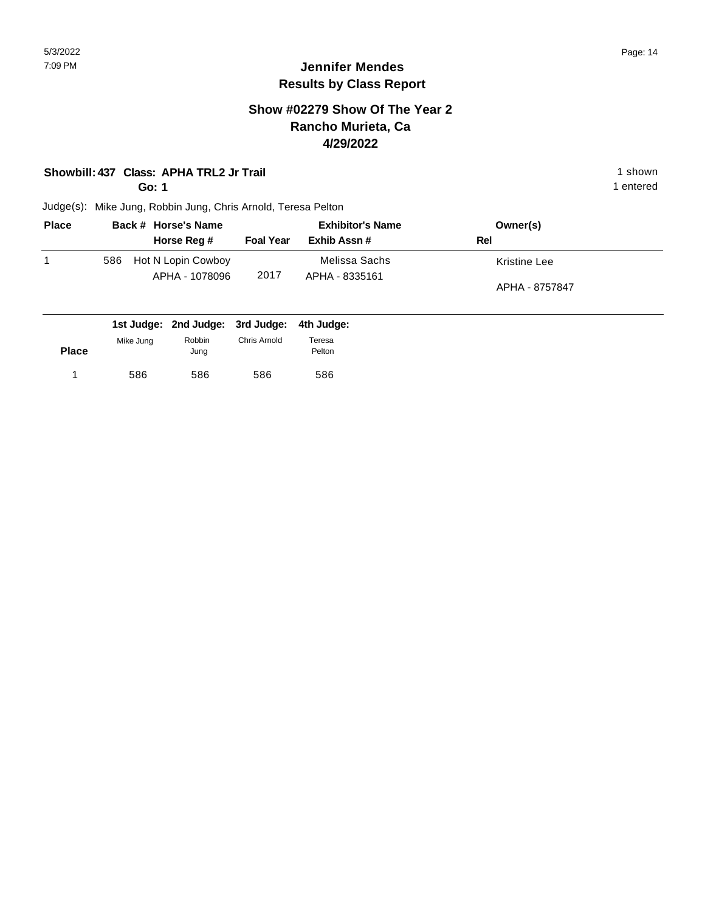#### **Show #02279 Show Of The Year 2 Rancho Murieta, Ca 4/29/2022**

#### **Showbill: 437 Class: APHA TRL2 Jr Trail** 1 shown

**Go: 1**

1 entered

| <b>Place</b> | Back # Horse's Name                         |                  | <b>Exhibitor's Name</b>         | Owner(s)                       |
|--------------|---------------------------------------------|------------------|---------------------------------|--------------------------------|
|              | Horse Reg #                                 | <b>Foal Year</b> | Exhib Assn #                    | Rel                            |
|              | Hot N Lopin Cowboy<br>586<br>APHA - 1078096 | 2017             | Melissa Sachs<br>APHA - 8335161 | Kristine Lee<br>APHA - 8757847 |
|              | 1st Judge: 2nd Judge: 3rd Judge:            |                  | 4th Judge:                      |                                |

| <b>Place</b> | Mike Jung | Robbin<br>Jung | Chris Arnold | Teresa<br>Pelton |
|--------------|-----------|----------------|--------------|------------------|
|              | 586       | 586            | 586          | 586              |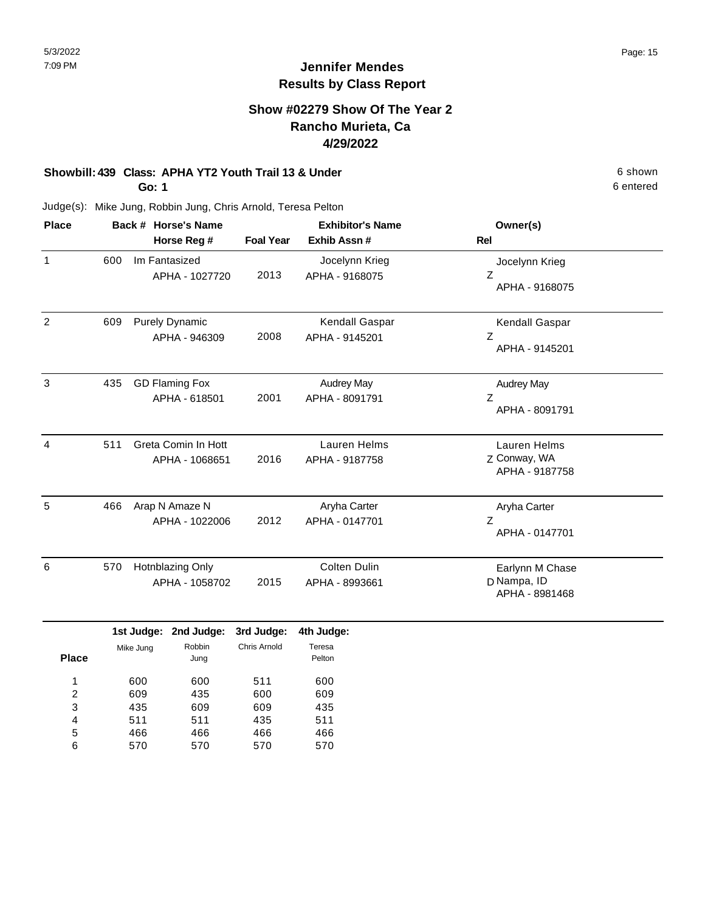### **Show #02279 Show Of The Year 2 Rancho Murieta, Ca 4/29/2022**

## **Showbill: 439 Class: APHA YT2 Youth Trail 13 & Under** 6 **Shown** 6 shown

**Go: 1**

Judge(s): Mike Jung, Robbin Jung, Chris Arnold, Teresa Pelton

| <b>Place</b> |     | Back # Horse's Name                    |                  | <b>Exhibitor's Name</b>             | Owner(s)                                         |
|--------------|-----|----------------------------------------|------------------|-------------------------------------|--------------------------------------------------|
|              |     | Horse Reg #                            | <b>Foal Year</b> | Exhib Assn#                         | <b>Rel</b>                                       |
| 1            | 600 | Im Fantasized<br>APHA - 1027720        | 2013             | Jocelynn Krieg<br>APHA - 9168075    | Jocelynn Krieg<br>Z<br>APHA - 9168075            |
| 2            | 609 | <b>Purely Dynamic</b><br>APHA - 946309 | 2008             | Kendall Gaspar<br>APHA - 9145201    | Kendall Gaspar<br>Ζ<br>APHA - 9145201            |
| 3            | 435 | <b>GD Flaming Fox</b><br>APHA - 618501 | 2001             | <b>Audrey May</b><br>APHA - 8091791 | <b>Audrey May</b><br>Z<br>APHA - 8091791         |
| 4            | 511 | Greta Comin In Hott<br>APHA - 1068651  | 2016             | Lauren Helms<br>APHA - 9187758      | Lauren Helms<br>Z Conway, WA<br>APHA - 9187758   |
| 5            | 466 | Arap N Amaze N<br>APHA - 1022006       | 2012             | Aryha Carter<br>APHA - 0147701      | Aryha Carter<br>Z<br>APHA - 0147701              |
| 6            | 570 | Hotnblazing Only<br>APHA - 1058702     | 2015             | Colten Dulin<br>APHA - 8993661      | Earlynn M Chase<br>D Nampa, ID<br>APHA - 8981468 |

|              |           | 1st Judge: 2nd Judge: 3rd Judge: |              | 4th Judge:       |
|--------------|-----------|----------------------------------|--------------|------------------|
| <b>Place</b> | Mike Jung | Robbin<br>Jung                   | Chris Arnold | Teresa<br>Pelton |
|              | 600       | 600                              | 511          | 600              |
| 2            | 609       | 435                              | 600          | 609              |
| 3            | 435       | 609                              | 609          | 435              |
| 4            | 511       | 511                              | 435          | 511              |
| 5            | 466       | 466                              | 466          | 466              |
| 6            | 570       | 570                              | 570          | 570              |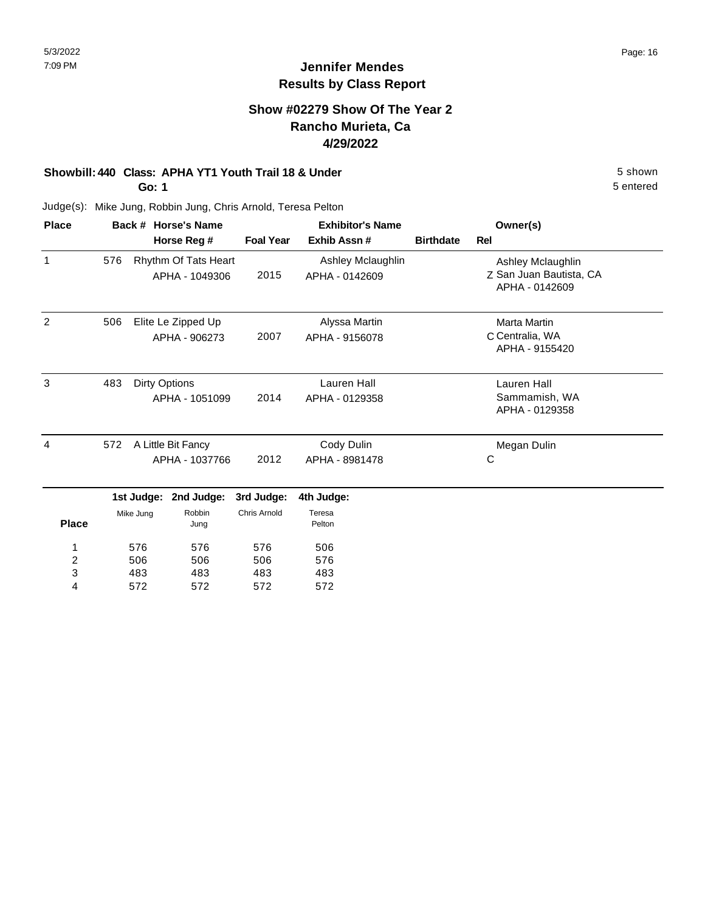5 entered

## **Jennifer Mendes Results by Class Report**

### **Show #02279 Show Of The Year 2 Rancho Murieta, Ca 4/29/2022**

#### **Showbill: 440 Class: APHA YT1 Youth Trail 18 & Under** 5 Shown 5 shown

**Go: 1**

572

4

572

572

572

| <b>Place</b>            |     |                                      | Back # Horse's Name                    |                     | <b>Exhibitor's Name</b>             | Owner(s)         |                                                                |
|-------------------------|-----|--------------------------------------|----------------------------------------|---------------------|-------------------------------------|------------------|----------------------------------------------------------------|
|                         |     |                                      | Horse Reg #                            | <b>Foal Year</b>    | Exhib Assn#                         | <b>Birthdate</b> | Rel                                                            |
| 1                       | 576 |                                      | Rhythm Of Tats Heart<br>APHA - 1049306 | 2015                | Ashley Mclaughlin<br>APHA - 0142609 |                  | Ashley Mclaughlin<br>Z San Juan Bautista, CA<br>APHA - 0142609 |
| $\overline{2}$          | 506 |                                      | Elite Le Zipped Up<br>APHA - 906273    | 2007                | Alyssa Martin<br>APHA - 9156078     |                  | <b>Marta Martin</b><br>C Centralia, WA<br>APHA - 9155420       |
| 3                       | 483 | <b>Dirty Options</b>                 | APHA - 1051099                         | 2014                | Lauren Hall<br>APHA - 0129358       |                  | Lauren Hall<br>Sammamish, WA<br>APHA - 0129358                 |
| 4                       | 572 | A Little Bit Fancy<br>APHA - 1037766 |                                        | 2012                | Cody Dulin<br>APHA - 8981478        |                  | Megan Dulin<br>C                                               |
|                         |     | 1st Judge:                           | 2nd Judge:                             | 3rd Judge:          | 4th Judge:                          |                  |                                                                |
| <b>Place</b>            |     | Mike Jung                            | Robbin<br>Jung                         | <b>Chris Arnold</b> | Teresa<br>Pelton                    |                  |                                                                |
| 1                       |     | 576                                  | 576                                    | 576                 | 506                                 |                  |                                                                |
| $\overline{\mathbf{c}}$ |     | 506                                  | 506                                    | 506                 | 576                                 |                  |                                                                |
| 3                       |     | 483                                  | 483                                    | 483                 | 483                                 |                  |                                                                |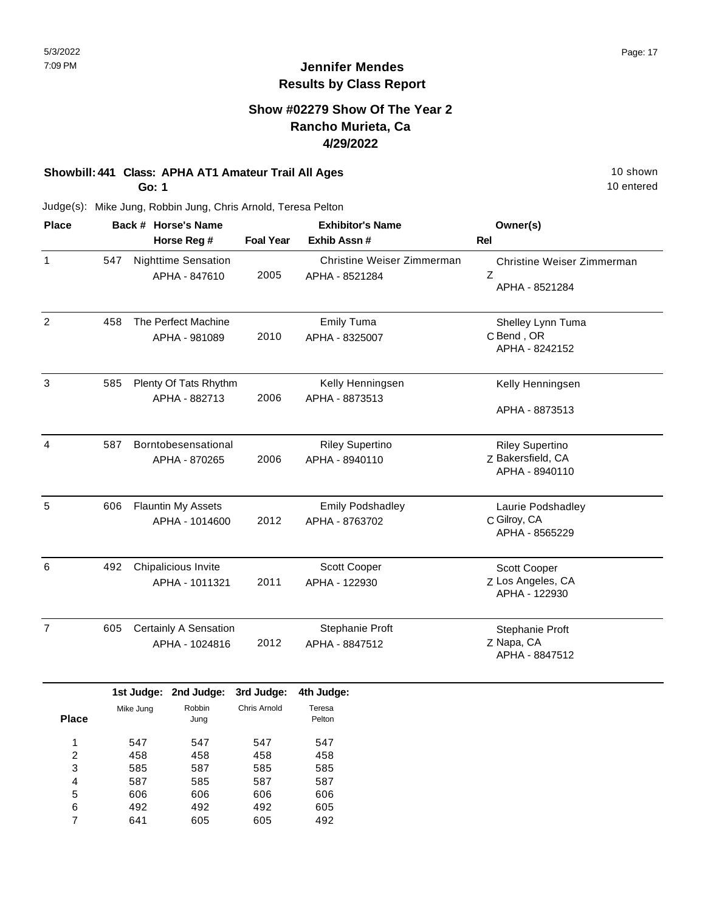#### **Show #02279 Show Of The Year 2 Rancho Murieta, Ca 4/29/2022**

## **Showbill: 441 Class: APHA AT1 Amateur Trail All Ages** 10 shown

**Go: 1**

10 entered

| <b>Place</b>        | Back # Horse's Name<br>Horse Reg # |                                       |                                             | <b>Exhibitor's Name</b>    |                                              | Owner(s)                                                      |  |
|---------------------|------------------------------------|---------------------------------------|---------------------------------------------|----------------------------|----------------------------------------------|---------------------------------------------------------------|--|
|                     |                                    |                                       |                                             | <b>Foal Year</b>           | Exhib Assn#                                  | Rel                                                           |  |
| $\mathbf{1}$        | 547                                |                                       | <b>Nighttime Sensation</b><br>APHA - 847610 | 2005                       | Christine Weiser Zimmerman<br>APHA - 8521284 | Christine Weiser Zimmerman<br>Z<br>APHA - 8521284             |  |
| $\overline{2}$      | 458                                |                                       | The Perfect Machine<br>APHA - 981089        | 2010                       | <b>Emily Tuma</b><br>APHA - 8325007          | Shelley Lynn Tuma<br>C Bend, OR<br>APHA - 8242152             |  |
| 3                   | 585                                |                                       | Plenty Of Tats Rhythm<br>APHA - 882713      | 2006                       | Kelly Henningsen<br>APHA - 8873513           | Kelly Henningsen<br>APHA - 8873513                            |  |
| 4                   | 587                                |                                       | Borntobesensational<br>APHA - 870265        | 2006                       | <b>Riley Supertino</b><br>APHA - 8940110     | <b>Riley Supertino</b><br>Z Bakersfield, CA<br>APHA - 8940110 |  |
| 5                   | 606                                |                                       | <b>Flauntin My Assets</b><br>APHA - 1014600 | 2012                       | <b>Emily Podshadley</b><br>APHA - 8763702    | Laurie Podshadley<br>C Gilroy, CA<br>APHA - 8565229           |  |
| 6                   | 492                                | Chipalicious Invite<br>APHA - 1011321 |                                             | 2011                       | Scott Cooper<br>APHA - 122930                | Scott Cooper<br>Z Los Angeles, CA<br>APHA - 122930            |  |
| $\overline{7}$      | 605                                |                                       | Certainly A Sensation<br>APHA - 1024816     | 2012                       | Stephanie Proft<br>APHA - 8847512            | Stephanie Proft<br>Z Napa, CA<br>APHA - 8847512               |  |
| <b>Place</b>        |                                    | 1st Judge:<br>Mike Jung               | 2nd Judge:<br>Robbin<br>Jung                | 3rd Judge:<br>Chris Arnold | 4th Judge:<br>Teresa<br>Pelton               |                                                               |  |
| 1<br>$\overline{2}$ |                                    | 547<br>458                            | 547<br>458                                  | 547<br>458                 | 547<br>458                                   |                                                               |  |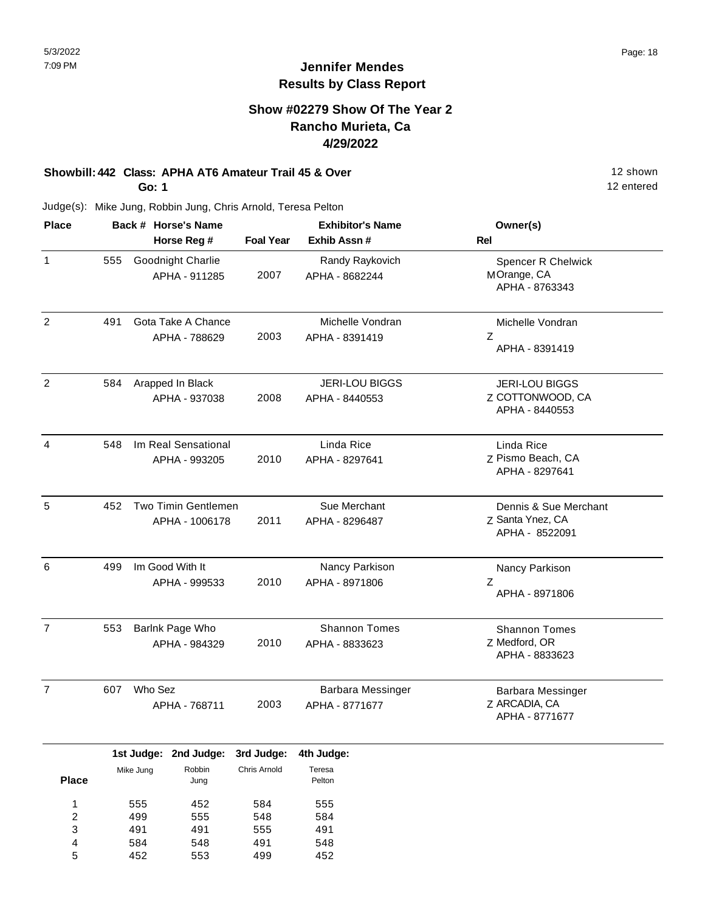#### **Show #02279 Show Of The Year 2 Rancho Murieta, Ca 4/29/2022**

#### **Showbill: 442 Class: APHA AT6 Amateur Trail 45 & Over** 12 Shown 12 shown **Go: 1**

Judge(s): Mike Jung, Robbin Jung, Chris Arnold, Teresa Pelton

| <b>Place</b>   |     | Back # Horse's Name                   | <b>Exhibitor's Name</b> |                                            | Owner(s)                                                    |
|----------------|-----|---------------------------------------|-------------------------|--------------------------------------------|-------------------------------------------------------------|
|                |     | Horse Reg #                           | <b>Foal Year</b>        | Exhib Assn #                               | Rel                                                         |
| $\mathbf{1}$   | 555 | Goodnight Charlie<br>APHA - 911285    | 2007                    | Randy Raykovich<br>APHA - 8682244          | Spencer R Chelwick<br>MOrange, CA<br>APHA - 8763343         |
| $\overline{2}$ | 491 | Gota Take A Chance<br>APHA - 788629   | 2003                    | Michelle Vondran<br>APHA - 8391419         | Michelle Vondran<br>$\mathsf Z$<br>APHA - 8391419           |
| 2              | 584 | Arapped In Black<br>APHA - 937038     | 2008                    | <b>JERI-LOU BIGGS</b><br>APHA - 8440553    | <b>JERI-LOU BIGGS</b><br>Z COTTONWOOD, CA<br>APHA - 8440553 |
| $\overline{4}$ | 548 | Im Real Sensational<br>APHA - 993205  | 2010                    | Linda Rice<br>APHA - 8297641               | Linda Rice<br>Z Pismo Beach, CA<br>APHA - 8297641           |
| 5              | 452 | Two Timin Gentlemen<br>APHA - 1006178 | 2011                    | Sue Merchant<br>APHA - 8296487             | Dennis & Sue Merchant<br>Z Santa Ynez, CA<br>APHA - 8522091 |
| 6              | 499 | Im Good With It<br>APHA - 999533      | 2010                    | Nancy Parkison<br>APHA - 8971806           | Nancy Parkison<br>Z<br>APHA - 8971806                       |
| $\overline{7}$ | 553 | Barlnk Page Who<br>APHA - 984329      | 2010                    | <b>Shannon Tomes</b><br>APHA - 8833623     | <b>Shannon Tomes</b><br>Z Medford, OR<br>APHA - 8833623     |
| $\overline{7}$ | 607 | Who Sez<br>APHA - 768711              | 2003                    | <b>Barbara Messinger</b><br>APHA - 8771677 | Barbara Messinger<br>Z ARCADIA, CA<br>APHA - 8771677        |

|              |           | 1st Judge: 2nd Judge: 3rd Judge: |              | 4th Judge: |
|--------------|-----------|----------------------------------|--------------|------------|
|              | Mike Jung | Robbin                           | Chris Arnold | Teresa     |
| <b>Place</b> |           | Jung                             |              | Pelton     |
| 4            | 555       | 452                              | 584          | 555        |
| 2            | 499       | 555                              | 548          | 584        |
| 3            | 491       | 491                              | 555          | 491        |
| 4            | 584       | 548                              | 491          | 548        |
| 5            | 452       | 553                              | 499          | 452        |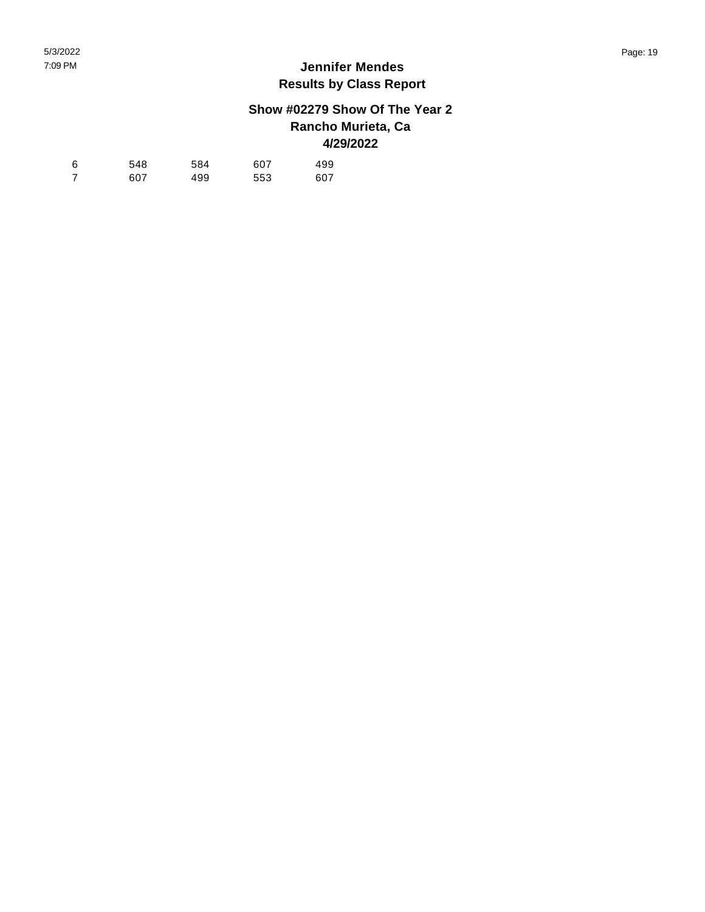## **Show #02279 Show Of The Year 2 Rancho Murieta, Ca 4/29/2022**

| -6 | 548 | 584 | 607 | 499 |
|----|-----|-----|-----|-----|
|    | 607 | 499 | 553 | 607 |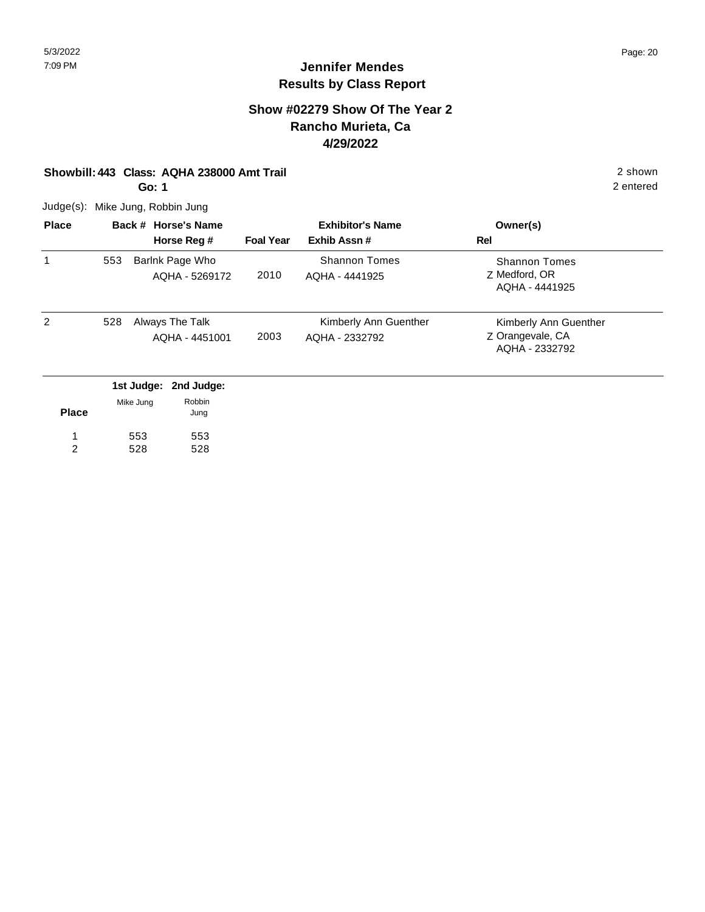#### **Show #02279 Show Of The Year 2 Rancho Murieta, Ca 4/29/2022**

#### **Showbill: 443 Class: AQHA 238000 Amt Trail** 2 shown

**Go: 1**

Judge(s): Mike Jung, Robbin Jung

| <b>Place</b>   |     | Back # Horse's Name<br>Horse Reg #              | <b>Foal Year</b> | <b>Exhibitor's Name</b><br>Exhib Assn#  | Owner(s)<br>Rel                                             |
|----------------|-----|-------------------------------------------------|------------------|-----------------------------------------|-------------------------------------------------------------|
|                | 553 | Barlnk Page Who<br>AQHA - 5269172               | 2010             | <b>Shannon Tomes</b><br>AQHA - 4441925  | <b>Shannon Tomes</b><br>Z Medford, OR<br>AQHA - 4441925     |
| $\overline{2}$ | 528 | Always The Talk<br>AQHA - 4451001               | 2003             | Kimberly Ann Guenther<br>AQHA - 2332792 | Kimberly Ann Guenther<br>Z Orangevale, CA<br>AQHA - 2332792 |
|                |     | 1st Judge:<br>2nd Judge:<br>Robbin<br>Mike Jung |                  |                                         |                                                             |

| <b>Place</b> | <b>MIKE JUNG</b> | <b>RUDDILI</b><br>Jung |
|--------------|------------------|------------------------|
| 1            | 553              | 553                    |
| 2            | 528              | 528                    |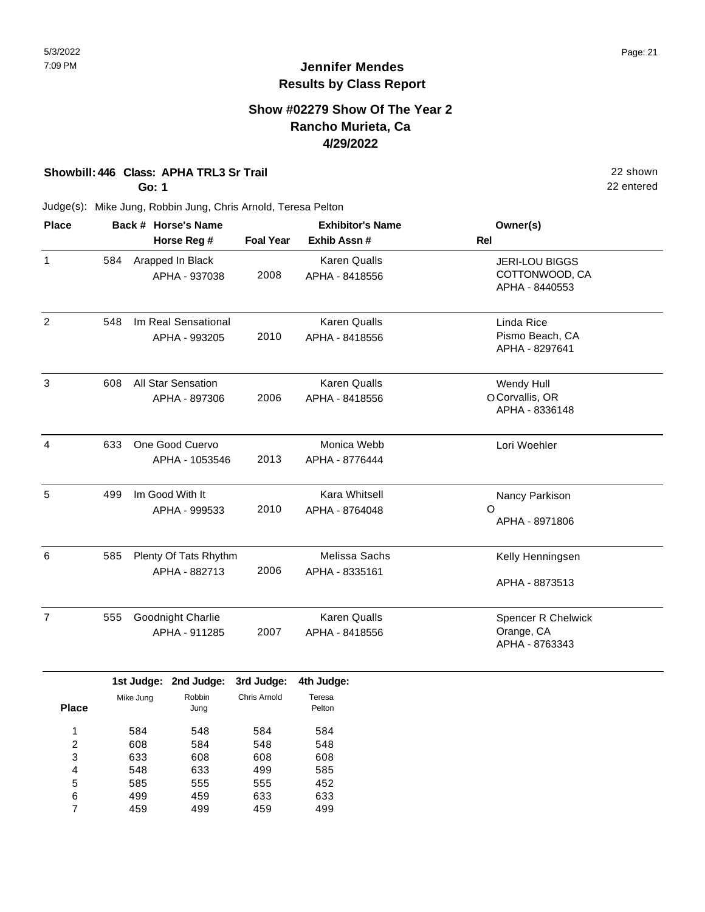#### **Show #02279 Show Of The Year 2 Rancho Murieta, Ca 4/29/2022**

#### **Showbill: 446 Class: APHA TRL3 Sr Trail** 22 shown

**Go: 1**

22 entered

| <b>Place</b>   |     | Back # Horse's Name                        | <b>Exhibitor's Name</b> |                                       | Owner(s)                                                  |
|----------------|-----|--------------------------------------------|-------------------------|---------------------------------------|-----------------------------------------------------------|
|                |     | Horse Reg #                                | <b>Foal Year</b>        | Exhib Assn #                          | <b>Rel</b>                                                |
| $\mathbf{1}$   | 584 | Arapped In Black<br>APHA - 937038          | 2008                    | <b>Karen Qualls</b><br>APHA - 8418556 | <b>JERI-LOU BIGGS</b><br>COTTONWOOD, CA<br>APHA - 8440553 |
| $\overline{c}$ | 548 | Im Real Sensational<br>APHA - 993205       | 2010                    | <b>Karen Qualls</b><br>APHA - 8418556 | Linda Rice<br>Pismo Beach, CA<br>APHA - 8297641           |
| 3              | 608 | <b>All Star Sensation</b><br>APHA - 897306 | 2006                    | <b>Karen Qualls</b><br>APHA - 8418556 | Wendy Hull<br>O Corvallis, OR<br>APHA - 8336148           |
| 4              | 633 | One Good Cuervo<br>APHA - 1053546          | 2013                    | Monica Webb<br>APHA - 8776444         | Lori Woehler                                              |
| 5              | 499 | Im Good With It<br>APHA - 999533           | 2010                    | Kara Whitsell<br>APHA - 8764048       | Nancy Parkison<br>$\circ$<br>APHA - 8971806               |
| 6              | 585 | Plenty Of Tats Rhythm<br>APHA - 882713     | 2006                    | Melissa Sachs<br>APHA - 8335161       | Kelly Henningsen<br>APHA - 8873513                        |
| $\overline{7}$ | 555 | Goodnight Charlie<br>APHA - 911285         | 2007                    | <b>Karen Qualls</b><br>APHA - 8418556 | <b>Spencer R Chelwick</b><br>Orange, CA<br>APHA - 8763343 |

|              |           | 1st Judge: 2nd Judge: | 3rd Judge:   | 4th Judge:       |
|--------------|-----------|-----------------------|--------------|------------------|
| <b>Place</b> | Mike Jung | Robbin<br>Jung        | Chris Arnold | Teresa<br>Pelton |
| 1            | 584       | 548                   | 584          | 584              |
| 2            | 608       | 584                   | 548          | 548              |
| 3            | 633       | 608                   | 608          | 608              |
| 4            | 548       | 633                   | 499          | 585              |
| 5            | 585       | 555                   | 555          | 452              |
| 6            | 499       | 459                   | 633          | 633              |
| 7            | 459       | 499                   | 459          | 499              |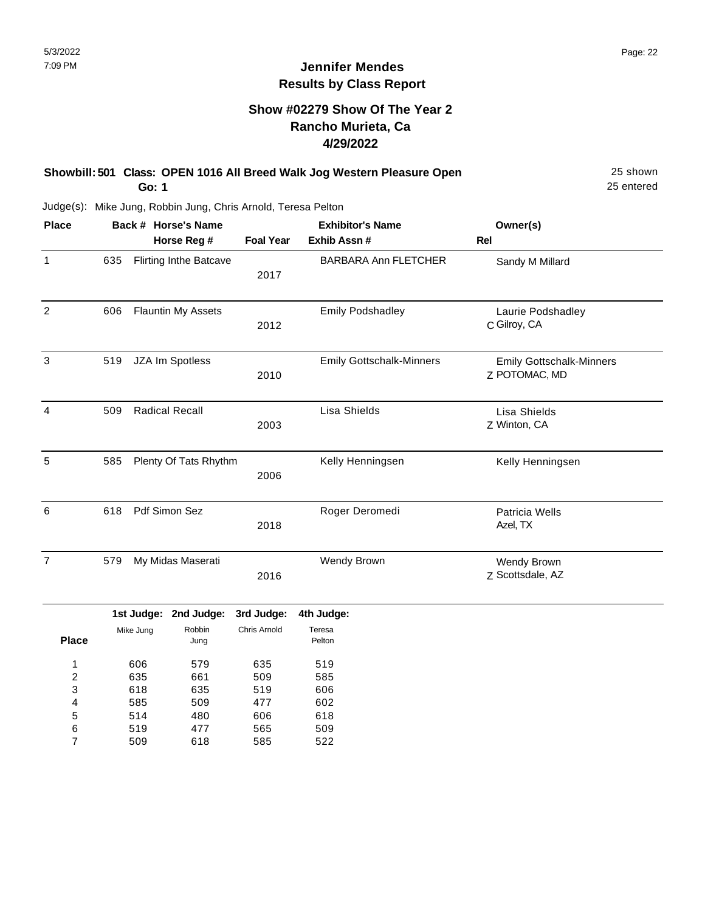#### **Jennifer Mendes Results by Class Report**

### **Show #02279 Show Of The Year 2 Rancho Murieta, Ca 4/29/2022**

| Showbill: 501 Class: OPEN 1016 All Breed Walk Jog Western Pleasure Open | 25 shown   |
|-------------------------------------------------------------------------|------------|
| Go: 1                                                                   | 25 entered |

Judge(s): Mike Jung, Robbin Jung, Chris Arnold, Teresa Pelton

| <b>Place</b>   |     |            | Back # Horse's Name           |                  | <b>Exhibitor's Name</b>         | Owner(s)                                         |
|----------------|-----|------------|-------------------------------|------------------|---------------------------------|--------------------------------------------------|
|                |     |            | Horse Reg #                   | <b>Foal Year</b> | Exhib Assn #                    | Rel                                              |
| 1              | 635 |            | <b>Flirting Inthe Batcave</b> | 2017             | <b>BARBARA Ann FLETCHER</b>     | Sandy M Millard                                  |
| $\overline{2}$ | 606 |            | <b>Flauntin My Assets</b>     | 2012             | <b>Emily Podshadley</b>         | Laurie Podshadley<br>C Gilroy, CA                |
| $\mathfrak{Z}$ | 519 |            | JZA Im Spotless               | 2010             | <b>Emily Gottschalk-Minners</b> | <b>Emily Gottschalk-Minners</b><br>Z POTOMAC, MD |
| 4              | 509 |            | <b>Radical Recall</b>         | 2003             | Lisa Shields                    | Lisa Shields<br>Z Winton, CA                     |
| 5              | 585 |            | Plenty Of Tats Rhythm         | 2006             | Kelly Henningsen                | Kelly Henningsen                                 |
| 6              | 618 |            | Pdf Simon Sez                 | 2018             | Roger Deromedi                  | Patricia Wells<br>Azel, TX                       |
| $\overline{7}$ | 579 |            | My Midas Maserati             | 2016             | Wendy Brown                     | Wendy Brown<br>Z Scottsdale, AZ                  |
|                |     | 1st Judge: | 2nd Judge:                    | 3rd Judge:       | 4th Judge:                      |                                                  |
| <b>Place</b>   |     | Mike Jung  | Robbin<br>Jung                | Chris Arnold     | Teresa<br>Pelton                |                                                  |
| 1              |     | 606        | 579                           | 635              | 519                             |                                                  |
| $\overline{c}$ |     | 635        | 661                           | 509              | 585                             |                                                  |
| 3              |     | 618        | 635                           | 519              | 606                             |                                                  |
| 4              |     | 585        | 509                           | 477              | 602                             |                                                  |
| 5              |     | 514        | 480                           | 606              | 618                             |                                                  |
| 6              |     | 519        | 477                           | 565              | 509                             |                                                  |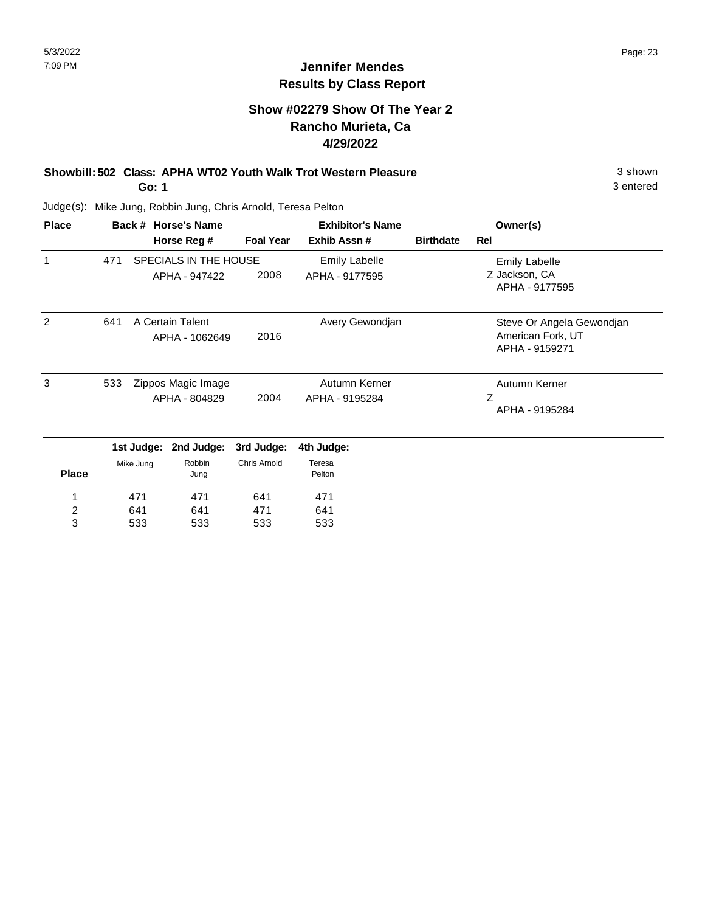## **Show #02279 Show Of The Year 2 Rancho Murieta, Ca 4/29/2022**

#### **Showbill: 502 Class: APHA WT02 Youth Walk Trot Western Pleasure** 3 shown **Go: 1**

3 entered

| <b>Place</b> |     | Back # Horse's Name                 |                                    |                     | <b>Exhibitor's Name</b>         | Owner(s)         |                                                                  |
|--------------|-----|-------------------------------------|------------------------------------|---------------------|---------------------------------|------------------|------------------------------------------------------------------|
|              |     |                                     | Horse Reg #                        | <b>Foal Year</b>    | Exhib Assn#                     | <b>Birthdate</b> | Rel                                                              |
| 1            | 471 |                                     | SPECIALS IN THE HOUSE              |                     | <b>Emily Labelle</b>            |                  | <b>Emily Labelle</b>                                             |
|              |     |                                     | APHA - 947422                      | 2008                | APHA - 9177595                  |                  | Z Jackson, CA<br>APHA - 9177595                                  |
| 2            | 641 |                                     | A Certain Talent<br>APHA - 1062649 | 2016                | Avery Gewondjan                 |                  | Steve Or Angela Gewondjan<br>American Fork, UT<br>APHA - 9159271 |
| 3<br>533     |     | Zippos Magic Image<br>APHA - 804829 |                                    | 2004                | Autumn Kerner<br>APHA - 9195284 |                  | Autumn Kerner<br>Ζ<br>APHA - 9195284                             |
|              |     | 1st Judge:                          | 2nd Judge:                         | 3rd Judge:          | 4th Judge:                      |                  |                                                                  |
| <b>Place</b> |     | Mike Jung                           | Robbin<br>Jung                     | <b>Chris Arnold</b> | Teresa<br>Pelton                |                  |                                                                  |
|              |     | 471                                 | 471                                | 641                 | 471                             |                  |                                                                  |
| 2            |     | 641                                 | 641                                | 471                 | 641                             |                  |                                                                  |
| 3            |     | 533                                 | 533                                | 533                 | 533                             |                  |                                                                  |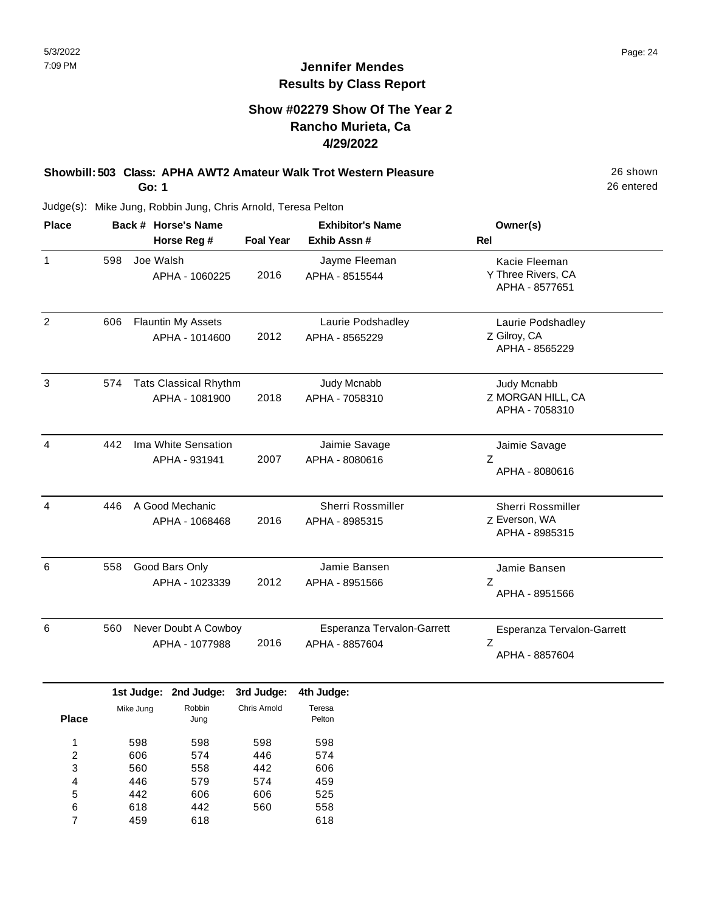### **Show #02279 Show Of The Year 2 Rancho Murieta, Ca 4/29/2022**

#### **Showbill: 503 Class: APHA AWT2 Amateur Walk Trot Western Pleasure** 26 Shown **Go: 1**

26 entered

| <b>Place</b>   |     | Back # Horse's Name                            |                  | <b>Exhibitor's Name</b>                      | Owner(s)                                              |  |
|----------------|-----|------------------------------------------------|------------------|----------------------------------------------|-------------------------------------------------------|--|
|                |     | Horse Reg #                                    | <b>Foal Year</b> | Exhib Assn#                                  | <b>Rel</b>                                            |  |
| $\mathbf{1}$   | 598 | Joe Walsh<br>APHA - 1060225                    | 2016             | Jayme Fleeman<br>APHA - 8515544              | Kacie Fleeman<br>Y Three Rivers, CA<br>APHA - 8577651 |  |
| $\overline{2}$ | 606 | <b>Flauntin My Assets</b><br>APHA - 1014600    | 2012             | Laurie Podshadley<br>APHA - 8565229          | Laurie Podshadley<br>Z Gilroy, CA<br>APHA - 8565229   |  |
| 3              | 574 | <b>Tats Classical Rhythm</b><br>APHA - 1081900 | 2018             | Judy Mcnabb<br>APHA - 7058310                | Judy Mcnabb<br>Z MORGAN HILL, CA<br>APHA - 7058310    |  |
| 4              | 442 | Ima White Sensation<br>APHA - 931941           | 2007             | Jaimie Savage<br>APHA - 8080616              | Jaimie Savage<br>Z<br>APHA - 8080616                  |  |
| 4              | 446 | A Good Mechanic<br>APHA - 1068468              | 2016             | <b>Sherri Rossmiller</b><br>APHA - 8985315   | Sherri Rossmiller<br>Z Everson, WA<br>APHA - 8985315  |  |
| 6              | 558 | Good Bars Only<br>APHA - 1023339               | 2012             | Jamie Bansen<br>APHA - 8951566               | Jamie Bansen<br>Z<br>APHA - 8951566                   |  |
| 6              | 560 | Never Doubt A Cowboy<br>APHA - 1077988         | 2016             | Esperanza Tervalon-Garrett<br>APHA - 8857604 | Esperanza Tervalon-Garrett<br>Ζ<br>APHA - 8857604     |  |

|              |           | 1st Judge: 2nd Judge: | 3rd Judge:   | 4th Judge:       |
|--------------|-----------|-----------------------|--------------|------------------|
| <b>Place</b> | Mike Jung | Robbin<br>Jung        | Chris Arnold | Teresa<br>Pelton |
|              |           |                       |              |                  |
| 1            | 598       | 598                   | 598          | 598              |
| 2            | 606       | 574                   | 446          | 574              |
| 3            | 560       | 558                   | 442          | 606              |
| 4            | 446       | 579                   | 574          | 459              |
| 5            | 442       | 606                   | 606          | 525              |
| 6            | 618       | 442                   | 560          | 558              |
| 7            | 459       | 618                   |              | 618              |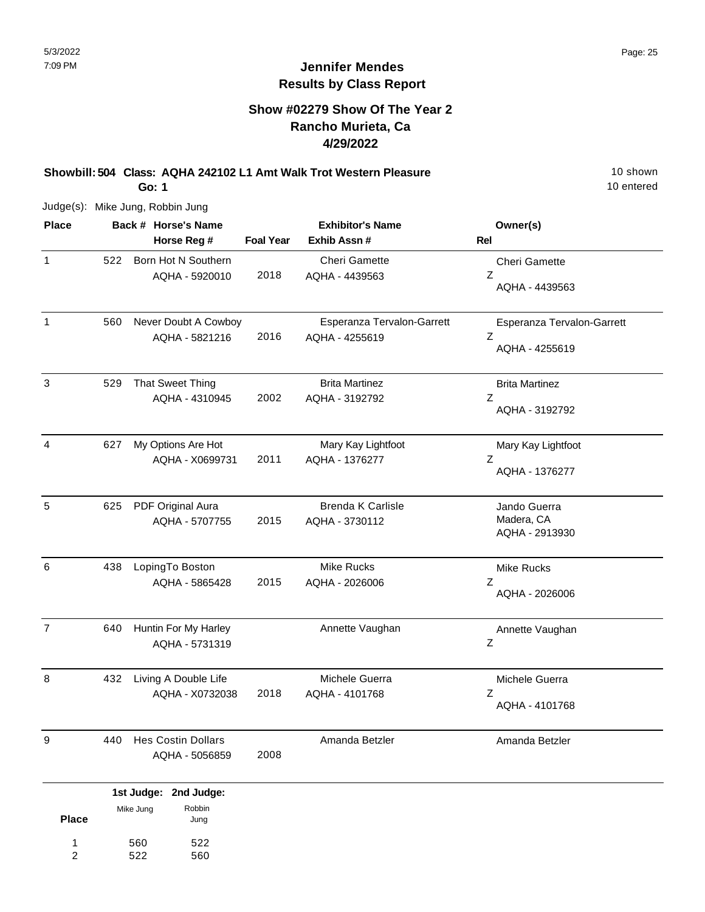## **Show #02279 Show Of The Year 2 Rancho Murieta, Ca 4/29/2022**

**Showbill: 504 Class: AQHA 242102 L1 Amt Walk Trot Western Pleasure** 10 Shown **Go: 1**

10 entered

Judge(s): Mike Jung, Robbin Jung

560 522

1 2

522 560

| <b>Place</b>   |     | Back # Horse's Name                         | <b>Exhibitor's Name</b> |                                              | Owner(s)                                                   |  |
|----------------|-----|---------------------------------------------|-------------------------|----------------------------------------------|------------------------------------------------------------|--|
|                |     | Horse Reg #                                 | <b>Foal Year</b>        | Exhib Assn #                                 | Rel                                                        |  |
| $\mathbf{1}$   | 522 | Born Hot N Southern<br>AQHA - 5920010       | 2018                    | <b>Cheri Gamette</b><br>AQHA - 4439563       | <b>Cheri Gamette</b><br>$\boldsymbol{Z}$<br>AQHA - 4439563 |  |
| $\mathbf{1}$   | 560 | Never Doubt A Cowboy<br>AQHA - 5821216      | 2016                    | Esperanza Tervalon-Garrett<br>AQHA - 4255619 | Esperanza Tervalon-Garrett<br>Z<br>AQHA - 4255619          |  |
| $\mathbf{3}$   | 529 | That Sweet Thing<br>AQHA - 4310945          | 2002                    | <b>Brita Martinez</b><br>AQHA - 3192792      | <b>Brita Martinez</b><br>Z<br>AQHA - 3192792               |  |
| 4              | 627 | My Options Are Hot<br>AQHA - X0699731       | 2011                    | Mary Kay Lightfoot<br>AQHA - 1376277         | Mary Kay Lightfoot<br>Z<br>AQHA - 1376277                  |  |
| 5              | 625 | PDF Original Aura<br>AQHA - 5707755         | 2015                    | <b>Brenda K Carlisle</b><br>AQHA - 3730112   | Jando Guerra<br>Madera, CA<br>AQHA - 2913930               |  |
| $\,6\,$        | 438 | LopingTo Boston<br>AQHA - 5865428           | 2015                    | <b>Mike Rucks</b><br>AQHA - 2026006          | <b>Mike Rucks</b><br>Z<br>AQHA - 2026006                   |  |
| $\overline{7}$ | 640 | Huntin For My Harley<br>AQHA - 5731319      |                         | Annette Vaughan                              | Annette Vaughan<br>$\boldsymbol{Z}$                        |  |
| 8              | 432 | Living A Double Life<br>AQHA - X0732038     | 2018                    | Michele Guerra<br>AQHA - 4101768             | Michele Guerra<br>Z<br>AQHA - 4101768                      |  |
| 9              | 440 | <b>Hes Costin Dollars</b><br>AQHA - 5056859 | 2008                    | Amanda Betzler                               | Amanda Betzler                                             |  |
|                |     | 1st Judge: 2nd Judge:                       |                         |                                              |                                                            |  |
| <b>Place</b>   |     | Robbin<br>Mike Jung<br>Jung                 |                         |                                              |                                                            |  |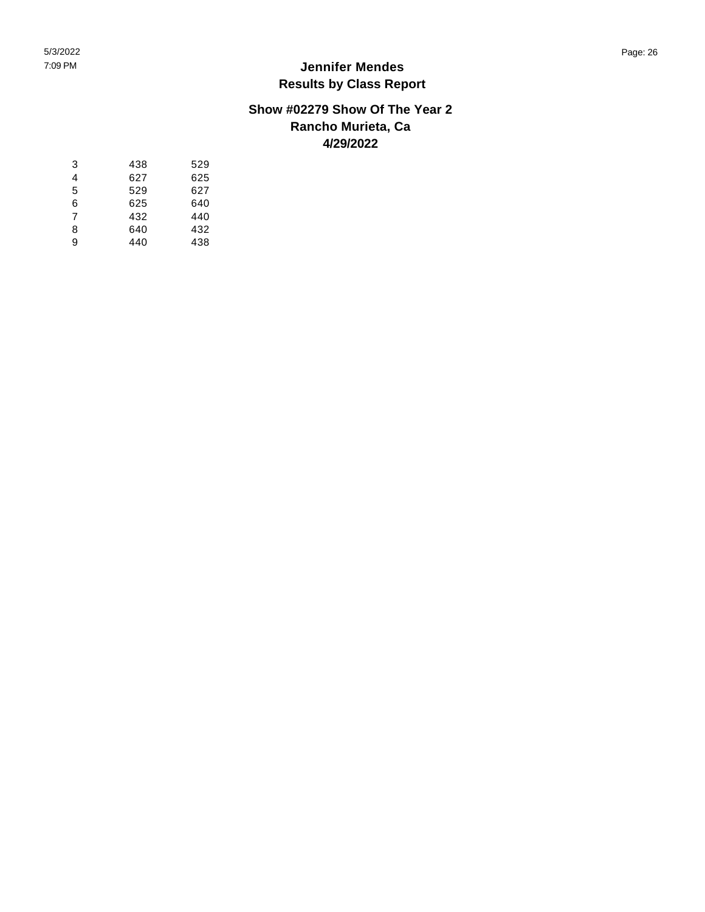#### **Show #02279 Show Of The Year 2 Rancho Murieta, Ca 4/29/2022**

| 3 | 438 | 529 |
|---|-----|-----|
| 4 | 627 | 625 |
| 5 | 529 | 627 |
| 6 | 625 | 640 |
| 7 | 432 | 440 |
| 8 | 640 | 432 |
| 9 | 440 | 438 |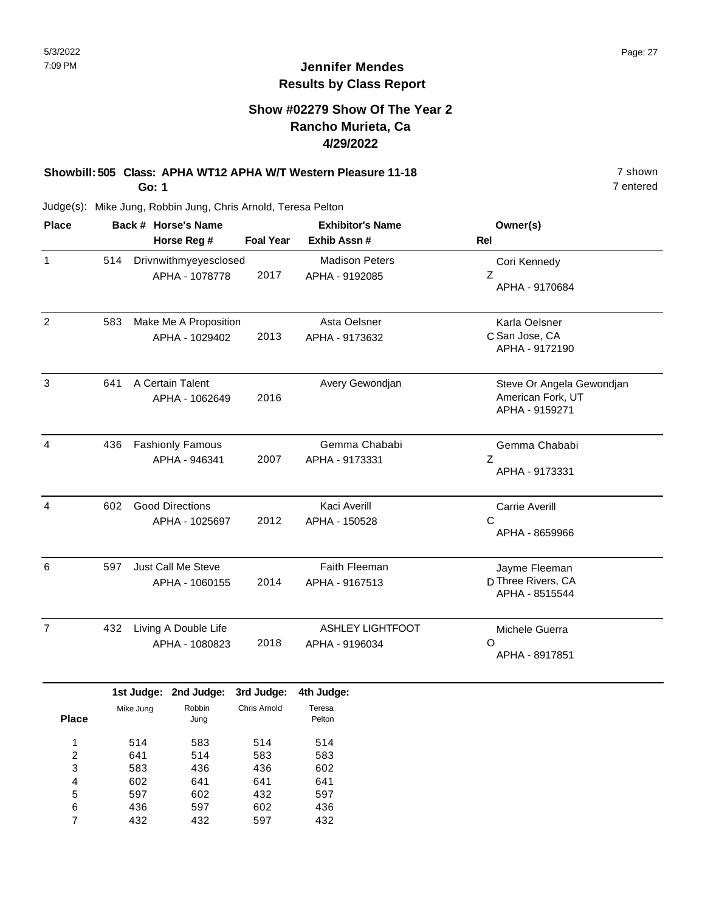### **Show #02279 Show Of The Year 2 Rancho Murieta, Ca 4/29/2022**

# **Showbill: 505 Class: APHA WT12 APHA W/T Western Pleasure 11-18** 7 Shown

**Go: 1**

Judge(s): Mike Jung, Robbin Jung, Chris Arnold, Teresa Pelton

| <b>Place</b>   |     | Back # Horse's Name<br>Horse Reg #       | <b>Foal Year</b> | <b>Exhibitor's Name</b><br>Exhib Assn #   | Owner(s)<br><b>Rel</b>                                           |
|----------------|-----|------------------------------------------|------------------|-------------------------------------------|------------------------------------------------------------------|
| $\mathbf{1}$   | 514 | Drivnwithmyeyesclosed<br>APHA - 1078778  | 2017             | <b>Madison Peters</b><br>APHA - 9192085   | Cori Kennedy<br>Ζ<br>APHA - 9170684                              |
| $\overline{2}$ | 583 | Make Me A Proposition<br>APHA - 1029402  | 2013             | Asta Oelsner<br>APHA - 9173632            | Karla Oelsner<br>C San Jose, CA<br>APHA - 9172190                |
| 3              | 641 | A Certain Talent<br>APHA - 1062649       | 2016             | Avery Gewondjan                           | Steve Or Angela Gewondjan<br>American Fork, UT<br>APHA - 9159271 |
| 4              | 436 | <b>Fashionly Famous</b><br>APHA - 946341 | 2007             | Gemma Chababi<br>APHA - 9173331           | Gemma Chababi<br>Z<br>APHA - 9173331                             |
| 4              | 602 | <b>Good Directions</b><br>APHA - 1025697 | 2012             | <b>Kaci Averill</b><br>APHA - 150528      | <b>Carrie Averill</b><br>C<br>APHA - 8659966                     |
| 6              | 597 | Just Call Me Steve<br>APHA - 1060155     | 2014             | Faith Fleeman<br>APHA - 9167513           | Jayme Fleeman<br>D Three Rivers, CA<br>APHA - 8515544            |
| $\overline{7}$ | 432 | Living A Double Life<br>APHA - 1080823   | 2018             | <b>ASHLEY LIGHTFOOT</b><br>APHA - 9196034 | Michele Guerra<br>Ω<br>APHA - 8917851                            |

|       |           | 1st Judge: 2nd Judge: | 3rd Judge:   | 4th Judge:       |
|-------|-----------|-----------------------|--------------|------------------|
| Place | Mike Jung | Robbin<br>Jung        | Chris Arnold | Teresa<br>Pelton |
| 1     | 514       | 583                   | 514          | 514              |
| 2     | 641       | 514                   | 583          | 583              |
| 3     | 583       | 436                   | 436          | 602              |
| 4     | 602       | 641                   | 641          | 641              |
| 5     | 597       | 602                   | 432          | 597              |
| 6     | 436       | 597                   | 602          | 436              |
|       | 432       | 432                   | 597          | 432              |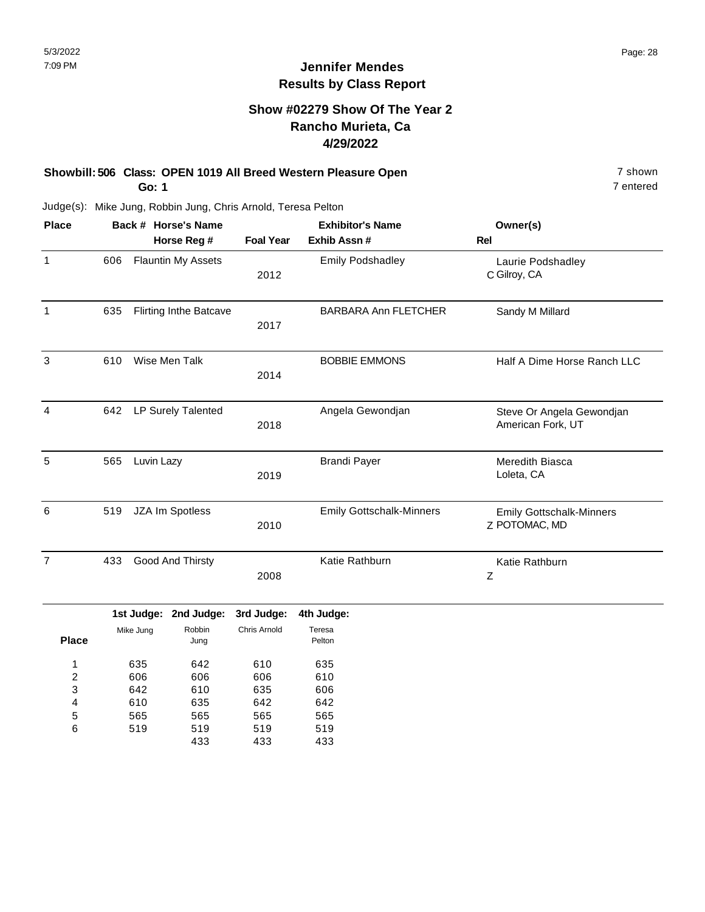## **Show #02279 Show Of The Year 2 Rancho Murieta, Ca 4/29/2022**

#### **Showbill: 506 Class: OPEN 1019 All Breed Western Pleasure Open** 7 shown 7 shown **Go: 1**

7 entered

Judge(s): Mike Jung, Robbin Jung, Chris Arnold, Teresa Pelton

| <b>Place</b>   |                         | Back # Horse's Name |                               |                     | <b>Exhibitor's Name</b>         | Owner(s)                                         |
|----------------|-------------------------|---------------------|-------------------------------|---------------------|---------------------------------|--------------------------------------------------|
|                |                         |                     | Horse Reg #                   | <b>Foal Year</b>    | Exhib Assn #                    | <b>Rel</b>                                       |
| $\mathbf{1}$   | 606                     |                     | <b>Flauntin My Assets</b>     | 2012                | <b>Emily Podshadley</b>         | Laurie Podshadley<br>C Gilroy, CA                |
| $\mathbf{1}$   | 635                     |                     | <b>Flirting Inthe Batcave</b> | 2017                | <b>BARBARA Ann FLETCHER</b>     | Sandy M Millard                                  |
| 3              | 610                     | Wise Men Talk       |                               | 2014                | <b>BOBBIE EMMONS</b>            | Half A Dime Horse Ranch LLC                      |
| $\overline{4}$ | 642                     | LP Surely Talented  |                               | 2018                | Angela Gewondjan                | Steve Or Angela Gewondjan<br>American Fork, UT   |
| 5              | 565                     | Luvin Lazy          |                               | 2019                | <b>Brandi Payer</b>             | Meredith Biasca<br>Loleta, CA                    |
| 6              | 519                     | JZA Im Spotless     |                               | 2010                | <b>Emily Gottschalk-Minners</b> | <b>Emily Gottschalk-Minners</b><br>Z POTOMAC, MD |
| $\overline{7}$ | Good And Thirsty<br>433 |                     | 2008                          | Katie Rathburn      | Katie Rathburn<br>Z             |                                                  |
|                |                         |                     | 1st Judge: 2nd Judge:         | 3rd Judge:          | 4th Judge:                      |                                                  |
| <b>Place</b>   |                         | Mike Jung           | Robbin<br>Jung                | <b>Chris Arnold</b> | Teresa<br>Pelton                |                                                  |
| 1<br>2<br>3    |                         | 635<br>606<br>642   | 642<br>606<br>610             | 610<br>606<br>635   | 635<br>610<br>606               |                                                  |
| 4<br>5<br>6    |                         | 610<br>565<br>519   | 635<br>565<br>519             | 642<br>565<br>519   | 642<br>565<br>519               |                                                  |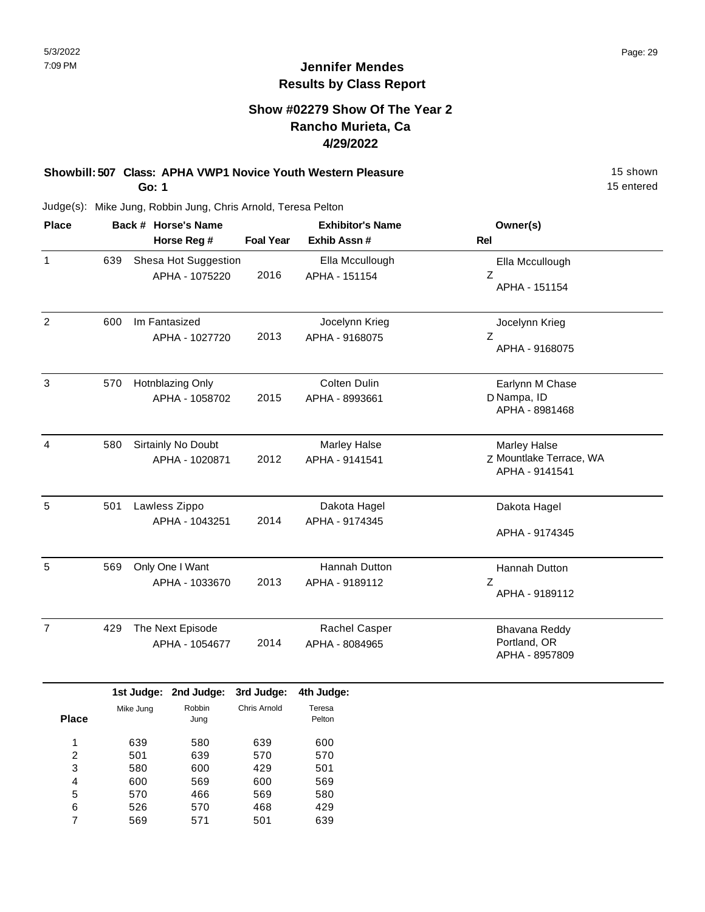### **Show #02279 Show Of The Year 2 Rancho Murieta, Ca 4/29/2022**

#### **Showbill: 507 Class: APHA VWP1 Novice Youth Western Pleasure** 15 Shown 15 shown **Go: 1**

15 entered

| <b>Place</b>   | Back # Horse's Name<br>Horse Reg # |                      | <b>Foal Year</b> | <b>Exhibitor's Name</b><br>Exhib Assn # | Owner(s)<br>Rel                           |
|----------------|------------------------------------|----------------------|------------------|-----------------------------------------|-------------------------------------------|
|                |                                    |                      |                  |                                         |                                           |
| $\mathbf{1}$   | 639                                | Shesa Hot Suggestion |                  | Ella Mccullough                         | Ella Mccullough                           |
|                |                                    | APHA - 1075220       | 2016             | APHA - 151154                           | Z<br>APHA - 151154                        |
| $\overline{2}$ | 600                                | Im Fantasized        |                  | Jocelynn Krieg                          | Jocelynn Krieg                            |
|                |                                    | APHA - 1027720       | 2013             | APHA - 9168075                          | Z<br>APHA - 9168075                       |
| 3              | 570                                | Hotnblazing Only     |                  | <b>Colten Dulin</b>                     | Earlynn M Chase                           |
|                |                                    | APHA - 1058702       | 2015             | APHA - 8993661                          | D Nampa, ID<br>APHA - 8981468             |
| $\overline{4}$ | 580                                | Sirtainly No Doubt   |                  | Marley Halse                            | Marley Halse                              |
|                |                                    | APHA - 1020871       | 2012             | APHA - 9141541                          | Z Mountlake Terrace, WA<br>APHA - 9141541 |
| 5              | 501                                | Lawless Zippo        |                  | Dakota Hagel                            | Dakota Hagel                              |
|                |                                    | APHA - 1043251       | 2014             | APHA - 9174345                          | APHA - 9174345                            |
| 5              | 569                                | Only One I Want      |                  | Hannah Dutton                           | Hannah Dutton                             |
|                |                                    | APHA - 1033670       | 2013             | APHA - 9189112                          | Z<br>APHA - 9189112                       |
| $\overline{7}$ | 429                                | The Next Episode     |                  | Rachel Casper                           | Bhavana Reddy                             |
|                |                                    | APHA - 1054677       | 2014             | APHA - 8084965                          | Portland, OR<br>APHA - 8957809            |
|                |                                    |                      |                  |                                         |                                           |

|              |           | 1st Judge: 2nd Judge: | 3rd Judge:   | 4th Judge: |
|--------------|-----------|-----------------------|--------------|------------|
|              | Mike Jung | Robbin                | Chris Arnold | Teresa     |
| <b>Place</b> |           | Jung                  |              | Pelton     |
| 1            | 639       | 580                   | 639          | 600        |
| 2            | 501       | 639                   | 570          | 570        |
| 3            | 580       | 600                   | 429          | 501        |
| 4            | 600       | 569                   | 600          | 569        |
| 5            | 570       | 466                   | 569          | 580        |
| 6            | 526       | 570                   | 468          | 429        |
| 7            | 569       | 571                   | 501          | 639        |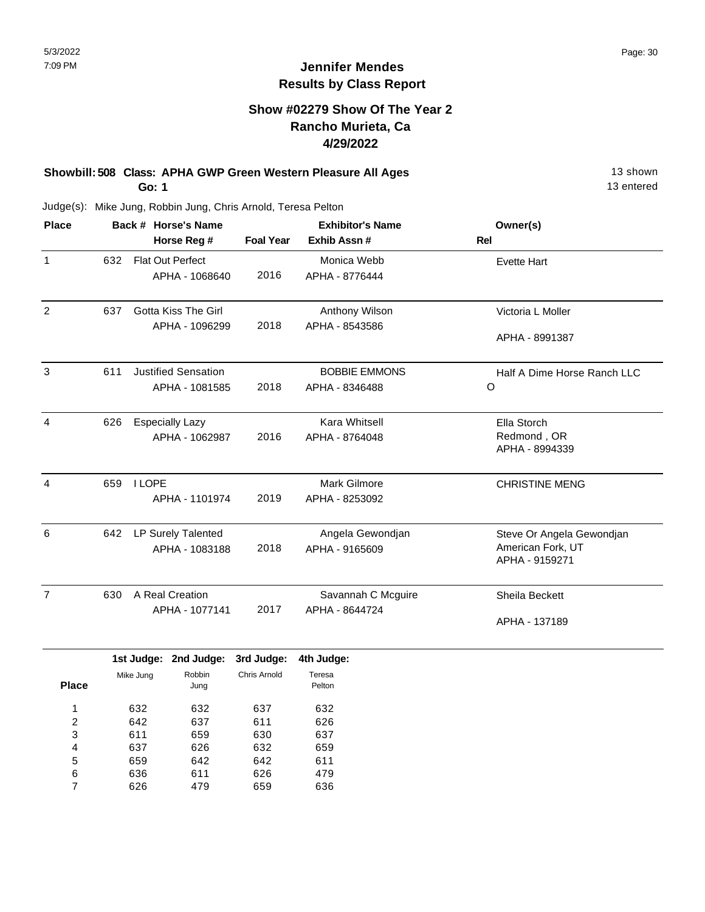#### **Show #02279 Show Of The Year 2 Rancho Murieta, Ca 4/29/2022**

#### **Showbill: 508 Class: APHA GWP Green Western Pleasure All Ages** 13 Shown 13 shown **Go: 1**

13 entered

|     | Back # Horse's Name        | <b>Exhibitor's Name</b> |                                          | Owner(s)                      |  |
|-----|----------------------------|-------------------------|------------------------------------------|-------------------------------|--|
|     | Horse Reg #                | <b>Foal Year</b>        | Exhib Assn#                              | Rel                           |  |
| 632 | <b>Flat Out Perfect</b>    |                         | Monica Webb                              | <b>Evette Hart</b>            |  |
|     | APHA - 1068640             |                         | APHA - 8776444                           |                               |  |
| 637 | <b>Gotta Kiss The Girl</b> |                         | Anthony Wilson                           | Victoria L Moller             |  |
|     | APHA - 1096299             | 2018                    | APHA - 8543586                           | APHA - 8991387                |  |
| 611 | <b>Justified Sensation</b> |                         | <b>BOBBIE EMMONS</b>                     | Half A Dime Horse Ranch LLC   |  |
|     | APHA - 1081585             | 2018                    | APHA - 8346488                           | $\circ$                       |  |
| 626 | <b>Especially Lazy</b>     |                         | Kara Whitsell                            | Ella Storch                   |  |
|     | APHA - 1062987             | 2016                    | APHA - 8764048                           | Redmond, OR<br>APHA - 8994339 |  |
| 659 | <b>I LOPE</b>              |                         | Mark Gilmore                             | <b>CHRISTINE MENG</b>         |  |
|     | APHA - 1101974             | 2019                    | APHA - 8253092                           |                               |  |
| 642 | LP Surely Talented         |                         | Angela Gewondjan                         | Steve Or Angela Gewondjan     |  |
|     | APHA - 1083188             | 2018                    | APHA - 9165609                           | American Fork, UT             |  |
|     |                            |                         |                                          | APHA - 9159271                |  |
| 630 | A Real Creation            |                         | Savannah C Mcguire                       | Sheila Beckett                |  |
|     | APHA - 1077141             | 2017                    | APHA - 8644724                           | APHA - 137189                 |  |
|     |                            |                         |                                          |                               |  |
|     |                            |                         | 2016<br>1st Judge: 2nd Judge: 3rd Judge: | 4th Judge:                    |  |

|                | ----      | ---- <b>--</b> - | -----        | -----            |
|----------------|-----------|------------------|--------------|------------------|
| <b>Place</b>   | Mike Jung | Robbin<br>Jung   | Chris Arnold | Teresa<br>Pelton |
| 1              | 632       | 632              | 637          | 632              |
| $\overline{2}$ | 642       | 637              | 611          | 626              |
| 3              | 611       | 659              | 630          | 637              |
| 4              | 637       | 626              | 632          | 659              |
| 5              | 659       | 642              | 642          | 611              |
| 6              | 636       | 611              | 626          | 479              |
|                | 626       | 479              | 659          | 636              |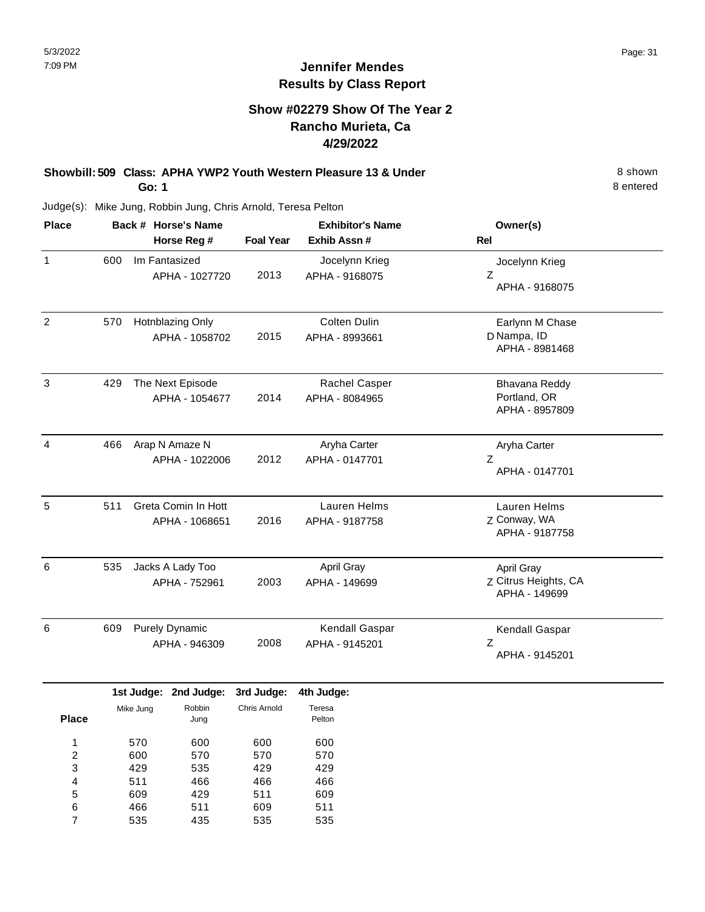#### **Show #02279 Show Of The Year 2 Rancho Murieta, Ca 4/29/2022**

**Showbill: 509 Class: APHA YWP2 Youth Western Pleasure 13 & Under** 8 Shown **Go: 1**

8 entered

Judge(s): Mike Jung, Robbin Jung, Chris Arnold, Teresa Pelton

609 466 535

5 6 7 429 511 435 511 609 535 609 511 535

| Back # Horse's Name                           |  |                   |                                                                                                                                                                 | <b>Exhibitor's Name</b>                             | Owner(s)                                         |
|-----------------------------------------------|--|-------------------|-----------------------------------------------------------------------------------------------------------------------------------------------------------------|-----------------------------------------------------|--------------------------------------------------|
|                                               |  |                   | <b>Foal Year</b>                                                                                                                                                | Exhib Assn#                                         | <b>Rel</b>                                       |
| 600                                           |  |                   | 2013                                                                                                                                                            | Jocelynn Krieg<br>APHA - 9168075                    | Jocelynn Krieg<br>Ζ<br>APHA - 9168075            |
| 570                                           |  |                   | 2015                                                                                                                                                            | Colten Dulin<br>APHA - 8993661                      | Earlynn M Chase<br>D Nampa, ID<br>APHA - 8981468 |
| 429<br>The Next Episode                       |  | 2014              | Rachel Casper<br>APHA - 8084965                                                                                                                                 | Bhavana Reddy<br>Portland, OR<br>APHA - 8957809     |                                                  |
| 466                                           |  |                   | 2012                                                                                                                                                            | Aryha Carter<br>APHA - 0147701                      | Aryha Carter<br>Z<br>APHA - 0147701              |
| Greta Comin In Hott<br>511<br>APHA - 1068651  |  | 2016              | Lauren Helms<br>APHA - 9187758                                                                                                                                  | Lauren Helms<br>Z Conway, WA<br>APHA - 9187758      |                                                  |
| 535<br>Jacks A Lady Too<br>APHA - 752961      |  | 2003              | April Gray<br>APHA - 149699                                                                                                                                     | April Gray<br>Z Citrus Heights, CA<br>APHA - 149699 |                                                  |
| 609<br><b>Purely Dynamic</b><br>APHA - 946309 |  |                   | 2008                                                                                                                                                            | Kendall Gaspar<br>APHA - 9145201                    | Kendall Gaspar<br>$\mathsf Z$<br>APHA - 9145201  |
|                                               |  | 2nd Judge:        | 3rd Judge:                                                                                                                                                      | 4th Judge:                                          |                                                  |
| Mike Jung<br><b>Place</b>                     |  | Robbin<br>Jung    | Chris Arnold                                                                                                                                                    | Teresa<br>Pelton                                    |                                                  |
| 570<br>600<br>429                             |  | 600<br>570<br>535 | 600<br>570<br>429                                                                                                                                               | 600<br>570<br>429                                   |                                                  |
|                                               |  | 511               | Horse Reg #<br>Im Fantasized<br>APHA - 1027720<br>Hotnblazing Only<br>APHA - 1058702<br>APHA - 1054677<br>Arap N Amaze N<br>APHA - 1022006<br>1st Judge:<br>466 | 466                                                 | 466                                              |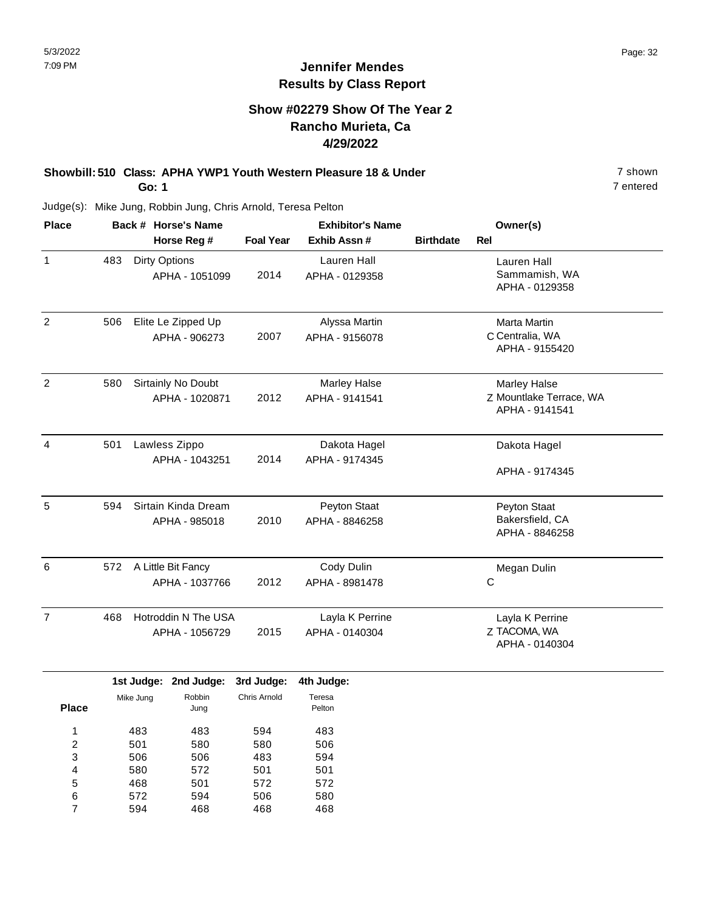#### **Show #02279 Show Of The Year 2 Rancho Murieta, Ca 4/29/2022**

#### **Showbill: 510 Class: APHA YWP1 Youth Western Pleasure 18 & Under** 7 shown **Go: 1**

7 entered

Judge(s): Mike Jung, Robbin Jung, Chris Arnold, Teresa Pelton

| <b>Place</b>   | Back # Horse's Name<br>Horse Reg # |                      |                       | <b>Exhibitor's Name</b> |                     |                  | Owner(s)                |  |
|----------------|------------------------------------|----------------------|-----------------------|-------------------------|---------------------|------------------|-------------------------|--|
|                |                                    |                      |                       | <b>Foal Year</b>        | Exhib Assn #        | <b>Birthdate</b> | <b>Rel</b>              |  |
| 1              | 483                                | <b>Dirty Options</b> |                       |                         | <b>Lauren Hall</b>  |                  | Lauren Hall             |  |
|                |                                    |                      | APHA - 1051099        | 2014                    | APHA - 0129358      |                  | Sammamish, WA           |  |
|                |                                    |                      |                       |                         |                     |                  | APHA - 0129358          |  |
| $\overline{2}$ | 506<br>Elite Le Zipped Up          |                      |                       |                         | Alyssa Martin       |                  | Marta Martin            |  |
|                |                                    |                      | APHA - 906273         | 2007                    | APHA - 9156078      |                  | C Centralia, WA         |  |
|                |                                    |                      |                       |                         |                     |                  | APHA - 9155420          |  |
| $\overline{2}$ | 580                                | Sirtainly No Doubt   |                       |                         | <b>Marley Halse</b> |                  | <b>Marley Halse</b>     |  |
|                |                                    |                      | APHA - 1020871        | 2012                    | APHA - 9141541      |                  | Z Mountlake Terrace, WA |  |
|                |                                    |                      |                       |                         |                     |                  | APHA - 9141541          |  |
| $\overline{4}$ | 501                                | Lawless Zippo        |                       |                         | Dakota Hagel        |                  | Dakota Hagel            |  |
|                |                                    |                      | APHA - 1043251        | 2014                    | APHA - 9174345      |                  |                         |  |
|                |                                    |                      |                       |                         |                     |                  | APHA - 9174345          |  |
| 5              | 594                                |                      | Sirtain Kinda Dream   |                         | Peyton Staat        |                  | Peyton Staat            |  |
|                |                                    |                      | APHA - 985018         | 2010                    | APHA - 8846258      |                  | Bakersfield, CA         |  |
|                |                                    |                      |                       |                         |                     |                  | APHA - 8846258          |  |
| 6              | 572                                |                      | A Little Bit Fancy    |                         | Cody Dulin          |                  | Megan Dulin             |  |
|                |                                    |                      | APHA - 1037766        | 2012                    | APHA - 8981478      |                  | C                       |  |
| $\overline{7}$ | 468                                |                      | Hotroddin N The USA   |                         | Layla K Perrine     |                  | Layla K Perrine         |  |
|                | APHA - 1056729                     |                      |                       | 2015                    | APHA - 0140304      |                  | Z TACOMA, WA            |  |
|                |                                    |                      |                       |                         |                     |                  | APHA - 0140304          |  |
|                |                                    |                      | 1st Judge: 2nd Judge: | 3rd Judge:              | 4th Judge:          |                  |                         |  |
|                | Robbin<br>Mike Jung                |                      | Chris Arnold          | Teresa                  |                     |                  |                         |  |
| <b>Place</b>   |                                    |                      | Jung                  |                         | Pelton              |                  |                         |  |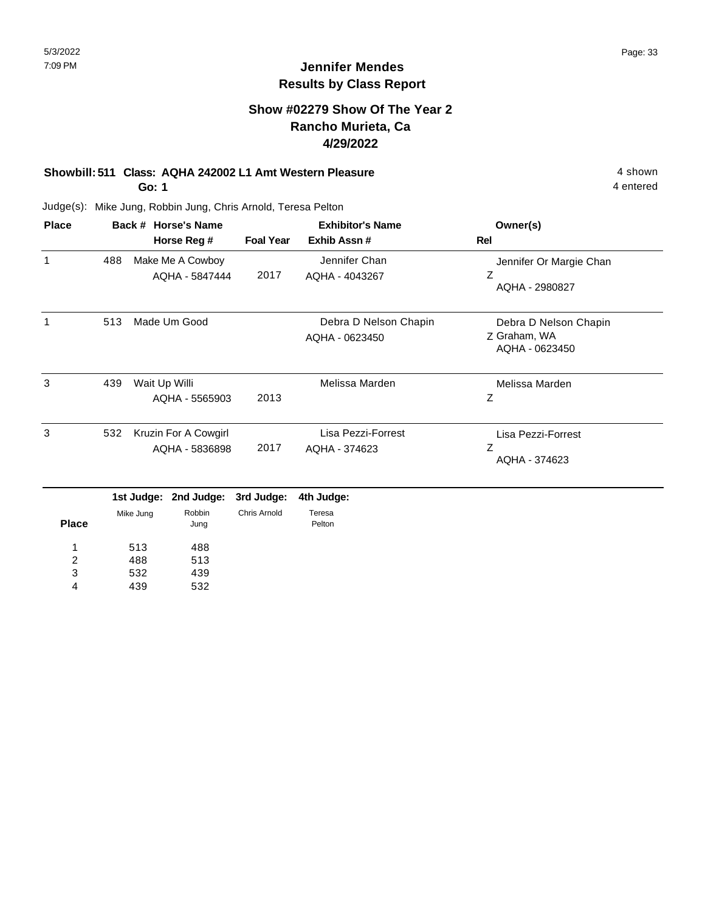#### **Show #02279 Show Of The Year 2 Rancho Murieta, Ca 4/29/2022**

#### **Showbill: 511 Class: AQHA 242002 L1 Amt Western Pleasure** 4 shown

**Go: 1**

Judge(s): Mike Jung, Robbin Jung, Chris Arnold, Teresa Pelton

| <b>Place</b> |     | Back # Horse's Name<br>Horse Reg #     | <b>Foal Year</b> | <b>Exhibitor's Name</b><br>Exhib Assn#  | Owner(s)<br>Rel<br>Jennifer Or Margie Chan<br>Z<br>AQHA - 2980827 |  |
|--------------|-----|----------------------------------------|------------------|-----------------------------------------|-------------------------------------------------------------------|--|
| 1            | 488 | Make Me A Cowboy<br>AQHA - 5847444     | 2017             | Jennifer Chan<br>AQHA - 4043267         |                                                                   |  |
| 1            | 513 | Made Um Good                           |                  | Debra D Nelson Chapin<br>AQHA - 0623450 | Debra D Nelson Chapin<br>Z Graham, WA<br>AQHA - 0623450           |  |
| 3            | 439 | Wait Up Willi<br>AQHA - 5565903        | 2013             | Melissa Marden                          | Melissa Marden<br>Ζ                                               |  |
| 3            | 532 | Kruzin For A Cowgirl<br>AQHA - 5836898 | 2017             | Lisa Pezzi-Forrest<br>AQHA - 374623     | Lisa Pezzi-Forrest<br>Z<br>AQHA - 374623                          |  |

|              |           | 1st Judge: 2nd Judge: 3rd Judge: 4th Judge: |              |                  |
|--------------|-----------|---------------------------------------------|--------------|------------------|
| <b>Place</b> | Mike Jung | Robbin<br>Jung                              | Chris Arnold | Teresa<br>Pelton |
|              | 513       | 488                                         |              |                  |
| 2            | 488       | 513                                         |              |                  |
| 3            | 532       | 439                                         |              |                  |
| 4            | 439       | 532                                         |              |                  |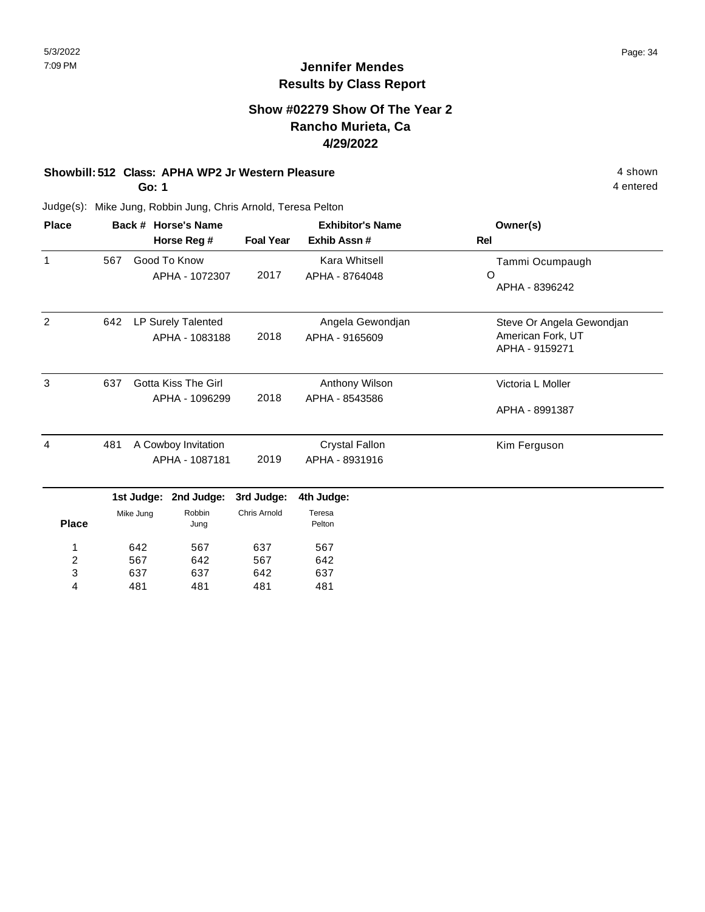#### **Show #02279 Show Of The Year 2 Rancho Murieta, Ca 4/29/2022**

#### **Showbill: 512 Class: APHA WP2 Jr Western Pleasure** 4 shown

**Go: 1**

4 entered

| <b>Place</b> |                |            | Back # Horse's Name |                     | <b>Exhibitor's Name</b> | Owner(s)<br>Rel           |  |
|--------------|----------------|------------|---------------------|---------------------|-------------------------|---------------------------|--|
|              |                |            | Horse Reg #         | <b>Foal Year</b>    | Exhib Assn#             |                           |  |
| 1            | 567            |            | Good To Know        |                     | Kara Whitsell           | Tammi Ocumpaugh           |  |
|              |                |            | APHA - 1072307      | 2017                | APHA - 8764048          | O                         |  |
|              |                |            |                     |                     |                         | APHA - 8396242            |  |
| 2            | 642            |            | LP Surely Talented  |                     | Angela Gewondjan        | Steve Or Angela Gewondjan |  |
|              |                |            | APHA - 1083188      | 2018                | APHA - 9165609          | American Fork, UT         |  |
|              |                |            |                     |                     |                         | APHA - 9159271            |  |
| 3            | 637            |            | Gotta Kiss The Girl |                     | Anthony Wilson          | Victoria L Moller         |  |
|              |                |            | APHA - 1096299      | 2018                | APHA - 8543586          |                           |  |
|              |                |            |                     |                     |                         | APHA - 8991387            |  |
| 4            | 481            |            | A Cowboy Invitation |                     | <b>Crystal Fallon</b>   | Kim Ferguson              |  |
|              | APHA - 1087181 |            | 2019                | APHA - 8931916      |                         |                           |  |
|              |                | 1st Judge: | 2nd Judge:          | 3rd Judge:          | 4th Judge:              |                           |  |
|              |                | Mike Jung  | Robbin              | <b>Chris Arnold</b> | Teresa                  |                           |  |
| <b>Place</b> |                |            | Jung                |                     | Pelton                  |                           |  |
| 1            | 642            |            | 567                 | 637                 | 567                     |                           |  |
| 2            |                | 567<br>642 |                     | 567                 | 642                     |                           |  |
| 3            | 637<br>637     |            |                     | 642                 | 637                     |                           |  |
| 4            | 481            |            | 481                 | 481                 | 481                     |                           |  |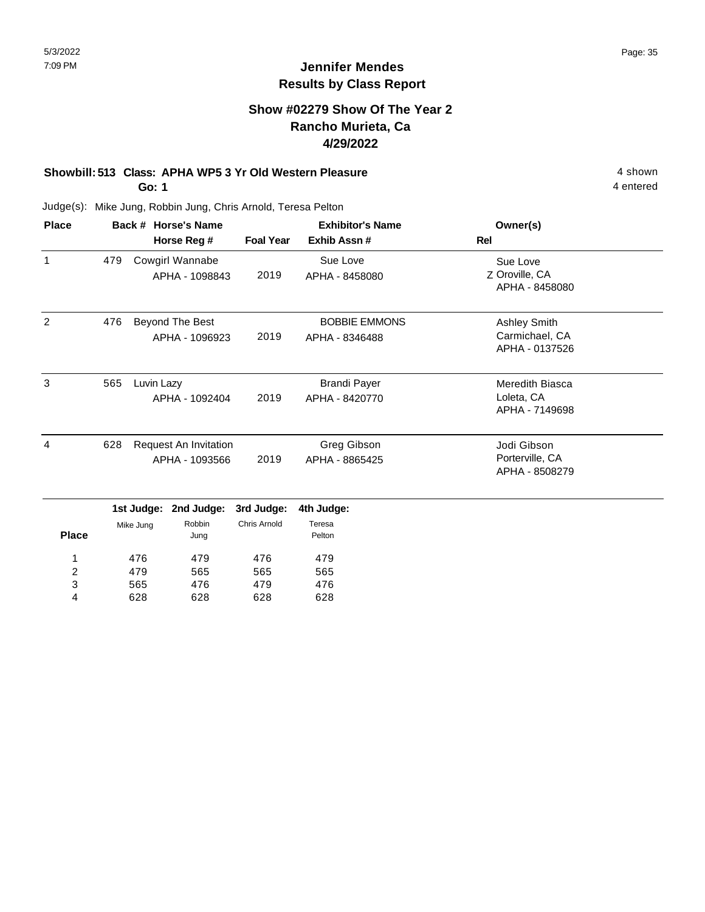4 entered

### **Jennifer Mendes Results by Class Report**

### **Show #02279 Show Of The Year 2 Rancho Murieta, Ca 4/29/2022**

### **Showbill: 513 Class: APHA WP5 3 Yr Old Western Pleasure** 4 shown

**Go: 1**

565 628

3 4 476 628 479 628

476 628

| <b>Place</b>   |                                                |                                   | Back # Horse's Name               | <b>Exhibitor's Name</b>       |                                                  | Owner(s)                                         |
|----------------|------------------------------------------------|-----------------------------------|-----------------------------------|-------------------------------|--------------------------------------------------|--------------------------------------------------|
|                |                                                |                                   | Horse Reg #                       | <b>Foal Year</b>              | Exhib Assn#                                      | Rel                                              |
| 1              | 479                                            | Cowgirl Wannabe<br>APHA - 1098843 |                                   | 2019                          | Sue Love<br>APHA - 8458080                       | Sue Love<br>Z Oroville, CA<br>APHA - 8458080     |
| $\overline{2}$ | 476                                            |                                   | Beyond The Best<br>APHA - 1096923 | 2019                          | <b>BOBBIE EMMONS</b><br>APHA - 8346488           | Ashley Smith<br>Carmichael, CA<br>APHA - 0137526 |
| 3              | 565                                            | Luvin Lazy                        | APHA - 1092404                    | 2019                          | <b>Brandi Payer</b><br>APHA - 8420770            | Meredith Biasca<br>Loleta, CA<br>APHA - 7149698  |
| 4              | 628<br>Request An Invitation<br>APHA - 1093566 |                                   | 2019                              | Greg Gibson<br>APHA - 8865425 | Jodi Gibson<br>Porterville, CA<br>APHA - 8508279 |                                                  |
|                |                                                | 1st Judge:                        | 2nd Judge:                        | 3rd Judge:                    | 4th Judge:                                       |                                                  |
| <b>Place</b>   |                                                | Robbin<br>Mike Jung<br>Jung       |                                   | <b>Chris Arnold</b>           | Teresa<br>Pelton                                 |                                                  |
| 1              | 476<br>479                                     |                                   | 476<br>565                        | 479                           |                                                  |                                                  |
|                | $\overline{c}$                                 |                                   | 479<br>565                        |                               | 565                                              |                                                  |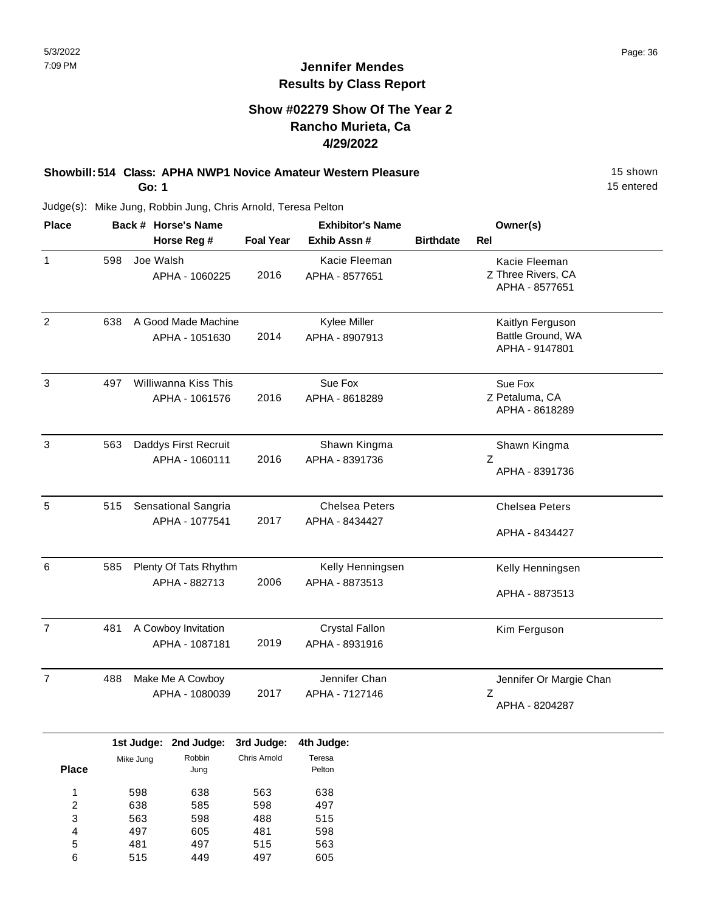### **Show #02279 Show Of The Year 2 Rancho Murieta, Ca 4/29/2022**

#### **Showbill: 514 Class: APHA NWP1 Novice Amateur Western Pleasure** 15 Shown **Go: 1**

15 entered

Judge(s): Mike Jung, Robbin Jung, Chris Arnold, Teresa Pelton

515

6

449

497

605

| <b>Place</b>                 |     |                       | Back # Horse's Name   |                  | <b>Exhibitor's Name</b> |                  | Owner(s)                |
|------------------------------|-----|-----------------------|-----------------------|------------------|-------------------------|------------------|-------------------------|
|                              |     |                       | Horse Reg #           | <b>Foal Year</b> | Exhib Assn #            | <b>Birthdate</b> | Rel                     |
| 1                            | 598 |                       | Joe Walsh             |                  | Kacie Fleeman           |                  | Kacie Fleeman           |
|                              |     |                       | APHA - 1060225        | 2016             | APHA - 8577651          |                  | Z Three Rivers, CA      |
|                              |     |                       |                       |                  |                         |                  | APHA - 8577651          |
| $\overline{2}$               | 638 |                       | A Good Made Machine   |                  | Kylee Miller            |                  | Kaitlyn Ferguson        |
|                              |     |                       | APHA - 1051630        | 2014             | APHA - 8907913          |                  | Battle Ground, WA       |
|                              |     |                       |                       |                  |                         |                  | APHA - 9147801          |
| 3                            | 497 |                       | Williwanna Kiss This  |                  | Sue Fox                 |                  | Sue Fox                 |
|                              |     |                       | APHA - 1061576        | 2016             | APHA - 8618289          |                  | Z Petaluma, CA          |
|                              |     |                       |                       |                  |                         |                  | APHA - 8618289          |
| $\mathbf{3}$                 | 563 |                       | Daddys First Recruit  |                  | Shawn Kingma            |                  | Shawn Kingma            |
|                              |     |                       | APHA - 1060111        | 2016             | APHA - 8391736          |                  | Ζ                       |
|                              |     |                       |                       |                  |                         |                  | APHA - 8391736          |
| 5                            | 515 |                       | Sensational Sangria   |                  | <b>Chelsea Peters</b>   |                  | <b>Chelsea Peters</b>   |
|                              |     |                       | APHA - 1077541        | 2017             | APHA - 8434427          |                  |                         |
|                              |     |                       |                       |                  |                         |                  | APHA - 8434427          |
| $\,6$                        | 585 | Plenty Of Tats Rhythm |                       |                  | Kelly Henningsen        |                  | Kelly Henningsen        |
|                              |     | APHA - 882713         |                       |                  | APHA - 8873513          |                  |                         |
|                              |     |                       |                       |                  |                         |                  | APHA - 8873513          |
| $\overline{7}$               | 481 |                       | A Cowboy Invitation   |                  | <b>Crystal Fallon</b>   |                  | Kim Ferguson            |
|                              |     | APHA - 1087181        |                       | 2019             | APHA - 8931916          |                  |                         |
| $\overline{7}$               | 488 |                       | Make Me A Cowboy      |                  | Jennifer Chan           |                  | Jennifer Or Margie Chan |
|                              |     |                       | APHA - 1080039        | 2017             | APHA - 7127146          |                  | Ζ                       |
|                              |     |                       |                       |                  |                         |                  | APHA - 8204287          |
|                              |     |                       | 1st Judge: 2nd Judge: | 3rd Judge:       | 4th Judge:              |                  |                         |
| <b>Place</b>                 |     | Mike Jung             | Robbin<br>Jung        | Chris Arnold     | Teresa<br>Pelton        |                  |                         |
|                              |     |                       |                       |                  |                         |                  |                         |
| $\mathbf{1}$                 |     | 598<br>638            | 638                   | 563              | 638                     |                  |                         |
| $\overline{\mathbf{c}}$<br>3 |     | 563                   | 585<br>598            | 598<br>488       | 497<br>515              |                  |                         |
| 4                            |     | 497                   | 605                   | 481              | 598                     |                  |                         |
| 5                            |     | 481                   | 497                   | 515              | 563                     |                  |                         |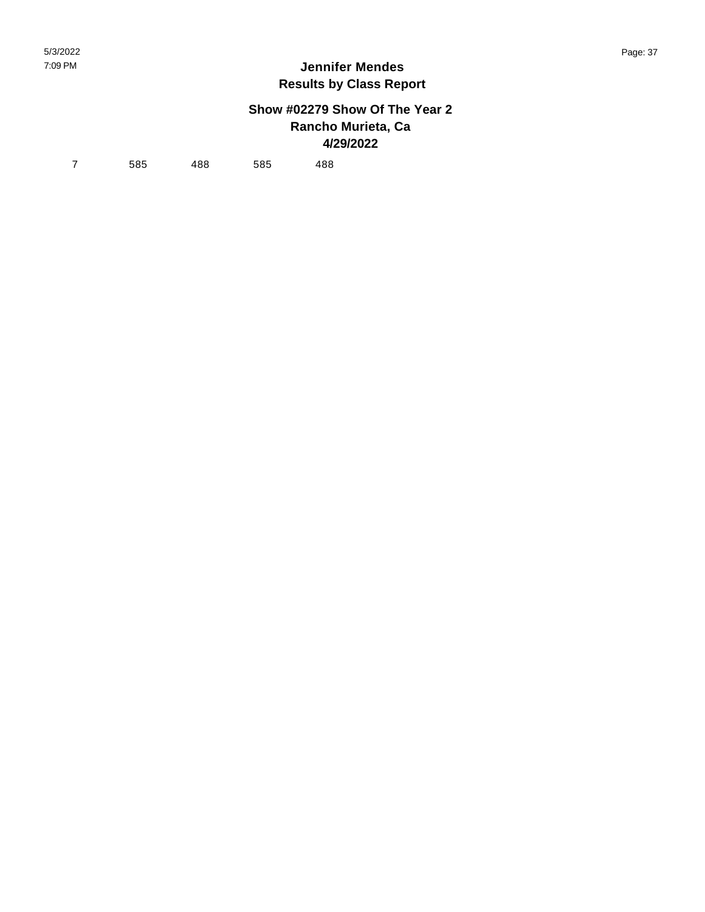## **Show #02279 Show Of The Year 2 Rancho Murieta, Ca 4/29/2022**

7 585 488 585 488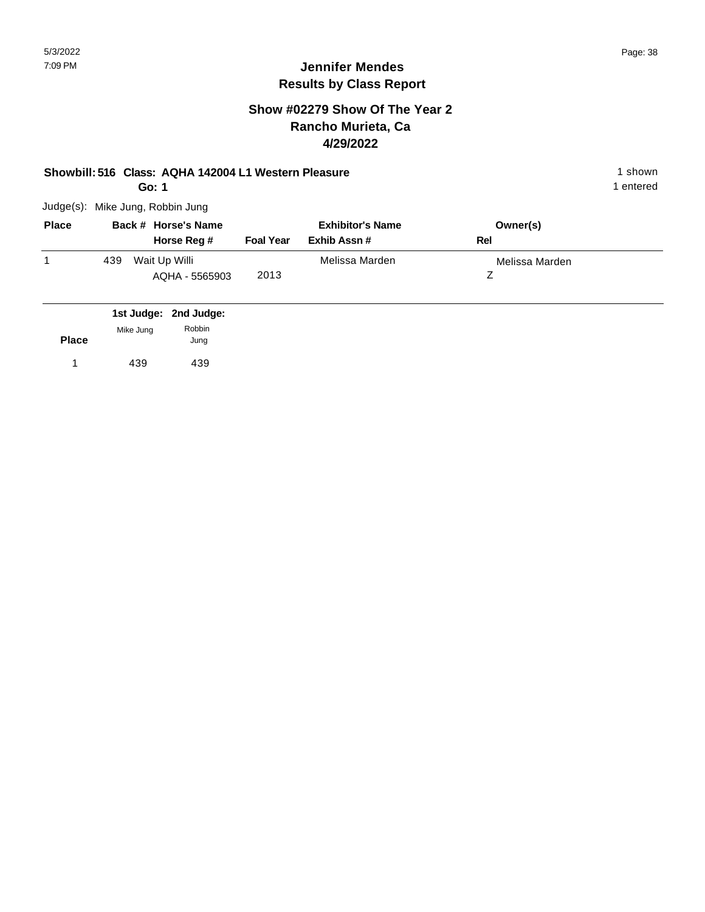## **Jennifer Mendes Results by Class Report**

## **Show #02279 Show Of The Year 2 Rancho Murieta, Ca 4/29/2022**

### **Showbill: 516 Class: AQHA 142004 L1 Western Pleasure** 1 shown

**Go: 1**

Judge(s): Mike Jung, Robbin Jung

| <b>Place</b> | Back # Horse's Name                    | <b>Exhibitor's Name</b> |                | Owner(s)       |  |
|--------------|----------------------------------------|-------------------------|----------------|----------------|--|
|              | Horse Reg #                            | <b>Foal Year</b>        | Exhib Assn #   | Rel            |  |
|              | Wait Up Willi<br>439<br>AQHA - 5565903 | 2013                    | Melissa Marden | Melissa Marden |  |

|              |           | 1st Judge: 2nd Judge: |
|--------------|-----------|-----------------------|
| <b>Place</b> | Mike Jung | Robbin                |
|              |           | Jung                  |
|              | 439       | 439                   |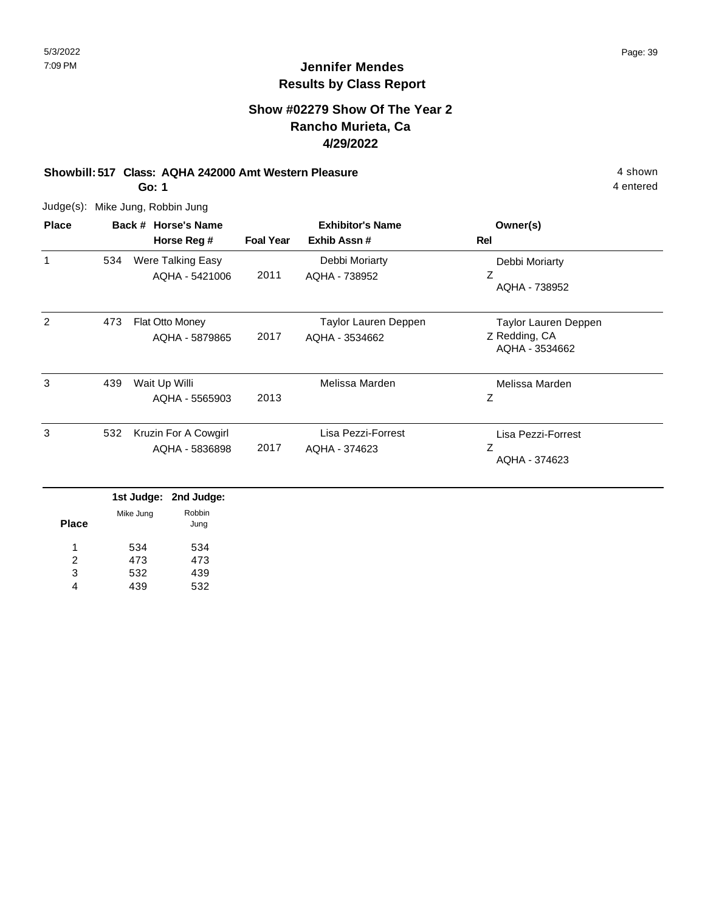## **Show #02279 Show Of The Year 2 Rancho Murieta, Ca 4/29/2022**

## **Showbill: 517 Class: AQHA 242000 Amt Western Pleasure** 4 shown

**Go: 1**

Judge(s): Mike Jung, Robbin Jung

| <b>Place</b> |     | Back # Horse's Name                 |                  | <b>Exhibitor's Name</b>                | Owner(s)                              |
|--------------|-----|-------------------------------------|------------------|----------------------------------------|---------------------------------------|
|              |     | Horse Reg #                         | <b>Foal Year</b> | Exhib Assn#                            | Rel                                   |
| 1            | 534 | Were Talking Easy<br>AQHA - 5421006 | 2011             | Debbi Moriarty<br>AQHA - 738952        | Debbi Moriarty<br>Ζ<br>AQHA - 738952  |
|              |     |                                     |                  |                                        |                                       |
| 2            | 473 | Flat Otto Money<br>AQHA - 5879865   | 2017             | Taylor Lauren Deppen<br>AQHA - 3534662 | Taylor Lauren Deppen<br>Z Redding, CA |
|              |     |                                     |                  |                                        | AQHA - 3534662                        |
| 3            | 439 | Wait Up Willi                       |                  | Melissa Marden                         | Melissa Marden                        |
|              |     | AQHA - 5565903                      | 2013             |                                        | Ζ                                     |
| 3            | 532 | Kruzin For A Cowgirl                |                  | Lisa Pezzi-Forrest                     | Lisa Pezzi-Forrest                    |
|              |     | AQHA - 5836898                      | 2017             | AQHA - 374623                          | Ζ<br>AQHA - 374623                    |
|              |     |                                     |                  |                                        |                                       |

|              |           | 1st Judge: 2nd Judge: |
|--------------|-----------|-----------------------|
| <b>Place</b> | Mike Jung | Robbin<br>Jung        |
| 1            | 534       | 534                   |
| 2            | 473       | 473                   |
| 3            | 532       | 439                   |
|              | 439       | 532                   |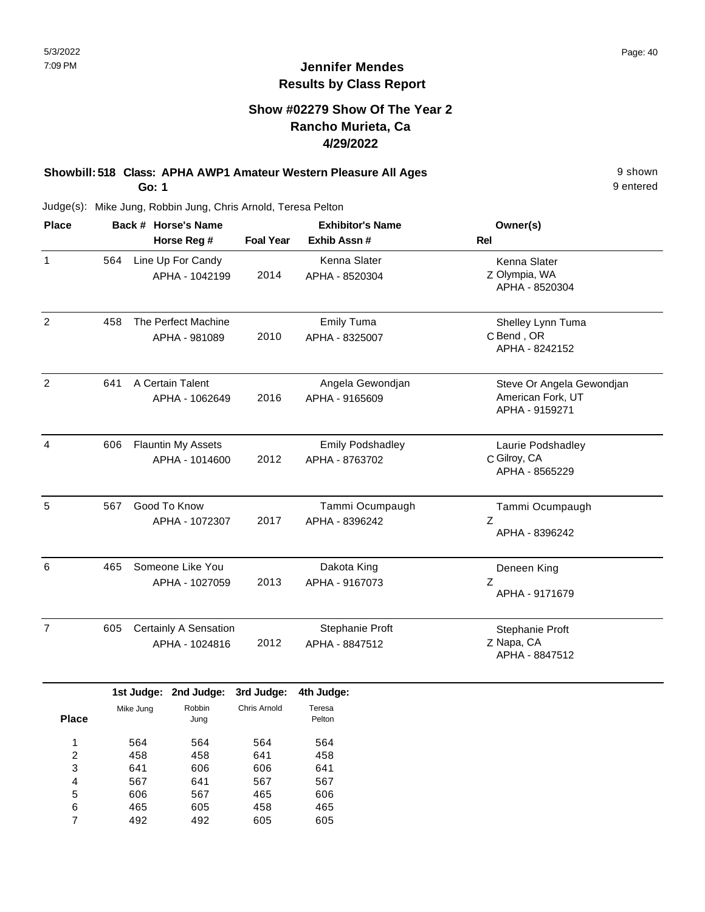## **Show #02279 Show Of The Year 2 Rancho Murieta, Ca 4/29/2022**

### **Showbill: 518 Class: APHA AWP1 Amateur Western Pleasure All Ages** 9 shown **Go: 1**

9 entered

| <b>Place</b>   | Back # Horse's Name |                                             |                                         |                            | <b>Exhibitor's Name</b>                   | Owner(s)                                                         |
|----------------|---------------------|---------------------------------------------|-----------------------------------------|----------------------------|-------------------------------------------|------------------------------------------------------------------|
|                |                     |                                             | Horse Reg #                             | <b>Foal Year</b>           | Exhib Assn #                              | Rel                                                              |
| $\mathbf{1}$   | 564                 |                                             | Line Up For Candy<br>APHA - 1042199     | 2014                       | Kenna Slater<br>APHA - 8520304            | Kenna Slater<br>Z Olympia, WA<br>APHA - 8520304                  |
| $\overline{2}$ | 458                 |                                             | The Perfect Machine<br>APHA - 981089    | 2010                       | <b>Emily Tuma</b><br>APHA - 8325007       | Shelley Lynn Tuma<br>C Bend, OR<br>APHA - 8242152                |
| $\overline{2}$ | 641                 | A Certain Talent<br>APHA - 1062649          |                                         | 2016                       | Angela Gewondjan<br>APHA - 9165609        | Steve Or Angela Gewondjan<br>American Fork, UT<br>APHA - 9159271 |
| $\overline{4}$ | 606                 | <b>Flauntin My Assets</b><br>APHA - 1014600 |                                         | 2012                       | <b>Emily Podshadley</b><br>APHA - 8763702 | Laurie Podshadley<br>C Gilroy, CA<br>APHA - 8565229              |
| 5              | 567                 | Good To Know<br>APHA - 1072307              |                                         | 2017                       | Tammi Ocumpaugh<br>APHA - 8396242         | Tammi Ocumpaugh<br>Z<br>APHA - 8396242                           |
| 6              | 465                 | Someone Like You<br>APHA - 1027059          |                                         | 2013                       | Dakota King<br>APHA - 9167073             | Deneen King<br>Z<br>APHA - 9171679                               |
| $\overline{7}$ | 605                 |                                             | Certainly A Sensation<br>APHA - 1024816 | 2012                       | Stephanie Proft<br>APHA - 8847512         | Stephanie Proft<br>Z Napa, CA<br>APHA - 8847512                  |
| <b>Place</b>   |                     | Mike Jung                                   | 1st Judge: 2nd Judge:<br>Robbin<br>Jung | 3rd Judge:<br>Chris Arnold | 4th Judge:<br>Teresa<br>Pelton            |                                                                  |
|                |                     |                                             |                                         |                            |                                           |                                                                  |

| 1 | 564 | 564 | 564 | 564 |
|---|-----|-----|-----|-----|
| 2 | 458 | 458 | 641 | 458 |
| 3 | 641 | 606 | 606 | 641 |
| 4 | 567 | 641 | 567 | 567 |
| 5 | 606 | 567 | 465 | 606 |
| 6 | 465 | 605 | 458 | 465 |
|   | 492 | 492 | 605 | 605 |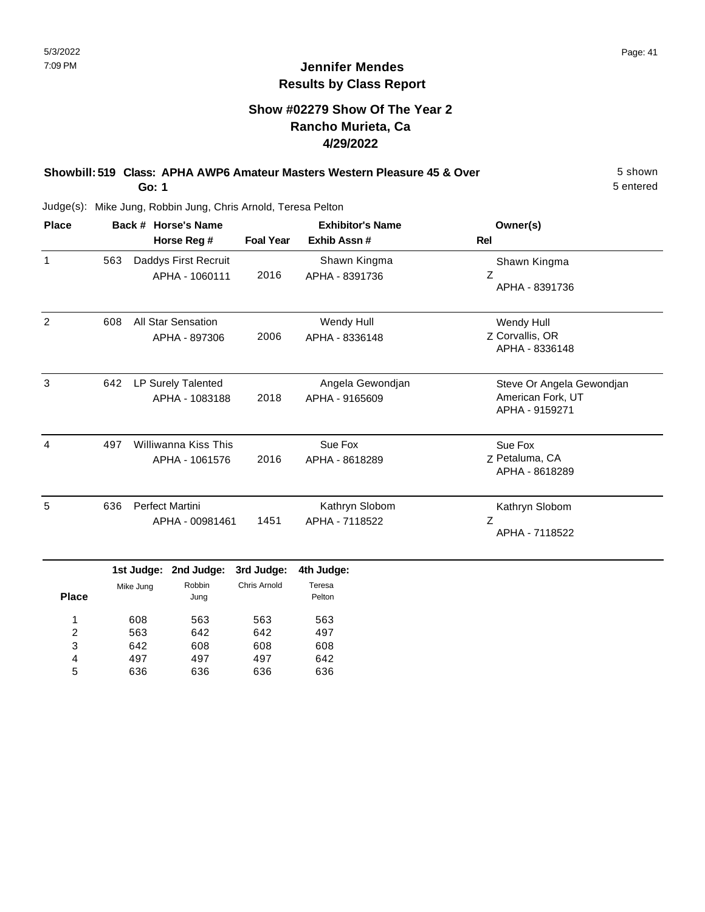## **Show #02279 Show Of The Year 2 Rancho Murieta, Ca 4/29/2022**

#### **Showbill: 519 Class: APHA AWP6 Amateur Masters Western Pleasure 45 & Over** 5 Shown **Go: 1**

5 entered

| <b>Place</b> |             | Back # Horse's Name                        | <b>Exhibitor's Name</b> |                                    | Owner(s)                                                         |  |
|--------------|-------------|--------------------------------------------|-------------------------|------------------------------------|------------------------------------------------------------------|--|
|              | Horse Reg # |                                            | <b>Foal Year</b>        | Exhib Assn#                        | <b>Rel</b>                                                       |  |
| $\mathbf{1}$ | 563         | Daddys First Recruit<br>APHA - 1060111     | 2016                    | Shawn Kingma<br>APHA - 8391736     | Shawn Kingma<br>Z<br>APHA - 8391736                              |  |
| 2            | 608         | <b>All Star Sensation</b><br>APHA - 897306 | 2006                    | Wendy Hull<br>APHA - 8336148       | Wendy Hull<br>Z Corvallis, OR<br>APHA - 8336148                  |  |
| 3            | 642         | LP Surely Talented<br>APHA - 1083188       | 2018                    | Angela Gewondjan<br>APHA - 9165609 | Steve Or Angela Gewondjan<br>American Fork, UT<br>APHA - 9159271 |  |
| 4            | 497         | Williwanna Kiss This<br>APHA - 1061576     |                         | Sue Fox<br>APHA - 8618289          | Sue Fox<br>Z Petaluma, CA<br>APHA - 8618289                      |  |
| 5            | 636         | <b>Perfect Martini</b><br>APHA - 00981461  | 1451                    | Kathryn Slobom<br>APHA - 7118522   | Kathryn Slobom<br>Z<br>APHA - 7118522                            |  |

|              | .         | <b>AND VANYV.</b> | vru vuugv.   | TUI VUUYVI       |
|--------------|-----------|-------------------|--------------|------------------|
| <b>Place</b> | Mike Jung | Robbin<br>Jung    | Chris Arnold | Teresa<br>Pelton |
| 1            | 608       | 563               | 563          | 563              |
| 2            | 563       | 642               | 642          | 497              |
| 3            | 642       | 608               | 608          | 608              |
| 4            | 497       | 497               | 497          | 642              |
| 5            | 636       | 636               | 636          | 636              |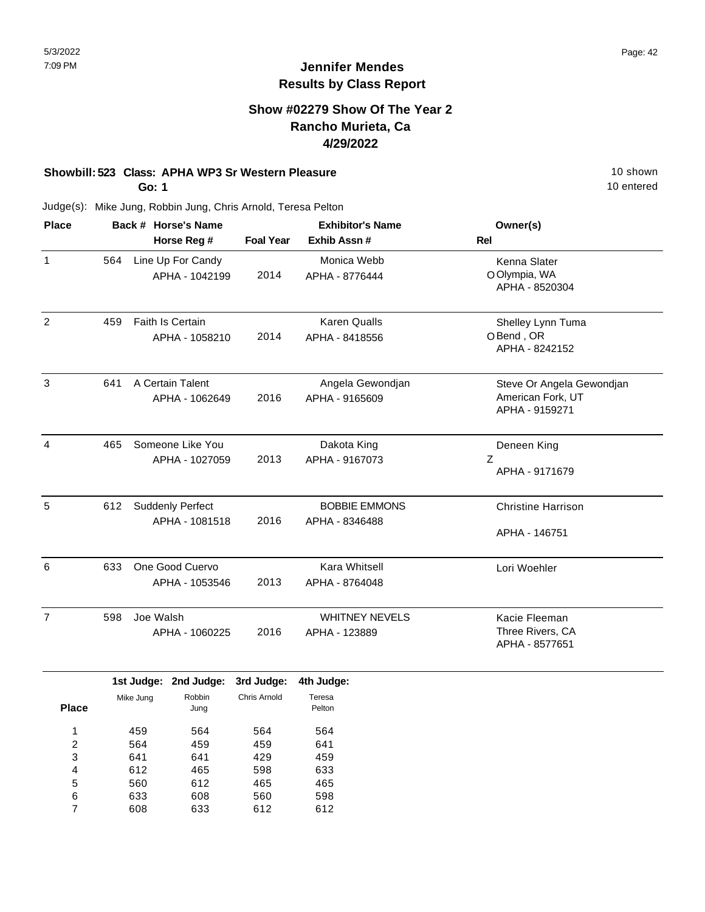## **Show #02279 Show Of The Year 2 Rancho Murieta, Ca 4/29/2022**

## **Showbill: 523 Class: APHA WP3 Sr Western Pleasure** 10 Shown 10 shown

**Go: 1**

10 entered

| <b>Place</b>   |     | Back # Horse's Name                       | <b>Exhibitor's Name</b> |                                        | Owner(s)                                                         |  |
|----------------|-----|-------------------------------------------|-------------------------|----------------------------------------|------------------------------------------------------------------|--|
|                |     | Horse Reg #                               | <b>Foal Year</b>        | Exhib Assn#                            | Rel                                                              |  |
| $\mathbf{1}$   | 564 | Line Up For Candy<br>APHA - 1042199       | 2014                    | Monica Webb<br>APHA - 8776444          | Kenna Slater<br>O Olympia, WA<br>APHA - 8520304                  |  |
| $\overline{2}$ | 459 | Faith Is Certain<br>APHA - 1058210        | 2014                    | <b>Karen Qualls</b><br>APHA - 8418556  | Shelley Lynn Tuma<br>OBend, OR<br>APHA - 8242152                 |  |
| 3              | 641 | A Certain Talent<br>APHA - 1062649        | 2016                    | Angela Gewondjan<br>APHA - 9165609     | Steve Or Angela Gewondjan<br>American Fork, UT<br>APHA - 9159271 |  |
| 4              | 465 | Someone Like You<br>APHA - 1027059        | 2013                    | Dakota King<br>APHA - 9167073          | Deneen King<br>Z<br>APHA - 9171679                               |  |
| 5              | 612 | <b>Suddenly Perfect</b><br>APHA - 1081518 | 2016                    | <b>BOBBIE EMMONS</b><br>APHA - 8346488 | <b>Christine Harrison</b><br>APHA - 146751                       |  |
| 6              | 633 | One Good Cuervo<br>APHA - 1053546         | 2013                    | Kara Whitsell<br>APHA - 8764048        | Lori Woehler                                                     |  |
| $\overline{7}$ | 598 | Joe Walsh<br>APHA - 1060225               | 2016                    | <b>WHITNEY NEVELS</b><br>APHA - 123889 | Kacie Fleeman<br>Three Rivers, CA<br>APHA - 8577651              |  |

|       |           | 1st Judge: 2nd Judge: 3rd Judge: |              | 4th Judge: |
|-------|-----------|----------------------------------|--------------|------------|
|       | Mike Jung | Robbin                           | Chris Arnold | Teresa     |
| Place |           | Jung                             |              | Pelton     |
| 1     | 459       | 564                              | 564          | 564        |
|       |           |                                  |              |            |
| 2     | 564       | 459                              | 459          | 641        |
| 3     | 641       | 641                              | 429          | 459        |
| 4     | 612       | 465                              | 598          | 633        |
| 5     | 560       | 612                              | 465          | 465        |
| 6     | 633       | 608                              | 560          | 598        |
| 7     | 608       | 633                              | 612          | 612        |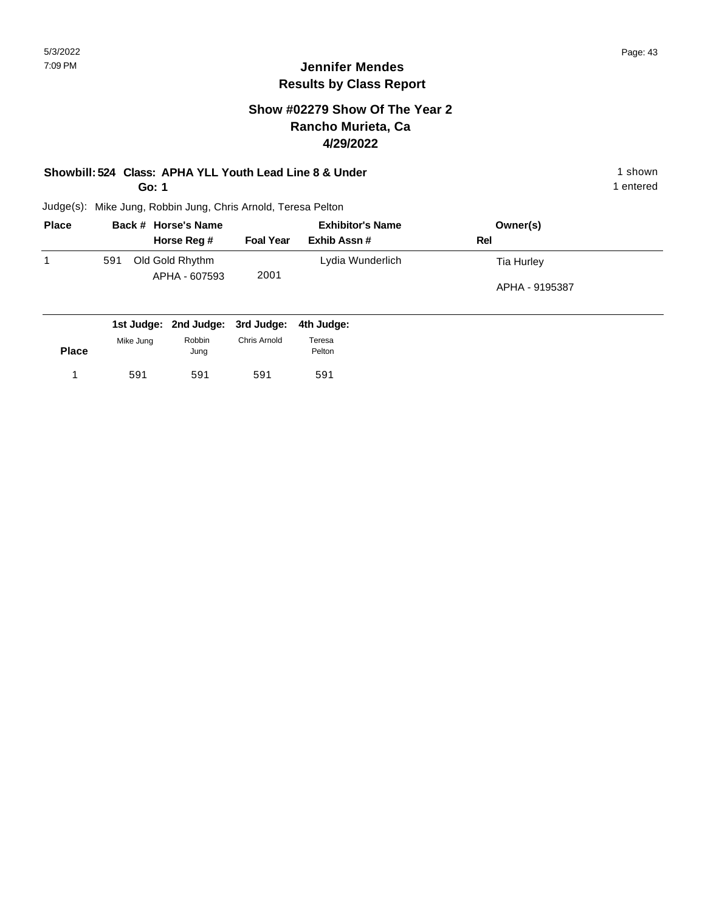## **Show #02279 Show Of The Year 2 Rancho Murieta, Ca 4/29/2022**

## **Showbill: 524 Class: APHA YLL Youth Lead Line 8 & Under** 1 shown 1 shown

**Go: 1**

591 591

1 591 591 591 591

591

1 entered

| <b>Place</b> |           | Back # Horse's Name              | <b>Exhibitor's Name</b> |                  | Owner(s)       |  |
|--------------|-----------|----------------------------------|-------------------------|------------------|----------------|--|
|              |           | Horse Reg #                      | <b>Foal Year</b>        | Exhib Assn#      | Rel            |  |
|              | 591       | Old Gold Rhythm<br>APHA - 607593 | 2001                    | Lydia Wunderlich | Tia Hurley     |  |
|              |           |                                  |                         |                  | APHA - 9195387 |  |
|              |           | 1st Judge: 2nd Judge: 3rd Judge: |                         | 4th Judge:       |                |  |
| <b>Place</b> | Mike Jung | Robbin<br>Jung                   | Chris Arnold            | Teresa<br>Pelton |                |  |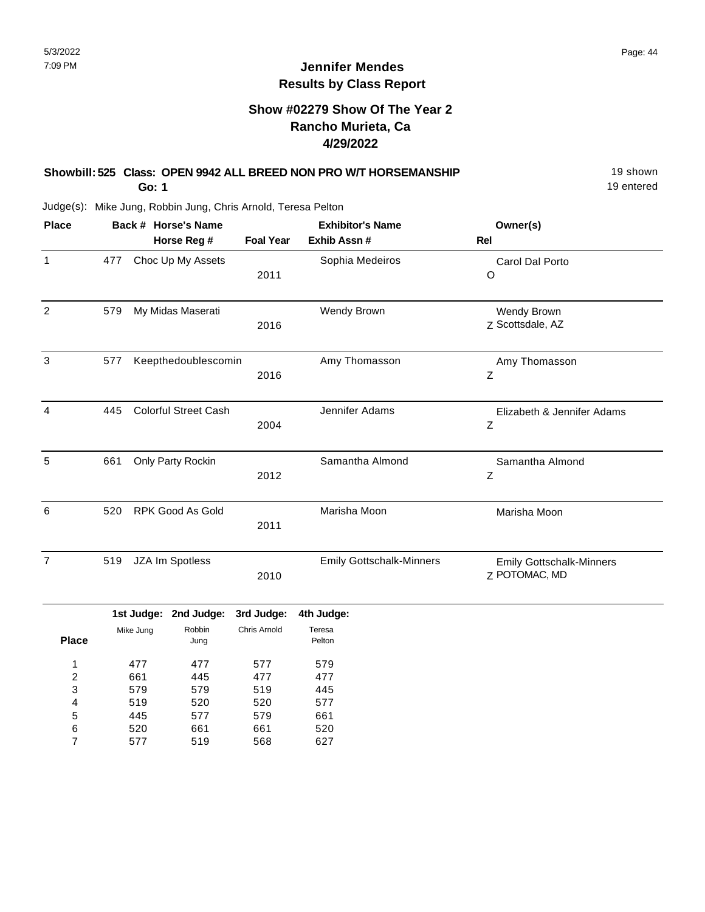## **Jennifer Mendes Results by Class Report**

## **Show #02279 Show Of The Year 2 Rancho Murieta, Ca 4/29/2022**

# **Showbill: 525 Class: OPEN 9942 ALL BREED NON PRO W/T HORSEMANSHIP** 19 Shown

**Go: 1**

445 520 577

5 6 7 577 661 519

579 661 568 661 520 627

| <b>Place</b>     |                          |           | Back # Horse's Name<br>Horse Reg # | <b>Foal Year</b>         | <b>Exhibitor's Name</b><br>Exhib Assn # | Owner(s)<br><b>Rel</b>                                  |
|------------------|--------------------------|-----------|------------------------------------|--------------------------|-----------------------------------------|---------------------------------------------------------|
| $\mathbf{1}$     | 477                      |           | Choc Up My Assets                  | 2011                     | Sophia Medeiros                         | Carol Dal Porto<br>$\circ$                              |
| $\overline{2}$   | 579                      |           | My Midas Maserati                  | 2016                     | Wendy Brown                             | Wendy Brown<br>Z Scottsdale, AZ                         |
| 3                | 577                      |           | Keepthedoublescomin                | 2016                     | Amy Thomasson                           | Amy Thomasson<br>Ζ                                      |
| 4                | 445                      |           | <b>Colorful Street Cash</b>        | 2004                     | Jennifer Adams                          | Elizabeth & Jennifer Adams<br>$\ensuremath{\mathsf{Z}}$ |
| 5                | 661                      |           | Only Party Rockin                  | 2012                     | Samantha Almond                         | Samantha Almond<br>$\mathsf Z$                          |
| 6                | 520                      |           | <b>RPK Good As Gold</b>            | 2011                     | Marisha Moon                            | Marisha Moon                                            |
| $\overline{7}$   | 519                      |           | JZA Im Spotless                    | 2010                     | <b>Emily Gottschalk-Minners</b>         | <b>Emily Gottschalk-Minners</b><br>Z POTOMAC, MD        |
|                  |                          |           | 1st Judge: 2nd Judge:              | 3rd Judge:               | 4th Judge:                              |                                                         |
| <b>Place</b>     |                          | Mike Jung | Robbin<br>Jung                     | Chris Arnold             | Teresa<br>Pelton                        |                                                         |
| 1<br>2<br>3<br>4 | 477<br>661<br>579<br>519 |           | 477<br>445<br>579<br>520           | 577<br>477<br>519<br>520 | 579<br>477<br>445<br>577                |                                                         |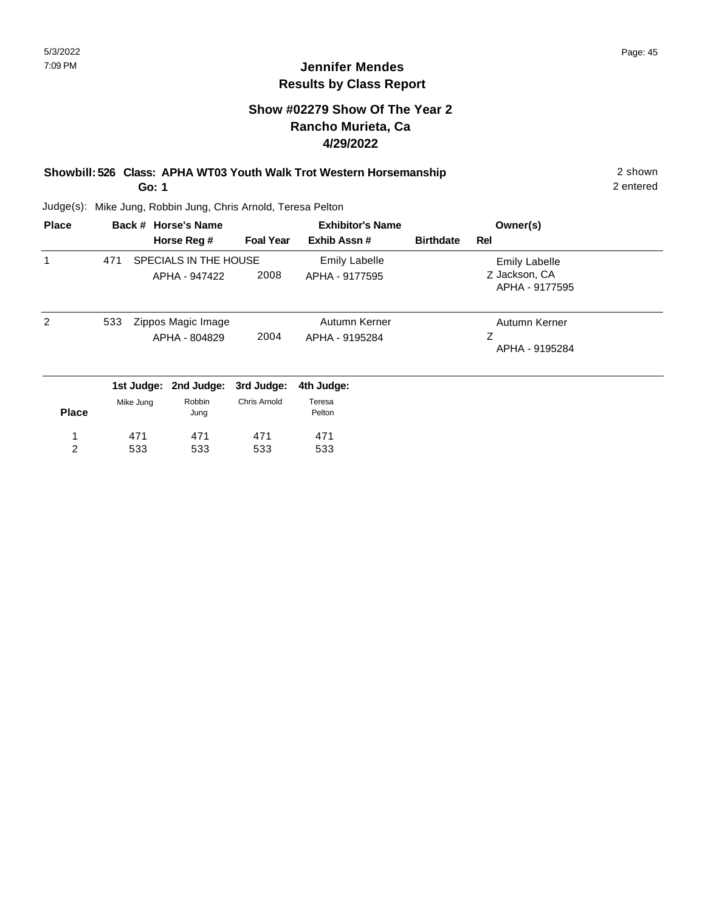## **Show #02279 Show Of The Year 2 Rancho Murieta, Ca 4/29/2022**

### **Showbill: 526 Class: APHA WT03 Youth Walk Trot Western Horsemanship** 2 shown 2 shown **Go: 1**

Judge(s): Mike Jung, Robbin Jung, Chris Arnold, Teresa Pelton

| <b>Place</b> |           | Back # Horse's Name                    |                  | <b>Exhibitor's Name</b>                |                  | Owner(s)                                         |  |
|--------------|-----------|----------------------------------------|------------------|----------------------------------------|------------------|--------------------------------------------------|--|
|              |           | Horse Reg #                            | <b>Foal Year</b> | Exhib Assn#                            | <b>Birthdate</b> | Rel                                              |  |
|              | 471       | SPECIALS IN THE HOUSE<br>APHA - 947422 | 2008             | <b>Emily Labelle</b><br>APHA - 9177595 |                  | Emily Labelle<br>Z Jackson, CA<br>APHA - 9177595 |  |
| 2            | 533       | Zippos Magic Image<br>APHA - 804829    | 2004             | Autumn Kerner<br>APHA - 9195284        |                  | Autumn Kerner<br>Ζ<br>APHA - 9195284             |  |
|              |           | 1st Judge: 2nd Judge:                  | 3rd Judge:       | 4th Judge:                             |                  |                                                  |  |
| <b>Place</b> | Mike Jung | Robbin<br>Jung                         | Chris Arnold     | Teresa<br>Pelton                       |                  |                                                  |  |
| 1            | 471       | 471                                    | 471              | 471                                    |                  |                                                  |  |
| 2            | 533       | 533                                    | 533              | 533                                    |                  |                                                  |  |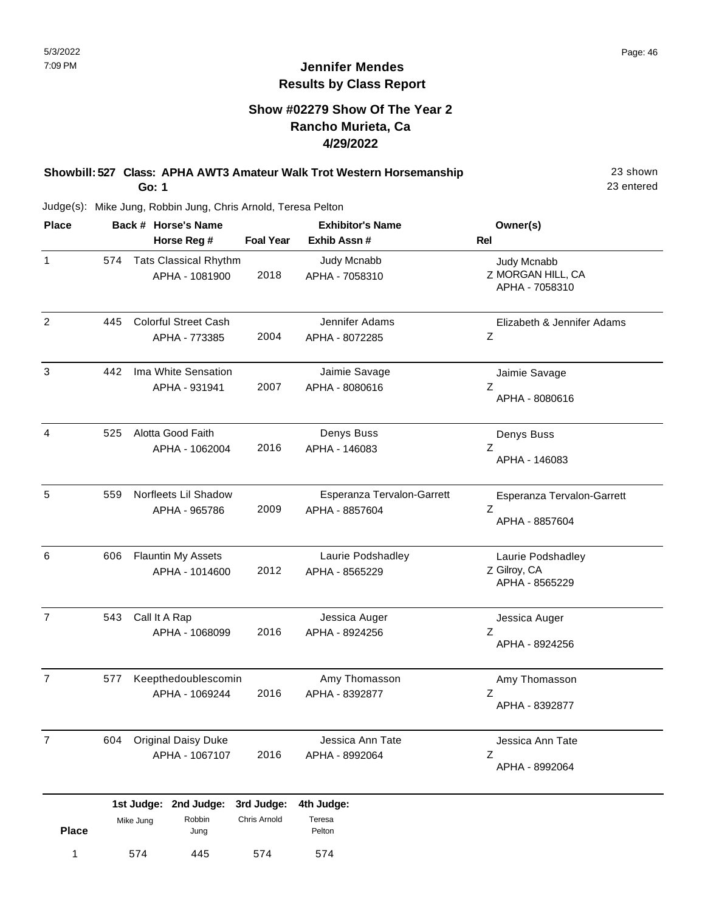## **Jennifer Mendes Results by Class Report**

## **Show #02279 Show Of The Year 2 Rancho Murieta, Ca 4/29/2022**

#### **Showbill: 527 Class: APHA AWT3 Amateur Walk Trot Western Horsemanship** 23 Shown **Go: 1**

Judge(s): Mike Jung, Robbin Jung, Chris Arnold, Teresa Pelton

574 445

1 574 445 574 574

574

| <b>Place</b>   |     |               | Back # Horse's Name                            |                            | <b>Exhibitor's Name</b>                      | Owner(s)                                            |
|----------------|-----|---------------|------------------------------------------------|----------------------------|----------------------------------------------|-----------------------------------------------------|
|                |     |               | Horse Reg #                                    | <b>Foal Year</b>           | Exhib Assn #                                 | <b>Rel</b>                                          |
| $\mathbf{1}$   | 574 |               | <b>Tats Classical Rhythm</b><br>APHA - 1081900 | 2018                       | Judy Mcnabb<br>APHA - 7058310                | Judy Mcnabb<br>Z MORGAN HILL, CA<br>APHA - 7058310  |
| $\overline{2}$ | 445 |               | <b>Colorful Street Cash</b><br>APHA - 773385   | 2004                       | Jennifer Adams<br>APHA - 8072285             | Elizabeth & Jennifer Adams<br>Ζ                     |
| 3              | 442 |               | Ima White Sensation<br>APHA - 931941           | 2007                       | Jaimie Savage<br>APHA - 8080616              | Jaimie Savage<br>Ζ<br>APHA - 8080616                |
| 4              | 525 |               | Alotta Good Faith<br>APHA - 1062004            | 2016                       | Denys Buss<br>APHA - 146083                  | Denys Buss<br>Ζ<br>APHA - 146083                    |
| 5              | 559 |               | Norfleets Lil Shadow<br>APHA - 965786          | 2009                       | Esperanza Tervalon-Garrett<br>APHA - 8857604 | Esperanza Tervalon-Garrett<br>Ζ<br>APHA - 8857604   |
| 6              | 606 |               | <b>Flauntin My Assets</b><br>APHA - 1014600    | 2012                       | Laurie Podshadley<br>APHA - 8565229          | Laurie Podshadley<br>Z Gilroy, CA<br>APHA - 8565229 |
| $\overline{7}$ | 543 | Call It A Rap | APHA - 1068099                                 | 2016                       | Jessica Auger<br>APHA - 8924256              | Jessica Auger<br>Ζ<br>APHA - 8924256                |
| $\overline{7}$ | 577 |               | Keepthedoublescomin<br>APHA - 1069244          | 2016                       | Amy Thomasson<br>APHA - 8392877              | Amy Thomasson<br>Ζ<br>APHA - 8392877                |
| 7              | 604 |               | <b>Original Daisy Duke</b><br>APHA - 1067107   | 2016                       | Jessica Ann Tate<br>APHA - 8992064           | Jessica Ann Tate<br>Z<br>APHA - 8992064             |
| <b>Place</b>   |     | Mike Jung     | 1st Judge: 2nd Judge:<br>Robbin<br>Jung        | 3rd Judge:<br>Chris Arnold | 4th Judge:<br>Teresa<br>Pelton               |                                                     |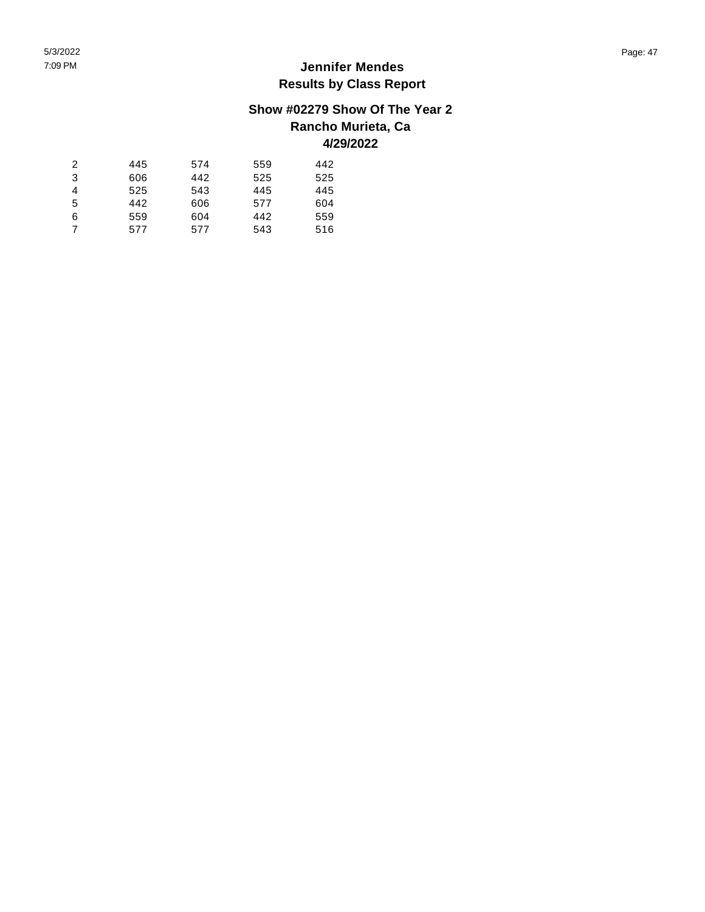## **Show #02279 Show Of The Year 2**

## **Rancho Murieta, Ca 4/29/2022**

#### $\sqrt{2}$   $\mathfrak{S}$   $\overline{4}$   $\overline{5}$   $\,6\,$   $\boldsymbol{7}$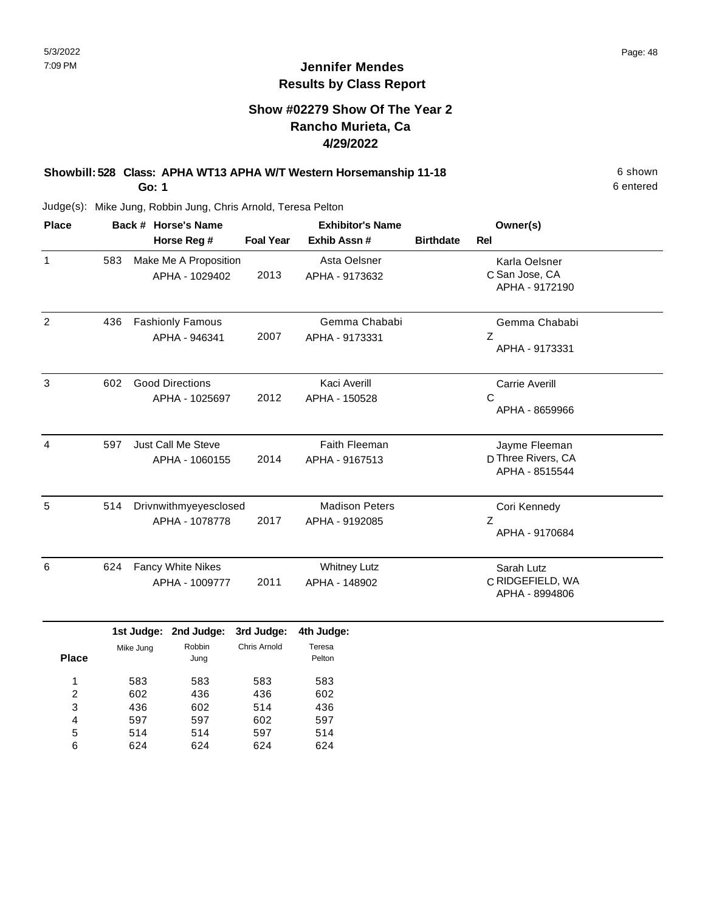## **Show #02279 Show Of The Year 2 Rancho Murieta, Ca 4/29/2022**

# **Showbill: 528 Class: APHA WT13 APHA W/T Western Horsemanship 11-18** 6 Shown

**Go: 1**

Judge(s): Mike Jung, Robbin Jung, Chris Arnold, Teresa Pelton

| <b>Place</b> |     | Back # Horse's Name                        | <b>Exhibitor's Name</b> |                                         |                  | Owner(s)                                              |
|--------------|-----|--------------------------------------------|-------------------------|-----------------------------------------|------------------|-------------------------------------------------------|
|              |     | Horse Reg #                                | <b>Foal Year</b>        | Exhib Assn#                             | <b>Birthdate</b> | Rel                                                   |
| $\mathbf{1}$ | 583 | Make Me A Proposition<br>APHA - 1029402    | 2013                    | Asta Oelsner<br>APHA - 9173632          |                  | Karla Oelsner<br>C San Jose, CA<br>APHA - 9172190     |
| 2            | 436 | <b>Fashionly Famous</b><br>APHA - 946341   | 2007                    | Gemma Chababi<br>APHA - 9173331         |                  | Gemma Chababi<br>Z<br>APHA - 9173331                  |
| 3            | 602 | <b>Good Directions</b><br>APHA - 1025697   | 2012                    | Kaci Averill<br>APHA - 150528           |                  | <b>Carrie Averill</b><br>C<br>APHA - 8659966          |
| 4            | 597 | Just Call Me Steve<br>APHA - 1060155       | 2014                    | Faith Fleeman<br>APHA - 9167513         |                  | Jayme Fleeman<br>D Three Rivers, CA<br>APHA - 8515544 |
| 5            | 514 | Drivnwithmyeyesclosed<br>APHA - 1078778    | 2017                    | <b>Madison Peters</b><br>APHA - 9192085 |                  | Cori Kennedy<br>Z<br>APHA - 9170684                   |
| 6            | 624 | <b>Fancy White Nikes</b><br>APHA - 1009777 | 2011                    | <b>Whitney Lutz</b><br>APHA - 148902    |                  | Sarah Lutz<br>C RIDGEFIELD, WA<br>APHA - 8994806      |

|              |           | 1st Judge: 2nd Judge: 3rd Judge: |              | 4th Judge:       |
|--------------|-----------|----------------------------------|--------------|------------------|
| <b>Place</b> | Mike Jung | Robbin<br>Jung                   | Chris Arnold | Teresa<br>Pelton |
| ◢            | 583       | 583                              | 583          | 583              |
| 2            | 602       | 436                              | 436          | 602              |
| 3            | 436       | 602                              | 514          | 436              |
| 4            | 597       | 597                              | 602          | 597              |
| 5            | 514       | 514                              | 597          | 514              |
| 6            | 624       | 624                              | 624          | 624              |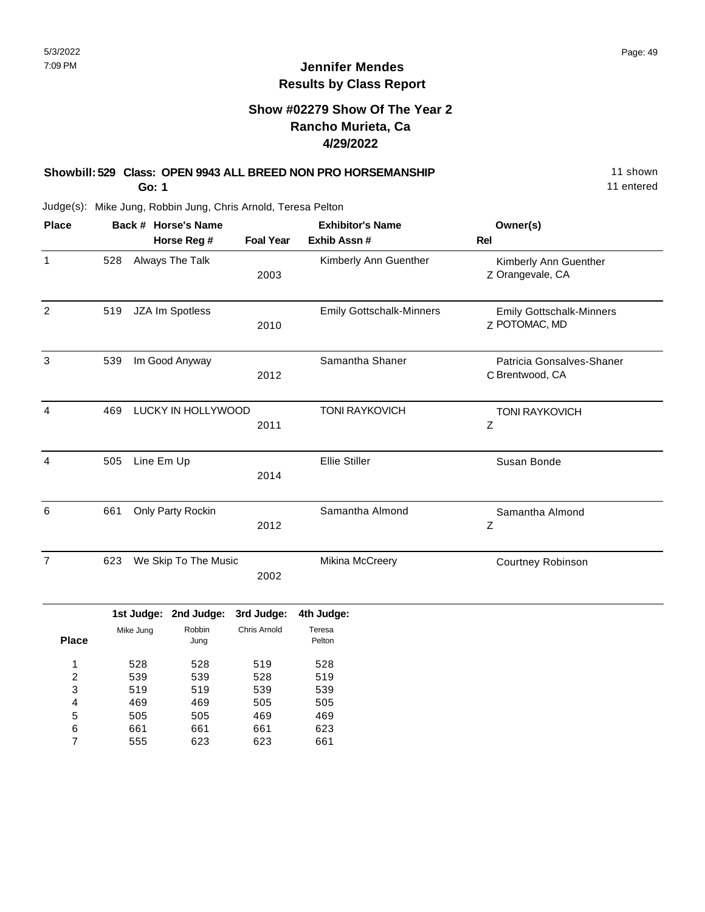## **Show #02279 Show Of The Year 2 Rancho Murieta, Ca 4/29/2022**

## **Showbill: 529 Class: OPEN 9943 ALL BREED NON PRO HORSEMANSHIP** 11 Shown

**Go: 1**

11 entered

| <b>Place</b>     |     |            | Back # Horse's Name   |                  | <b>Exhibitor's Name</b>         | Owner(s)                                         |
|------------------|-----|------------|-----------------------|------------------|---------------------------------|--------------------------------------------------|
|                  |     |            | Horse Reg #           | <b>Foal Year</b> | Exhib Assn #                    | Rel                                              |
| $\mathbf{1}$     | 528 |            | Always The Talk       | 2003             | Kimberly Ann Guenther           | Kimberly Ann Guenther<br>Z Orangevale, CA        |
| $\overline{c}$   | 519 |            | JZA Im Spotless       | 2010             | <b>Emily Gottschalk-Minners</b> | <b>Emily Gottschalk-Minners</b><br>Z POTOMAC, MD |
| $\mathsf 3$      | 539 |            | Im Good Anyway        | 2012             | Samantha Shaner                 | Patricia Gonsalves-Shaner<br>C Brentwood, CA     |
| 4                | 469 |            | LUCKY IN HOLLYWOOD    | 2011             | <b>TONI RAYKOVICH</b>           | <b>TONI RAYKOVICH</b><br>Ζ                       |
| 4                | 505 | Line Em Up |                       | 2014             | Ellie Stiller                   | Susan Bonde                                      |
| 6                | 661 |            | Only Party Rockin     | 2012             | Samantha Almond                 | Samantha Almond<br>Ζ                             |
| $\overline{7}$   | 623 |            | We Skip To The Music  | 2002             | Mikina McCreery                 | Courtney Robinson                                |
|                  |     |            | 1st Judge: 2nd Judge: | 3rd Judge:       | 4th Judge:                      |                                                  |
| <b>Place</b>     |     | Mike Jung  | Robbin<br>Jung        | Chris Arnold     | Teresa<br>Pelton                |                                                  |
| 1                |     | 528        | 528                   | 519              | 528                             |                                                  |
| $\boldsymbol{2}$ |     | 539        | 539                   | 528              | 519                             |                                                  |
| 3                |     | 519        | 519                   | 539              | 539                             |                                                  |
| 4                |     | 469        | 469                   | 505              | 505                             |                                                  |
| 5                |     | 505        | 505                   | 469              | 469                             |                                                  |
| 6                |     | 661        | 661                   | 661              | 623                             |                                                  |
| $\overline{7}$   |     | 555        | 623                   | 623              | 661                             |                                                  |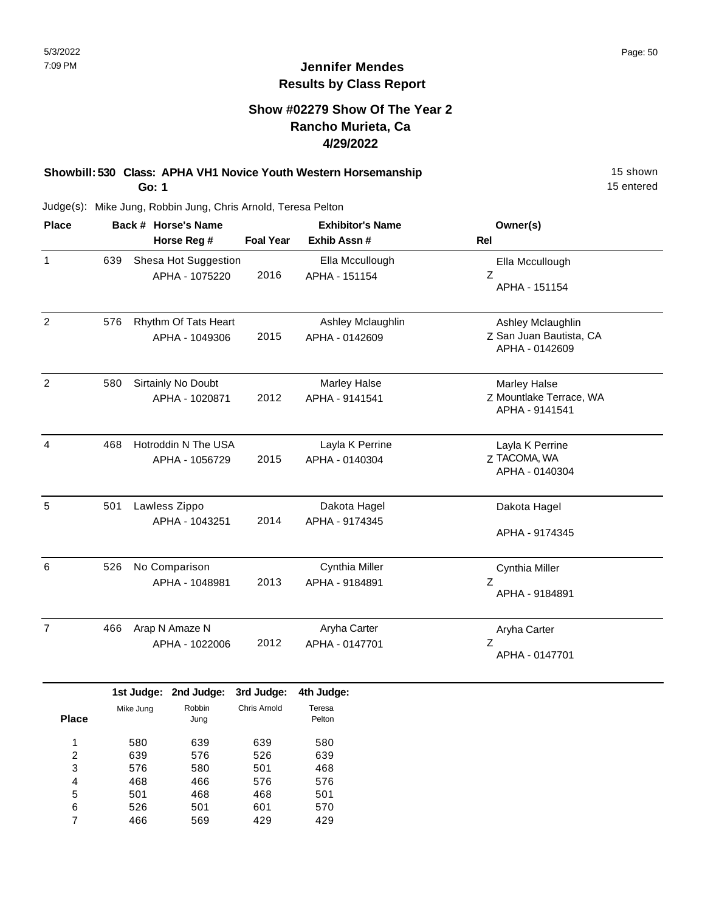## **Jennifer Mendes Results by Class Report**

## **Show #02279 Show Of The Year 2 Rancho Murieta, Ca 4/29/2022**

**Showbill: 530 Class: APHA VH1 Novice Youth Western Horsemanship** 15 Shown 15 shown **Go: 1**

| <b>Place</b>   |     | Back # Horse's Name<br>Horse Reg #     | <b>Foal Year</b> | <b>Exhibitor's Name</b><br>Exhib Assn# | Owner(s)<br>Rel                                                  |
|----------------|-----|----------------------------------------|------------------|----------------------------------------|------------------------------------------------------------------|
| 1              | 639 | Shesa Hot Suggestion<br>APHA - 1075220 | 2016             | Ella Mccullough<br>APHA - 151154       | Ella Mccullough<br>Ζ<br>APHA - 151154                            |
| $\overline{2}$ | 576 | Rhythm Of Tats Heart<br>APHA - 1049306 | 2015             | Ashley Mclaughlin<br>APHA - 0142609    | Ashley Mclaughlin<br>Z San Juan Bautista, CA<br>APHA - 0142609   |
| $\overline{2}$ | 580 | Sirtainly No Doubt<br>APHA - 1020871   | 2012             | <b>Marley Halse</b><br>APHA - 9141541  | <b>Marley Halse</b><br>Z Mountlake Terrace, WA<br>APHA - 9141541 |
| $\overline{4}$ | 468 | Hotroddin N The USA<br>APHA - 1056729  | 2015             | Layla K Perrine<br>APHA - 0140304      | Layla K Perrine<br>Z TACOMA, WA<br>APHA - 0140304                |
| 5              | 501 | Lawless Zippo<br>APHA - 1043251        | 2014             | Dakota Hagel<br>APHA - 9174345         | Dakota Hagel<br>APHA - 9174345                                   |
| 6              | 526 | No Comparison<br>APHA - 1048981        | 2013             | Cynthia Miller<br>APHA - 9184891       | Cynthia Miller<br>Ζ<br>APHA - 9184891                            |
| $\overline{7}$ | 466 | Arap N Amaze N<br>APHA - 1022006       | 2012             | Aryha Carter<br>APHA - 0147701         | Aryha Carter<br>Z<br>APHA - 0147701                              |

|       |           | 1st Judge: 2nd Judge: | 3rd Judge:   | 4th Judge:       |
|-------|-----------|-----------------------|--------------|------------------|
| Place | Mike Jung | Robbin<br>Jung        | Chris Arnold | Teresa<br>Pelton |
|       |           |                       |              |                  |
| 1     | 580       | 639                   | 639          | 580              |
| 2     | 639       | 576                   | 526          | 639              |
| 3     | 576       | 580                   | 501          | 468              |
| 4     | 468       | 466                   | 576          | 576              |
| 5     | 501       | 468                   | 468          | 501              |
| 6     | 526       | 501                   | 601          | 570              |
|       | 466       | 569                   | 429          | 429              |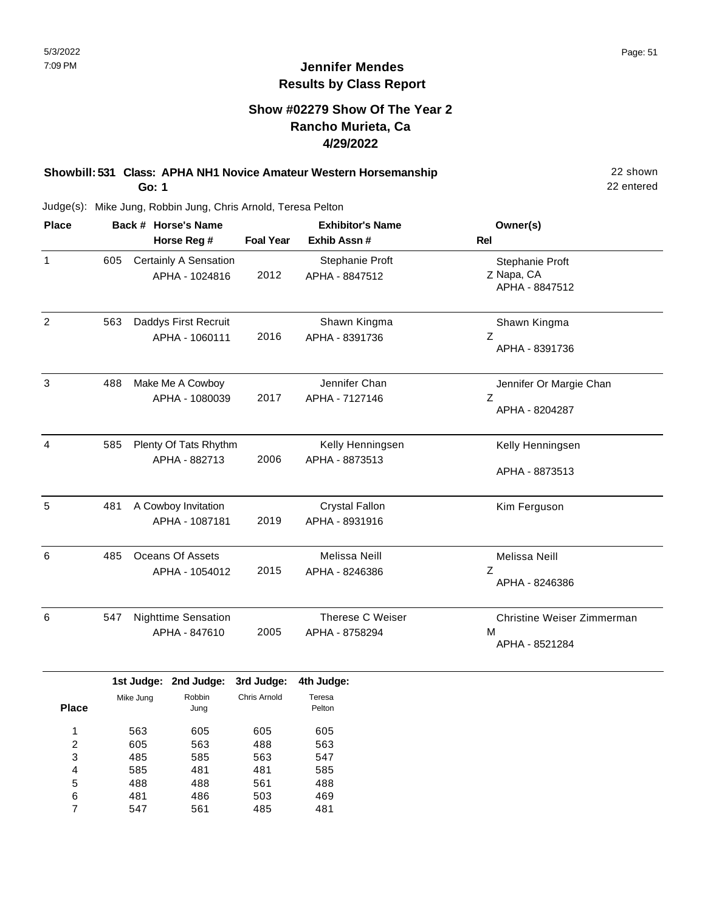## **Show #02279 Show Of The Year 2 Rancho Murieta, Ca 4/29/2022**

#### **Showbill: 531 Class: APHA NH1 Novice Amateur Western Horsemanship** 22 shown 22 shown **Go: 1**

22 entered

| <b>Place</b> |     | Back # Horse's Name                         | <b>Exhibitor's Name</b> |                                         | Owner(s)                                          |
|--------------|-----|---------------------------------------------|-------------------------|-----------------------------------------|---------------------------------------------------|
|              |     | Horse Reg #                                 | <b>Foal Year</b>        | Exhib Assn#                             | <b>Rel</b>                                        |
| 1            | 605 | Certainly A Sensation<br>APHA - 1024816     | 2012                    | Stephanie Proft<br>APHA - 8847512       | Stephanie Proft<br>Z Napa, CA<br>APHA - 8847512   |
| 2            | 563 | Daddys First Recruit<br>APHA - 1060111      | 2016                    | Shawn Kingma<br>APHA - 8391736          | Shawn Kingma<br>Z<br>APHA - 8391736               |
| 3            | 488 | Make Me A Cowboy<br>APHA - 1080039          | 2017                    | Jennifer Chan<br>APHA - 7127146         | Jennifer Or Margie Chan<br>Ζ<br>APHA - 8204287    |
| 4            | 585 | Plenty Of Tats Rhythm<br>APHA - 882713      | 2006                    | Kelly Henningsen<br>APHA - 8873513      | Kelly Henningsen<br>APHA - 8873513                |
| 5            | 481 | A Cowboy Invitation<br>APHA - 1087181       | 2019                    | <b>Crystal Fallon</b><br>APHA - 8931916 | Kim Ferguson                                      |
| 6            | 485 | <b>Oceans Of Assets</b><br>APHA - 1054012   | 2015                    | Melissa Neill<br>APHA - 8246386         | Melissa Neill<br>Z<br>APHA - 8246386              |
| 6            | 547 | <b>Nighttime Sensation</b><br>APHA - 847610 | 2005                    | Therese C Weiser<br>APHA - 8758294      | Christine Weiser Zimmerman<br>M<br>APHA - 8521284 |

|       |           | 1st Judge: 2nd Judge: | 3rd Judge:   | 4th Judge:       |
|-------|-----------|-----------------------|--------------|------------------|
| Place | Mike Jung | Robbin<br>Jung        | Chris Arnold | Teresa<br>Pelton |
| 1     | 563       | 605                   | 605          | 605              |
| 2     | 605       | 563                   | 488          | 563              |
| 3     | 485       | 585                   | 563          | 547              |
| 4     | 585       | 481                   | 481          | 585              |
| 5     | 488       | 488                   | 561          | 488              |
| 6     | 481       | 486                   | 503          | 469              |
| 7     | 547       | 561                   | 485          | 481              |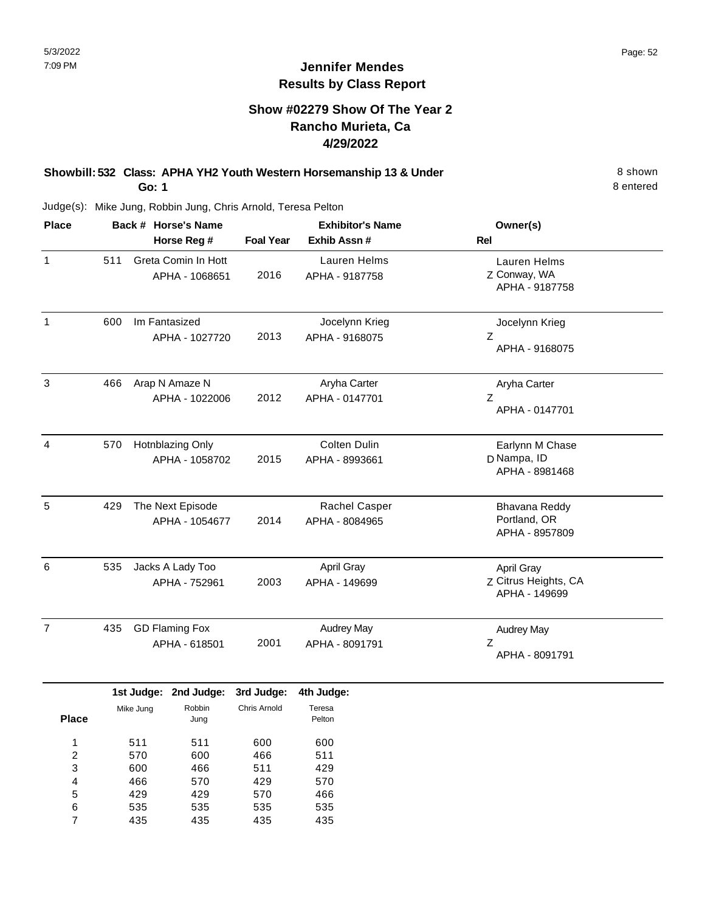## **Show #02279 Show Of The Year 2 Rancho Murieta, Ca 4/29/2022**

#### **Showbill: 532 Class: APHA YH2 Youth Western Horsemanship 13 & Under** 8 Shown 8 shown **Go: 1**

8 entered

Judge(s): Mike Jung, Robbin Jung, Chris Arnold, Teresa Pelton

535 435

6 7 535 435

535 435 535 435

| <b>Place</b>                           |     |                          | Back # Horse's Name                    |                          | <b>Exhibitor's Name</b>               | Owner(s)                                            |
|----------------------------------------|-----|--------------------------|----------------------------------------|--------------------------|---------------------------------------|-----------------------------------------------------|
|                                        |     |                          | Horse Reg #                            | <b>Foal Year</b>         | Exhib Assn #                          | Rel                                                 |
| 1                                      | 511 |                          | Greta Comin In Hott<br>APHA - 1068651  | 2016                     | Lauren Helms<br>APHA - 9187758        | Lauren Helms<br>Z Conway, WA<br>APHA - 9187758      |
| $\mathbf{1}$                           | 600 |                          | Im Fantasized<br>APHA - 1027720        | 2013                     | Jocelynn Krieg<br>APHA - 9168075      | Jocelynn Krieg<br>Ζ<br>APHA - 9168075               |
| $\mathbf{3}$                           | 466 |                          | Arap N Amaze N<br>APHA - 1022006       | 2012                     | Aryha Carter<br>APHA - 0147701        | Aryha Carter<br>Z<br>APHA - 0147701                 |
| $\overline{4}$                         | 570 |                          | Hotnblazing Only<br>APHA - 1058702     | 2015                     | <b>Colten Dulin</b><br>APHA - 8993661 | Earlynn M Chase<br>D Nampa, ID<br>APHA - 8981468    |
| 5                                      | 429 |                          | The Next Episode<br>APHA - 1054677     | 2014                     | Rachel Casper<br>APHA - 8084965       | Bhavana Reddy<br>Portland, OR<br>APHA - 8957809     |
| $\,6$                                  | 535 |                          | Jacks A Lady Too<br>APHA - 752961      | 2003                     | April Gray<br>APHA - 149699           | April Gray<br>Z Citrus Heights, CA<br>APHA - 149699 |
| $\overline{7}$                         | 435 |                          | <b>GD Flaming Fox</b><br>APHA - 618501 | 2001                     | Audrey May<br>APHA - 8091791          | <b>Audrey May</b><br>Z<br>APHA - 8091791            |
|                                        |     |                          | 1st Judge: 2nd Judge:                  | 3rd Judge:               | 4th Judge:                            |                                                     |
| <b>Place</b>                           |     | Mike Jung                | Robbin<br>Jung                         | Chris Arnold             | Teresa<br>Pelton                      |                                                     |
| 1<br>$\overline{\mathbf{c}}$<br>3<br>4 |     | 511<br>570<br>600<br>466 | 511<br>600<br>466<br>570               | 600<br>466<br>511<br>429 | 600<br>511<br>429<br>570              |                                                     |
| 5                                      |     | 429                      | 429                                    | 570                      | 466                                   |                                                     |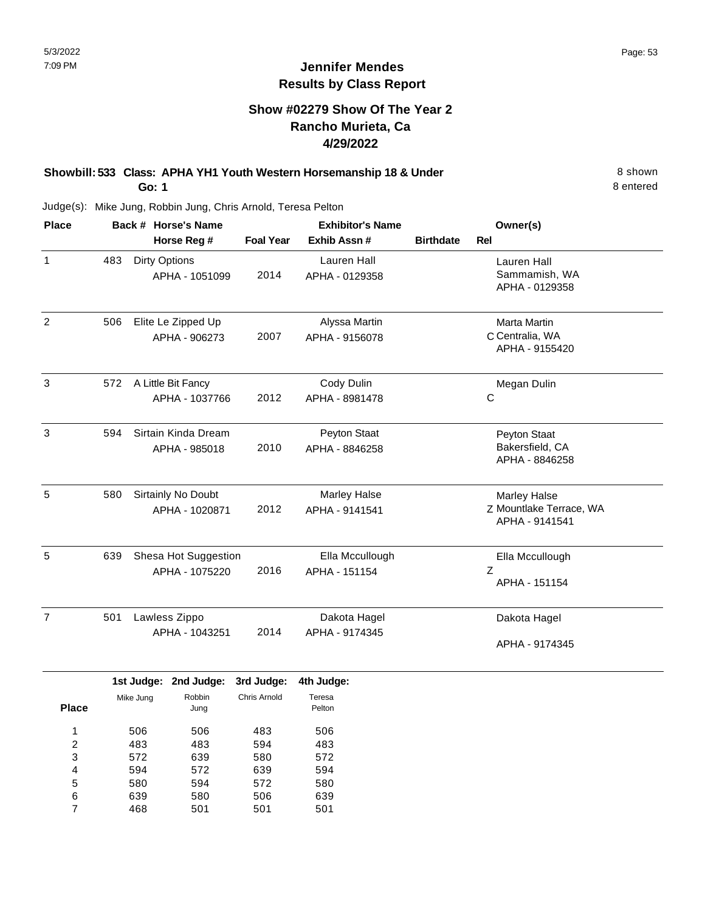## **Show #02279 Show Of The Year 2 Rancho Murieta, Ca 4/29/2022**

### **Showbill: 533 Class: APHA YH1 Youth Western Horsemanship 18 & Under** 8 Shown **Go: 1**

8 entered

| <b>Place</b>   |     | Back # Horse's Name                    | <b>Exhibitor's Name</b> |                                       |                  | Owner(s)                                                         |
|----------------|-----|----------------------------------------|-------------------------|---------------------------------------|------------------|------------------------------------------------------------------|
|                |     | Horse Reg #                            | <b>Foal Year</b>        | Exhib Assn #                          | <b>Birthdate</b> | <b>Rel</b>                                                       |
| $\mathbf{1}$   | 483 | <b>Dirty Options</b><br>APHA - 1051099 | 2014                    | Lauren Hall<br>APHA - 0129358         |                  | Lauren Hall<br>Sammamish, WA<br>APHA - 0129358                   |
| $\overline{2}$ | 506 | Elite Le Zipped Up<br>APHA - 906273    | 2007                    | Alyssa Martin<br>APHA - 9156078       |                  | Marta Martin<br>C Centralia, WA<br>APHA - 9155420                |
| 3              | 572 | A Little Bit Fancy<br>APHA - 1037766   | 2012                    | Cody Dulin<br>APHA - 8981478          |                  | Megan Dulin<br>$\mathsf C$                                       |
| 3              | 594 | Sirtain Kinda Dream<br>APHA - 985018   | 2010                    | Peyton Staat<br>APHA - 8846258        |                  | Peyton Staat<br>Bakersfield, CA<br>APHA - 8846258                |
| 5              | 580 | Sirtainly No Doubt<br>APHA - 1020871   | 2012                    | <b>Marley Halse</b><br>APHA - 9141541 |                  | <b>Marley Halse</b><br>Z Mountlake Terrace, WA<br>APHA - 9141541 |
| 5              | 639 | Shesa Hot Suggestion<br>APHA - 1075220 | 2016                    | Ella Mccullough<br>APHA - 151154      |                  | Ella Mccullough<br>Z<br>APHA - 151154                            |
| $\overline{7}$ | 501 | Lawless Zippo<br>APHA - 1043251        | 2014                    | Dakota Hagel<br>APHA - 9174345        |                  | Dakota Hagel<br>APHA - 9174345                                   |

|              |           | 1st Judge: 2nd Judge: 3rd Judge: |              | 4th Judge: |
|--------------|-----------|----------------------------------|--------------|------------|
|              | Mike Jung | Robbin                           | Chris Arnold | Teresa     |
| <b>Place</b> |           | Jung                             |              | Pelton     |
| 1            | 506       | 506                              | 483          | 506        |
| 2            | 483       | 483                              | 594          | 483        |
| 3            | 572       | 639                              | 580          | 572        |
| 4            | 594       | 572                              | 639          | 594        |
| 5            | 580       | 594                              | 572          | 580        |
| 6            | 639       | 580                              | 506          | 639        |
| 7            | 468       | 501                              | 501          | 501        |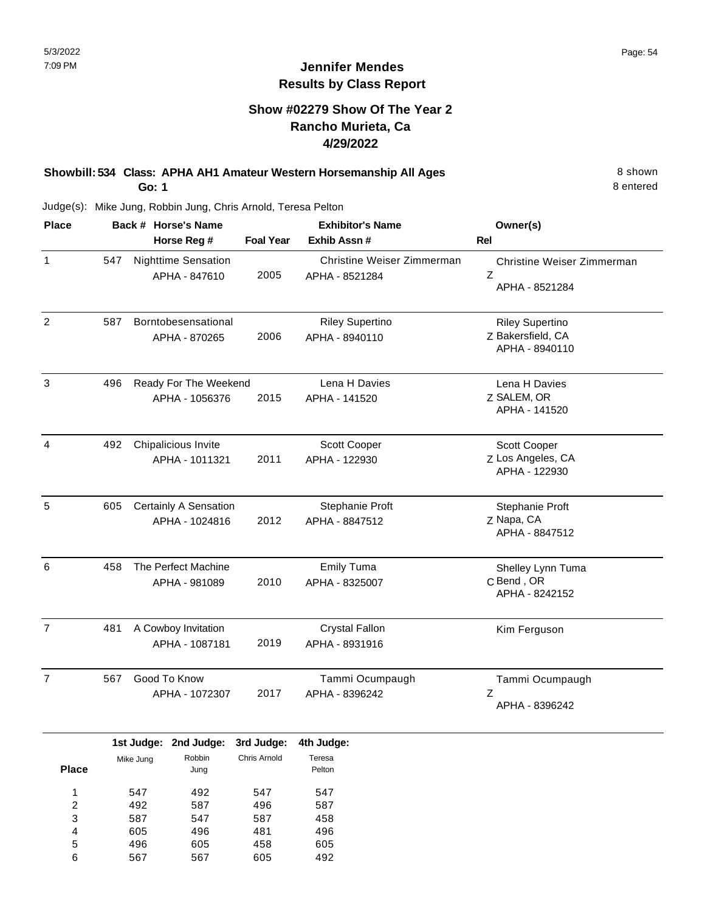## **Jennifer Mendes Results by Class Report**

## **Show #02279 Show Of The Year 2 Rancho Murieta, Ca 4/29/2022**

# **Showbill: 534 Class: APHA AH1 Amateur Western Horsemanship All Ages** 8 Shown

**Go: 1**

496 567

5 6

605 567 458 605 605 492

| <b>Place</b>                           |     | Back # Horse's Name      |                                         |                            | <b>Exhibitor's Name</b>                      | Owner(s)                                                      |  |
|----------------------------------------|-----|--------------------------|-----------------------------------------|----------------------------|----------------------------------------------|---------------------------------------------------------------|--|
|                                        |     |                          | Horse Reg #                             | <b>Foal Year</b>           | Exhib Assn #                                 | <b>Rel</b>                                                    |  |
| $\mathbf{1}$                           | 547 |                          | Nighttime Sensation<br>APHA - 847610    | 2005                       | Christine Weiser Zimmerman<br>APHA - 8521284 | Christine Weiser Zimmerman<br>Z<br>APHA - 8521284             |  |
| $\overline{c}$                         | 587 |                          | Borntobesensational<br>APHA - 870265    | 2006                       | <b>Riley Supertino</b><br>APHA - 8940110     | <b>Riley Supertino</b><br>Z Bakersfield, CA<br>APHA - 8940110 |  |
| 3                                      | 496 |                          | Ready For The Weekend<br>APHA - 1056376 | 2015                       | Lena H Davies<br>APHA - 141520               | Lena H Davies<br>Z SALEM, OR<br>APHA - 141520                 |  |
| 4                                      | 492 |                          | Chipalicious Invite<br>APHA - 1011321   | 2011                       | Scott Cooper<br>APHA - 122930                | Scott Cooper<br>Z Los Angeles, CA<br>APHA - 122930            |  |
| 5                                      | 605 |                          | Certainly A Sensation<br>APHA - 1024816 | 2012                       | Stephanie Proft<br>APHA - 8847512            | Stephanie Proft<br>Z Napa, CA<br>APHA - 8847512               |  |
| 6                                      | 458 |                          | The Perfect Machine<br>APHA - 981089    | 2010                       | <b>Emily Tuma</b><br>APHA - 8325007          | Shelley Lynn Tuma<br>C Bend, OR<br>APHA - 8242152             |  |
| $\overline{7}$                         | 481 |                          | A Cowboy Invitation<br>APHA - 1087181   | 2019                       | <b>Crystal Fallon</b><br>APHA - 8931916      | Kim Ferguson                                                  |  |
| $\overline{7}$                         | 567 |                          | Good To Know<br>APHA - 1072307          | 2017                       | Tammi Ocumpaugh<br>APHA - 8396242            | Tammi Ocumpaugh<br>Z<br>APHA - 8396242                        |  |
| <b>Place</b>                           |     | Mike Jung                | 1st Judge: 2nd Judge:<br>Robbin<br>Jung | 3rd Judge:<br>Chris Arnold | 4th Judge:<br>Teresa<br>Pelton               |                                                               |  |
| 1<br>$\overline{\mathbf{c}}$<br>3<br>4 |     | 547<br>492<br>587<br>605 | 492<br>587<br>547<br>496                | 547<br>496<br>587<br>481   | 547<br>587<br>458<br>496                     |                                                               |  |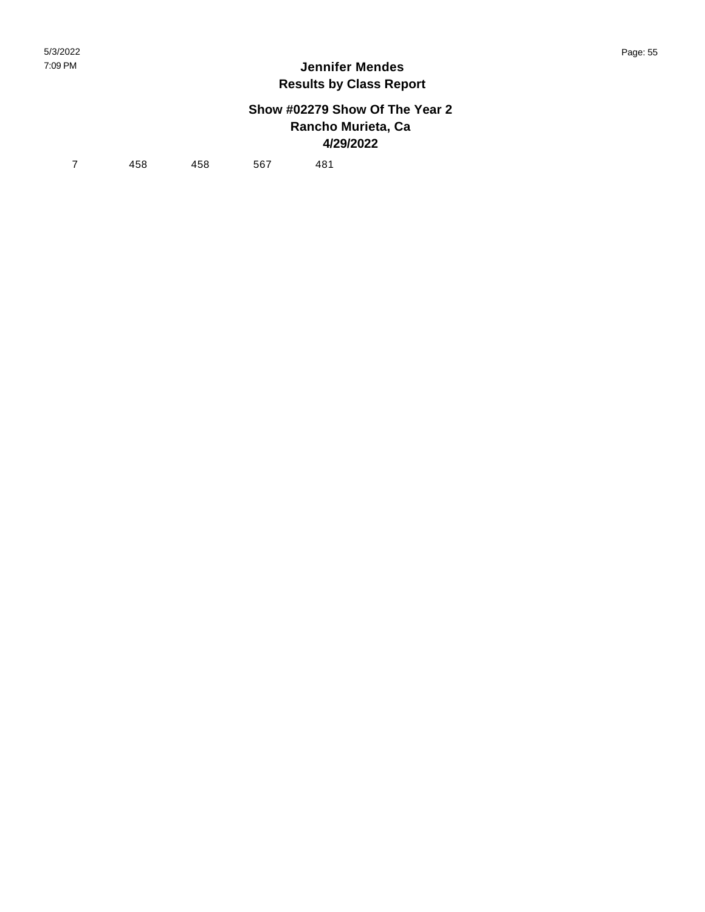## **Show #02279 Show Of The Year 2 Rancho Murieta, Ca 4/29/2022**

7 458 458 567 481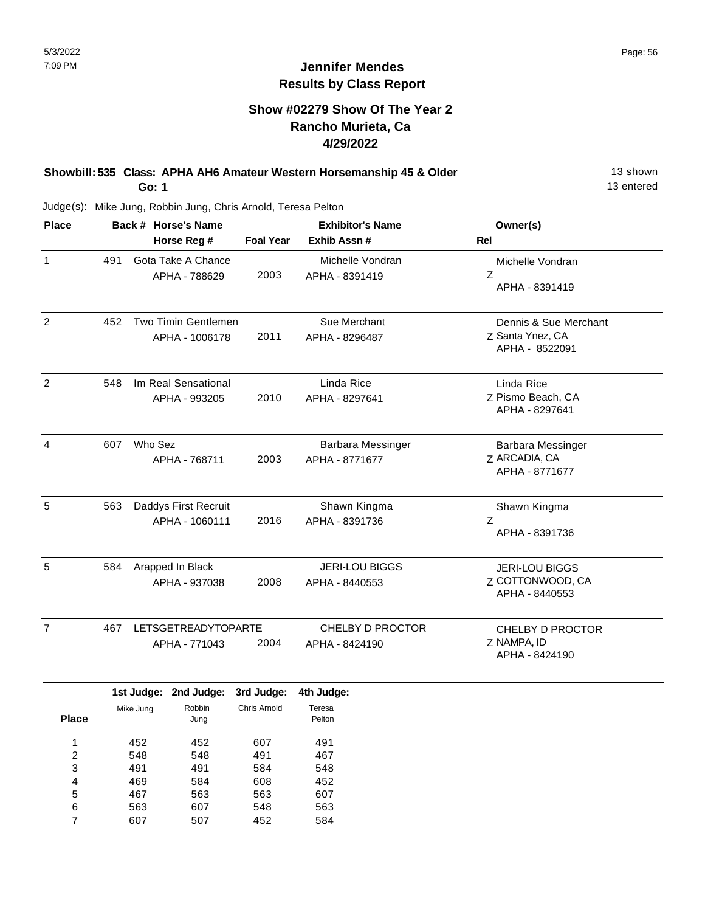## **Show #02279 Show Of The Year 2 Rancho Murieta, Ca 4/29/2022**

#### **Showbill: 535 Class: APHA AH6 Amateur Western Horsemanship 45 & Older** 13 Shown **Go: 1**

13 entered

Judge(s): Mike Jung, Robbin Jung, Chris Arnold, Teresa Pelton

467 563 607

5 6 7 563 607 507 563 548 452

607 563 584

| <b>Place</b>                           |     | Back # Horse's Name               |                                             |                   | <b>Exhibitor's Name</b>                   | Owner(s)                                                    |  |
|----------------------------------------|-----|-----------------------------------|---------------------------------------------|-------------------|-------------------------------------------|-------------------------------------------------------------|--|
|                                        |     |                                   | Horse Reg #                                 | <b>Foal Year</b>  | Exhib Assn #                              | Rel                                                         |  |
| $\mathbf{1}$                           | 491 |                                   | Gota Take A Chance<br>APHA - 788629         | 2003              | Michelle Vondran<br>APHA - 8391419        | Michelle Vondran<br>Ζ<br>APHA - 8391419                     |  |
| $\overline{2}$                         | 452 |                                   | Two Timin Gentlemen<br>APHA - 1006178       | 2011              | Sue Merchant<br>APHA - 8296487            | Dennis & Sue Merchant<br>Z Santa Ynez, CA<br>APHA - 8522091 |  |
| 2                                      | 548 |                                   | Im Real Sensational<br>APHA - 993205        | 2010              | Linda Rice<br>APHA - 8297641              | Linda Rice<br>Z Pismo Beach, CA<br>APHA - 8297641           |  |
| 4                                      | 607 | Who Sez                           | APHA - 768711                               | 2003              | Barbara Messinger<br>APHA - 8771677       | Barbara Messinger<br>Z ARCADIA, CA<br>APHA - 8771677        |  |
| 5                                      | 563 |                                   | Daddys First Recruit<br>APHA - 1060111      | 2016              | Shawn Kingma<br>APHA - 8391736            | Shawn Kingma<br>Z<br>APHA - 8391736                         |  |
| 5                                      | 584 | Arapped In Black<br>APHA - 937038 |                                             | 2008              | <b>JERI-LOU BIGGS</b><br>APHA - 8440553   | <b>JERI-LOU BIGGS</b><br>Z COTTONWOOD, CA<br>APHA - 8440553 |  |
| $\overline{7}$                         | 467 |                                   | <b>LETSGETREADYTOPARTE</b><br>APHA - 771043 | 2004              | <b>CHELBY D PROCTOR</b><br>APHA - 8424190 | CHELBY D PROCTOR<br>Z NAMPA, ID<br>APHA - 8424190           |  |
|                                        |     |                                   | 1st Judge: 2nd Judge:                       | 3rd Judge:        | 4th Judge:                                |                                                             |  |
| <b>Place</b>                           |     | Mike Jung                         | Robbin<br>Jung                              | Chris Arnold      | Teresa<br>Pelton                          |                                                             |  |
| 1<br>$\overline{\mathbf{c}}$<br>3<br>4 |     | 452<br>548<br>491                 | 452<br>548<br>491                           | 607<br>491<br>584 | 491<br>467<br>548                         |                                                             |  |
|                                        |     | 469                               | 584                                         | 608               | 452                                       |                                                             |  |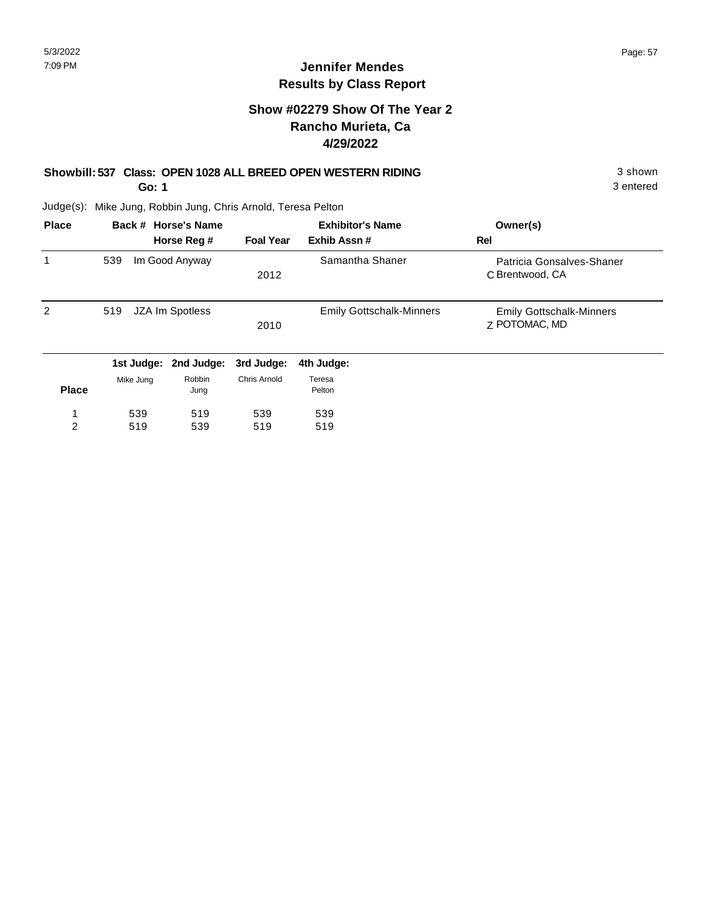## **Show #02279 Show Of The Year 2 Rancho Murieta, Ca 4/29/2022**

## **Showbill: 537 Class: OPEN 1028 ALL BREED OPEN WESTERN RIDING** 3 shown

**Go: 1**

3 entered

| <b>Place</b> |            | Back # Horse's Name | <b>Exhibitor's Name</b> |                                 | Owner(s)                                         |
|--------------|------------|---------------------|-------------------------|---------------------------------|--------------------------------------------------|
|              |            | Horse Reg #         | <b>Foal Year</b>        | Exhib Assn#                     | Rel                                              |
| 1            | 539        | Im Good Anyway      | 2012                    | Samantha Shaner                 | Patricia Gonsalves-Shaner<br>C Brentwood, CA     |
| 2            | 519        | JZA Im Spotless     | 2010                    | <b>Emily Gottschalk-Minners</b> | <b>Emily Gottschalk-Minners</b><br>Z POTOMAC, MD |
|              | 1st Judge: | 2nd Judge:          | 3rd Judge:              | 4th Judge:                      |                                                  |
| <b>Place</b> | Mike Jung  | Robbin<br>Jung      | <b>Chris Arnold</b>     | Teresa<br>Pelton                |                                                  |
|              | 539        | 519                 | 539                     | 539                             |                                                  |
| 2            | 519        | 539                 | 519                     | 519                             |                                                  |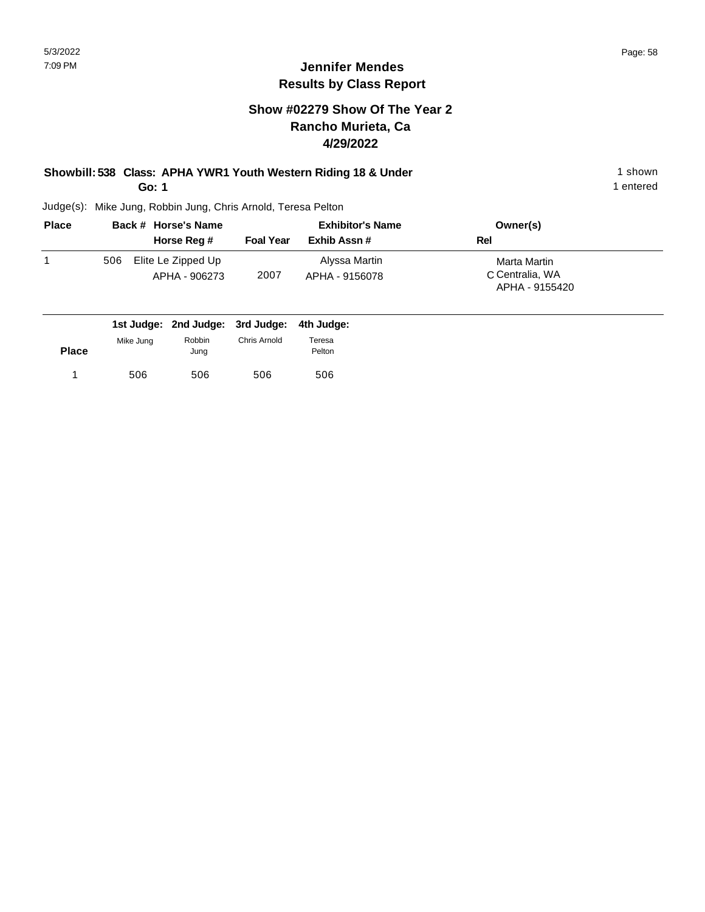## **Show #02279 Show Of The Year 2 Rancho Murieta, Ca 4/29/2022**

### **Showbill: 538 Class: APHA YWR1 Youth Western Riding 18 & Under** 1 **Shown** 1 shown **Go: 1**

1 entered

| <b>Place</b> |     | Back # Horse's Name                 | <b>Exhibitor's Name</b> |                                 | Owner(s)                                          |  |
|--------------|-----|-------------------------------------|-------------------------|---------------------------------|---------------------------------------------------|--|
|              |     | Horse Reg #                         | <b>Foal Year</b>        | Exhib Assn #                    | Rel                                               |  |
|              | 506 | Elite Le Zipped Up<br>APHA - 906273 | 2007                    | Alyssa Martin<br>APHA - 9156078 | Marta Martin<br>C Centralia, WA<br>APHA - 9155420 |  |

|              |           | 1st Judge: 2nd Judge: 3rd Judge: 4th Judge: |              |        |
|--------------|-----------|---------------------------------------------|--------------|--------|
|              | Mike Jung | Robbin                                      | Chris Arnold | Teresa |
| <b>Place</b> |           | Jung                                        |              | Pelton |
|              | 506       | 506                                         | 506          | 506    |
|              |           |                                             |              |        |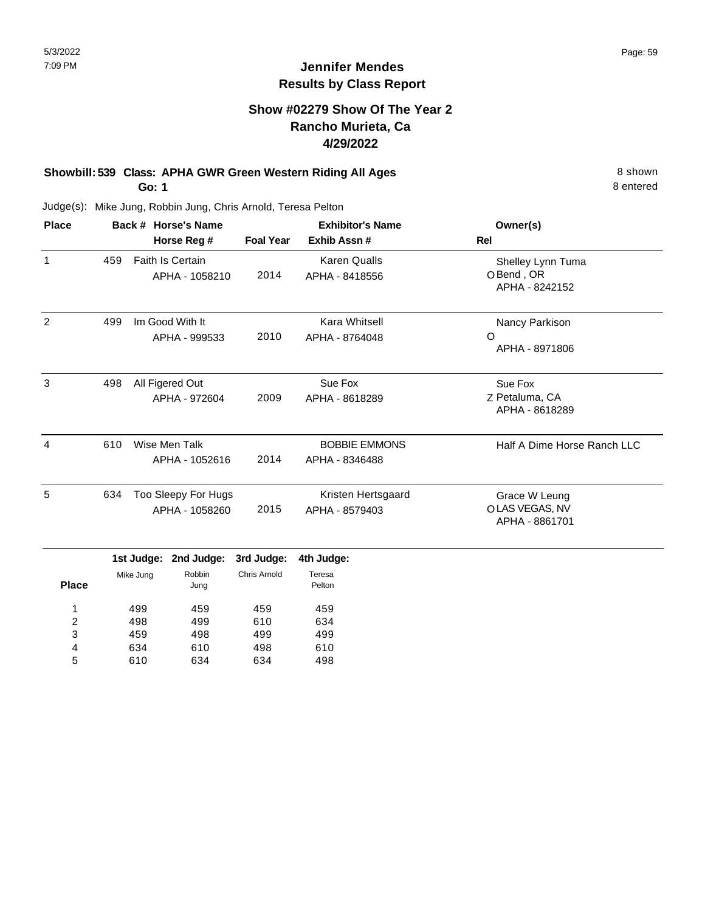## **Show #02279 Show Of The Year 2 Rancho Murieta, Ca 4/29/2022**

### **Showbill: 539 Class: APHA GWR Green Western Riding All Ages** 8 Shown 8 shown **Go: 1**

8 entered

| Back # Horse's Name |                                       | <b>Exhibitor's Name</b> |                                        | Owner(s)<br><b>Rel</b>                            |  |
|---------------------|---------------------------------------|-------------------------|----------------------------------------|---------------------------------------------------|--|
| 459                 | Faith Is Certain<br>APHA - 1058210    | 2014                    | <b>Karen Qualls</b><br>APHA - 8418556  | Shelley Lynn Tuma<br>O Bend, OR<br>APHA - 8242152 |  |
| 499                 | Im Good With It<br>APHA - 999533      | 2010                    | Kara Whitsell<br>APHA - 8764048        | Nancy Parkison<br>O<br>APHA - 8971806             |  |
| 498                 | All Figered Out<br>APHA - 972604      | 2009                    | Sue Fox<br>APHA - 8618289              | Sue Fox<br>Z Petaluma, CA<br>APHA - 8618289       |  |
| 610                 | Wise Men Talk<br>APHA - 1052616       | 2014                    | <b>BOBBIE EMMONS</b><br>APHA - 8346488 | Half A Dime Horse Ranch LLC                       |  |
| 634                 | Too Sleepy For Hugs<br>APHA - 1058260 | 2015                    | Kristen Hertsgaard<br>APHA - 8579403   | Grace W Leung<br>OLAS VEGAS, NV<br>APHA - 8861701 |  |
|                     |                                       | Horse Reg #             | <b>Foal Year</b>                       | Exhib Assn #                                      |  |

|              | .         | ---------      | .            | .                |  |
|--------------|-----------|----------------|--------------|------------------|--|
| <b>Place</b> | Mike Jung | Robbin<br>Jung | Chris Arnold | Teresa<br>Pelton |  |
| 1            | 499       | 459            | 459          | 459              |  |
| 2            | 498       | 499            | 610          | 634              |  |
| 3            | 459       | 498            | 499          | 499              |  |
| 4            | 634       | 610            | 498          | 610              |  |
| 5            | 610       | 634            | 634          | 498              |  |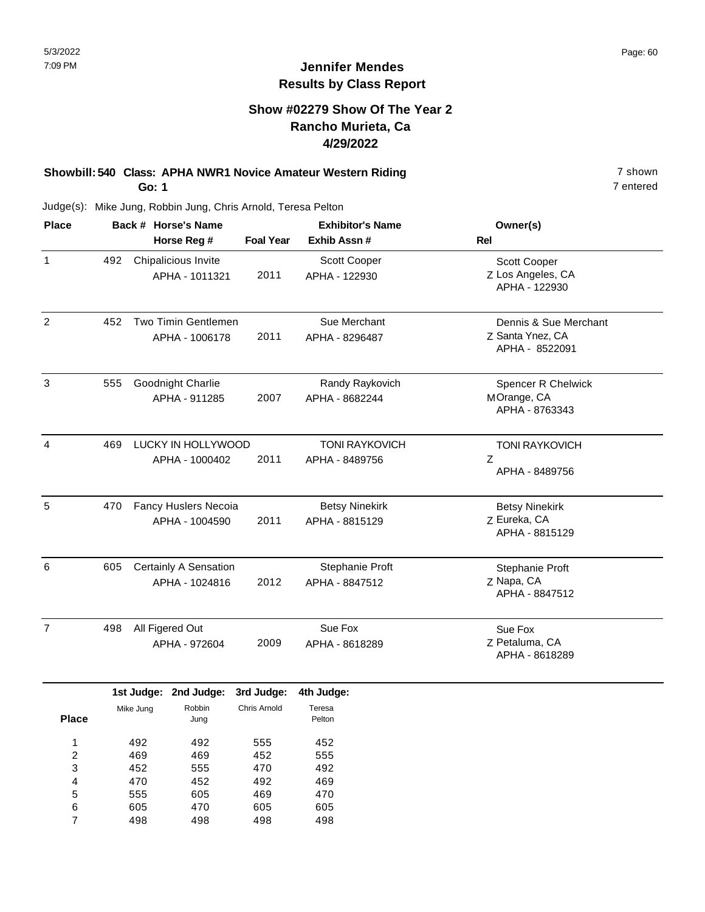## **Jennifer Mendes Results by Class Report**

## **Show #02279 Show Of The Year 2 Rancho Murieta, Ca 4/29/2022**

#### **Showbill: 540 Class: APHA NWR1 Novice Amateur Western Riding 7 Shown 7 shown Go: 1**

| <b>Place</b>   | Back # Horse's Name |                       |                  | <b>Exhibitor's Name</b> | Owner(s)                           |  |
|----------------|---------------------|-----------------------|------------------|-------------------------|------------------------------------|--|
|                |                     | Horse Reg #           | <b>Foal Year</b> | Exhib Assn#             | <b>Rel</b>                         |  |
| $\mathbf{1}$   | 492                 | Chipalicious Invite   |                  | Scott Cooper            | Scott Cooper                       |  |
|                |                     | APHA - 1011321        | 2011             | APHA - 122930           | Z Los Angeles, CA<br>APHA - 122930 |  |
| $\overline{c}$ | 452                 | Two Timin Gentlemen   |                  | Sue Merchant            | Dennis & Sue Merchant              |  |
|                |                     | APHA - 1006178        | 2011             | APHA - 8296487          | Z Santa Ynez, CA<br>APHA - 8522091 |  |
| 3              | 555                 | Goodnight Charlie     |                  | Randy Raykovich         | Spencer R Chelwick                 |  |
|                |                     | APHA - 911285         | 2007             | APHA - 8682244          | MOrange, CA<br>APHA - 8763343      |  |
| 4              | 469                 | LUCKY IN HOLLYWOOD    |                  | <b>TONI RAYKOVICH</b>   | <b>TONI RAYKOVICH</b>              |  |
|                |                     | APHA - 1000402        | 2011             | APHA - 8489756          | Z<br>APHA - 8489756                |  |
| 5              | 470                 | Fancy Huslers Necoia  |                  | <b>Betsy Ninekirk</b>   | <b>Betsy Ninekirk</b>              |  |
|                |                     | APHA - 1004590        | 2011             | APHA - 8815129          | Z Eureka, CA<br>APHA - 8815129     |  |
| 6              | 605                 | Certainly A Sensation |                  | Stephanie Proft         | Stephanie Proft                    |  |
|                |                     | APHA - 1024816        | 2012             | APHA - 8847512          | Z Napa, CA<br>APHA - 8847512       |  |
| $\overline{7}$ | 498                 | All Figered Out       |                  | Sue Fox                 | Sue Fox                            |  |
|                |                     | APHA - 972604         | 2009             | APHA - 8618289          | Z Petaluma, CA<br>APHA - 8618289   |  |

|              |           | 1st Judge: 2nd Judge: | 3rd Judge:   | 4th Judge        |
|--------------|-----------|-----------------------|--------------|------------------|
| <b>Place</b> | Mike Jung | Robbin<br>Jung        | Chris Arnold | Teresa<br>Pelton |
| 1            | 492       | 492                   | 555          | 452              |
| 2            | 469       | 469                   | 452          | 555              |
| 3            | 452       | 555                   | 470          | 492              |
| 4            | 470       | 452                   | 492          | 469              |
| 5            | 555       | 605                   | 469          | 470              |
| 6            | 605       | 470                   | 605          | 605              |
|              | 498       | 498                   | 498          | 498              |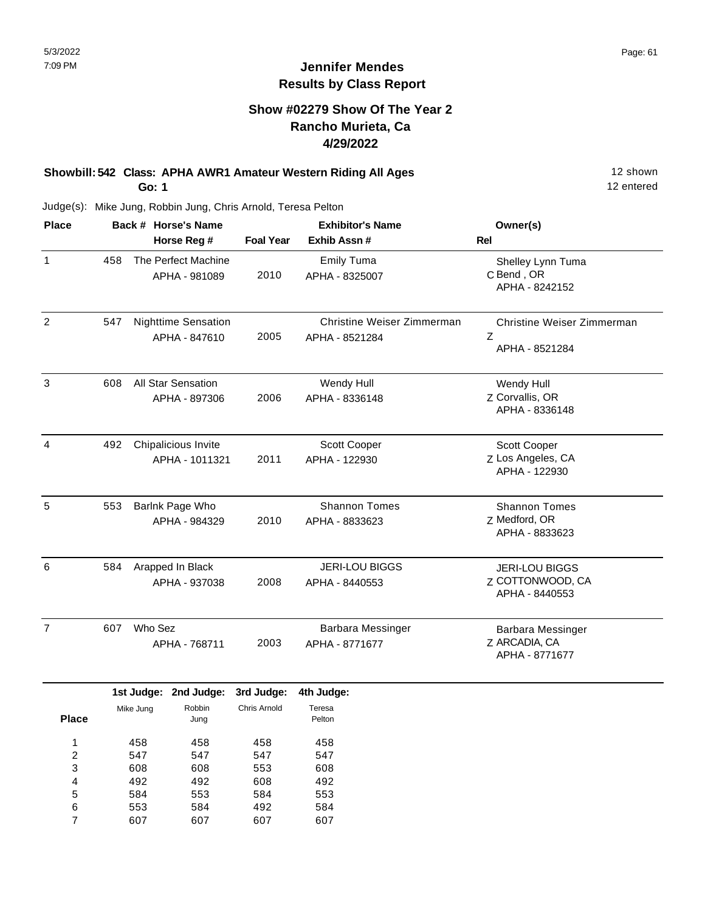## **Show #02279 Show Of The Year 2 Rancho Murieta, Ca 4/29/2022**

### **Showbill: 542 Class: APHA AWR1 Amateur Western Riding All Ages** 12 Shown **Go: 1**

12 entered

| <b>Place</b>   | Back # Horse's Name |                                             | <b>Exhibitor's Name</b> |                                              | Owner(s)                                                    |  |
|----------------|---------------------|---------------------------------------------|-------------------------|----------------------------------------------|-------------------------------------------------------------|--|
|                |                     | Horse Reg #                                 | <b>Foal Year</b>        | Exhib Assn #                                 | Rel                                                         |  |
| $\mathbf{1}$   | 458                 | The Perfect Machine<br>APHA - 981089        | 2010                    | <b>Emily Tuma</b><br>APHA - 8325007          | Shelley Lynn Tuma<br>C Bend, OR<br>APHA - 8242152           |  |
| $\overline{2}$ | 547                 | <b>Nighttime Sensation</b><br>APHA - 847610 | 2005                    | Christine Weiser Zimmerman<br>APHA - 8521284 | Christine Weiser Zimmerman<br>Z<br>APHA - 8521284           |  |
| 3              | 608                 | All Star Sensation<br>APHA - 897306         | 2006                    | Wendy Hull<br>APHA - 8336148                 | Wendy Hull<br>Z Corvallis, OR<br>APHA - 8336148             |  |
| 4              | 492                 | Chipalicious Invite<br>APHA - 1011321       | 2011                    | Scott Cooper<br>APHA - 122930                | Scott Cooper<br>Z Los Angeles, CA<br>APHA - 122930          |  |
| 5              | 553                 | Barlnk Page Who<br>APHA - 984329            | 2010                    | <b>Shannon Tomes</b><br>APHA - 8833623       | <b>Shannon Tomes</b><br>Z Medford, OR<br>APHA - 8833623     |  |
| 6              | 584                 | Arapped In Black<br>APHA - 937038           | 2008                    | <b>JERI-LOU BIGGS</b><br>APHA - 8440553      | <b>JERI-LOU BIGGS</b><br>Z COTTONWOOD, CA<br>APHA - 8440553 |  |
| $\overline{7}$ | 607                 | Who Sez<br>APHA - 768711                    | 2003                    | Barbara Messinger<br>APHA - 8771677          | <b>Barbara Messinger</b><br>Z ARCADIA, CA<br>APHA - 8771677 |  |

|              |           | 1st Judge: 2nd Judge: | 3rd Judge:   | 4th Judge        |
|--------------|-----------|-----------------------|--------------|------------------|
| <b>Place</b> | Mike Jung | Robbin<br>Jung        | Chris Arnold | Teresa<br>Pelton |
| 1            | 458       | 458                   | 458          | 458              |
| 2            | 547       | 547                   | 547          | 547              |
| 3            | 608       | 608                   | 553          | 608              |
| 4            | 492       | 492                   | 608          | 492              |
| 5            | 584       | 553                   | 584          | 553              |
| 6            | 553       | 584                   | 492          | 584              |
|              | 607       | 607                   | 607          | 607              |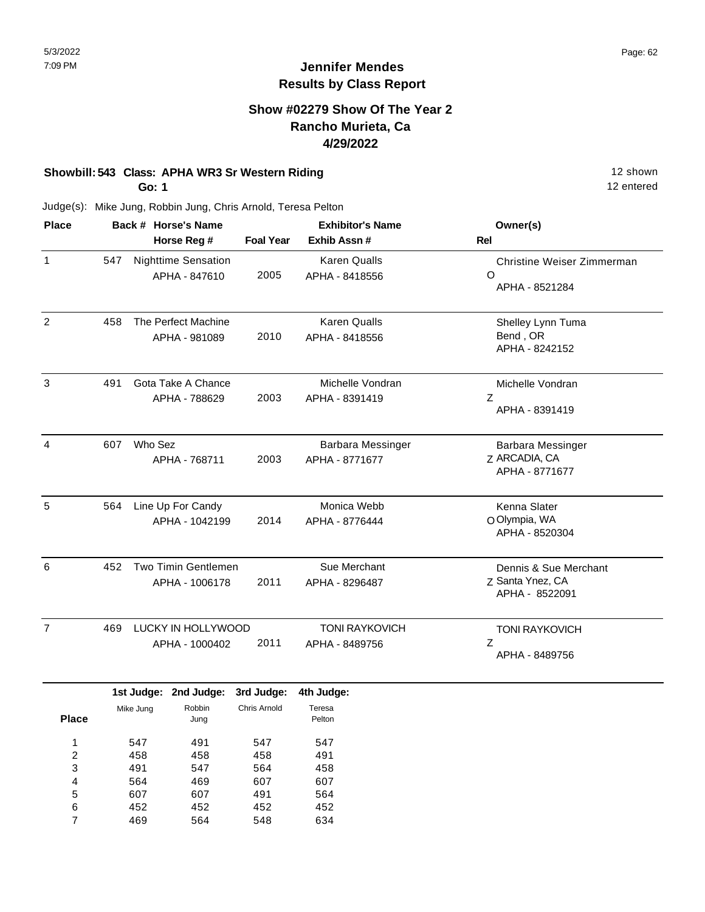## **Show #02279 Show Of The Year 2 Rancho Murieta, Ca 4/29/2022**

## **Showbill: 543 Class: APHA WR3 Sr Western Riding 12 Shown 12 shown**

**Go: 1**

607 452 469

5 6 7 607 452 564 491 452 548 564 452 634 12 entered

| Back # Horse's Name                    |  |                   | <b>Exhibitor's Name</b>                                                                                                                                                                                                                             |                                                             | Owner(s)                                                |  |
|----------------------------------------|--|-------------------|-----------------------------------------------------------------------------------------------------------------------------------------------------------------------------------------------------------------------------------------------------|-------------------------------------------------------------|---------------------------------------------------------|--|
|                                        |  |                   | <b>Foal Year</b>                                                                                                                                                                                                                                    | Exhib Assn #                                                | Rel                                                     |  |
| 547                                    |  |                   | 2005                                                                                                                                                                                                                                                | <b>Karen Qualls</b><br>APHA - 8418556                       | Christine Weiser Zimmerman<br>$\circ$<br>APHA - 8521284 |  |
| 458                                    |  |                   | 2010                                                                                                                                                                                                                                                | <b>Karen Qualls</b><br>APHA - 8418556                       | Shelley Lynn Tuma<br>Bend, OR<br>APHA - 8242152         |  |
| 491                                    |  |                   | 2003                                                                                                                                                                                                                                                | Michelle Vondran<br>APHA - 8391419                          | Michelle Vondran<br>Z<br>APHA - 8391419                 |  |
| 607                                    |  |                   | 2003                                                                                                                                                                                                                                                | Barbara Messinger<br>APHA - 8771677                         | Barbara Messinger<br>Z ARCADIA, CA<br>APHA - 8771677    |  |
| 564                                    |  |                   | 2014                                                                                                                                                                                                                                                | Monica Webb<br>APHA - 8776444                               | Kenna Slater<br>O Olympia, WA<br>APHA - 8520304         |  |
| 452<br>APHA - 1006178                  |  | 2011              | Sue Merchant<br>APHA - 8296487                                                                                                                                                                                                                      | Dennis & Sue Merchant<br>Z Santa Ynez, CA<br>APHA - 8522091 |                                                         |  |
| 469                                    |  |                   | 2011                                                                                                                                                                                                                                                | <b>TONI RAYKOVICH</b><br>APHA - 8489756                     | <b>TONI RAYKOVICH</b><br>$\mathsf Z$<br>APHA - 8489756  |  |
|                                        |  | 2nd Judge:        | 3rd Judge:                                                                                                                                                                                                                                          | 4th Judge:                                                  |                                                         |  |
|                                        |  | Robbin<br>Jung    | <b>Chris Arnold</b>                                                                                                                                                                                                                                 | Teresa<br>Pelton                                            |                                                         |  |
| 547<br>491<br>458<br>458<br>491<br>547 |  | 547<br>458<br>564 | 547<br>491<br>458                                                                                                                                                                                                                                   |                                                             |                                                         |  |
|                                        |  | Mike Jung<br>564  | Horse Reg #<br><b>Nighttime Sensation</b><br>APHA - 847610<br>The Perfect Machine<br>APHA - 981089<br>Gota Take A Chance<br>APHA - 788629<br>Who Sez<br>APHA - 768711<br>Line Up For Candy<br>APHA - 1042199<br>APHA - 1000402<br>1st Judge:<br>469 | Two Timin Gentlemen<br>LUCKY IN HOLLYWOOD<br>607            | 607                                                     |  |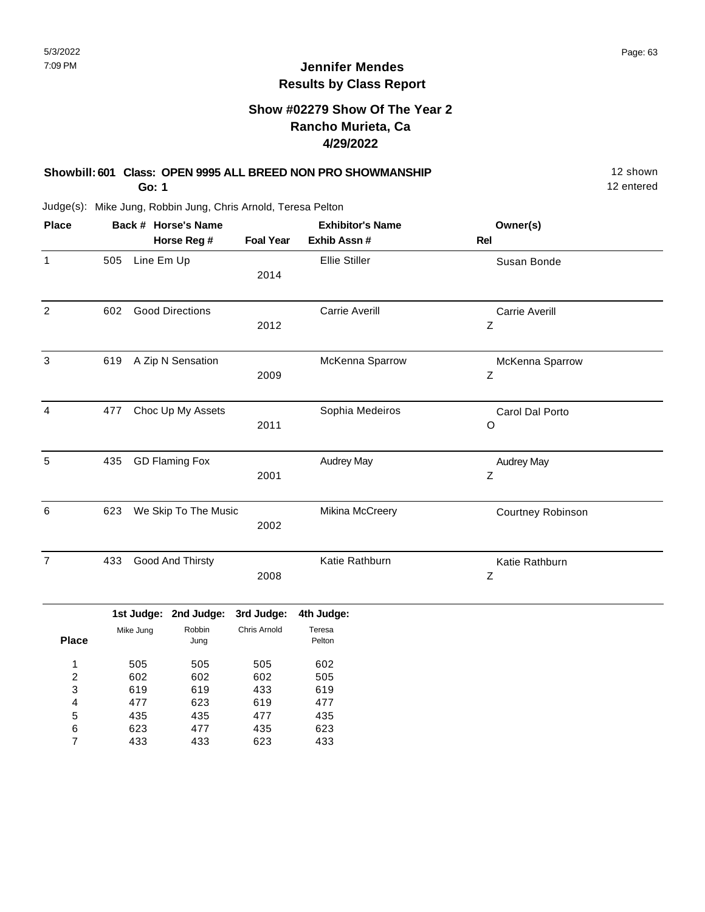## **Show #02279 Show Of The Year 2 Rancho Murieta, Ca 4/29/2022**

#### **Showbill: 601 Class: OPEN 9995 ALL BREED NON PRO SHOWMANSHIP** 12 Shown **Go: 1**

12 entered

| <b>Place</b>              |     |            | Back # Horse's Name    |                  | <b>Exhibitor's Name</b> | Owner(s)                   |  |
|---------------------------|-----|------------|------------------------|------------------|-------------------------|----------------------------|--|
|                           |     |            | Horse Reg #            | <b>Foal Year</b> | Exhib Assn #            | Rel                        |  |
| $\mathbf{1}$              | 505 | Line Em Up |                        | 2014             | <b>Ellie Stiller</b>    | Susan Bonde                |  |
| $\overline{c}$            | 602 |            | <b>Good Directions</b> | 2012             | Carrie Averill          | Carrie Averill<br>Z        |  |
| $\ensuremath{\mathsf{3}}$ | 619 |            | A Zip N Sensation      | 2009             | McKenna Sparrow         | McKenna Sparrow<br>Ζ       |  |
| 4                         | 477 |            | Choc Up My Assets      | 2011             | Sophia Medeiros         | Carol Dal Porto<br>$\circ$ |  |
| 5                         | 435 |            | <b>GD Flaming Fox</b>  | 2001             | <b>Audrey May</b>       | <b>Audrey May</b><br>Z     |  |
| 6                         | 623 |            | We Skip To The Music   | 2002             | Mikina McCreery         | Courtney Robinson          |  |
| $\overline{7}$            | 433 |            | Good And Thirsty       | 2008             | Katie Rathburn          | Katie Rathburn<br>Z        |  |
|                           |     |            | 1st Judge: 2nd Judge:  | 3rd Judge:       | 4th Judge:              |                            |  |
| <b>Place</b>              |     | Mike Jung  | Robbin<br>Jung         | Chris Arnold     | Teresa<br>Pelton        |                            |  |
| $\mathbf{1}$              |     | 505        | 505                    | 505              | 602                     |                            |  |
| $\boldsymbol{2}$          |     | 602        | 602                    | 602              | 505                     |                            |  |
| 3                         |     | 619        | 619                    | 433              | 619                     |                            |  |
| 4                         |     | 477        | 623                    | 619              | 477                     |                            |  |
| 5                         |     | 435        | 435                    | 477              | 435                     |                            |  |
| 6                         |     | 623        | 477                    | 435              | 623                     |                            |  |
| $\overline{7}$            |     | 433        | 433                    | 623              | 433                     |                            |  |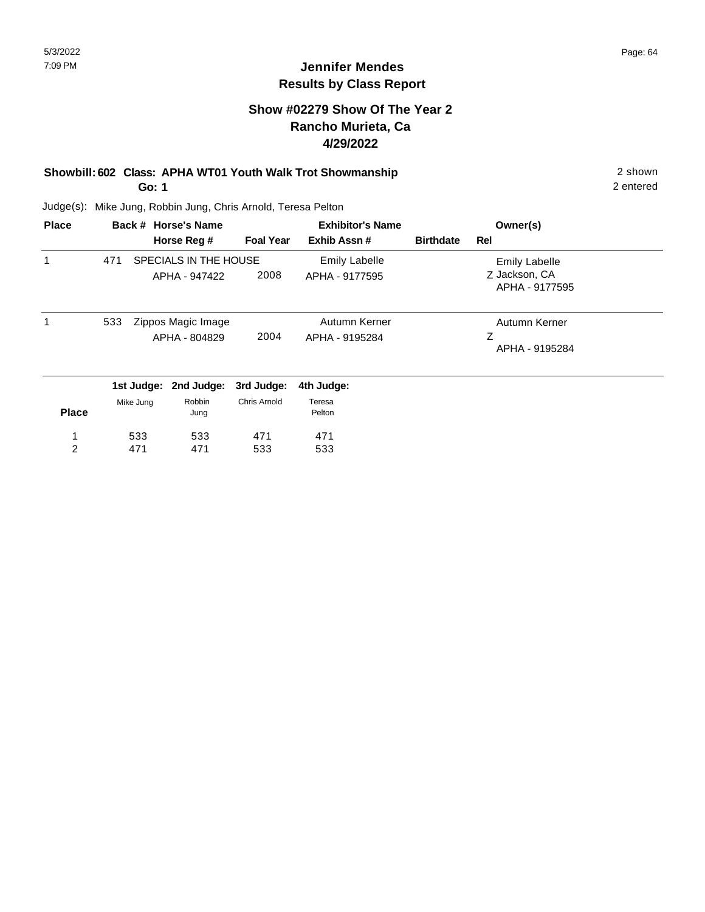## **Jennifer Mendes Results by Class Report**

## **Show #02279 Show Of The Year 2 Rancho Murieta, Ca 4/29/2022**

### **Showbill: 602 Class: APHA WT01 Youth Walk Trot Showmanship** 2 shown **Go: 1**

Judge(s): Mike Jung, Robbin Jung, Chris Arnold, Teresa Pelton

471

533

471

2

| <b>Place</b> |     |           | Back # Horse's Name                    |                  | <b>Exhibitor's Name</b>                |                  | Owner(s)                                                |  |
|--------------|-----|-----------|----------------------------------------|------------------|----------------------------------------|------------------|---------------------------------------------------------|--|
|              |     |           | Horse Reg #                            | <b>Foal Year</b> | Exhib Assn#                            | <b>Birthdate</b> | Rel                                                     |  |
|              | 471 |           | SPECIALS IN THE HOUSE<br>APHA - 947422 | 2008             | <b>Emily Labelle</b><br>APHA - 9177595 |                  | <b>Emily Labelle</b><br>Z Jackson, CA<br>APHA - 9177595 |  |
|              | 533 |           | Zippos Magic Image<br>APHA - 804829    | 2004             | Autumn Kerner<br>APHA - 9195284        |                  | Autumn Kerner<br>Ζ<br>APHA - 9195284                    |  |
|              |     |           | 1st Judge: 2nd Judge:                  | 3rd Judge:       | 4th Judge:                             |                  |                                                         |  |
| <b>Place</b> |     | Mike Jung | Robbin<br>Jung                         | Chris Arnold     | Teresa<br>Pelton                       |                  |                                                         |  |
|              |     | 533       | 533                                    | 471              | 471                                    |                  |                                                         |  |

533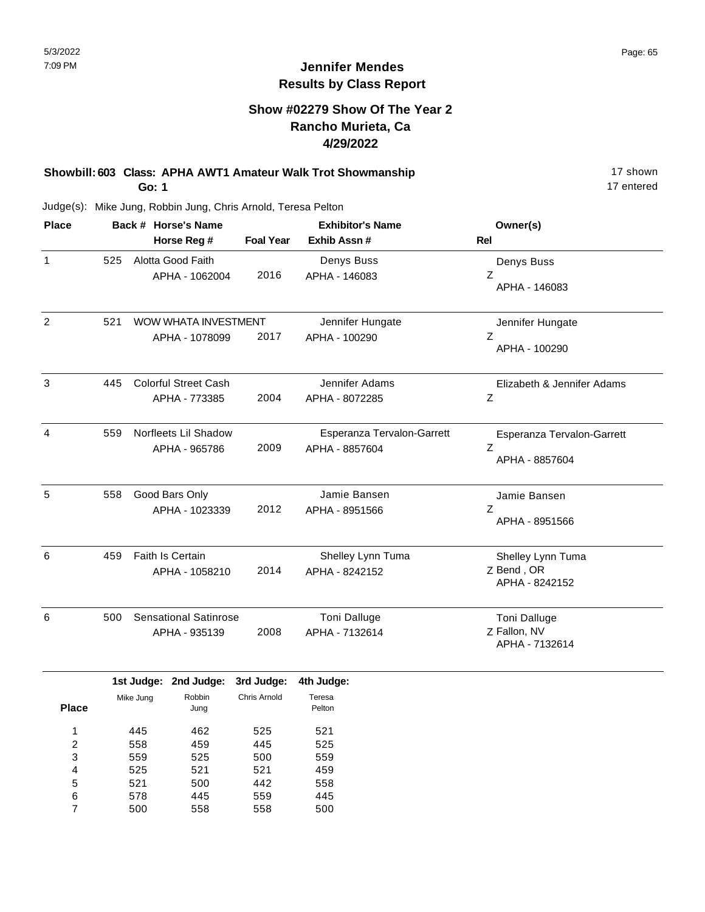## **Show #02279 Show Of The Year 2 Rancho Murieta, Ca 4/29/2022**

### **Showbill: 603 Class: APHA AWT1 Amateur Walk Trot Showmanship** 17 shown **Go: 1**

17 entered

| <b>Place</b>   |     | Back # Horse's Name                           |                  | <b>Exhibitor's Name</b>                      | Owner(s)                                          |  |
|----------------|-----|-----------------------------------------------|------------------|----------------------------------------------|---------------------------------------------------|--|
|                |     | Horse Reg #                                   | <b>Foal Year</b> | Exhib Assn #                                 | <b>Rel</b>                                        |  |
| $\mathbf{1}$   | 525 | Alotta Good Faith<br>APHA - 1062004           | 2016             | Denys Buss<br>APHA - 146083                  | Denys Buss<br>Z<br>APHA - 146083                  |  |
| $\overline{2}$ | 521 | WOW WHATA INVESTMENT<br>APHA - 1078099        | 2017             | Jennifer Hungate<br>APHA - 100290            | Jennifer Hungate<br>Z<br>APHA - 100290            |  |
| 3              | 445 | <b>Colorful Street Cash</b><br>APHA - 773385  | 2004             | Jennifer Adams<br>APHA - 8072285             | Elizabeth & Jennifer Adams<br>$\mathsf Z$         |  |
| 4              | 559 | Norfleets Lil Shadow<br>APHA - 965786         | 2009             | Esperanza Tervalon-Garrett<br>APHA - 8857604 | Esperanza Tervalon-Garrett<br>Z<br>APHA - 8857604 |  |
| 5              | 558 | Good Bars Only<br>APHA - 1023339              | 2012             | Jamie Bansen<br>APHA - 8951566               | Jamie Bansen<br>$\overline{z}$<br>APHA - 8951566  |  |
| 6              | 459 | Faith Is Certain<br>APHA - 1058210            | 2014             | Shelley Lynn Tuma<br>APHA - 8242152          | Shelley Lynn Tuma<br>Z Bend, OR<br>APHA - 8242152 |  |
| 6              | 500 | <b>Sensational Satinrose</b><br>APHA - 935139 | 2008             | <b>Toni Dalluge</b><br>APHA - 7132614        | Toni Dalluge<br>Z Fallon, NV<br>APHA - 7132614    |  |

|              |           | 1st Judge: 2nd Judge: | 3rd Judge:   | 4th Judge:       |
|--------------|-----------|-----------------------|--------------|------------------|
| <b>Place</b> | Mike Jung | Robbin<br>Jung        | Chris Arnold | Teresa<br>Pelton |
| 1            | 445       | 462                   | 525          | 521              |
| 2            | 558       | 459                   | 445          | 525              |
| 3            | 559       | 525                   | 500          | 559              |
| 4            | 525       | 521                   | 521          | 459              |
| 5            | 521       | 500                   | 442          | 558              |
| 6            | 578       | 445                   | 559          | 445              |
| 7            | 500       | 558                   | 558          | 500              |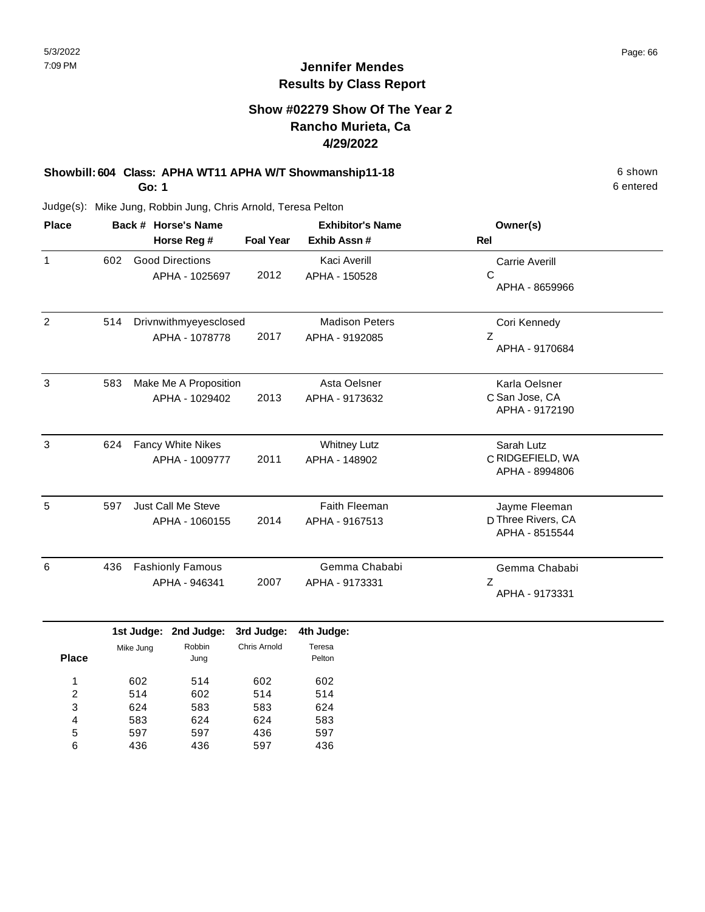## **Show #02279 Show Of The Year 2 Rancho Murieta, Ca 4/29/2022**

## **Showbill: 604 Class: APHA WT11 APHA W/T Showmanship11-18** 6 shown

**Go: 1**

Judge(s): Mike Jung, Robbin Jung, Chris Arnold, Teresa Pelton

| <b>Place</b>   | Back # Horse's Name<br>Horse Reg #<br><b>Foal Year</b> |                                          |      | <b>Exhibitor's Name</b><br>Exhib Assn#  | Owner(s)<br><b>Rel</b>                                |
|----------------|--------------------------------------------------------|------------------------------------------|------|-----------------------------------------|-------------------------------------------------------|
| 1              | 602                                                    | <b>Good Directions</b><br>APHA - 1025697 | 2012 | Kaci Averill<br>APHA - 150528           | <b>Carrie Averill</b><br>С<br>APHA - 8659966          |
| $\overline{2}$ | 514                                                    | Drivnwithmyeyesclosed<br>APHA - 1078778  | 2017 | <b>Madison Peters</b><br>APHA - 9192085 | Cori Kennedy<br>Ζ<br>APHA - 9170684                   |
| 3              | 583                                                    | Make Me A Proposition<br>APHA - 1029402  | 2013 | Asta Oelsner<br>APHA - 9173632          | Karla Oelsner<br>C San Jose, CA<br>APHA - 9172190     |
| 3              | 624                                                    | Fancy White Nikes<br>APHA - 1009777      | 2011 | <b>Whitney Lutz</b><br>APHA - 148902    | Sarah Lutz<br>C RIDGEFIELD, WA<br>APHA - 8994806      |
| 5              | 597                                                    | Just Call Me Steve<br>APHA - 1060155     | 2014 | <b>Faith Fleeman</b><br>APHA - 9167513  | Jayme Fleeman<br>D Three Rivers, CA<br>APHA - 8515544 |
| 6              | 436                                                    | <b>Fashionly Famous</b><br>APHA - 946341 | 2007 | Gemma Chababi<br>APHA - 9173331         | Gemma Chababi<br>Z<br>APHA - 9173331                  |

|              |           | 1st Judge: 2nd Judge: 3rd Judge: |              | 4th Judge:       |
|--------------|-----------|----------------------------------|--------------|------------------|
| <b>Place</b> | Mike Jung | Robbin<br>Jung                   | Chris Arnold | Teresa<br>Pelton |
| ◢            | 602       | 514                              | 602          | 602              |
| 2            | 514       | 602                              | 514          | 514              |
| 3            | 624       | 583                              | 583          | 624              |
| 4            | 583       | 624                              | 624          | 583              |
| 5            | 597       | 597                              | 436          | 597              |
| 6            | 436       | 436                              | 597          | 436              |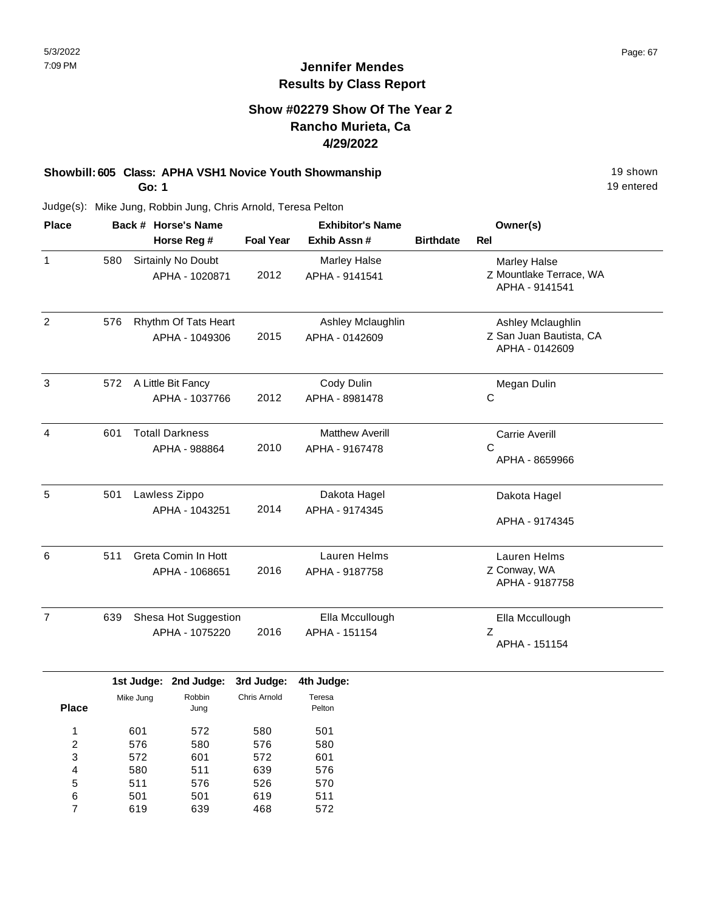## **Show #02279 Show Of The Year 2 Rancho Murieta, Ca 4/29/2022**

# **Showbill: 605 Class: APHA VSH1 Novice Youth Showmanship** 19 Shown 19 shown

**Go: 1**

Judge(s): Mike Jung, Robbin Jung, Chris Arnold, Teresa Pelton

| <b>Place</b>   |             | Back # Horse's Name                     |                  | <b>Exhibitor's Name</b>                  |                  | Owner(s)                                                         |
|----------------|-------------|-----------------------------------------|------------------|------------------------------------------|------------------|------------------------------------------------------------------|
|                | Horse Reg # |                                         | <b>Foal Year</b> | Exhib Assn#                              | <b>Birthdate</b> | <b>Rel</b>                                                       |
| $\mathbf{1}$   | 580         | Sirtainly No Doubt<br>APHA - 1020871    | 2012             | Marley Halse<br>APHA - 9141541           |                  | <b>Marley Halse</b><br>Z Mountlake Terrace, WA<br>APHA - 9141541 |
| 2              | 576         | Rhythm Of Tats Heart<br>APHA - 1049306  | 2015             | Ashley Mclaughlin<br>APHA - 0142609      |                  | Ashley Mclaughlin<br>Z San Juan Bautista, CA<br>APHA - 0142609   |
| 3              | 572         | A Little Bit Fancy<br>APHA - 1037766    | 2012             | Cody Dulin<br>APHA - 8981478             |                  | Megan Dulin<br>С                                                 |
| 4              | 601         | <b>Totall Darkness</b><br>APHA - 988864 | 2010             | <b>Matthew Averill</b><br>APHA - 9167478 |                  | <b>Carrie Averill</b><br>С<br>APHA - 8659966                     |
| 5              | 501         | Lawless Zippo<br>APHA - 1043251         | 2014             | Dakota Hagel<br>APHA - 9174345           |                  | Dakota Hagel<br>APHA - 9174345                                   |
| 6              | 511         | Greta Comin In Hott<br>APHA - 1068651   | 2016             | Lauren Helms<br>APHA - 9187758           |                  | Lauren Helms<br>Z Conway, WA<br>APHA - 9187758                   |
| $\overline{7}$ | 639         | Shesa Hot Suggestion<br>APHA - 1075220  | 2016             | Ella Mccullough<br>APHA - 151154         |                  | Ella Mccullough<br>Z<br>APHA - 151154                            |

|              |           | 1st Judge: 2nd Judge: | 3rd Judge:   | 4th Judge:       |
|--------------|-----------|-----------------------|--------------|------------------|
| <b>Place</b> | Mike Jung | Robbin<br>Jung        | Chris Arnold | Teresa<br>Pelton |
| 1            | 601       | 572                   | 580          | 501              |
| 2            | 576       | 580                   | 576          | 580              |
| 3            | 572       | 601                   | 572          | 601              |
| 4            | 580       | 511                   | 639          | 576              |
| 5            | 511       | 576                   | 526          | 570              |
| 6            | 501       | 501                   | 619          | 511              |
|              | 619       | 639                   | 468          | 572              |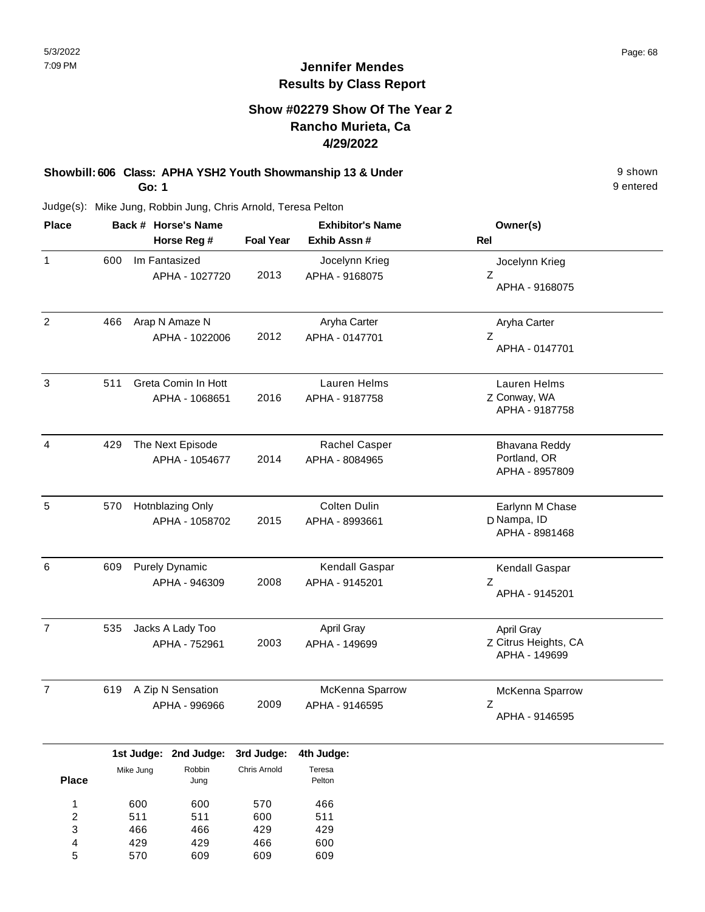## **Show #02279 Show Of The Year 2 Rancho Murieta, Ca 4/29/2022**

#### **Showbill: 606 Class: APHA YSH2 Youth Showmanship 13 & Under** 9 shown **Go: 1**

Judge(s): Mike Jung, Robbin Jung, Chris Arnold, Teresa Pelton

| <b>Place</b>   | Back # Horse's Name<br>Horse Reg # |                                        | <b>Foal Year</b><br>Exhib Assn # |                                       | Owner(s)<br><b>Rel</b>                              |
|----------------|------------------------------------|----------------------------------------|----------------------------------|---------------------------------------|-----------------------------------------------------|
| $\mathbf{1}$   | 600                                | Im Fantasized<br>APHA - 1027720        | 2013                             | Jocelynn Krieg<br>APHA - 9168075      | Jocelynn Krieg<br>$\mathsf{Z}$<br>APHA - 9168075    |
| $\overline{2}$ | 466                                | Arap N Amaze N<br>APHA - 1022006       | 2012                             | Aryha Carter<br>APHA - 0147701        | Aryha Carter<br>Ζ<br>APHA - 0147701                 |
| $\mathbf{3}$   | 511                                | Greta Comin In Hott<br>APHA - 1068651  | 2016                             | Lauren Helms<br>APHA - 9187758        | Lauren Helms<br>Z Conway, WA<br>APHA - 9187758      |
| $\overline{4}$ | 429                                | The Next Episode<br>APHA - 1054677     | 2014                             | Rachel Casper<br>APHA - 8084965       | Bhavana Reddy<br>Portland, OR<br>APHA - 8957809     |
| $\sqrt{5}$     | 570                                | Hotnblazing Only<br>APHA - 1058702     | 2015                             | <b>Colten Dulin</b><br>APHA - 8993661 | Earlynn M Chase<br>D Nampa, ID<br>APHA - 8981468    |
| 6              | 609                                | <b>Purely Dynamic</b><br>APHA - 946309 | 2008                             | Kendall Gaspar<br>APHA - 9145201      | Kendall Gaspar<br>Z<br>APHA - 9145201               |
| $\overline{7}$ | 535                                | Jacks A Lady Too<br>APHA - 752961      | 2003                             | April Gray<br>APHA - 149699           | April Gray<br>Z Citrus Heights, CA<br>APHA - 149699 |
| $\overline{7}$ | 619                                | A Zip N Sensation<br>APHA - 996966     | 2009                             | McKenna Sparrow<br>APHA - 9146595     | McKenna Sparrow<br>Z<br>APHA - 9146595              |

|              |           | 1st Judge: 2nd Judge: 3rd Judge: |              | 4th Judge:       |
|--------------|-----------|----------------------------------|--------------|------------------|
| <b>Place</b> | Mike Jung | Robbin<br>Jung                   | Chris Arnold | Teresa<br>Pelton |
| 1            | 600       | 600                              | 570          | 466              |
| 2            | 511       | 511                              | 600          | 511              |
| 3            | 466       | 466                              | 429          | 429              |
| 4            | 429       | 429                              | 466          | 600              |
| 5            | 570       | 609                              | 609          | 609              |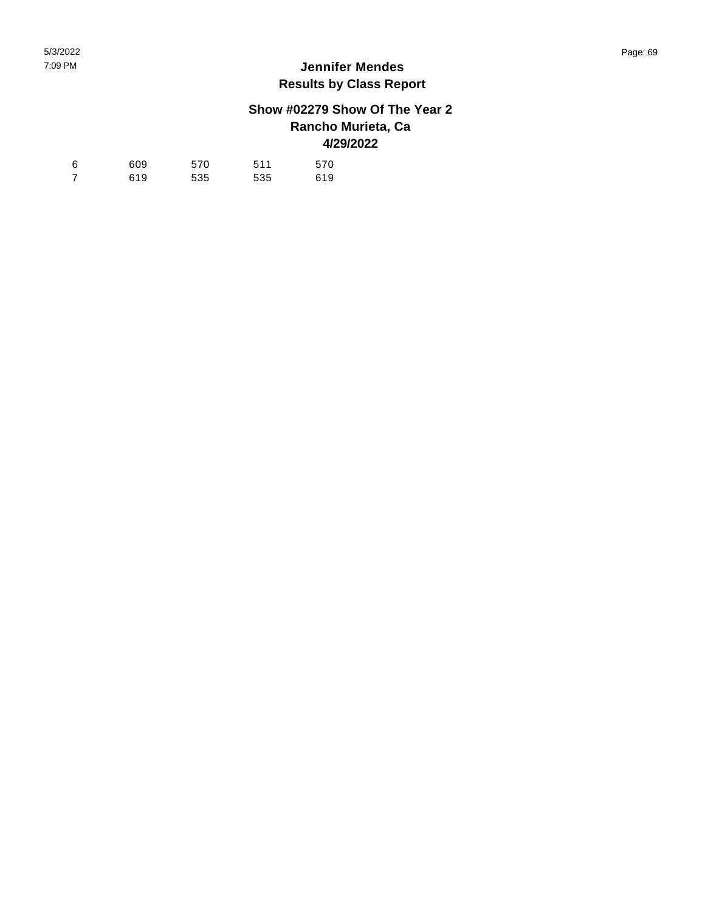## **Show #02279 Show Of The Year 2 Rancho Murieta, Ca 4/29/2022**

| 6 | 609 | 570 | 511 | 570 |
|---|-----|-----|-----|-----|
|   | 619 | 535 | 535 | 619 |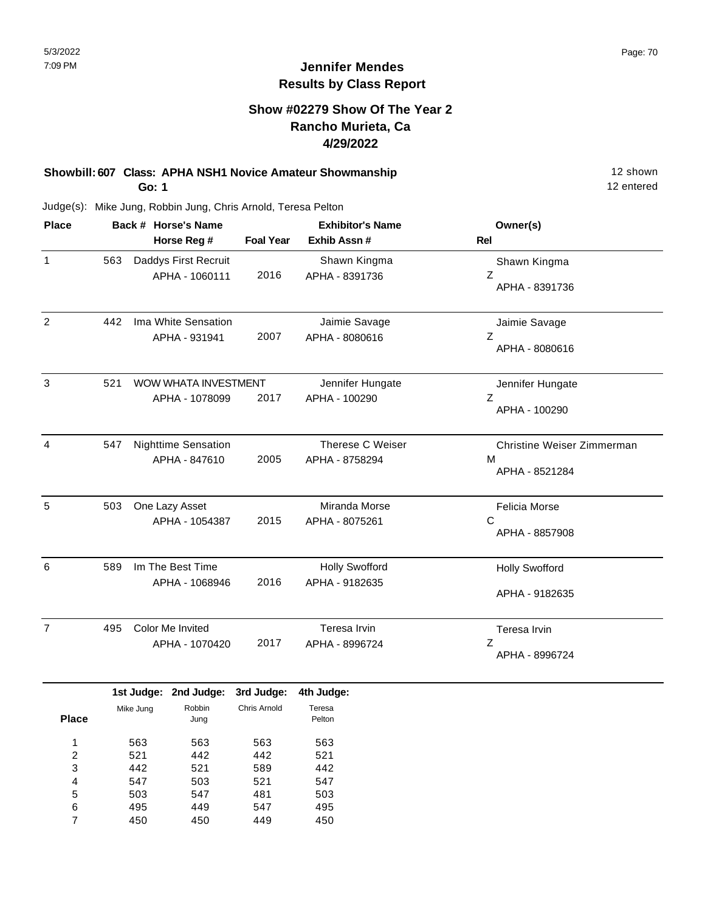## **Show #02279 Show Of The Year 2 Rancho Murieta, Ca 4/29/2022**

### **Showbill: 607 Class: APHA NSH1 Novice Amateur Showmanship** 12 shown 12 shown **Go: 1**

12 entered

| <b>Place</b>   | Back # Horse's Name<br>Horse Reg # |                                             |                  | <b>Exhibitor's Name</b>                 | Owner(s)                                          |
|----------------|------------------------------------|---------------------------------------------|------------------|-----------------------------------------|---------------------------------------------------|
|                |                                    |                                             | <b>Foal Year</b> | Exhib Assn#                             | Rel                                               |
| 1              | 563                                | Daddys First Recruit<br>APHA - 1060111      | 2016             | Shawn Kingma<br>APHA - 8391736          | Shawn Kingma<br>Z<br>APHA - 8391736               |
| 2              | 442                                | Ima White Sensation<br>APHA - 931941        | 2007             | Jaimie Savage<br>APHA - 8080616         | Jaimie Savage<br>Z<br>APHA - 8080616              |
| 3              | 521                                | WOW WHATA INVESTMENT<br>APHA - 1078099      | 2017             | Jennifer Hungate<br>APHA - 100290       | Jennifer Hungate<br>Z<br>APHA - 100290            |
| 4              | 547                                | <b>Nighttime Sensation</b><br>APHA - 847610 | 2005             | Therese C Weiser<br>APHA - 8758294      | Christine Weiser Zimmerman<br>M<br>APHA - 8521284 |
| 5              | 503                                | One Lazy Asset<br>APHA - 1054387            | 2015             | Miranda Morse<br>APHA - 8075261         | <b>Felicia Morse</b><br>C<br>APHA - 8857908       |
| 6              | 589                                | Im The Best Time<br>APHA - 1068946          | 2016             | <b>Holly Swofford</b><br>APHA - 9182635 | <b>Holly Swofford</b><br>APHA - 9182635           |
| $\overline{7}$ | 495                                | Color Me Invited<br>APHA - 1070420          | 2017             | Teresa Irvin<br>APHA - 8996724          | Teresa Irvin<br>Ζ<br>APHA - 8996724               |

|              |           | 1st Judge: 2nd Judge: | 3rd Judge:   | 4th Judge: |
|--------------|-----------|-----------------------|--------------|------------|
|              | Mike Jung | Robbin                | Chris Arnold | Teresa     |
| <b>Place</b> |           | Jung                  |              | Pelton     |
| 1            | 563       | 563                   | 563          | 563        |
| 2            | 521       | 442                   | 442          | 521        |
| 3            | 442       | 521                   | 589          | 442        |
| 4            | 547       | 503                   | 521          | 547        |
| 5            | 503       | 547                   | 481          | 503        |
| 6            | 495       | 449                   | 547          | 495        |
|              | 450       | 450                   | 449          | 450        |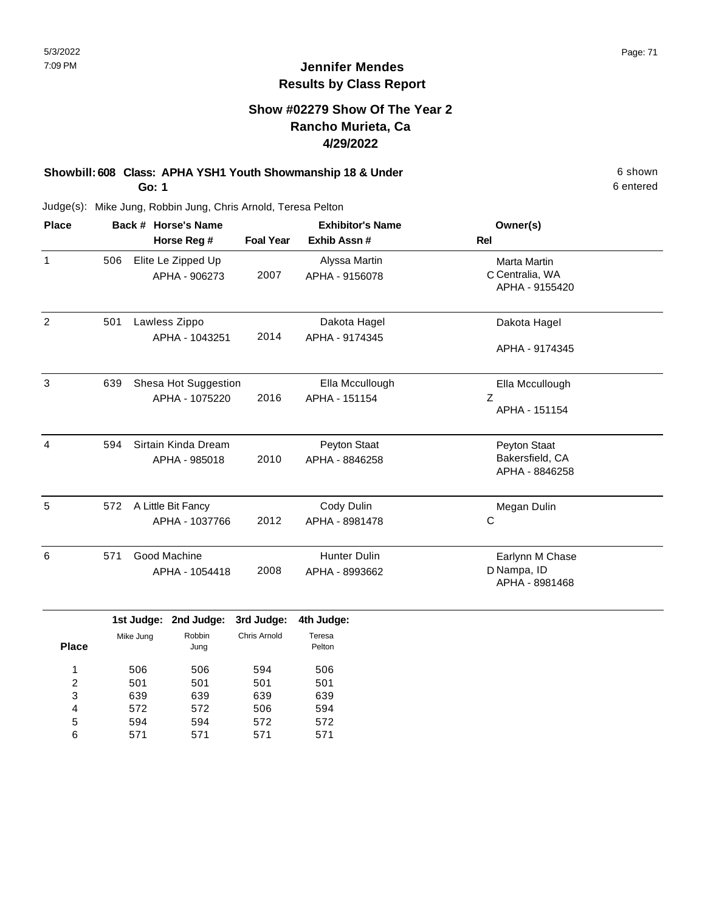## **Show #02279 Show Of The Year 2 Rancho Murieta, Ca 4/29/2022**

#### **Showbill: 608 Class: APHA YSH1 Youth Showmanship 18 & Under** 6 shown **Go: 1**

Judge(s): Mike Jung, Robbin Jung, Chris Arnold, Teresa Pelton

| <b>Place</b> |     | Back # Horse's Name  |                  | <b>Exhibitor's Name</b> | Owner(s)        |
|--------------|-----|----------------------|------------------|-------------------------|-----------------|
|              |     | Horse Reg #          | <b>Foal Year</b> | Exhib Assn#             | <b>Rel</b>      |
| $\mathbf{1}$ | 506 | Elite Le Zipped Up   |                  | Alyssa Martin           | Marta Martin    |
|              |     | APHA - 906273        | 2007             | APHA - 9156078          | C Centralia, WA |
|              |     |                      |                  |                         | APHA - 9155420  |
| 2            | 501 | Lawless Zippo        |                  | Dakota Hagel            | Dakota Hagel    |
|              |     | APHA - 1043251       | 2014             | APHA - 9174345          |                 |
|              |     |                      |                  |                         | APHA - 9174345  |
| 3            | 639 | Shesa Hot Suggestion |                  | Ella Mccullough         | Ella Mccullough |
|              |     | APHA - 1075220       | 2016             | APHA - 151154           | Z               |
|              |     |                      |                  |                         | APHA - 151154   |
| 4            | 594 | Sirtain Kinda Dream  |                  | Peyton Staat            | Peyton Staat    |
|              |     | APHA - 985018        | 2010             | APHA - 8846258          | Bakersfield, CA |
|              |     |                      |                  |                         | APHA - 8846258  |
| 5            | 572 | A Little Bit Fancy   |                  | Cody Dulin              | Megan Dulin     |
|              |     | APHA - 1037766       | 2012             | APHA - 8981478          | С               |
| 6            | 571 | Good Machine         |                  | <b>Hunter Dulin</b>     | Earlynn M Chase |
|              |     | APHA - 1054418       | 2008             | APHA - 8993662          | D Nampa, ID     |
|              |     |                      |                  |                         | APHA - 8981468  |

|              |           | 1st Judge: 2nd Judge: 3rd Judge: 4th Judge: |              |                  |
|--------------|-----------|---------------------------------------------|--------------|------------------|
| <b>Place</b> | Mike Jung | Robbin<br>Jung                              | Chris Arnold | Teresa<br>Pelton |
|              | 506       | 506                                         | 594          | 506              |
| 2            | 501       | 501                                         | 501          | 501              |
| 3            | 639       | 639                                         | 639          | 639              |
| 4            | 572       | 572                                         | 506          | 594              |
| 5            | 594       | 594                                         | 572          | 572              |
| 6            | 571       | 571                                         | 571          | 571              |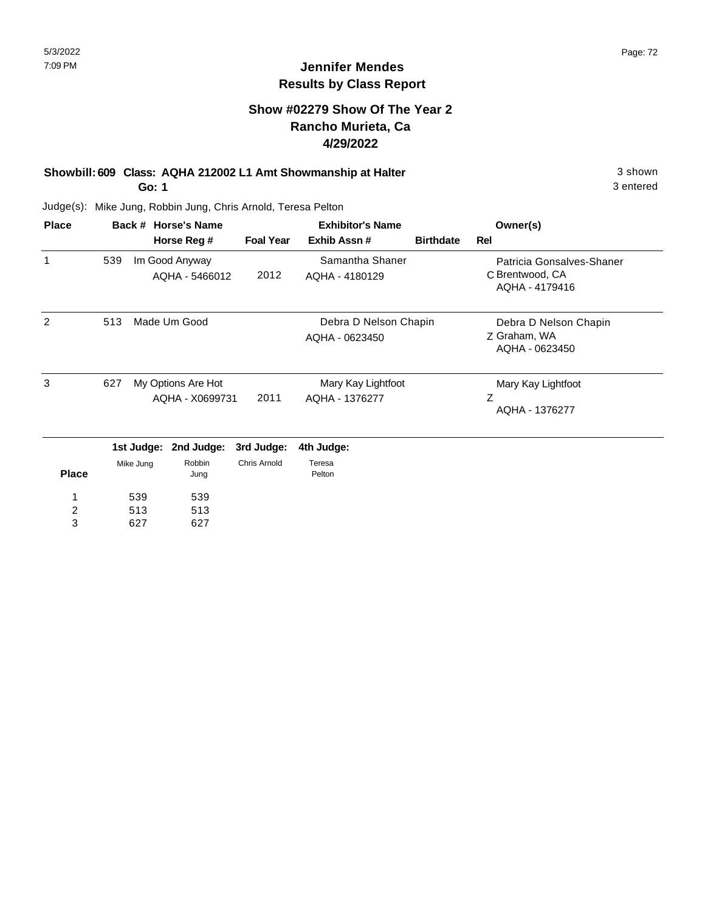## **Jennifer Mendes Results by Class Report**

## **Show #02279 Show Of The Year 2 Rancho Murieta, Ca 4/29/2022**

## **Showbill: 609 Class: AQHA 212002 L1 Amt Showmanship at Halter** 3 shown

**Go: 1**

627

3

627

| <b>Place</b> |                                              | Back # Horse's Name |                                  |                                         | <b>Exhibitor's Name</b>           | Owner(s)                                                |                                                                |
|--------------|----------------------------------------------|---------------------|----------------------------------|-----------------------------------------|-----------------------------------|---------------------------------------------------------|----------------------------------------------------------------|
|              |                                              |                     | Horse Reg #                      | <b>Foal Year</b>                        | Exhib Assn#                       | <b>Birthdate</b>                                        | Rel                                                            |
| 1            | 539                                          |                     | Im Good Anyway<br>AQHA - 5466012 | 2012                                    | Samantha Shaner<br>AQHA - 4180129 |                                                         | Patricia Gonsalves-Shaner<br>C Brentwood, CA<br>AQHA - 4179416 |
| 2            | 513<br>Made Um Good                          |                     |                                  | Debra D Nelson Chapin<br>AQHA - 0623450 |                                   | Debra D Nelson Chapin<br>Z Graham, WA<br>AQHA - 0623450 |                                                                |
| 3            | 627<br>My Options Are Hot<br>AQHA - X0699731 |                     | 2011                             | Mary Kay Lightfoot<br>AQHA - 1376277    |                                   | Mary Kay Lightfoot<br>Z<br>AQHA - 1376277               |                                                                |
|              |                                              |                     | 1st Judge: 2nd Judge:            | 3rd Judge:                              | 4th Judge:                        |                                                         |                                                                |
| <b>Place</b> | Mike Jung                                    |                     | Robbin<br>Jung                   | <b>Chris Arnold</b>                     | Teresa<br>Pelton                  |                                                         |                                                                |
| 1            | 539<br>539                                   |                     |                                  |                                         |                                   |                                                         |                                                                |
| 2            |                                              | 513                 | 513                              |                                         |                                   |                                                         |                                                                |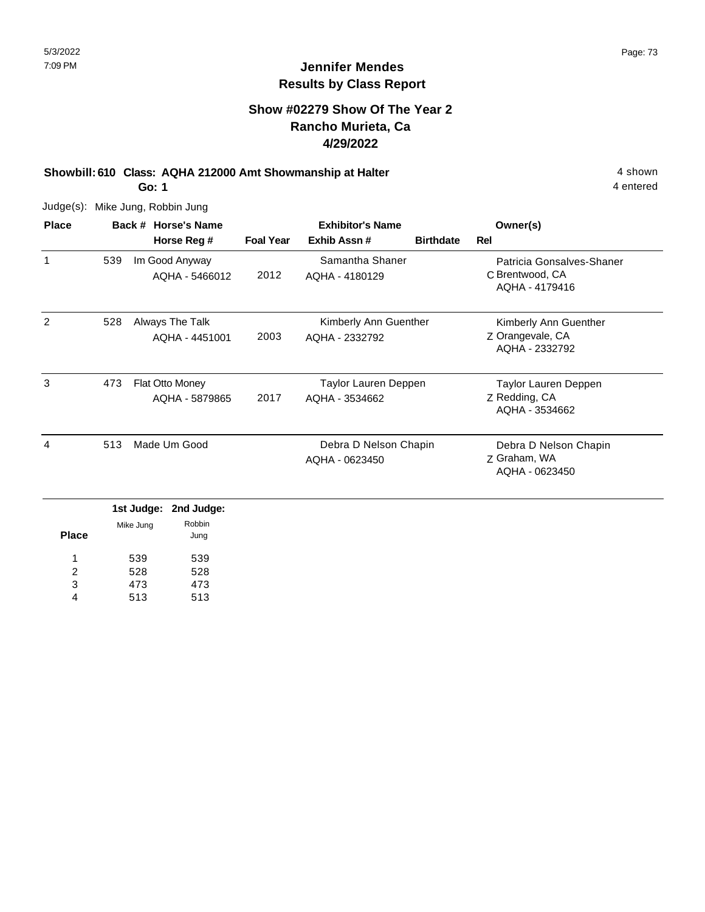#### **Show #02279 Show Of The Year 2 Rancho Murieta, Ca 4/29/2022**

## **Showbill: 610 Class: AQHA 212000 Amt Showmanship at Halter** 4 shown

**Go: 1**

Judge(s): Mike Jung, Robbin Jung

| <b>Place</b> |     | Back # Horse's Name | <b>Exhibitor's Name</b> |                       |                  | Owner(s)                           |
|--------------|-----|---------------------|-------------------------|-----------------------|------------------|------------------------------------|
|              |     | Horse Reg #         | <b>Foal Year</b>        | Exhib Assn#           | <b>Birthdate</b> | Rel                                |
| 1            | 539 | Im Good Anyway      |                         | Samantha Shaner       |                  | Patricia Gonsalves-Shaner          |
|              |     | AQHA - 5466012      | 2012                    | AQHA - 4180129        |                  | C Brentwood, CA<br>AQHA - 4179416  |
| 2            | 528 | Always The Talk     |                         | Kimberly Ann Guenther |                  | Kimberly Ann Guenther              |
|              |     | AQHA - 4451001      | 2003                    | AQHA - 2332792        |                  | Z Orangevale, CA<br>AQHA - 2332792 |
| 3            | 473 | Flat Otto Money     |                         | Taylor Lauren Deppen  |                  | Taylor Lauren Deppen               |
|              |     | AQHA - 5879865      | 2017                    | AQHA - 3534662        |                  | Z Redding, CA<br>AQHA - 3534662    |
| 4            | 513 | Made Um Good        |                         | Debra D Nelson Chapin |                  | Debra D Nelson Chapin              |
|              |     |                     |                         | AQHA - 0623450        |                  | Z Graham, WA<br>AQHA - 0623450     |
|              |     |                     |                         |                       |                  |                                    |

|              |           | 1st Judge: 2nd Judge: |
|--------------|-----------|-----------------------|
|              | Mike Jung | Robbin                |
| <b>Place</b> |           | Jung                  |
|              | 539       | 539                   |
| 2            | 528       | 528                   |
| 3            | 473       | 473                   |
| 4            | 513       | 513                   |

4 entered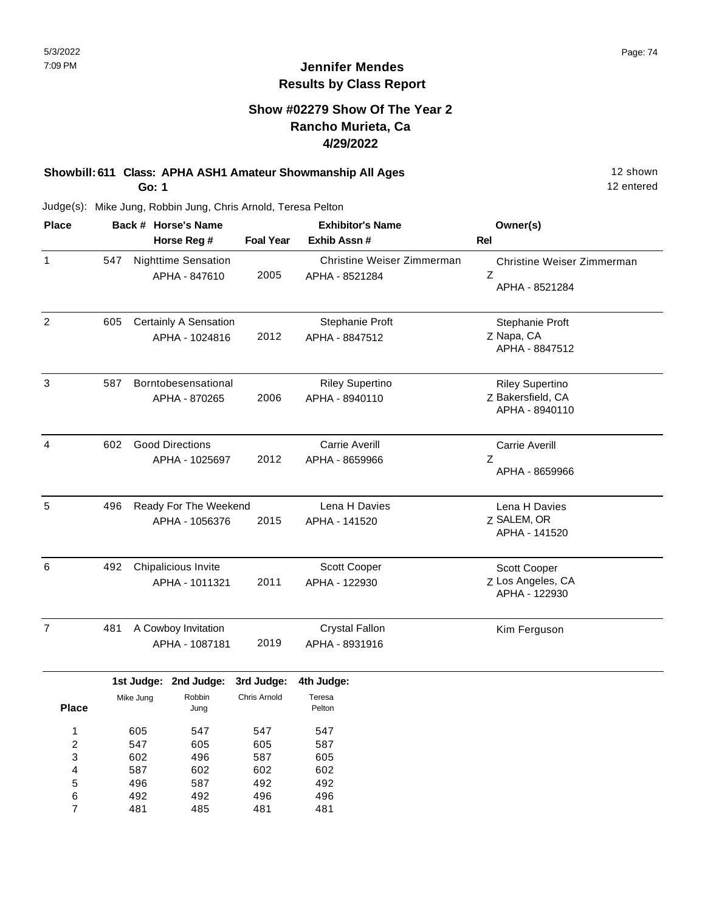## **Show #02279 Show Of The Year 2 Rancho Murieta, Ca 4/29/2022**

# **Showbill: 611 Class: APHA ASH1 Amateur Showmanship All Ages** 12 shown

**Go: 1**

12 entered

| <b>Place</b>                                |                                 |                                       | Back # Horse's Name                         |                                 | <b>Exhibitor's Name</b>                      | Owner(s)                                                      |
|---------------------------------------------|---------------------------------|---------------------------------------|---------------------------------------------|---------------------------------|----------------------------------------------|---------------------------------------------------------------|
|                                             |                                 |                                       | Horse Reg #                                 | <b>Foal Year</b>                | Exhib Assn #                                 | <b>Rel</b>                                                    |
| 1                                           | 547                             |                                       | <b>Nighttime Sensation</b><br>APHA - 847610 | 2005                            | Christine Weiser Zimmerman<br>APHA - 8521284 | Christine Weiser Zimmerman<br>Z<br>APHA - 8521284             |
| $\overline{2}$                              | 605                             |                                       | Certainly A Sensation<br>APHA - 1024816     | 2012                            | Stephanie Proft<br>APHA - 8847512            | Stephanie Proft<br>Z Napa, CA<br>APHA - 8847512               |
| 3                                           | 587                             |                                       | Borntobesensational<br>APHA - 870265        | 2006                            | <b>Riley Supertino</b><br>APHA - 8940110     | <b>Riley Supertino</b><br>Z Bakersfield, CA<br>APHA - 8940110 |
| 4                                           | 602                             |                                       | <b>Good Directions</b><br>APHA - 1025697    | 2012                            | Carrie Averill<br>APHA - 8659966             | <b>Carrie Averill</b><br>Ζ<br>APHA - 8659966                  |
| $\sqrt{5}$                                  | 496                             |                                       | Ready For The Weekend<br>APHA - 1056376     | 2015                            | Lena H Davies<br>APHA - 141520               | Lena H Davies<br>Z SALEM, OR<br>APHA - 141520                 |
| 6                                           | 492                             | Chipalicious Invite<br>APHA - 1011321 |                                             | 2011                            | Scott Cooper<br>APHA - 122930                | Scott Cooper<br>Z Los Angeles, CA<br>APHA - 122930            |
| $\overline{7}$                              | 481                             | A Cowboy Invitation<br>APHA - 1087181 |                                             | 2019                            | <b>Crystal Fallon</b><br>APHA - 8931916      | Kim Ferguson                                                  |
|                                             |                                 | 1st Judge:                            | 2nd Judge:                                  | 3rd Judge:                      | 4th Judge:                                   |                                                               |
| <b>Place</b>                                |                                 | Mike Jung                             | Robbin<br>Jung                              | Chris Arnold                    | Teresa<br>Pelton                             |                                                               |
| 1<br>$\overline{\mathbf{c}}$<br>3<br>4<br>5 | 605<br>547<br>602<br>587<br>496 |                                       | 547<br>605<br>496<br>602<br>587             | 547<br>605<br>587<br>602<br>492 | 547<br>587<br>605<br>602<br>492              |                                                               |
| 6<br>7                                      |                                 | 492<br>481                            | 492<br>485                                  | 496<br>481                      | 496<br>481                                   |                                                               |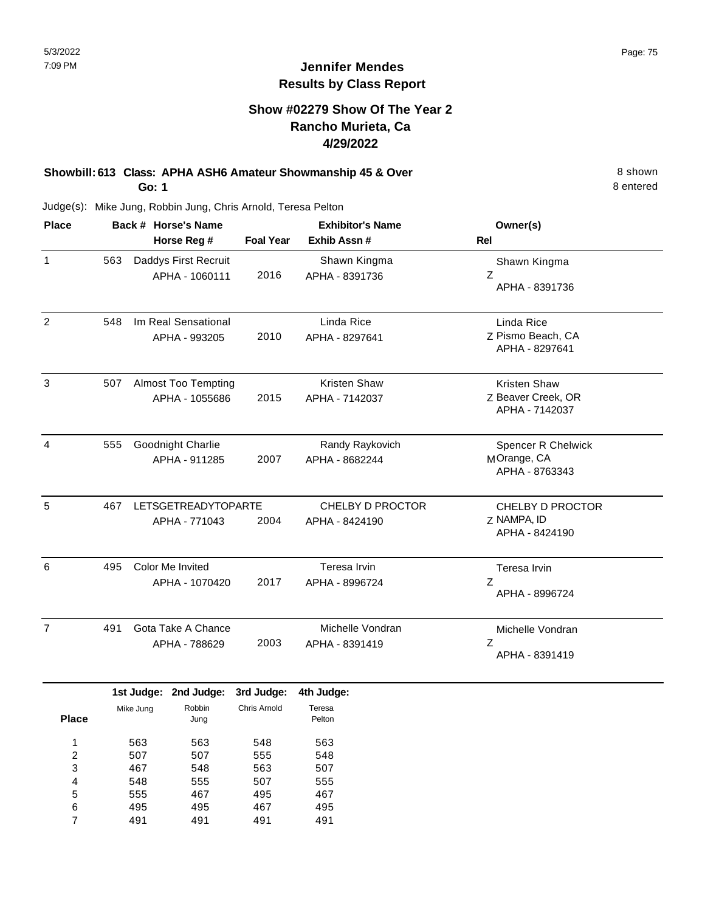#### **Show #02279 Show Of The Year 2 Rancho Murieta, Ca 4/29/2022**

#### **Showbill: 613 Class: APHA ASH6 Amateur Showmanship 45 & Over** 8 Shown 8 shown **Go: 1**

8 entered

| <b>Place</b>   |     | Back # Horse's Name                         |                                              |                     | <b>Exhibitor's Name</b>            | Owner(s)                                                    |
|----------------|-----|---------------------------------------------|----------------------------------------------|---------------------|------------------------------------|-------------------------------------------------------------|
|                |     |                                             | Horse Reg #                                  | <b>Foal Year</b>    | Exhib Assn #                       | Rel                                                         |
| $\mathbf{1}$   | 563 |                                             | Daddys First Recruit<br>APHA - 1060111       | 2016                | Shawn Kingma<br>APHA - 8391736     | Shawn Kingma<br>Z<br>APHA - 8391736                         |
| $\overline{c}$ | 548 |                                             | Im Real Sensational<br>APHA - 993205         | 2010                | Linda Rice<br>APHA - 8297641       | Linda Rice<br>Z Pismo Beach, CA<br>APHA - 8297641           |
| $\sqrt{3}$     | 507 |                                             | <b>Almost Too Tempting</b><br>APHA - 1055686 | 2015                | Kristen Shaw<br>APHA - 7142037     | <b>Kristen Shaw</b><br>Z Beaver Creek, OR<br>APHA - 7142037 |
| 4              | 555 |                                             | Goodnight Charlie<br>APHA - 911285           | 2007                | Randy Raykovich<br>APHA - 8682244  | Spencer R Chelwick<br>MOrange, CA<br>APHA - 8763343         |
| 5              | 467 | <b>LETSGETREADYTOPARTE</b><br>APHA - 771043 |                                              | 2004                | CHELBY D PROCTOR<br>APHA - 8424190 | CHELBY D PROCTOR<br>Z NAMPA, ID<br>APHA - 8424190           |
| 6              | 495 | <b>Color Me Invited</b><br>APHA - 1070420   |                                              | 2017                | Teresa Irvin<br>APHA - 8996724     | Teresa Irvin<br>$\mathsf Z$<br>APHA - 8996724               |
| $\overline{7}$ | 491 |                                             | Gota Take A Chance<br>APHA - 788629          | 2003                | Michelle Vondran<br>APHA - 8391419 | Michelle Vondran<br>Ζ<br>APHA - 8391419                     |
|                |     | 1st Judge:                                  | 2nd Judge:                                   | 3rd Judge:          | 4th Judge:                         |                                                             |
| <b>Place</b>   |     | Mike Jung                                   | Robbin<br>Jung                               | <b>Chris Arnold</b> | Teresa<br>Pelton                   |                                                             |
| 1              |     | 563                                         | 563                                          | 548                 | 563                                |                                                             |

| 1 | 563 | 563 | 548 | 563 |
|---|-----|-----|-----|-----|
| 2 | 507 | 507 | 555 | 548 |
| 3 | 467 | 548 | 563 | 507 |
| 4 | 548 | 555 | 507 | 555 |
| 5 | 555 | 467 | 495 | 467 |
| 6 | 495 | 495 | 467 | 495 |
| 7 | 491 | 491 | 491 | 491 |
|   |     |     |     |     |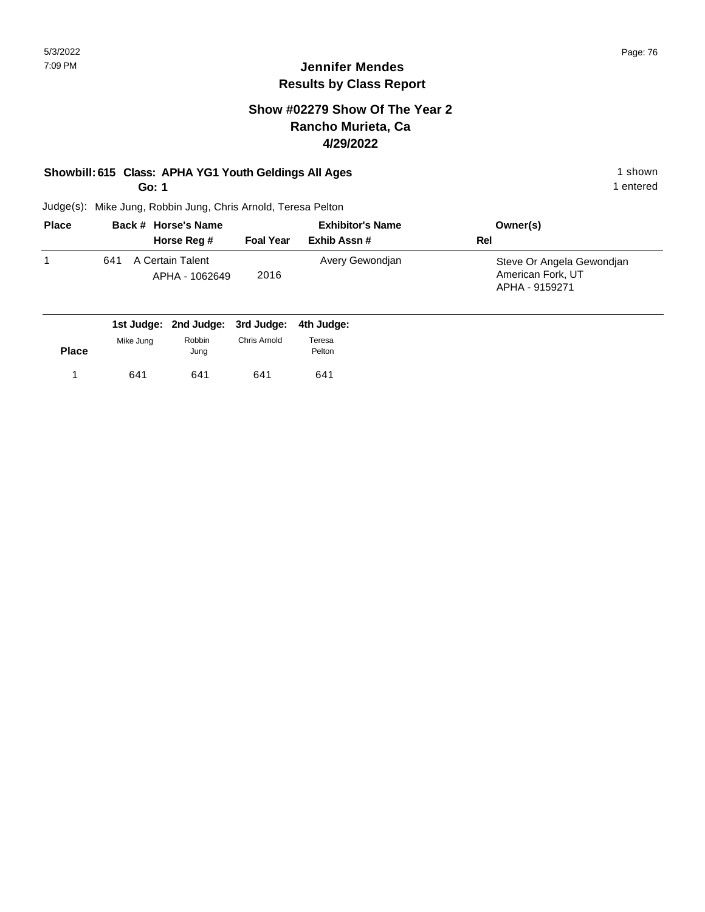#### **Show #02279 Show Of The Year 2 Rancho Murieta, Ca 4/29/2022**

## **Showbill: 615 Class: APHA YG1 Youth Geldings All Ages** 1 shown 1 shown

**Go: 1**

1 entered

| <b>Place</b> | Back # Horse's Name                       | <b>Exhibitor's Name</b> |                 | Owner(s)                                                         |
|--------------|-------------------------------------------|-------------------------|-----------------|------------------------------------------------------------------|
|              | Horse Reg #                               | <b>Foal Year</b>        | Exhib Assn#     | Rel                                                              |
|              | A Certain Talent<br>641<br>APHA - 1062649 | 2016                    | Avery Gewondian | Steve Or Angela Gewondjan<br>American Fork, UT<br>APHA - 9159271 |

|              |           | 1st Judge: 2nd Judge: 3rd Judge: 4th Judge: |              |                  |
|--------------|-----------|---------------------------------------------|--------------|------------------|
| <b>Place</b> | Mike Jung | Robbin<br>Jung                              | Chris Arnold | Teresa<br>Pelton |
|              | 641       | 641                                         | 641          | 641              |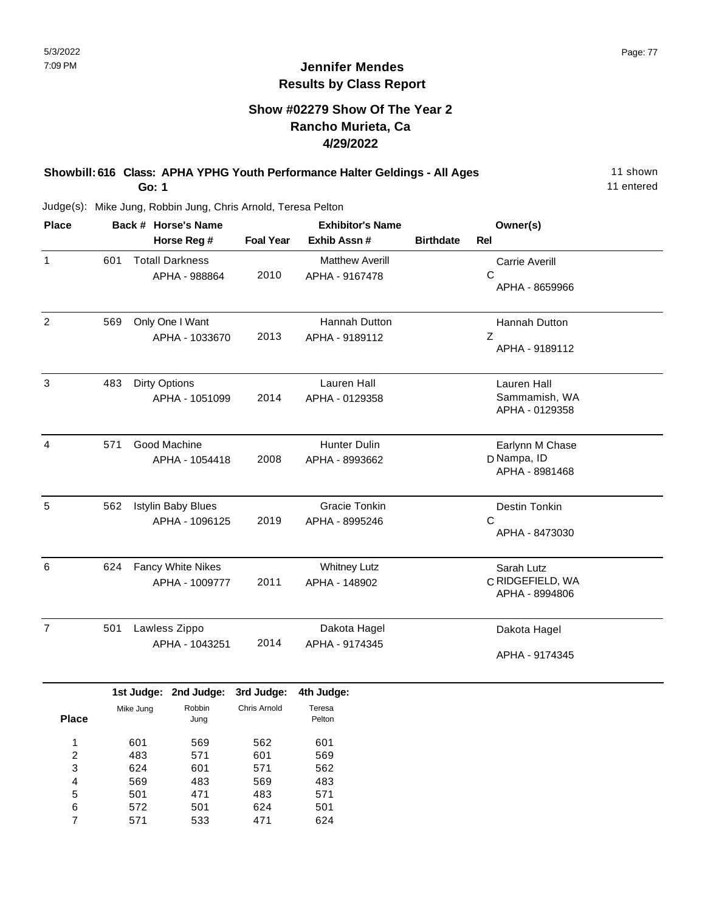## **Show #02279 Show Of The Year 2 Rancho Murieta, Ca 4/29/2022**

#### **Showbill: 616 Class: APHA YPHG Youth Performance Halter Geldings - All Ages** 11 shown **Go: 1**

11 entered

| <b>Place</b>   |     | Back # Horse's Name       | <b>Exhibitor's Name</b> |                        |                  | Owner(s)              |  |
|----------------|-----|---------------------------|-------------------------|------------------------|------------------|-----------------------|--|
|                |     | Horse Reg #               | <b>Foal Year</b>        | Exhib Assn #           | <b>Birthdate</b> | <b>Rel</b>            |  |
| $\mathbf{1}$   | 601 | <b>Totall Darkness</b>    |                         | <b>Matthew Averill</b> |                  | <b>Carrie Averill</b> |  |
|                |     | APHA - 988864             | 2010                    | APHA - 9167478         |                  | C                     |  |
|                |     |                           |                         |                        |                  | APHA - 8659966        |  |
| $\overline{2}$ | 569 | Only One I Want           |                         | Hannah Dutton          |                  | Hannah Dutton         |  |
|                |     | APHA - 1033670            | 2013                    | APHA - 9189112         |                  | Ζ                     |  |
|                |     |                           |                         |                        |                  | APHA - 9189112        |  |
| 3              | 483 | <b>Dirty Options</b>      |                         | Lauren Hall            |                  | Lauren Hall           |  |
|                |     | APHA - 1051099            | 2014                    | APHA - 0129358         |                  | Sammamish, WA         |  |
|                |     |                           |                         |                        |                  | APHA - 0129358        |  |
| 4              | 571 | Good Machine              |                         | Hunter Dulin           |                  | Earlynn M Chase       |  |
|                |     | APHA - 1054418            | 2008                    | APHA - 8993662         |                  | D Nampa, ID           |  |
|                |     |                           |                         |                        |                  | APHA - 8981468        |  |
| 5              | 562 | <b>Istylin Baby Blues</b> |                         | <b>Gracie Tonkin</b>   |                  | Destin Tonkin         |  |
|                |     | APHA - 1096125            | 2019                    | APHA - 8995246         |                  | C                     |  |
|                |     |                           |                         |                        |                  | APHA - 8473030        |  |
| 6              | 624 | Fancy White Nikes         |                         | <b>Whitney Lutz</b>    |                  | Sarah Lutz            |  |
|                |     | APHA - 1009777            | 2011                    | APHA - 148902          |                  | C RIDGEFIELD, WA      |  |
|                |     |                           |                         |                        |                  | APHA - 8994806        |  |
| $\overline{7}$ | 501 | Lawless Zippo             |                         | Dakota Hagel           |                  | Dakota Hagel          |  |
|                |     | APHA - 1043251            | 2014                    | APHA - 9174345         |                  |                       |  |
|                |     |                           |                         |                        |                  | APHA - 9174345        |  |
|                |     |                           |                         |                        |                  |                       |  |
|                |     | anhul. te1<br>2nd Judge   | anbul. http:            | enhull. dth            |                  |                       |  |

|              |           | 1st Judge: 2nd Judge: | 3rd Judge:   | 4th Judge:       |
|--------------|-----------|-----------------------|--------------|------------------|
| <b>Place</b> | Mike Jung | Robbin<br>Jung        | Chris Arnold | Teresa<br>Pelton |
| 1            | 601       | 569                   | 562          | 601              |
| 2            | 483       | 571                   | 601          | 569              |
| 3            | 624       | 601                   | 571          | 562              |
| 4            | 569       | 483                   | 569          | 483              |
| 5            | 501       | 471                   | 483          | 571              |
| 6            | 572       | 501                   | 624          | 501              |
| 7            | 571       | 533                   | 471          | 624              |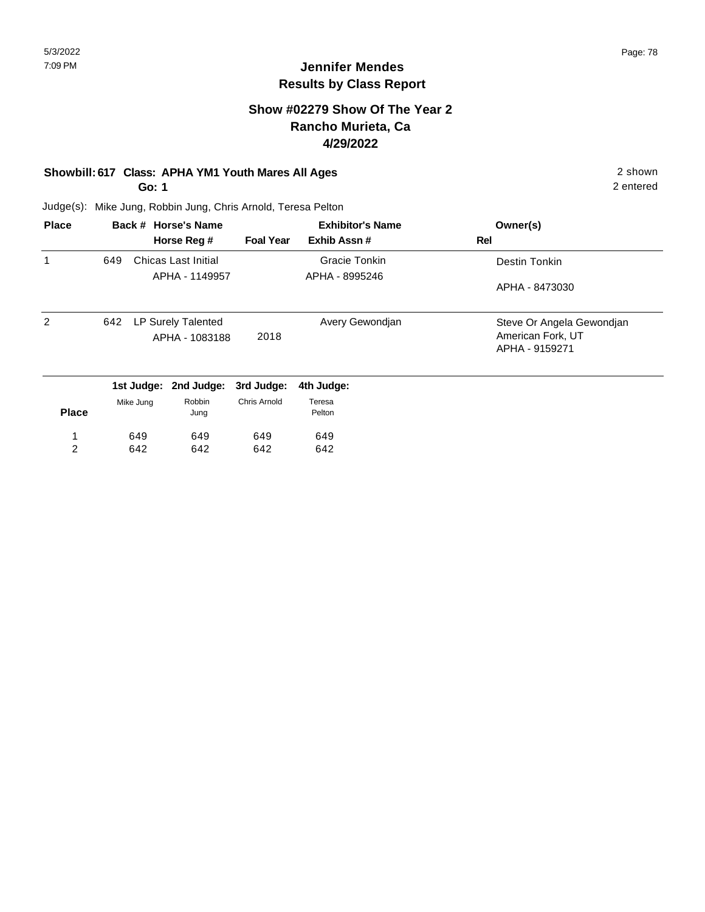#### **Show #02279 Show Of The Year 2 Rancho Murieta, Ca 4/29/2022**

## **Showbill: 617 Class: APHA YM1 Youth Mares All Ages** 2 shown

**Go: 1**

649 642

1 2 2 entered

Judge(s): Mike Jung, Robbin Jung, Chris Arnold, Teresa Pelton

649 642 649 642

| <b>Place</b> |           | Back # Horse's Name                  | <b>Exhibitor's Name</b> |                      | Owner(s)                                                         |
|--------------|-----------|--------------------------------------|-------------------------|----------------------|------------------------------------------------------------------|
|              |           | Horse Reg #                          | <b>Foal Year</b>        | Exhib Assn#          | Rel                                                              |
| 1            | 649       | Chicas Last Initial                  |                         | <b>Gracie Tonkin</b> | Destin Tonkin                                                    |
|              |           | APHA - 1149957                       |                         | APHA - 8995246       | APHA - 8473030                                                   |
| 2            | 642       | LP Surely Talented<br>APHA - 1083188 | 2018                    | Avery Gewondjan      | Steve Or Angela Gewondjan<br>American Fork, UT<br>APHA - 9159271 |
|              |           | 1st Judge: 2nd Judge:                | 3rd Judge:              | 4th Judge:           |                                                                  |
| <b>Place</b> | Mike Jung | Robbin<br>Jung                       | Chris Arnold            | Teresa<br>Pelton     |                                                                  |

649 642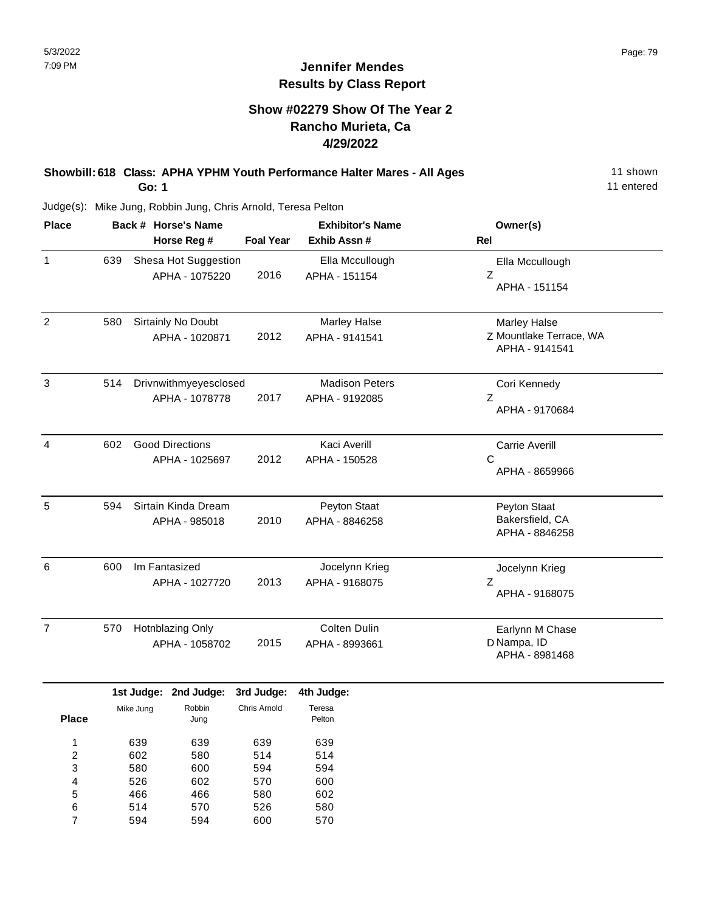## **Jennifer Mendes Results by Class Report**

#### **Show #02279 Show Of The Year 2 Rancho Murieta, Ca 4/29/2022**

#### **Showbill: 618 Class: APHA YPHM Youth Performance Halter Mares - All Ages** 11 Shown **Go: 1**

| <b>Place</b>   |     | Back # Horse's Name                      |                  | <b>Exhibitor's Name</b>                 | Owner(s)                                                         |
|----------------|-----|------------------------------------------|------------------|-----------------------------------------|------------------------------------------------------------------|
|                |     | Horse Reg #                              | <b>Foal Year</b> | Exhib Assn#                             | Rel                                                              |
| 1              | 639 | Shesa Hot Suggestion<br>APHA - 1075220   | 2016             | Ella Mccullough<br>APHA - 151154        | Ella Mccullough<br>Z<br>APHA - 151154                            |
| 2              | 580 | Sirtainly No Doubt<br>APHA - 1020871     | 2012             | <b>Marley Halse</b><br>APHA - 9141541   | <b>Marley Halse</b><br>Z Mountlake Terrace, WA<br>APHA - 9141541 |
| 3              | 514 | Drivnwithmyeyesclosed<br>APHA - 1078778  | 2017             | <b>Madison Peters</b><br>APHA - 9192085 | Cori Kennedy<br>Ζ<br>APHA - 9170684                              |
| 4              | 602 | <b>Good Directions</b><br>APHA - 1025697 | 2012             | Kaci Averill<br>APHA - 150528           | <b>Carrie Averill</b><br>C<br>APHA - 8659966                     |
| 5              | 594 | Sirtain Kinda Dream<br>APHA - 985018     | 2010             | Peyton Staat<br>APHA - 8846258          | Peyton Staat<br>Bakersfield, CA<br>APHA - 8846258                |
| 6              | 600 | Im Fantasized<br>APHA - 1027720          | 2013             | Jocelynn Krieg<br>APHA - 9168075        | Jocelynn Krieg<br>Z<br>APHA - 9168075                            |
| $\overline{7}$ | 570 | Hotnblazing Only<br>APHA - 1058702       | 2015             | Colten Dulin<br>APHA - 8993661          | Earlynn M Chase<br>D Nampa, ID<br>APHA - 8981468                 |

|       |           | 1st Judge: 2nd Judge: | 3rd Judge:   | 4th Judge:       |
|-------|-----------|-----------------------|--------------|------------------|
| Place | Mike Jung | Robbin<br>Jung        | Chris Arnold | Teresa<br>Pelton |
|       |           |                       |              |                  |
| 1     | 639       | 639                   | 639          | 639              |
| 2     | 602       | 580                   | 514          | 514              |
| 3     | 580       | 600                   | 594          | 594              |
| 4     | 526       | 602                   | 570          | 600              |
| 5     | 466       | 466                   | 580          | 602              |
| 6     | 514       | 570                   | 526          | 580              |
| 7     | 594       | 594                   | 600          | 570              |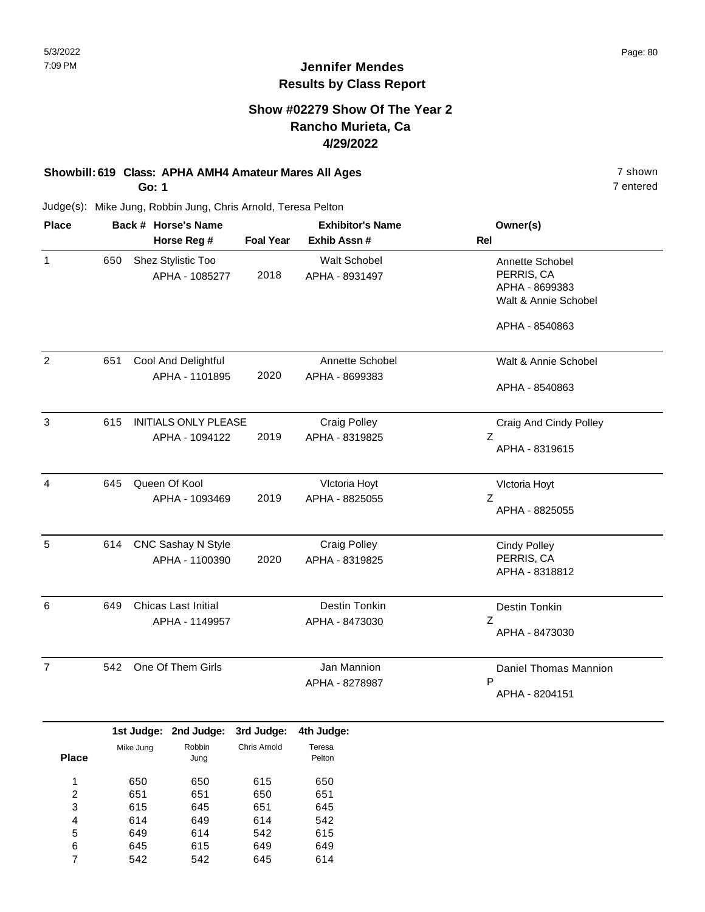#### **Show #02279 Show Of The Year 2 Rancho Murieta, Ca 4/29/2022**

# **Showbill: 619 Class: APHA AMH4 Amateur Mares All Ages** 7 shown

**Go: 1**

Judge(s): Mike Jung, Robbin Jung, Chris Arnold, Teresa Pelton

| <b>Place</b>   |     | Back # Horse's Name                         |                  | <b>Exhibitor's Name</b>               | Owner(s)                                                                |
|----------------|-----|---------------------------------------------|------------------|---------------------------------------|-------------------------------------------------------------------------|
|                |     | Horse Reg #                                 | <b>Foal Year</b> | Exhib Assn #                          | Rel                                                                     |
| $\mathbf{1}$   | 650 | Shez Stylistic Too<br>APHA - 1085277        | 2018             | <b>Walt Schobel</b><br>APHA - 8931497 | Annette Schobel<br>PERRIS, CA<br>APHA - 8699383<br>Walt & Annie Schobel |
|                |     |                                             |                  |                                       | APHA - 8540863                                                          |
| $\overline{2}$ | 651 | Cool And Delightful<br>APHA - 1101895       | 2020             | Annette Schobel<br>APHA - 8699383     | Walt & Annie Schobel                                                    |
|                |     |                                             |                  |                                       | APHA - 8540863                                                          |
| 3              | 615 | INITIALS ONLY PLEASE<br>APHA - 1094122      | 2019             | <b>Craig Polley</b><br>APHA - 8319825 | Craig And Cindy Polley<br>Z<br>APHA - 8319615                           |
| 4              | 645 | Queen Of Kool<br>APHA - 1093469             | 2019             | Vlctoria Hoyt<br>APHA - 8825055       | VIctoria Hoyt<br>Ζ<br>APHA - 8825055                                    |
| 5              | 614 | <b>CNC Sashay N Style</b><br>APHA - 1100390 | 2020             | <b>Craig Polley</b><br>APHA - 8319825 | <b>Cindy Polley</b><br>PERRIS, CA<br>APHA - 8318812                     |
| 6              | 649 | Chicas Last Initial<br>APHA - 1149957       |                  | Destin Tonkin<br>APHA - 8473030       | Destin Tonkin<br>Ζ<br>APHA - 8473030                                    |
| $\overline{7}$ | 542 | One Of Them Girls                           |                  | Jan Mannion<br>APHA - 8278987         | Daniel Thomas Mannion<br>P<br>APHA - 8204151                            |

|              |           | 1st Judge: 2nd Judge: | 3rd Judge:   | 4th Judge:       |
|--------------|-----------|-----------------------|--------------|------------------|
| <b>Place</b> | Mike Jung | Robbin<br>Jung        | Chris Arnold | Teresa<br>Pelton |
| 1            | 650       | 650                   | 615          | 650              |
| 2            | 651       | 651                   | 650          | 651              |
| 3            | 615       | 645                   | 651          | 645              |
| 4            | 614       | 649                   | 614          | 542              |
| 5            | 649       | 614                   | 542          | 615              |
| 6            | 645       | 615                   | 649          | 649              |
|              | 542       | 542                   | 645          | 614              |

7 entered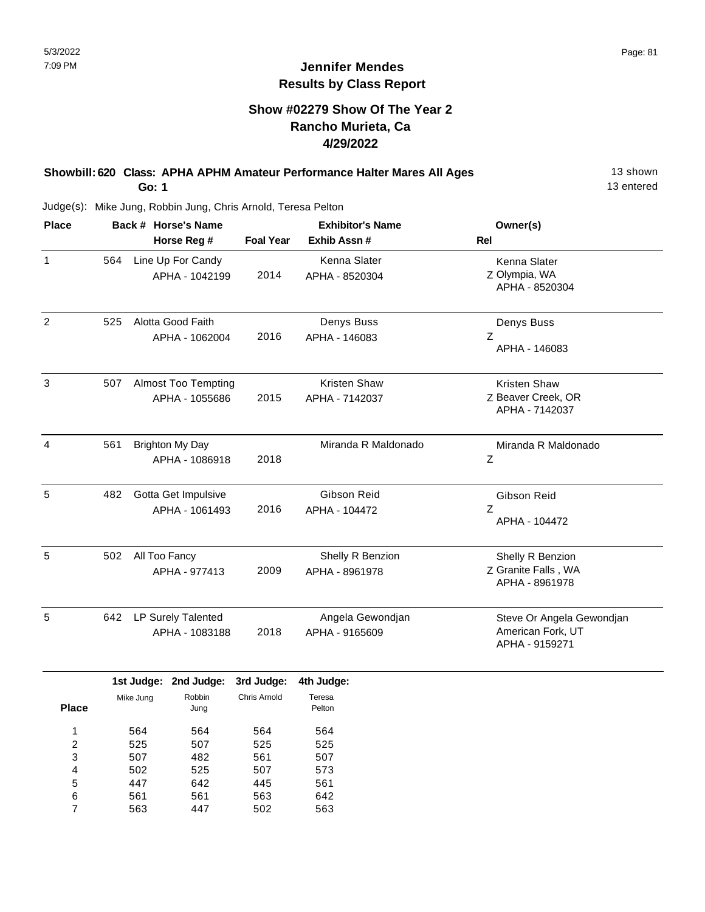## **Show #02279 Show Of The Year 2 Rancho Murieta, Ca 4/29/2022**

#### **Showbill: 620 Class: APHA APHM Amateur Performance Halter Mares All Ages** 13 shown **Go: 1**

13 entered

| <b>Place</b>   | Back # Horse's Name |                                              | <b>Exhibitor's Name</b> |                                    | Owner(s)                                                         |  |
|----------------|---------------------|----------------------------------------------|-------------------------|------------------------------------|------------------------------------------------------------------|--|
|                |                     | Horse Reg #                                  | <b>Foal Year</b>        | Exhib Assn #                       | <b>Rel</b>                                                       |  |
| $\mathbf{1}$   | 564                 | Line Up For Candy<br>APHA - 1042199          | 2014                    | Kenna Slater<br>APHA - 8520304     | Kenna Slater<br>Z Olympia, WA<br>APHA - 8520304                  |  |
| $\overline{2}$ | 525                 | Alotta Good Faith<br>APHA - 1062004          | 2016                    | Denys Buss<br>APHA - 146083        | Denys Buss<br>Z<br>APHA - 146083                                 |  |
| 3              | 507                 | <b>Almost Too Tempting</b><br>APHA - 1055686 | 2015                    | Kristen Shaw<br>APHA - 7142037     | <b>Kristen Shaw</b><br>Z Beaver Creek, OR<br>APHA - 7142037      |  |
| $\overline{4}$ | 561                 | <b>Brighton My Day</b><br>APHA - 1086918     | 2018                    | Miranda R Maldonado                | Miranda R Maldonado<br>Z                                         |  |
| 5              | 482                 | Gotta Get Impulsive<br>APHA - 1061493        | 2016                    | Gibson Reid<br>APHA - 104472       | Gibson Reid<br>Ζ<br>APHA - 104472                                |  |
| 5              | 502                 | All Too Fancy<br>APHA - 977413               | 2009                    | Shelly R Benzion<br>APHA - 8961978 | Shelly R Benzion<br>Z Granite Falls, WA<br>APHA - 8961978        |  |
| 5              | 642                 | LP Surely Talented<br>APHA - 1083188         | 2018                    | Angela Gewondjan<br>APHA - 9165609 | Steve Or Angela Gewondjan<br>American Fork, UT<br>APHA - 9159271 |  |

|              |           | 1st Judge: 2nd Judge: | 3rd Judge:   | 4th Judge:       |
|--------------|-----------|-----------------------|--------------|------------------|
| <b>Place</b> | Mike Jung | Robbin<br>Jung        | Chris Arnold | Teresa<br>Pelton |
| 1            | 564       | 564                   | 564          | 564              |
| 2            | 525       | 507                   | 525          | 525              |
| 3            | 507       | 482                   | 561          | 507              |
| 4            | 502       | 525                   | 507          | 573              |
| 5            | 447       | 642                   | 445          | 561              |
| 6            | 561       | 561                   | 563          | 642              |
| 7            | 563       | 447                   | 502          | 563              |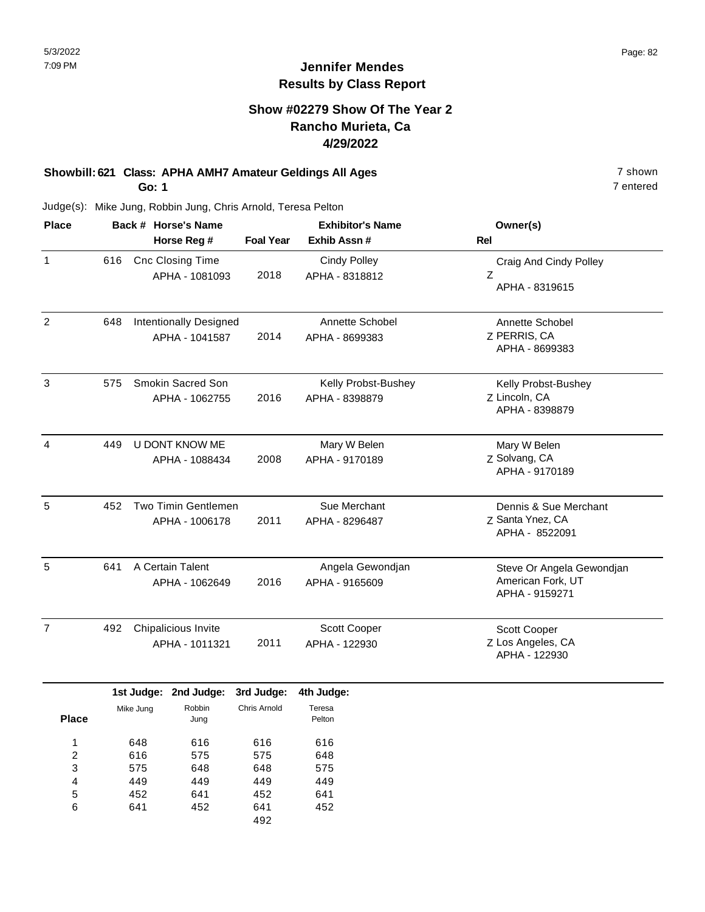#### **Show #02279 Show Of The Year 2 Rancho Murieta, Ca 4/29/2022**

#### **Showbill: 621 Class: APHA AMH7 Amateur Geldings All Ages** 7 shown **Go: 1**

Judge(s): Mike Jung, Robbin Jung, Chris Arnold, Teresa Pelton

| <b>Place</b>   | Back # Horse's Name |                            | <b>Exhibitor's Name</b> |                     | Owner(s)                            |
|----------------|---------------------|----------------------------|-------------------------|---------------------|-------------------------------------|
|                |                     | Horse Reg #                | <b>Foal Year</b>        | Exhib Assn #        | <b>Rel</b>                          |
| $\mathbf{1}$   | 616                 | Cnc Closing Time           |                         | <b>Cindy Polley</b> | Craig And Cindy Polley              |
|                |                     | APHA - 1081093             | 2018                    | APHA - 8318812      | Ζ<br>APHA - 8319615                 |
| 2              | 648                 | Intentionally Designed     |                         | Annette Schobel     | Annette Schobel                     |
|                |                     | APHA - 1041587             | 2014                    | APHA - 8699383      | Z PERRIS, CA<br>APHA - 8699383      |
| 3              | 575                 | Smokin Sacred Son          |                         | Kelly Probst-Bushey | Kelly Probst-Bushey                 |
|                |                     | APHA - 1062755             | 2016                    | APHA - 8398879      | Z Lincoln, CA<br>APHA - 8398879     |
| $\overline{4}$ | 449                 | U DONT KNOW ME             |                         | Mary W Belen        | Mary W Belen                        |
|                |                     | APHA - 1088434             | 2008                    | APHA - 9170189      | Z Solvang, CA<br>APHA - 9170189     |
| 5              | 452                 | <b>Two Timin Gentlemen</b> |                         | Sue Merchant        | Dennis & Sue Merchant               |
|                |                     | APHA - 1006178             | 2011                    | APHA - 8296487      | Z Santa Ynez, CA<br>APHA - 8522091  |
| 5              | 641                 | A Certain Talent           |                         | Angela Gewondjan    | Steve Or Angela Gewondjan           |
|                |                     | APHA - 1062649             | 2016                    | APHA - 9165609      | American Fork, UT<br>APHA - 9159271 |
| $\overline{7}$ | 492                 | Chipalicious Invite        |                         | Scott Cooper        | Scott Cooper                        |
|                |                     | APHA - 1011321             | 2011                    | APHA - 122930       | Z Los Angeles, CA<br>APHA - 122930  |

|              |           | 1st Judge: 2nd Judge: | 3rd Judge:   | 4th Judge: |
|--------------|-----------|-----------------------|--------------|------------|
|              | Mike Jung | Robbin                | Chris Arnold | Teresa     |
| <b>Place</b> |           | Jung                  |              | Pelton     |
| 1            | 648       | 616                   | 616          | 616        |
| 2            | 616       | 575                   | 575          | 648        |
| 3            | 575       | 648                   | 648          | 575        |
| 4            | 449       | 449                   | 449          | 449        |
| 5            | 452       | 641                   | 452          | 641        |
| 6            | 641       | 452                   | 641          | 452        |
|              |           |                       | 492          |            |

7 entered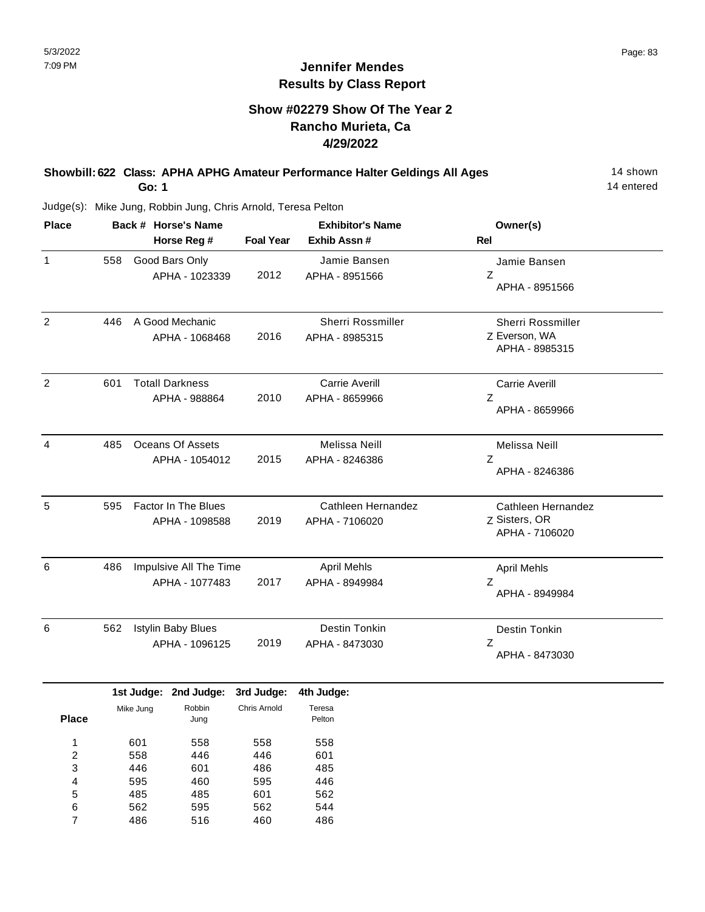#### **Show #02279 Show Of The Year 2 Rancho Murieta, Ca 4/29/2022**

#### **Showbill: 622 Class: APHA APHG Amateur Performance Halter Geldings All Ages** 14 shown **Go: 1**

14 entered

| <b>Place</b>    |     | Back # Horse's Name                          | <b>Exhibitor's Name</b>    |                                         | Owner(s)                                              |
|-----------------|-----|----------------------------------------------|----------------------------|-----------------------------------------|-------------------------------------------------------|
|                 |     | Horse Reg #                                  | <b>Foal Year</b>           | Exhib Assn #                            | <b>Rel</b>                                            |
| 1               | 558 | Good Bars Only<br>APHA - 1023339             | 2012                       | Jamie Bansen<br>APHA - 8951566          | Jamie Bansen<br>Z<br>APHA - 8951566                   |
| 2               | 446 | A Good Mechanic<br>APHA - 1068468            | 2016                       | Sherri Rossmiller<br>APHA - 8985315     | Sherri Rossmiller<br>Z Everson, WA<br>APHA - 8985315  |
| $\overline{2}$  | 601 | <b>Totall Darkness</b><br>APHA - 988864      | 2010                       | <b>Carrie Averill</b><br>APHA - 8659966 | <b>Carrie Averill</b><br>Z<br>APHA - 8659966          |
| 4               | 485 | Oceans Of Assets<br>APHA - 1054012           | 2015                       | Melissa Neill<br>APHA - 8246386         | Melissa Neill<br>Ζ<br>APHA - 8246386                  |
| 5               | 595 | <b>Factor In The Blues</b><br>APHA - 1098588 | 2019                       | Cathleen Hernandez<br>APHA - 7106020    | Cathleen Hernandez<br>Z Sisters, OR<br>APHA - 7106020 |
| 6               | 486 | Impulsive All The Time<br>APHA - 1077483     | 2017                       | <b>April Mehls</b><br>APHA - 8949984    | <b>April Mehls</b><br>Z<br>APHA - 8949984             |
| 6               | 562 | <b>Istylin Baby Blues</b><br>APHA - 1096125  | 2019                       | Destin Tonkin<br>APHA - 8473030         | Destin Tonkin<br>Ζ<br>APHA - 8473030                  |
| DI <sub>o</sub> |     | 1st Judge: 2nd Judge:<br>Robbin<br>Mike Jung | 3rd Judge:<br>Chris Arnold | 4th Judge:<br>Teresa<br>$D - U$         |                                                       |

| Place | Mike Jung | Robbin<br>Jung | Chris Arnold | Teresa<br>Pelton |
|-------|-----------|----------------|--------------|------------------|
| 1     | 601       | 558            | 558          | 558              |
| 2     | 558       | 446            | 446          | 601              |
| 3     | 446       | 601            | 486          | 485              |
| 4     | 595       | 460            | 595          | 446              |
| 5     | 485       | 485            | 601          | 562              |
| 6     | 562       | 595            | 562          | 544              |
| 7     | 486       | 516            | 460          | 486              |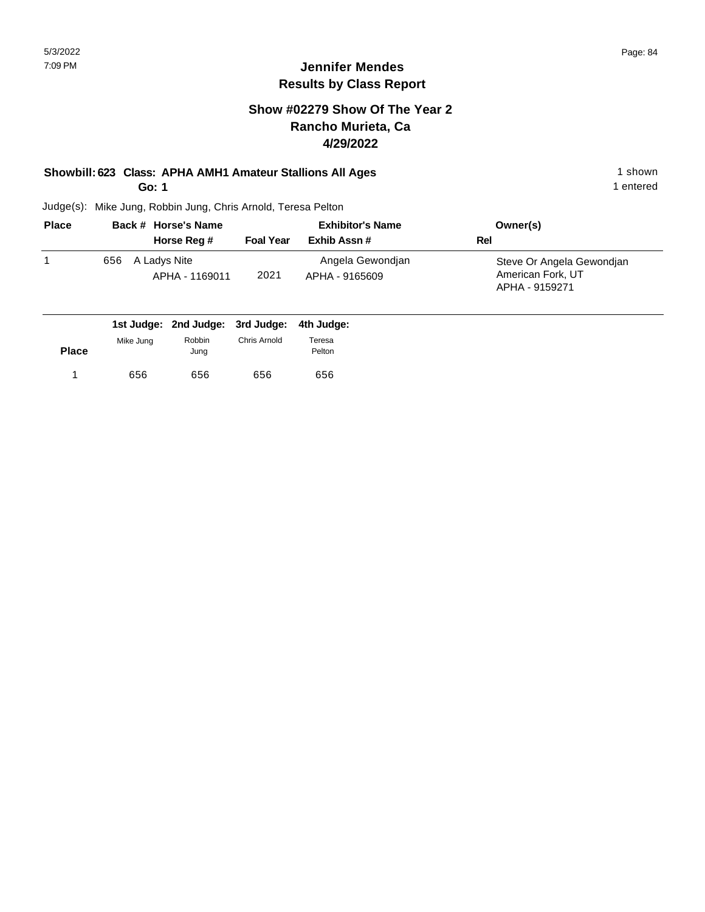#### **Jennifer Mendes Results by Class Report**

#### **Show #02279 Show Of The Year 2 Rancho Murieta, Ca 4/29/2022**

# **Showbill: 623 Class: APHA AMH1 Amateur Stallions All Ages** 1 shown

**Go: 1**

| <b>Place</b> | Back # Horse's Name |                                | <b>Exhibitor's Name</b> |                                    | Owner(s)                                                         |
|--------------|---------------------|--------------------------------|-------------------------|------------------------------------|------------------------------------------------------------------|
|              |                     | Horse Reg #                    | <b>Foal Year</b>        | Exhib Assn#                        | Rel                                                              |
|              | 656                 | A Ladys Nite<br>APHA - 1169011 | 2021                    | Angela Gewondjan<br>APHA - 9165609 | Steve Or Angela Gewondjan<br>American Fork, UT<br>APHA - 9159271 |

|              |           |        | 1st Judge: 2nd Judge: 3rd Judge: 4th Judge: |        |
|--------------|-----------|--------|---------------------------------------------|--------|
|              | Mike Jung | Robbin | Chris Arnold                                | Teresa |
| <b>Place</b> |           | Jung   |                                             | Pelton |
|              | 656       | 656    | 656                                         | 656    |
|              |           |        |                                             |        |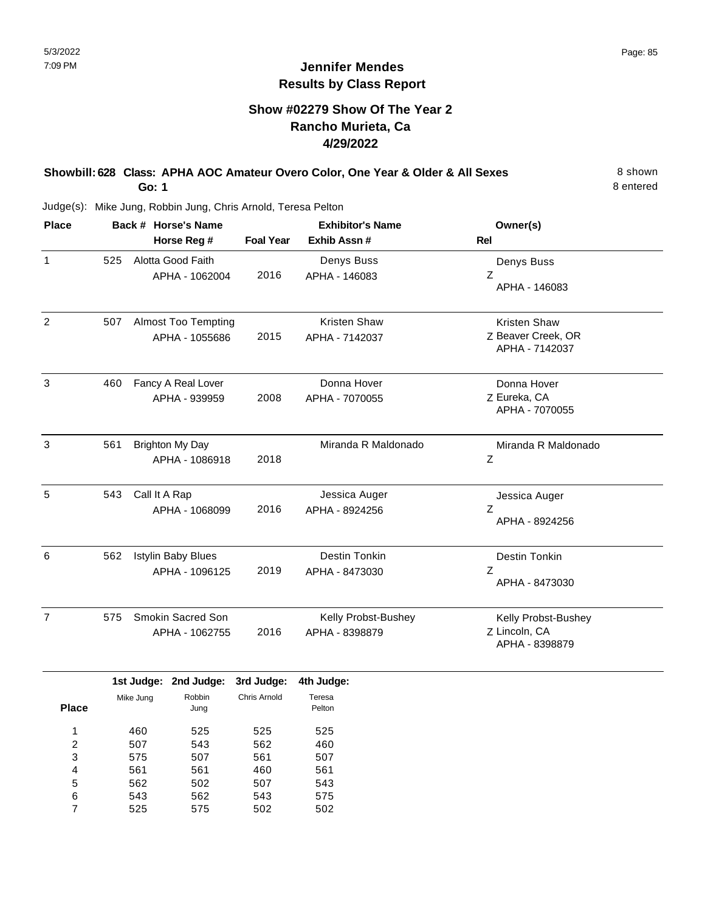#### **Show #02279 Show Of The Year 2 Rancho Murieta, Ca 4/29/2022**

#### **Showbill: 628 Class: APHA AOC Amateur Overo Color, One Year & Older & All Sexes** 8 Shown **Go: 1**

8 entered

| <b>Place</b>   | Back # Horse's Name |                            | <b>Exhibitor's Name</b> |                     | Owner(s)                             |
|----------------|---------------------|----------------------------|-------------------------|---------------------|--------------------------------------|
|                |                     | Horse Reg #                | <b>Foal Year</b>        | Exhib Assn #        | <b>Rel</b>                           |
| $\mathbf{1}$   | 525                 | Alotta Good Faith          |                         | Denys Buss          | Denys Buss                           |
|                |                     | APHA - 1062004             | 2016                    | APHA - 146083       | Ζ<br>APHA - 146083                   |
| $\overline{2}$ | 507                 | <b>Almost Too Tempting</b> |                         | Kristen Shaw        | Kristen Shaw                         |
|                |                     | APHA - 1055686             | 2015                    | APHA - 7142037      | Z Beaver Creek, OR<br>APHA - 7142037 |
| 3              | 460                 | Fancy A Real Lover         |                         | Donna Hover         | Donna Hover                          |
|                |                     | APHA - 939959              | 2008                    | APHA - 7070055      | Z Eureka, CA<br>APHA - 7070055       |
| 3              | 561                 | <b>Brighton My Day</b>     |                         | Miranda R Maldonado | Miranda R Maldonado                  |
|                |                     | APHA - 1086918             | 2018                    |                     | Z                                    |
| 5              | 543                 | Call It A Rap              |                         | Jessica Auger       | Jessica Auger                        |
|                |                     | APHA - 1068099             | 2016                    | APHA - 8924256      | Z<br>APHA - 8924256                  |
| 6              | 562                 | <b>Istylin Baby Blues</b>  |                         | Destin Tonkin       | Destin Tonkin                        |
|                |                     | APHA - 1096125             | 2019                    | APHA - 8473030      | Z<br>APHA - 8473030                  |
| $\overline{7}$ | 575                 | Smokin Sacred Son          |                         | Kelly Probst-Bushey | Kelly Probst-Bushey                  |
|                |                     | APHA - 1062755             | 2016                    | APHA - 8398879      | Z Lincoln, CA<br>APHA - 8398879      |
|                |                     |                            |                         |                     |                                      |

|              |           | 1st Judge: 2nd Judge: | 3rd Judge:   | 4th Judge: |
|--------------|-----------|-----------------------|--------------|------------|
|              | Mike Jung | Robbin                | Chris Arnold | Teresa     |
| <b>Place</b> |           | Jung                  |              | Pelton     |
| 1            | 460       | 525                   | 525          | 525        |
| 2            | 507       | 543                   | 562          | 460        |
| 3            | 575       | 507                   | 561          | 507        |
| 4            | 561       | 561                   | 460          | 561        |
| 5            | 562       | 502                   | 507          | 543        |
| 6            | 543       | 562                   | 543          | 575        |
| 7            | 525       | 575                   | 502          | 502        |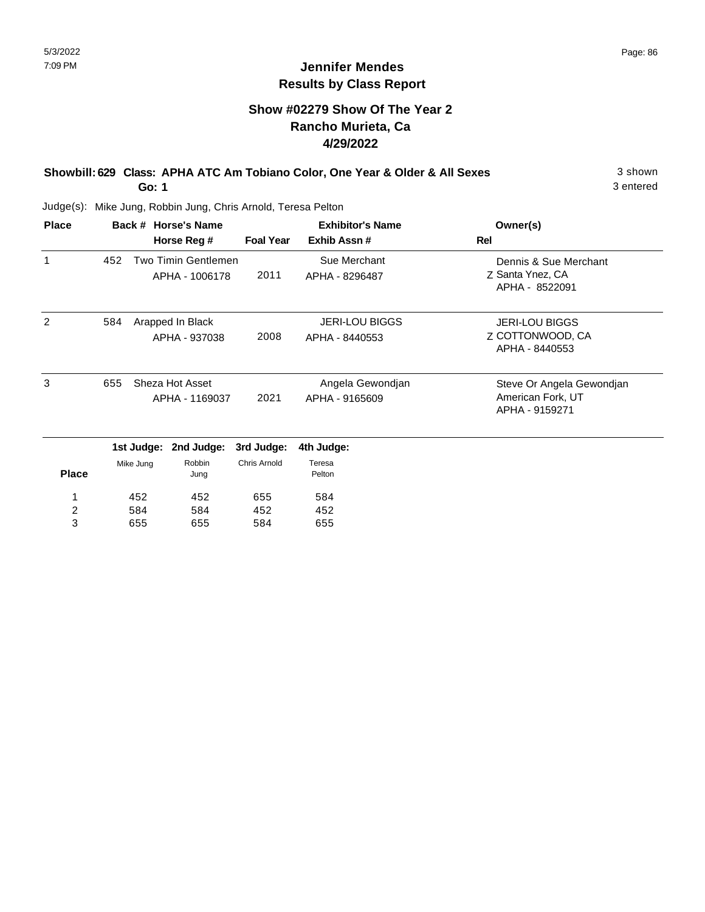#### **Show #02279 Show Of The Year 2 Rancho Murieta, Ca 4/29/2022**

#### **Showbill: 629 Class: APHA ATC Am Tobiano Color, One Year & Older & All Sexes** 3 shown **Go: 1**

3 entered

Judge(s): Mike Jung, Robbin Jung, Chris Arnold, Teresa Pelton

655

3

655

584

| <b>Place</b>   |     |            | Back # Horse's Name |                     | <b>Exhibitor's Name</b> | Owner(s)                            |
|----------------|-----|------------|---------------------|---------------------|-------------------------|-------------------------------------|
|                |     |            | Horse Reg #         | <b>Foal Year</b>    | Exhib Assn#             | Rel                                 |
| 1              | 452 |            | Two Timin Gentlemen |                     | Sue Merchant            | Dennis & Sue Merchant               |
|                |     |            | APHA - 1006178      | 2011                | APHA - 8296487          | Z Santa Ynez, CA<br>APHA - 8522091  |
| 2              | 584 |            | Arapped In Black    |                     | <b>JERI-LOU BIGGS</b>   | <b>JERI-LOU BIGGS</b>               |
|                |     |            | APHA - 937038       | 2008                | APHA - 8440553          | Z COTTONWOOD, CA<br>APHA - 8440553  |
| 3              | 655 |            | Sheza Hot Asset     |                     | Angela Gewondjan        | Steve Or Angela Gewondjan           |
|                |     |            | APHA - 1169037      | 2021                | APHA - 9165609          | American Fork, UT<br>APHA - 9159271 |
|                |     | 1st Judge: | 2nd Judge:          | 3rd Judge:          | 4th Judge:              |                                     |
| <b>Place</b>   |     | Mike Jung  | Robbin<br>Jung      | <b>Chris Arnold</b> | Teresa<br>Pelton        |                                     |
| 1              |     | 452        | 452                 | 655                 | 584                     |                                     |
| $\overline{2}$ |     | 584        | 584                 | 452                 | 452                     |                                     |

655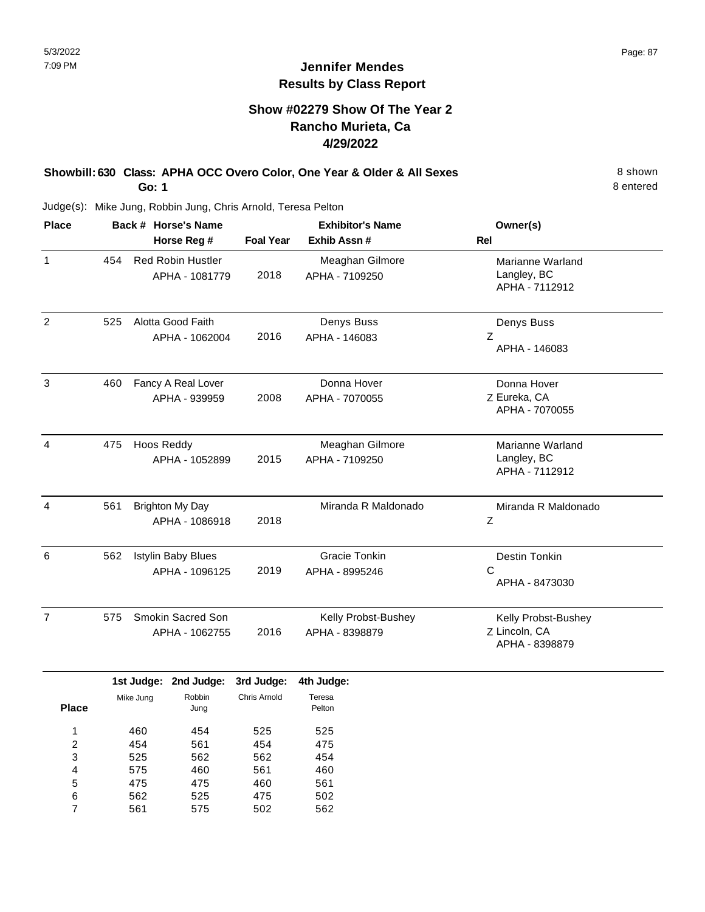## **Show #02279 Show Of The Year 2 Rancho Murieta, Ca 4/29/2022**

#### **Showbill: 630 Class: APHA OCC Overo Color, One Year & Older & All Sexes** 8 Shown 8 shown **Go: 1**

8 entered

| <b>Place</b>   |     | Back # Horse's Name                         |                  | <b>Exhibitor's Name</b>               | Owner(s)                                               |
|----------------|-----|---------------------------------------------|------------------|---------------------------------------|--------------------------------------------------------|
|                |     | Horse Reg #                                 | <b>Foal Year</b> | Exhib Assn #                          | <b>Rel</b>                                             |
| $\mathbf{1}$   | 454 | <b>Red Robin Hustler</b><br>APHA - 1081779  | 2018             | Meaghan Gilmore<br>APHA - 7109250     | Marianne Warland<br>Langley, BC<br>APHA - 7112912      |
| 2              | 525 | Alotta Good Faith<br>APHA - 1062004         | 2016             | Denys Buss<br>APHA - 146083           | Denys Buss<br>Z<br>APHA - 146083                       |
| 3              | 460 | Fancy A Real Lover<br>APHA - 939959         | 2008             | Donna Hover<br>APHA - 7070055         | Donna Hover<br>Z Eureka, CA<br>APHA - 7070055          |
| $\overline{4}$ | 475 | Hoos Reddy<br>APHA - 1052899                | 2015             | Meaghan Gilmore<br>APHA - 7109250     | Marianne Warland<br>Langley, BC<br>APHA - 7112912      |
| $\overline{4}$ | 561 | Brighton My Day<br>APHA - 1086918           | 2018             | Miranda R Maldonado                   | Miranda R Maldonado<br>Z                               |
| 6              | 562 | <b>Istylin Baby Blues</b><br>APHA - 1096125 | 2019             | Gracie Tonkin<br>APHA - 8995246       | Destin Tonkin<br>$\mathsf{C}$<br>APHA - 8473030        |
| $\overline{7}$ | 575 | Smokin Sacred Son<br>APHA - 1062755         | 2016             | Kelly Probst-Bushey<br>APHA - 8398879 | Kelly Probst-Bushey<br>Z Lincoln, CA<br>APHA - 8398879 |

|       |           | 1st Judge: 2nd Judge: | 3rd Judge:   | 4th Judge:       |
|-------|-----------|-----------------------|--------------|------------------|
| Place | Mike Jung | Robbin<br>Jung        | Chris Arnold | Teresa<br>Pelton |
| 1     | 460       | 454                   | 525          | 525              |
| 2     | 454       | 561                   | 454          | 475              |
| 3     | 525       | 562                   | 562          | 454              |
| 4     | 575       | 460                   | 561          | 460              |
| 5     | 475       | 475                   | 460          | 561              |
| 6     | 562       | 525                   | 475          | 502              |
| 7     | 561       | 575                   | 502          | 562              |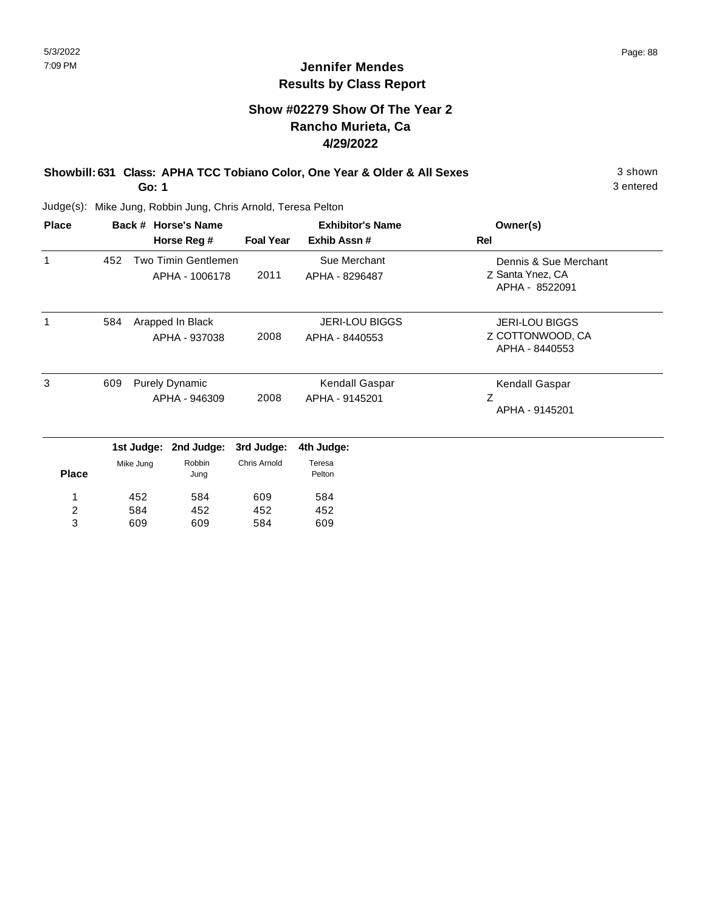## **Show #02279 Show Of The Year 2 Rancho Murieta, Ca 4/29/2022**

#### **Showbill: 631 Class: APHA TCC Tobiano Color, One Year & Older & All Sexes** 3 shown **Go: 1**

3 entered

| <b>Place</b> |     |            | Back # Horse's Name   |                     | <b>Exhibitor's Name</b> | Owner(s)                           |
|--------------|-----|------------|-----------------------|---------------------|-------------------------|------------------------------------|
|              |     |            | Horse Reg #           | <b>Foal Year</b>    | Exhib Assn #            | Rel                                |
| $\mathbf{1}$ | 452 |            | Two Timin Gentlemen   |                     | Sue Merchant            | Dennis & Sue Merchant              |
|              |     |            | APHA - 1006178        | 2011                | APHA - 8296487          | Z Santa Ynez, CA<br>APHA - 8522091 |
| 1            | 584 |            | Arapped In Black      |                     | <b>JERI-LOU BIGGS</b>   | <b>JERI-LOU BIGGS</b>              |
|              |     |            | APHA - 937038         | 2008                | APHA - 8440553          | Z COTTONWOOD, CA                   |
|              |     |            |                       |                     | APHA - 8440553          |                                    |
| 3            | 609 |            | <b>Purely Dynamic</b> |                     | Kendall Gaspar          | Kendall Gaspar                     |
|              |     |            | APHA - 946309         | 2008                | APHA - 9145201          | Ζ                                  |
|              |     |            |                       |                     |                         | APHA - 9145201                     |
|              |     | 1st Judge: | 2nd Judge:            | 3rd Judge:          | 4th Judge:              |                                    |
|              |     | Mike Jung  | Robbin                | <b>Chris Arnold</b> | Teresa                  |                                    |
| <b>Place</b> |     |            | Jung                  |                     | Pelton                  |                                    |
| 1            |     | 452        | 584                   | 609                 | 584                     |                                    |
| 2            |     | 584        | 452                   | 452                 | 452                     |                                    |
| 3            |     | 609        | 609                   | 584                 | 609                     |                                    |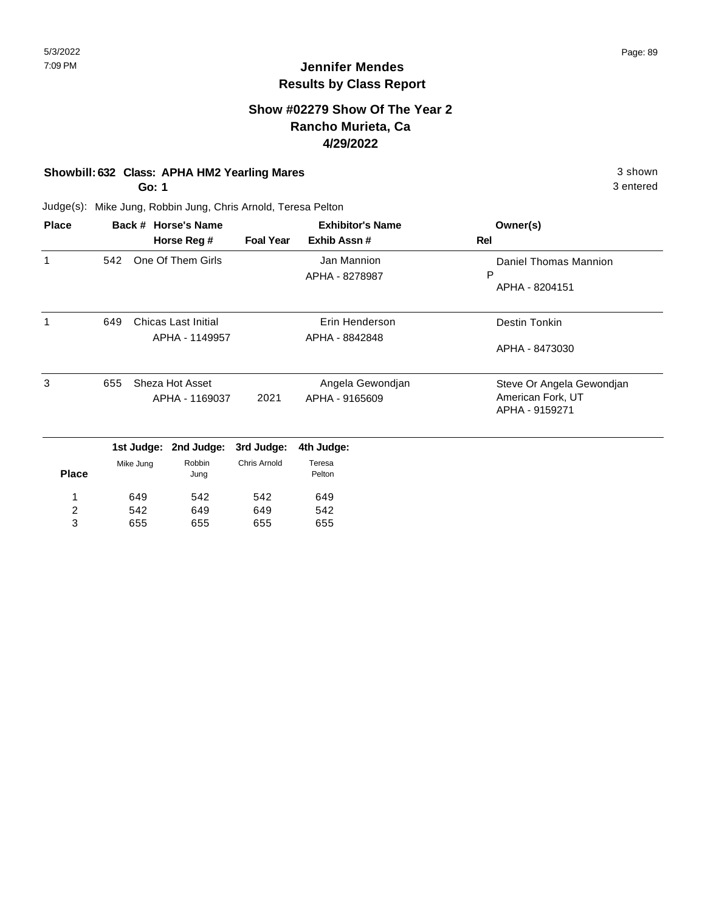#### **Show #02279 Show Of The Year 2 Rancho Murieta, Ca 4/29/2022**

#### **Showbill: 632 Class: APHA HM2 Yearling Mares** 3 shown

**Go: 1**

655

3

655

655

3 entered

Judge(s): Mike Jung, Robbin Jung, Chris Arnold, Teresa Pelton

| <b>Place</b> | Back # Horse's Name |           |                            |                     | <b>Exhibitor's Name</b> | Owner(s)                  |
|--------------|---------------------|-----------|----------------------------|---------------------|-------------------------|---------------------------|
|              |                     |           | Horse Reg #                | <b>Foal Year</b>    | Exhib Assn#             | Rel                       |
| 1            | 542                 |           | One Of Them Girls          |                     | Jan Mannion             | Daniel Thomas Mannion     |
|              |                     |           |                            |                     | APHA - 8278987          | P                         |
|              |                     |           |                            |                     |                         | APHA - 8204151            |
| 1            | 649                 |           | <b>Chicas Last Initial</b> |                     | Erin Henderson          | Destin Tonkin             |
|              |                     |           | APHA - 1149957             |                     | APHA - 8842848          |                           |
|              |                     |           |                            |                     | APHA - 8473030          |                           |
| 3            | 655                 |           | Sheza Hot Asset            |                     | Angela Gewondjan        | Steve Or Angela Gewondjan |
|              |                     |           | APHA - 1169037             | 2021                | APHA - 9165609          | American Fork, UT         |
|              |                     |           |                            |                     |                         | APHA - 9159271            |
|              |                     |           | 1st Judge: 2nd Judge:      | 3rd Judge:          | 4th Judge:              |                           |
|              |                     | Mike Jung | Robbin                     | <b>Chris Arnold</b> | Teresa                  |                           |
| <b>Place</b> |                     |           | Jung                       |                     | Pelton                  |                           |
| 1            |                     | 649       | 542                        | 542                 | 649                     |                           |
| 2            |                     | 542       | 649                        | 649                 | 542                     |                           |

655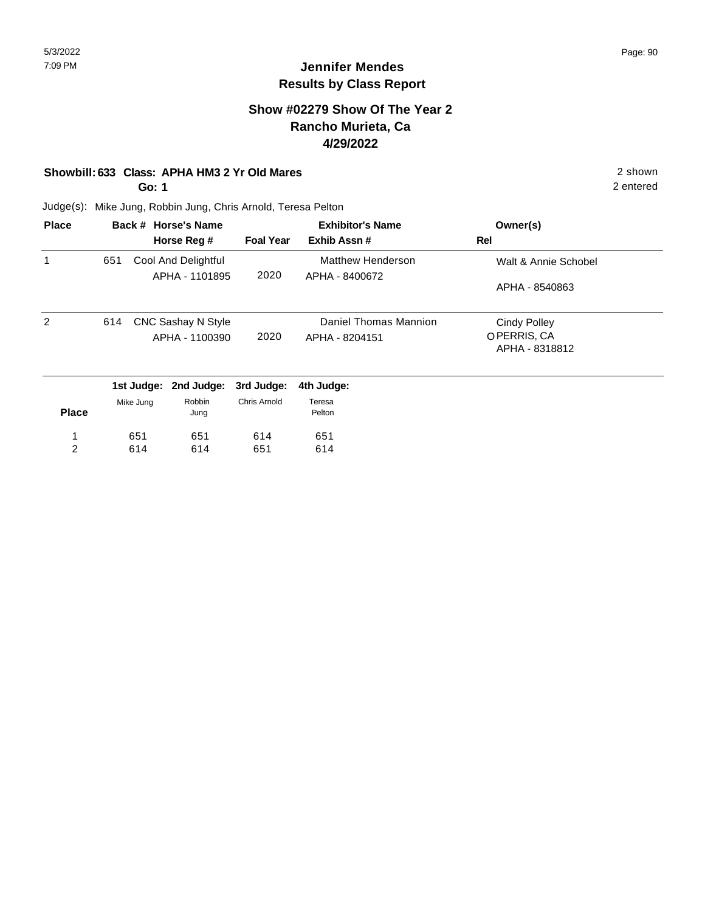#### **Show #02279 Show Of The Year 2 Rancho Murieta, Ca 4/29/2022**

#### **Showbill: 633 Class: APHA HM3 2 Yr Old Mares** 2 shown

**Go: 1**

2 entered

| <b>Place</b>   |     |           | Back # Horse's Name   | <b>Exhibitor's Name</b> |                       | Owner(s)             |
|----------------|-----|-----------|-----------------------|-------------------------|-----------------------|----------------------|
|                |     |           | Horse Reg #           | <b>Foal Year</b>        | Exhib Assn#           | Rel                  |
| 1              | 651 |           | Cool And Delightful   |                         | Matthew Henderson     | Walt & Annie Schobel |
|                |     |           | APHA - 1101895        | 2020                    | APHA - 8400672        |                      |
|                |     |           |                       |                         |                       | APHA - 8540863       |
| 2              | 614 |           | CNC Sashay N Style    |                         | Daniel Thomas Mannion | <b>Cindy Polley</b>  |
|                |     |           | APHA - 1100390        | 2020                    | APHA - 8204151        | OPERRIS, CA          |
|                |     |           |                       |                         |                       | APHA - 8318812       |
|                |     |           | 1st Judge: 2nd Judge: | 3rd Judge:              | 4th Judge:            |                      |
|                |     | Mike Jung | Robbin                | Chris Arnold            | Teresa                |                      |
| <b>Place</b>   |     |           | Jung                  |                         | Pelton                |                      |
| 1              |     | 651       | 651                   | 614                     | 651                   |                      |
| $\overline{2}$ |     | 614       | 614                   | 651                     | 614                   |                      |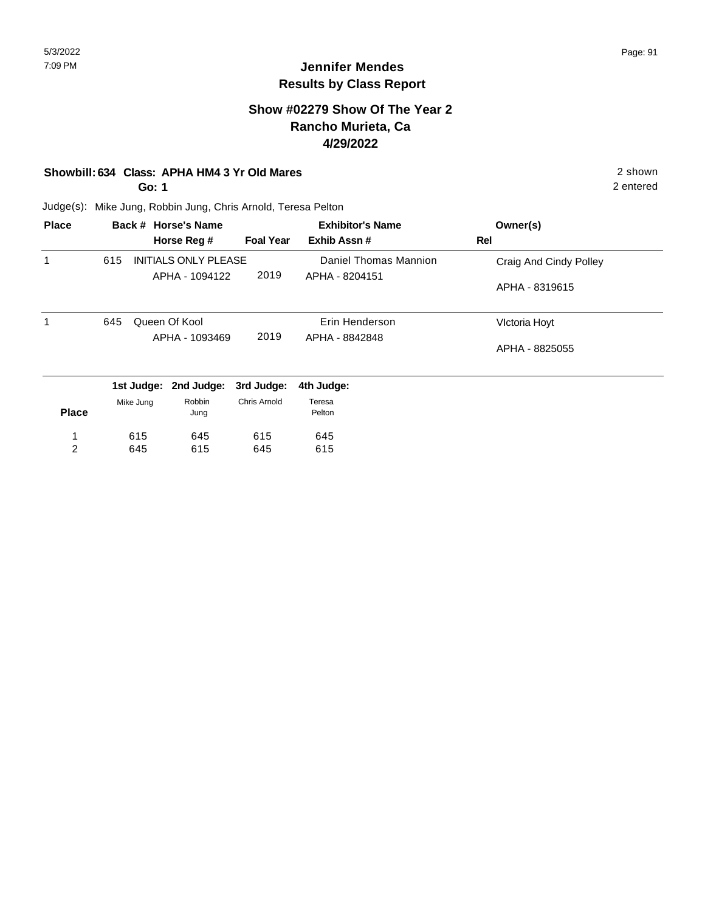#### **Show #02279 Show Of The Year 2 Rancho Murieta, Ca 4/29/2022**

#### **Showbill: 634 Class: APHA HM4 3 Yr Old Mares** 2 shown

**Go: 1**

2 entered

| <b>Place</b>   |     |            | Back # Horse's Name         |                  | <b>Exhibitor's Name</b> | Owner(s)               |
|----------------|-----|------------|-----------------------------|------------------|-------------------------|------------------------|
|                |     |            | Horse Reg #                 | <b>Foal Year</b> | Exhib Assn#             | <b>Rel</b>             |
| 1              | 615 |            | <b>INITIALS ONLY PLEASE</b> |                  | Daniel Thomas Mannion   | Craig And Cindy Polley |
|                |     |            | APHA - 1094122              | 2019             | APHA - 8204151          |                        |
|                |     |            |                             |                  |                         | APHA - 8319615         |
| 1              | 645 |            | Queen Of Kool               |                  | Erin Henderson          | Victoria Hoyt          |
|                |     |            | APHA - 1093469              | 2019             | APHA - 8842848          | APHA - 8825055         |
|                |     | 1st Judge: | 2nd Judge:                  | 3rd Judge:       | 4th Judge:              |                        |
| <b>Place</b>   |     | Mike Jung  | Robbin<br>Jung              | Chris Arnold     | Teresa<br>Pelton        |                        |
| 1              |     | 615        | 645                         | 615              | 645                     |                        |
| $\overline{2}$ |     | 645        | 615                         | 645              | 615                     |                        |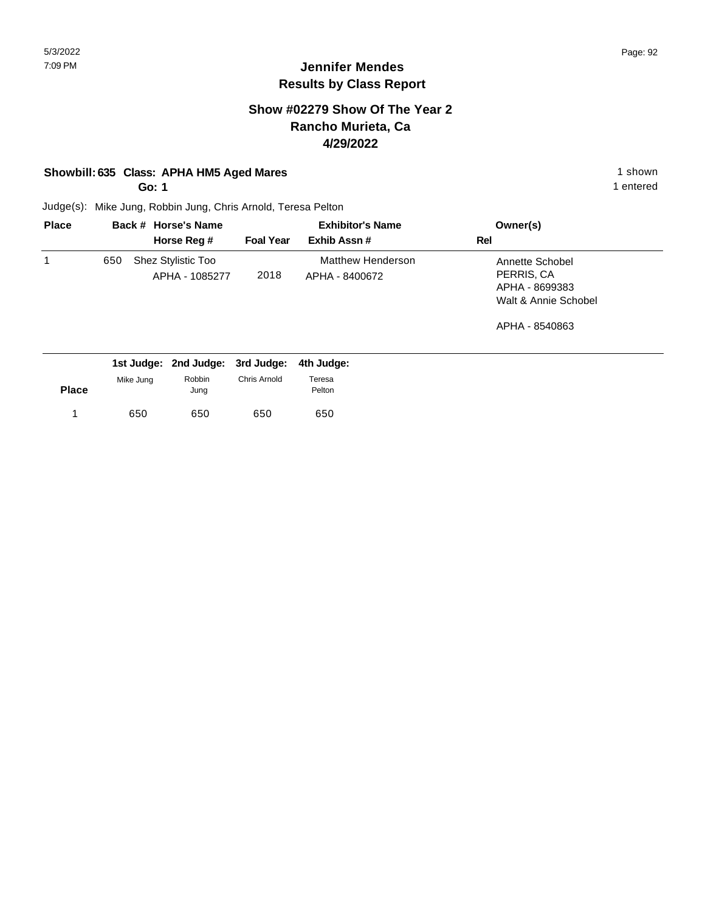#### **Show #02279 Show Of The Year 2 Rancho Murieta, Ca 4/29/2022**

#### **Showbill: 635 Class: APHA HM5 Aged Mares** 1 shown

**Go: 1**

1 entered

| <b>Place</b> |     | Back # Horse's Name                  | <b>Exhibitor's Name</b> |                                     | Owner(s)                                                                |
|--------------|-----|--------------------------------------|-------------------------|-------------------------------------|-------------------------------------------------------------------------|
|              |     | Horse Reg #                          | <b>Foal Year</b>        | Exhib Assn#                         | Rel                                                                     |
|              | 650 | Shez Stylistic Too<br>APHA - 1085277 | 2018                    | Matthew Henderson<br>APHA - 8400672 | Annette Schobel<br>PERRIS, CA<br>APHA - 8699383<br>Walt & Annie Schobel |
|              |     |                                      |                         |                                     | APHA - 8540863                                                          |

|              |           | 1st Judge: 2nd Judge: 3rd Judge: 4th Judge: |              |                  |
|--------------|-----------|---------------------------------------------|--------------|------------------|
| <b>Place</b> | Mike Jung | Robbin<br>Jung                              | Chris Arnold | Teresa<br>Pelton |
|              | 650       | 650                                         | 650          | 650              |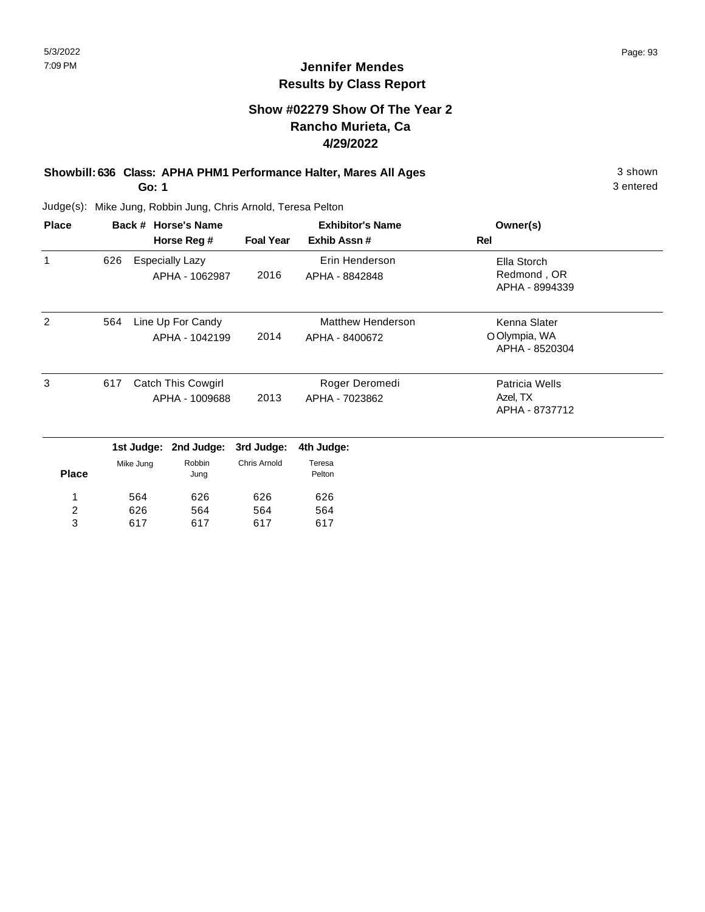#### **Show #02279 Show Of The Year 2 Rancho Murieta, Ca 4/29/2022**

#### **Showbill: 636 Class: APHA PHM1 Performance Halter, Mares All Ages** 3 shown **Go: 1**

3 entered

| <b>Place</b>   |     |             | Back # Horse's Name                         |                     | <b>Exhibitor's Name</b>                    | Owner(s)                                        |  |
|----------------|-----|-------------|---------------------------------------------|---------------------|--------------------------------------------|-------------------------------------------------|--|
|                |     | Horse Reg # |                                             |                     | <b>Foal Year</b><br>Exhib Assn #           | Rel                                             |  |
| 1              | 626 |             | <b>Especially Lazy</b><br>APHA - 1062987    | 2016                | Erin Henderson<br>APHA - 8842848           | Ella Storch<br>Redmond, OR<br>APHA - 8994339    |  |
| 2              | 564 |             | Line Up For Candy<br>APHA - 1042199         | 2014                | <b>Matthew Henderson</b><br>APHA - 8400672 | Kenna Slater<br>O Olympia, WA<br>APHA - 8520304 |  |
| 3              | 617 |             | <b>Catch This Cowgirl</b><br>APHA - 1009688 | 2013                | Roger Deromedi<br>APHA - 7023862           | Patricia Wells<br>Azel, TX<br>APHA - 8737712    |  |
|                |     | 1st Judge:  | 2nd Judge:                                  | 3rd Judge:          | 4th Judge:                                 |                                                 |  |
| <b>Place</b>   |     | Mike Jung   | Robbin<br>Jung                              | <b>Chris Arnold</b> | Teresa<br>Pelton                           |                                                 |  |
| 1              |     | 564         | 626                                         | 626                 | 626                                        |                                                 |  |
| $\overline{c}$ |     | 626         | 564                                         | 564                 | 564                                        |                                                 |  |
| 3              |     | 617         | 617                                         | 617                 | 617                                        |                                                 |  |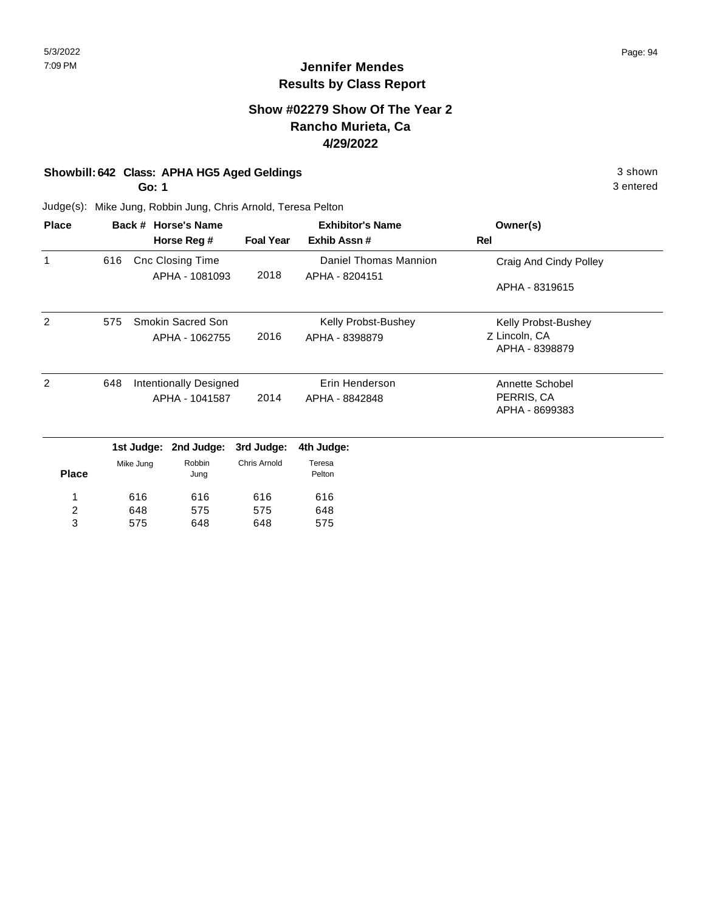#### **Show #02279 Show Of The Year 2 Rancho Murieta, Ca 4/29/2022**

#### **Showbill: 642 Class: APHA HG5 Aged Geldings** 3 shown

**Go: 1**

3 entered

| <b>Place</b>   |     |            | Back # Horse's Name     |                     | <b>Exhibitor's Name</b> | Owner(s)                        |
|----------------|-----|------------|-------------------------|---------------------|-------------------------|---------------------------------|
|                |     |            | Horse Reg #             | <b>Foal Year</b>    | Exhib Assn#             | Rel                             |
| 1              | 616 |            | <b>Cnc Closing Time</b> |                     | Daniel Thomas Mannion   | Craig And Cindy Polley          |
|                |     |            | APHA - 1081093          | 2018                | APHA - 8204151          | APHA - 8319615                  |
| $\overline{2}$ | 575 |            | Smokin Sacred Son       |                     | Kelly Probst-Bushey     | Kelly Probst-Bushey             |
|                |     |            | APHA - 1062755          | 2016                | APHA - 8398879          | Z Lincoln, CA<br>APHA - 8398879 |
| $\overline{2}$ | 648 |            | Intentionally Designed  |                     | Erin Henderson          | Annette Schobel                 |
|                |     |            | APHA - 1041587          | 2014                | APHA - 8842848          | PERRIS, CA<br>APHA - 8699383    |
|                |     | 1st Judge: | 2nd Judge:              | 3rd Judge:          | 4th Judge:              |                                 |
| <b>Place</b>   |     | Mike Jung  | Robbin<br>Jung          | <b>Chris Arnold</b> | Teresa<br>Pelton        |                                 |
| 1              |     | 616        | 616                     | 616                 | 616                     |                                 |
| $\overline{c}$ |     | 648        | 575                     | 575                 | 648                     |                                 |
| 3              |     | 575        | 648                     | 648                 | 575                     |                                 |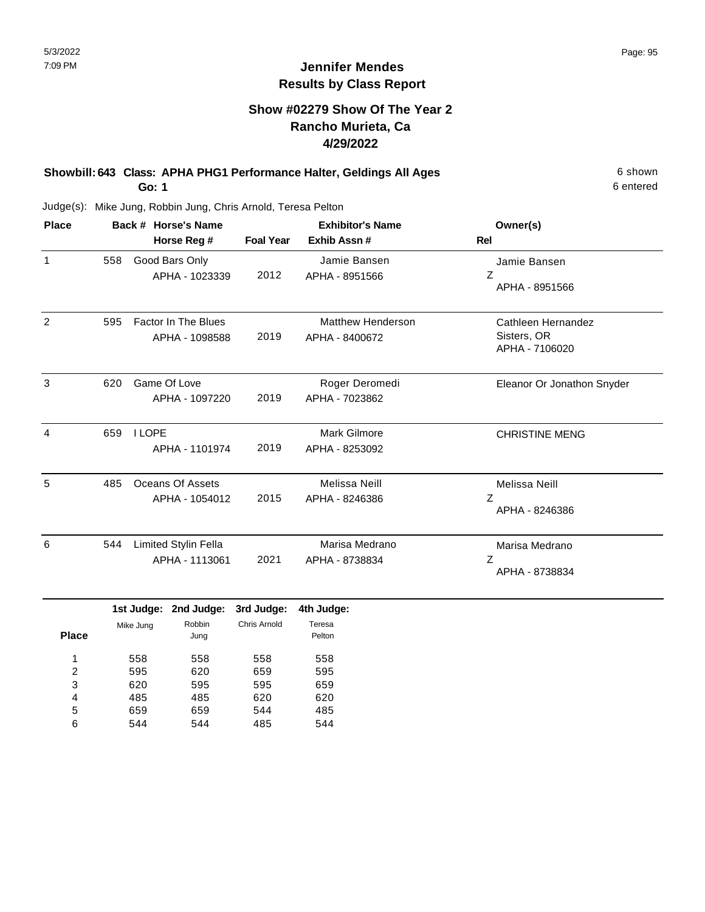## **Jennifer Mendes Results by Class Report**

#### **Show #02279 Show Of The Year 2 Rancho Murieta, Ca 4/29/2022**

**Showbill: 643 Class: APHA PHG1 Performance Halter, Geldings All Ages** 6 Shown **Go: 1**

Judge(s): Mike Jung, Robbin Jung, Chris Arnold, Teresa Pelton

| <b>Place</b>        |                             |               | Back # Horse's Name                           |                  | <b>Exhibitor's Name</b>                    | Owner(s)                                            |  |
|---------------------|-----------------------------|---------------|-----------------------------------------------|------------------|--------------------------------------------|-----------------------------------------------------|--|
|                     |                             |               | Horse Reg #                                   | <b>Foal Year</b> | Exhib Assn #                               | Rel                                                 |  |
| $\mathbf{1}$        | 558                         |               | Good Bars Only<br>APHA - 1023339              | 2012             | Jamie Bansen<br>APHA - 8951566             | Jamie Bansen<br>Z<br>APHA - 8951566                 |  |
| 2                   | 595                         |               | <b>Factor In The Blues</b><br>APHA - 1098588  | 2019             | <b>Matthew Henderson</b><br>APHA - 8400672 | Cathleen Hernandez<br>Sisters, OR<br>APHA - 7106020 |  |
| 3                   | 620                         |               | Game Of Love<br>APHA - 1097220                | 2019             | Roger Deromedi<br>APHA - 7023862           | Eleanor Or Jonathon Snyder                          |  |
| 4                   | 659                         | <b>I LOPE</b> | APHA - 1101974                                | 2019             | Mark Gilmore<br>APHA - 8253092             | <b>CHRISTINE MENG</b>                               |  |
| 5                   | 485                         |               | Oceans Of Assets<br>APHA - 1054012            | 2015             | <b>Melissa Neill</b><br>APHA - 8246386     | Melissa Neill<br>Ζ<br>APHA - 8246386                |  |
| 6                   | 544                         |               | <b>Limited Stylin Fella</b><br>APHA - 1113061 | 2021             | Marisa Medrano<br>APHA - 8738834           | Marisa Medrano<br>Z<br>APHA - 8738834               |  |
|                     |                             |               | 1st Judge: 2nd Judge:                         | 3rd Judge:       | 4th Judge:                                 |                                                     |  |
| <b>Place</b>        | Robbin<br>Mike Jung<br>Jung |               | Chris Arnold                                  | Teresa<br>Pelton |                                            |                                                     |  |
| 1<br>$\overline{2}$ |                             | 558<br>595    | 558<br>620                                    | 558<br>659       | 558<br>595                                 |                                                     |  |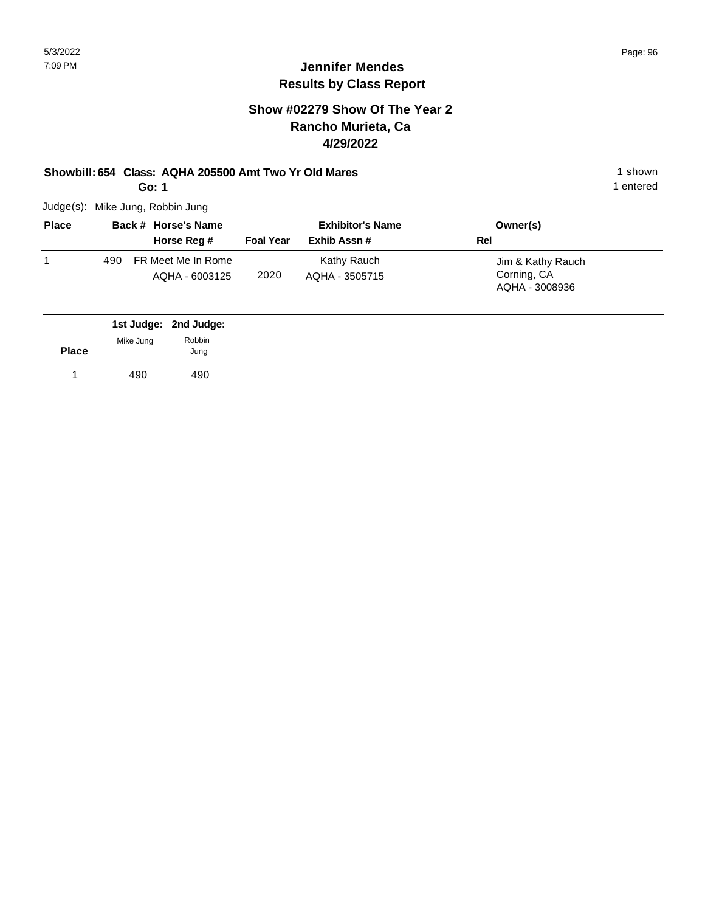#### **Jennifer Mendes Results by Class Report**

#### **Show #02279 Show Of The Year 2 Rancho Murieta, Ca 4/29/2022**

#### **Showbill: 654 Class: AQHA 205500 Amt Two Yr Old Mares** 1 Shown 1 shown

**Go: 1**

Judge(s): Mike Jung, Robbin Jung

| <b>Place</b> |     | Back # Horse's Name                  |                  | <b>Exhibitor's Name</b>       | Owner(s)                                           |
|--------------|-----|--------------------------------------|------------------|-------------------------------|----------------------------------------------------|
|              |     | Horse Reg #                          | <b>Foal Year</b> | Exhib Assn#                   | Rel                                                |
|              | 490 | FR Meet Me In Rome<br>AQHA - 6003125 | 2020             | Kathy Rauch<br>AQHA - 3505715 | Jim & Kathy Rauch<br>Corning, CA<br>AQHA - 3008936 |

|              |           | 1st Judge: 2nd Judge: |
|--------------|-----------|-----------------------|
| <b>Place</b> | Mike Jung | Robbin<br>Jung        |
|              |           |                       |
|              | 490       | 490                   |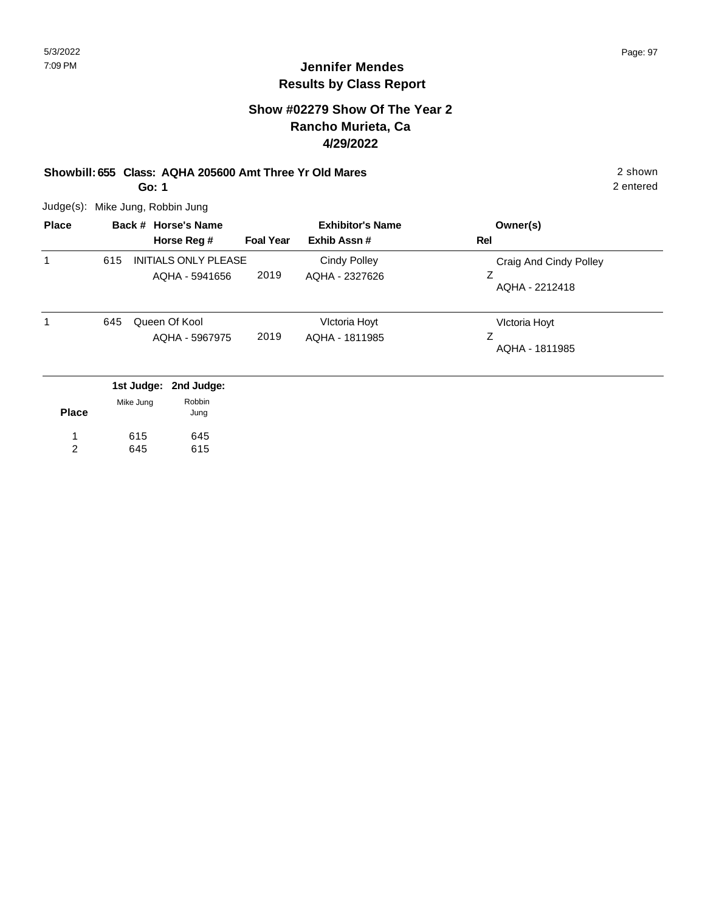#### **Show #02279 Show Of The Year 2 Rancho Murieta, Ca 4/29/2022**

## **Showbill: 655 Class: AQHA 205600 Amt Three Yr Old Mares** 2 shown

**Go: 1**

Judge(s): Mike Jung, Robbin Jung

| <b>Place</b> |     | Back # Horse's Name                           |                  | <b>Exhibitor's Name</b>         | Owner(s)                                      |
|--------------|-----|-----------------------------------------------|------------------|---------------------------------|-----------------------------------------------|
|              |     | Horse Reg #                                   | <b>Foal Year</b> | Exhib Assn#                     | Rel                                           |
| 1            | 615 | <b>INITIALS ONLY PLEASE</b><br>AQHA - 5941656 | 2019             | Cindy Polley<br>AQHA - 2327626  | Craig And Cindy Polley<br>z<br>AQHA - 2212418 |
| 1            | 645 | Queen Of Kool<br>AQHA - 5967975               | 2019             | Victoria Hoyt<br>AQHA - 1811985 | Victoria Hoyt<br>Ζ<br>AQHA - 1811985          |
|              |     | 1st Judge: 2nd Judge:<br>Robbin<br>Mike Jung  |                  |                                 |                                               |

| <b>Place</b> | <b>NIKE JUNG</b> | nuuun<br>Jung |
|--------------|------------------|---------------|
| 1            | 615              | 645           |
| 2            | 645              | 615           |

2 entered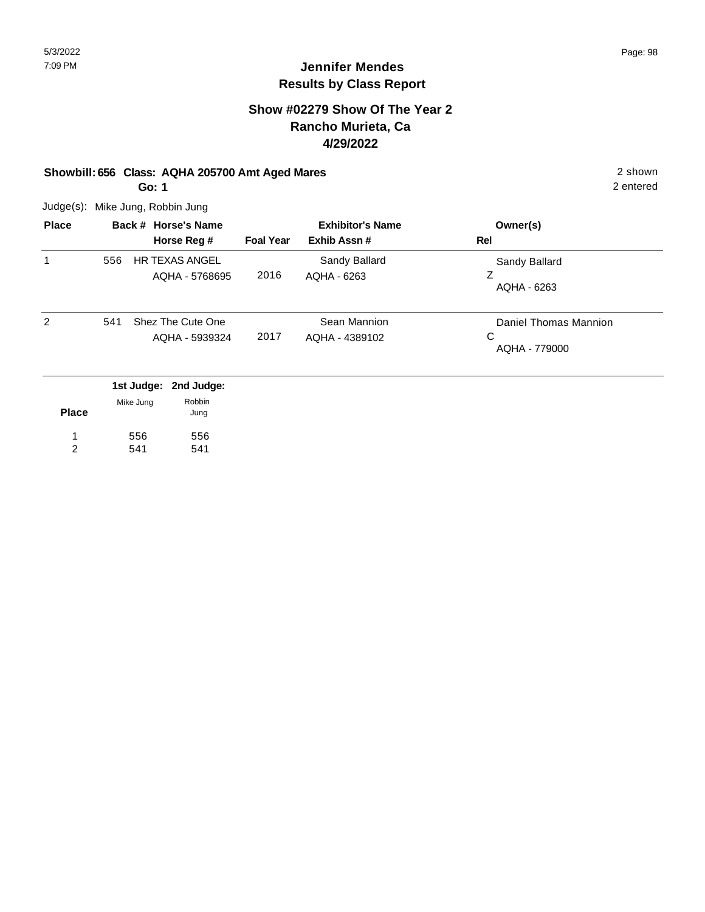#### **Show #02279 Show Of The Year 2 Rancho Murieta, Ca 4/29/2022**

#### **Showbill: 656 Class: AQHA 205700 Amt Aged Mares** 2 shown

**Go: 1**

Judge(s): Mike Jung, Robbin Jung

| <b>Place</b> |     | Back # Horse's Name                     | <b>Exhibitor's Name</b> |                                | Owner(s)                                    |
|--------------|-----|-----------------------------------------|-------------------------|--------------------------------|---------------------------------------------|
|              |     | Horse Reg #                             | <b>Foal Year</b>        | Exhib Assn#                    | Rel                                         |
| 1            | 556 | <b>HR TEXAS ANGEL</b><br>AQHA - 5768695 | 2016                    | Sandy Ballard<br>AQHA - 6263   | Sandy Ballard<br>Z<br>AQHA - 6263           |
| 2            | 541 | Shez The Cute One<br>AQHA - 5939324     | 2017                    | Sean Mannion<br>AQHA - 4389102 | Daniel Thomas Mannion<br>С<br>AQHA - 779000 |
|              |     | 1st Judge: 2nd Judge:                   |                         |                                |                                             |

| <b>Place</b> | Mike Jung | Robbin<br>Jung |
|--------------|-----------|----------------|
| 1            | 556       | 556            |
| 2            | 541       | 541            |

2 entered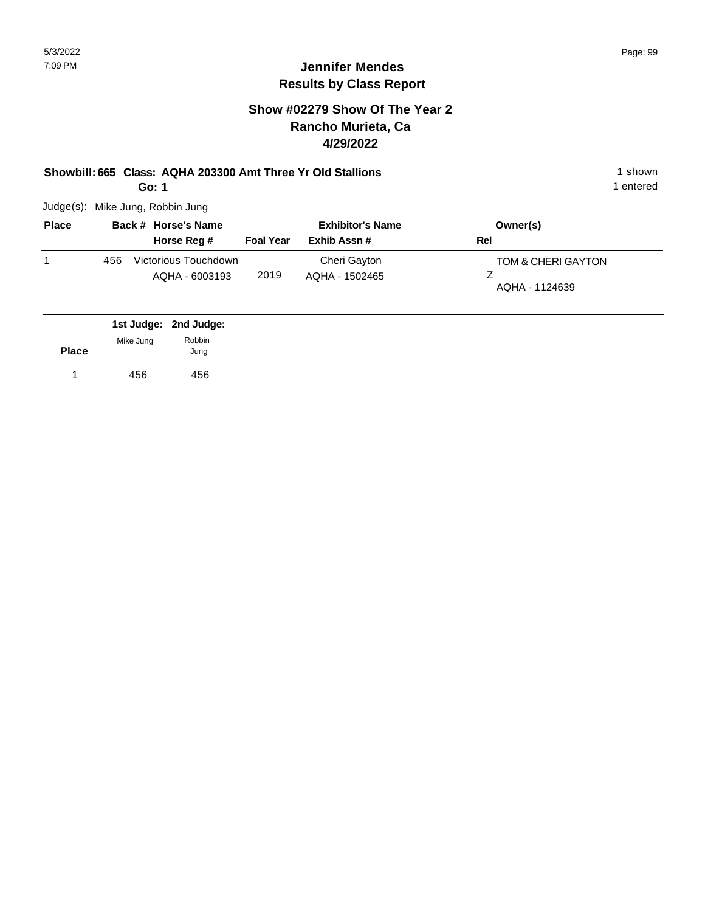#### **Jennifer Mendes Results by Class Report**

#### **Show #02279 Show Of The Year 2 Rancho Murieta, Ca 4/29/2022**

# **Showbill: 665 Class: AQHA 203300 Amt Three Yr Old Stallions** 1 Shown 1 shown

**Go: 1**

Judge(s): Mike Jung, Robbin Jung

| <b>Place</b> |     | Back # Horse's Name                    |                  | <b>Exhibitor's Name</b>        | Owner(s)                             |
|--------------|-----|----------------------------------------|------------------|--------------------------------|--------------------------------------|
|              |     | Horse Reg #                            | <b>Foal Year</b> | Exhib Assn#                    | Rel                                  |
|              | 456 | Victorious Touchdown<br>AQHA - 6003193 | 2019             | Cheri Gayton<br>AQHA - 1502465 | TOM & CHERI GAYTON<br>AQHA - 1124639 |

|              |           | 1st Judge: 2nd Judge: |
|--------------|-----------|-----------------------|
|              | Mike Jung | Robbin                |
| <b>Place</b> |           | Jung                  |
|              | 456       | 456                   |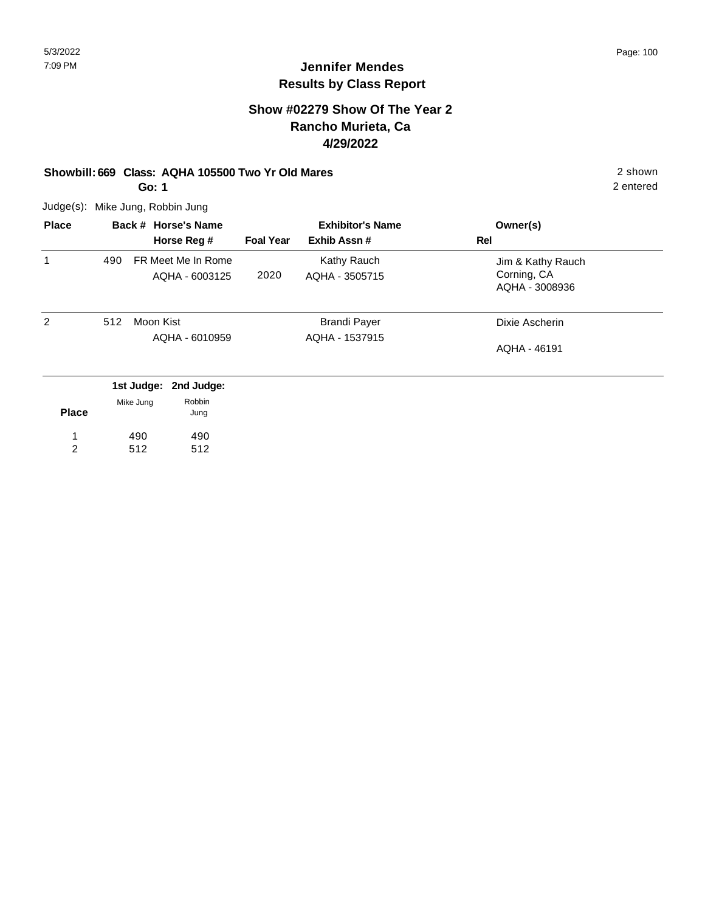## **Jennifer Mendes Results by Class Report**

#### **Show #02279 Show Of The Year 2 Rancho Murieta, Ca 4/29/2022**

#### **Showbill: 669 Class: AQHA 105500 Two Yr Old Mares** 2 shown

**Go: 1**

Judge(s): Mike Jung, Robbin Jung

490 512

1 2 490 512

| <b>Place</b> |     | Back # Horse's Name                  |                  | <b>Exhibitor's Name</b>       | Owner(s)                                           |
|--------------|-----|--------------------------------------|------------------|-------------------------------|----------------------------------------------------|
|              |     | Horse Reg #                          | <b>Foal Year</b> | Exhib Assn#                   | Rel                                                |
| 1            | 490 | FR Meet Me In Rome<br>AQHA - 6003125 | 2020             | Kathy Rauch<br>AQHA - 3505715 | Jim & Kathy Rauch<br>Corning, CA<br>AQHA - 3008936 |
| 2            | 512 | Moon Kist                            |                  | <b>Brandi Payer</b>           | Dixie Ascherin                                     |
|              |     | AQHA - 6010959                       |                  | AQHA - 1537915                | AOHA - 46191                                       |
|              |     | 1st Judge:<br>2nd Judge:             |                  |                               |                                                    |
| <b>Place</b> |     | Robbin<br>Mike Jung<br>Jung          |                  |                               |                                                    |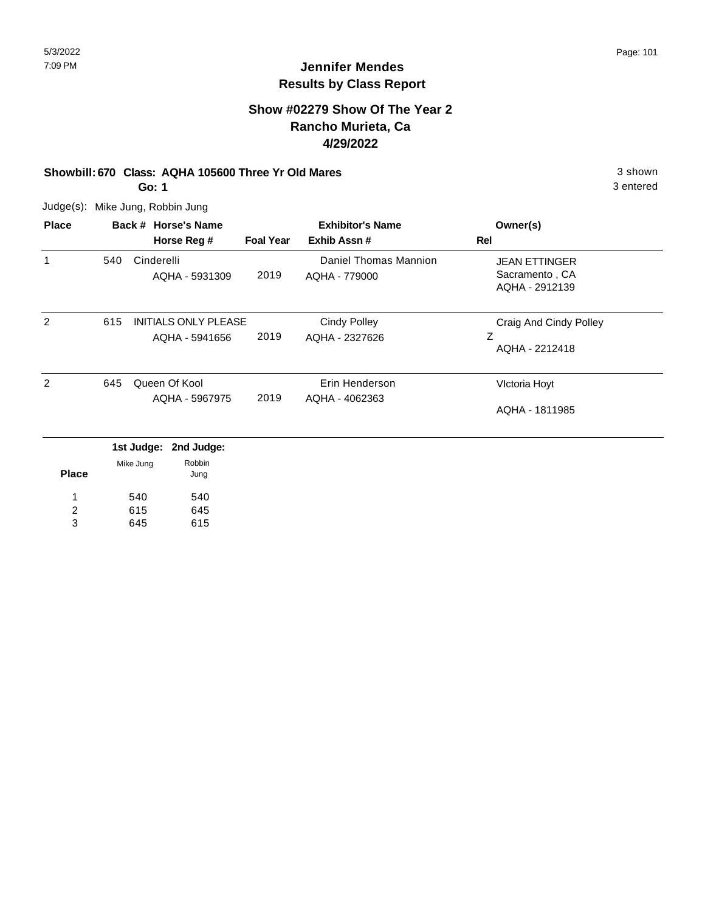#### **Show #02279 Show Of The Year 2 Rancho Murieta, Ca 4/29/2022**

#### **Showbill: 670 Class: AQHA 105600 Three Yr Old Mares** 3 Shown 3 shown

**Go: 1**

Judge(s): Mike Jung, Robbin Jung

| Horse Reg #<br><b>Foal Year</b><br>2019<br>AQHA - 5931309<br><b>INITIALS ONLY PLEASE</b><br>2019<br>AQHA - 5941656 | Exhib Assn#<br>Daniel Thomas Mannion<br>AQHA - 779000<br><b>Cindy Polley</b> | Rel<br><b>JEAN ETTINGER</b><br>Sacramento, CA<br>AQHA - 2912139<br>Craig And Cindy Polley |
|--------------------------------------------------------------------------------------------------------------------|------------------------------------------------------------------------------|-------------------------------------------------------------------------------------------|
|                                                                                                                    |                                                                              |                                                                                           |
|                                                                                                                    |                                                                              |                                                                                           |
|                                                                                                                    |                                                                              |                                                                                           |
|                                                                                                                    |                                                                              |                                                                                           |
|                                                                                                                    | AQHA - 2327626                                                               | Z<br>AQHA - 2212418                                                                       |
|                                                                                                                    | Erin Henderson                                                               | Victoria Hoyt                                                                             |
|                                                                                                                    |                                                                              | AQHA - 1811985                                                                            |
|                                                                                                                    | 2019<br>AQHA - 5967975<br>1st Judge: 2nd Judge:                              | AQHA - 4062363                                                                            |

| <b>Place</b> | Mike Jung | RODDIN<br>Jung |
|--------------|-----------|----------------|
| 1            | 540       | 540            |
| 2            | 615       | 645            |
| 3            | 645       | 615            |

3 entered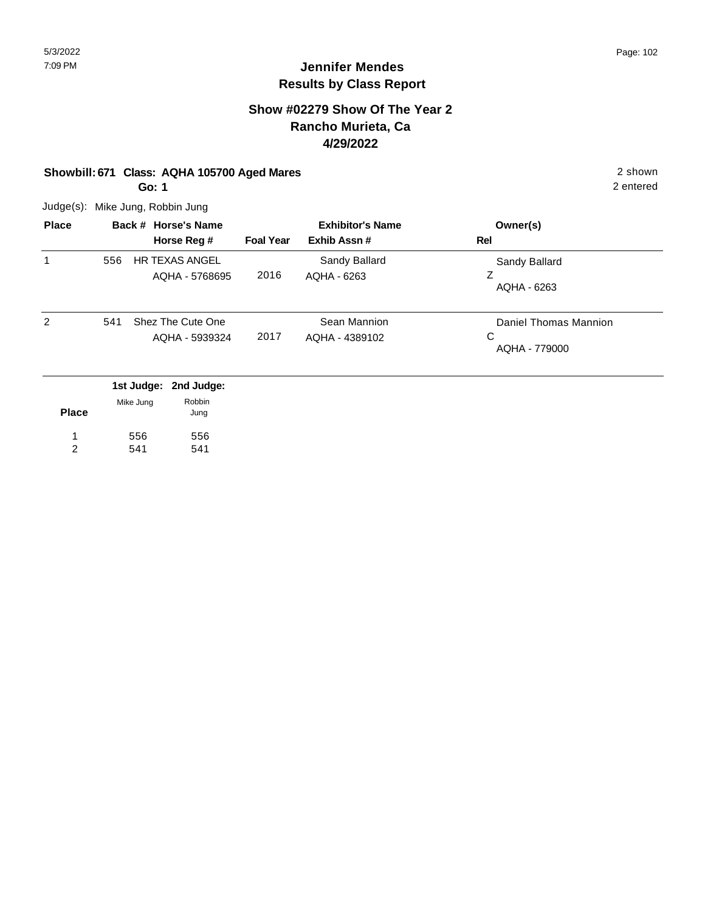#### **Show #02279 Show Of The Year 2 Rancho Murieta, Ca 4/29/2022**

## **Showbill: 671 Class: AQHA 105700 Aged Mares** 2 shown

**Go: 1**

Judge(s): Mike Jung, Robbin Jung

| <b>Place</b>   |     | Back # Horse's Name                     |                  | <b>Exhibitor's Name</b>        | Owner(s)                                    |
|----------------|-----|-----------------------------------------|------------------|--------------------------------|---------------------------------------------|
|                |     | Horse Reg #                             | <b>Foal Year</b> | Exhib Assn#                    | Rel                                         |
| 1              | 556 | <b>HR TEXAS ANGEL</b><br>AQHA - 5768695 | 2016             | Sandy Ballard<br>AQHA - 6263   | Sandy Ballard<br>Ζ<br>AQHA - 6263           |
| $\overline{2}$ | 541 | Shez The Cute One<br>AQHA - 5939324     | 2017             | Sean Mannion<br>AQHA - 4389102 | Daniel Thomas Mannion<br>C<br>AQHA - 779000 |
|                |     | 1st Judge: 2nd Judge:                   |                  |                                |                                             |

| <b>Place</b> | Mike Jung | Robbin<br>Jung |
|--------------|-----------|----------------|
| 1.           | 556       | 556            |
| 2            | 541       | 541            |

2 entered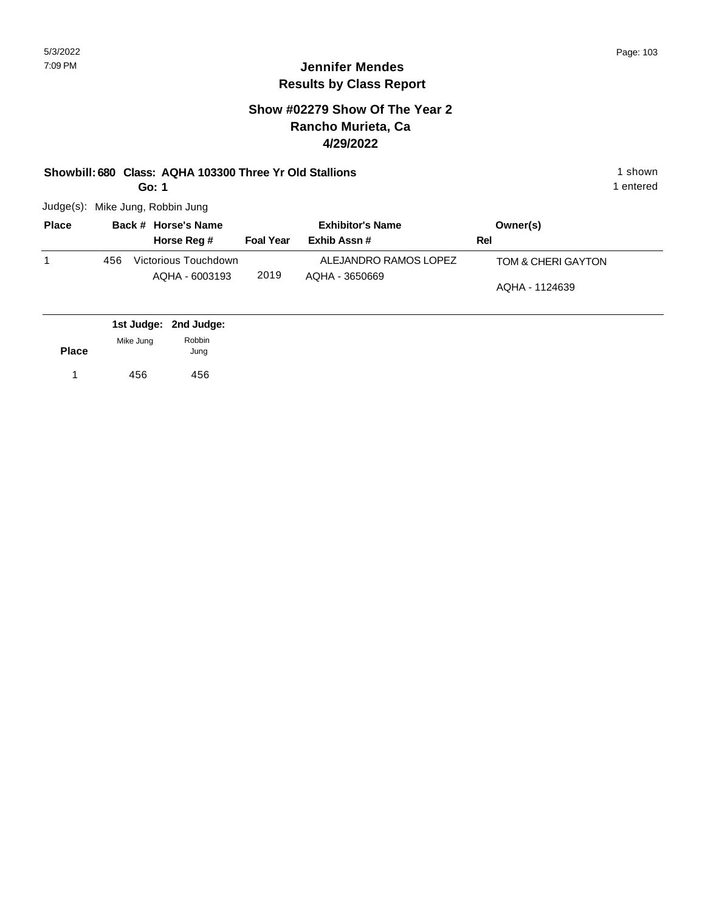#### **Jennifer Mendes Results by Class Report**

#### **Show #02279 Show Of The Year 2 Rancho Murieta, Ca 4/29/2022**

#### **Showbill: 680 Class: AQHA 103300 Three Yr Old Stallions** 1 Shown 1 shown

**Go: 1**

Judge(s): Mike Jung, Robbin Jung

| <b>Place</b> |     | Back # Horse's Name                    |                  | <b>Exhibitor's Name</b>                 | Owner(s)                             |
|--------------|-----|----------------------------------------|------------------|-----------------------------------------|--------------------------------------|
|              |     | Horse Reg #                            | <b>Foal Year</b> | Exhib Assn#                             | Rel                                  |
|              | 456 | Victorious Touchdown<br>AQHA - 6003193 | 2019             | ALEJANDRO RAMOS LOPEZ<br>AQHA - 3650669 | TOM & CHERI GAYTON<br>AQHA - 1124639 |

|              |           | 1st Judge: 2nd Judge: |  |
|--------------|-----------|-----------------------|--|
| <b>Place</b> | Mike Jung | Robbin<br>Jung        |  |
| 1            | 456       | 456                   |  |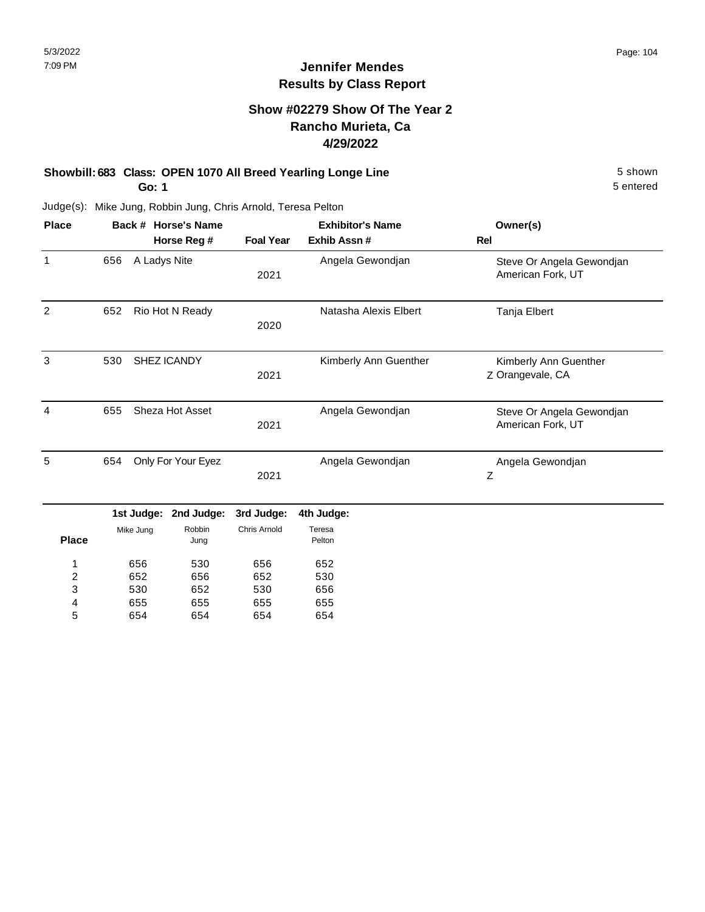#### **Show #02279 Show Of The Year 2 Rancho Murieta, Ca 4/29/2022**

#### **Showbill: 683 Class: OPEN 1070 All Breed Yearling Longe Line** 5 shown **Go: 1**

5 entered

| <b>Place</b>   |     |              | Back # Horse's Name | <b>Exhibitor's Name</b> |                       | Owner(s)                                       |  |
|----------------|-----|--------------|---------------------|-------------------------|-----------------------|------------------------------------------------|--|
|                |     |              | Horse Reg #         | <b>Foal Year</b>        | Exhib Assn #          | Rel                                            |  |
| $\mathbf{1}$   | 656 | A Ladys Nite |                     | 2021                    | Angela Gewondjan      | Steve Or Angela Gewondjan<br>American Fork, UT |  |
| $\overline{2}$ | 652 |              | Rio Hot N Ready     | 2020                    | Natasha Alexis Elbert | Tanja Elbert                                   |  |
| 3              | 530 |              | SHEZ ICANDY         | 2021                    | Kimberly Ann Guenther | Kimberly Ann Guenther<br>Z Orangevale, CA      |  |
| 4              | 655 |              | Sheza Hot Asset     | 2021                    | Angela Gewondjan      | Steve Or Angela Gewondjan<br>American Fork, UT |  |
| 5              | 654 |              | Only For Your Eyez  | 2021                    | Angela Gewondjan      | Angela Gewondjan<br>$\mathsf Z$                |  |
|                |     | 1st Judge:   | 2nd Judge:          | 3rd Judge:              | 4th Judge:            |                                                |  |
| <b>Place</b>   |     | Mike Jung    | Robbin<br>Jung      | Chris Arnold            | Teresa<br>Pelton      |                                                |  |
| 1              |     | 656          | 530                 | 656                     | 652                   |                                                |  |
| 2              |     | 652          | 656                 | 652                     | 530                   |                                                |  |
| 3              |     | 530          | 652                 | 530                     | 656                   |                                                |  |
| 4              |     | 655          | 655                 | 655                     | 655                   |                                                |  |
| 5              |     | 654          | 654                 | 654                     | 654                   |                                                |  |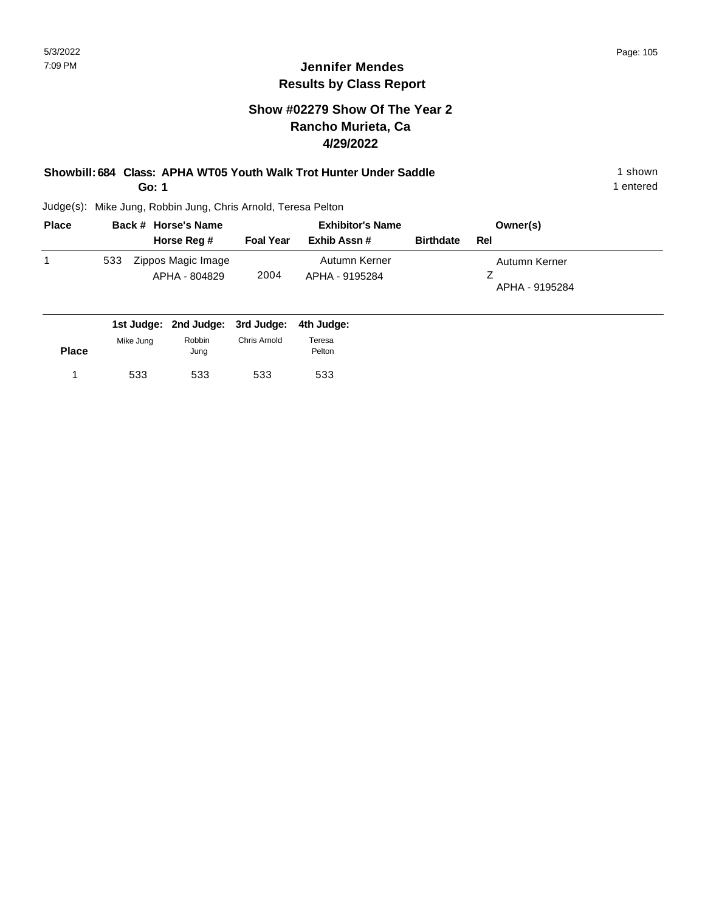#### **Show #02279 Show Of The Year 2 Rancho Murieta, Ca 4/29/2022**

#### **Showbill: 684 Class: APHA WT05 Youth Walk Trot Hunter Under Saddle** 1 shown 1 shown **Go: 1**

1 entered

| <b>Place</b> |     | Back # Horse's Name                         | <b>Exhibitor's Name</b> |                                 |                  | Owner(s)                        |  |
|--------------|-----|---------------------------------------------|-------------------------|---------------------------------|------------------|---------------------------------|--|
|              |     | Horse Reg #                                 | <b>Foal Year</b>        | Exhib Assn #                    | <b>Birthdate</b> | Rel                             |  |
|              | 533 | Zippos Magic Image<br>APHA - 804829         | 2004                    | Autumn Kerner<br>APHA - 9195284 |                  | Autumn Kerner<br>APHA - 9195284 |  |
|              |     | 1st Judge: 2nd Judge: 3rd Judge: 4th Judge: |                         |                                 |                  |                                 |  |

| <b>Place</b> | Mike Jung | Robbin<br>Jung | Chris Arnold | Teresa<br>Pelton |
|--------------|-----------|----------------|--------------|------------------|
|              | 533       | 533            | 533          | 533              |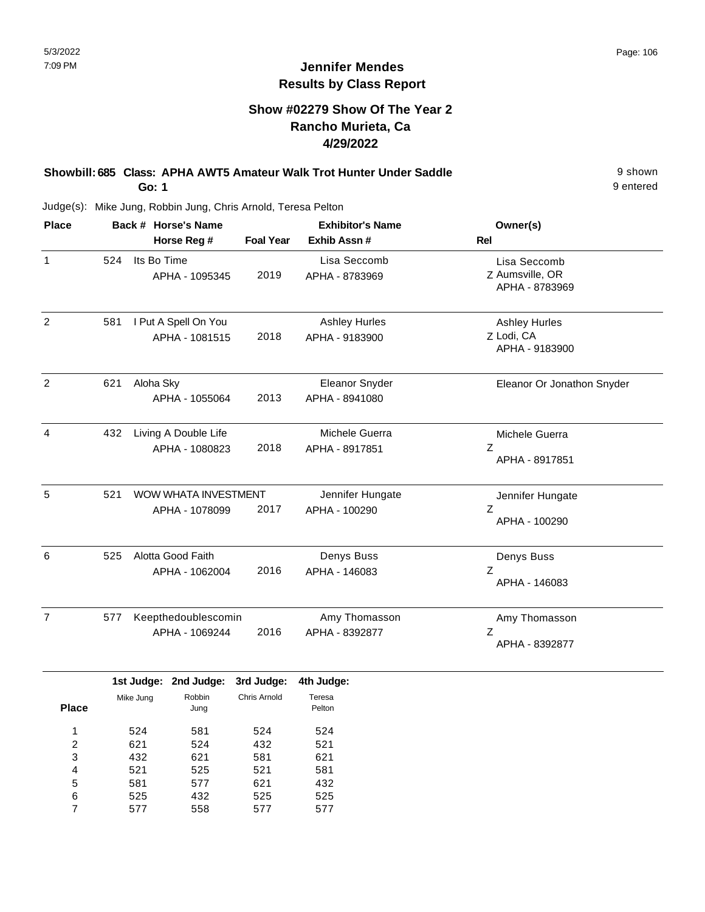#### **Jennifer Mendes Results by Class Report**

## **Show #02279 Show Of The Year 2 Rancho Murieta, Ca 4/29/2022**

**Showbill: 685 Class: APHA AWT5 Amateur Walk Trot Hunter Under Saddle** 9 shown **Go: 1**

| <b>Place</b>   |     | Back # Horse's Name                    |                  | <b>Exhibitor's Name</b>                | Owner(s)                                             |
|----------------|-----|----------------------------------------|------------------|----------------------------------------|------------------------------------------------------|
|                |     | Horse Reg #                            | <b>Foal Year</b> | Exhib Assn #                           | Rel                                                  |
| $\mathbf{1}$   | 524 | Its Bo Time<br>APHA - 1095345          | 2019             | Lisa Seccomb<br>APHA - 8783969         | Lisa Seccomb<br>Z Aumsville, OR<br>APHA - 8783969    |
| $\overline{2}$ | 581 | I Put A Spell On You<br>APHA - 1081515 | 2018             | <b>Ashley Hurles</b><br>APHA - 9183900 | <b>Ashley Hurles</b><br>Z Lodi, CA<br>APHA - 9183900 |
| $\overline{2}$ | 621 | Aloha Sky<br>APHA - 1055064            | 2013             | Eleanor Snyder<br>APHA - 8941080       | Eleanor Or Jonathon Snyder                           |
| 4              | 432 | Living A Double Life<br>APHA - 1080823 | 2018             | Michele Guerra<br>APHA - 8917851       | Michele Guerra<br>Ζ<br>APHA - 8917851                |
| 5              | 521 | WOW WHATA INVESTMENT<br>APHA - 1078099 | 2017             | Jennifer Hungate<br>APHA - 100290      | Jennifer Hungate<br>Z<br>APHA - 100290               |
| 6              | 525 | Alotta Good Faith<br>APHA - 1062004    | 2016             | Denys Buss<br>APHA - 146083            | Denys Buss<br>Z<br>APHA - 146083                     |
| $\overline{7}$ | 577 | Keepthedoublescomin<br>APHA - 1069244  | 2016             | Amy Thomasson<br>APHA - 8392877        | Amy Thomasson<br>Z<br>APHA - 8392877                 |

|              |           | 1st Judge: 2nd Judge: | 3rd Judge:   | 4th Judge:       |
|--------------|-----------|-----------------------|--------------|------------------|
| <b>Place</b> | Mike Jung | Robbin<br>Jung        | Chris Arnold | Teresa<br>Pelton |
| 1            | 524       | 581                   | 524          | 524              |
| 2            | 621       | 524                   | 432          | 521              |
| 3            | 432       | 621                   | 581          | 621              |
| 4            | 521       | 525                   | 521          | 581              |
| 5            | 581       | 577                   | 621          | 432              |
| 6            | 525       | 432                   | 525          | 525              |
|              | 577       | 558                   | 577          | 577              |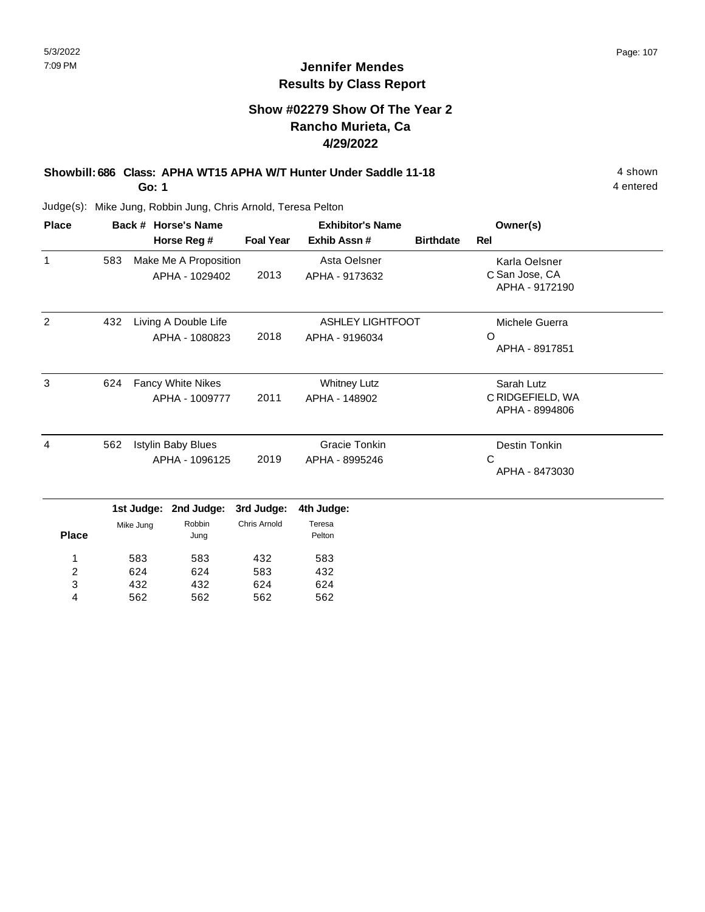## **Show #02279 Show Of The Year 2 Rancho Murieta, Ca 4/29/2022**

#### **Showbill: 686 Class: APHA WT15 APHA W/T Hunter Under Saddle 11-18** 4 shown **Go: 1**

4 entered

| <b>Place</b>            |           |                                             | Back # Horse's Name                        |                  | <b>Exhibitor's Name</b>                   |                  | Owner(s)                                          |  |
|-------------------------|-----------|---------------------------------------------|--------------------------------------------|------------------|-------------------------------------------|------------------|---------------------------------------------------|--|
|                         |           |                                             | Horse Reg #                                | <b>Foal Year</b> | Exhib Assn#                               | <b>Birthdate</b> | <b>Rel</b>                                        |  |
| $\mathbf{1}$            | 583       |                                             | Make Me A Proposition<br>APHA - 1029402    | 2013             | Asta Oelsner<br>APHA - 9173632            |                  | Karla Oelsner<br>C San Jose, CA<br>APHA - 9172190 |  |
| 2                       | 432       |                                             | Living A Double Life<br>APHA - 1080823     | 2018             | <b>ASHLEY LIGHTFOOT</b><br>APHA - 9196034 |                  | Michele Guerra<br>$\Omega$<br>APHA - 8917851      |  |
| 3                       | 624       |                                             | <b>Fancy White Nikes</b><br>APHA - 1009777 | 2011             | <b>Whitney Lutz</b><br>APHA - 148902      |                  | Sarah Lutz<br>C RIDGEFIELD, WA<br>APHA - 8994806  |  |
| 4                       | 562       | <b>Istylin Baby Blues</b><br>APHA - 1096125 |                                            | 2019             | Gracie Tonkin<br>APHA - 8995246           |                  | Destin Tonkin<br>$\mathsf{C}$<br>APHA - 8473030   |  |
|                         |           | 1st Judge:                                  | 2nd Judge:                                 | 3rd Judge:       | 4th Judge:                                |                  |                                                   |  |
| <b>Place</b>            | Mike Jung |                                             | Robbin<br>Jung                             | Chris Arnold     | Teresa<br>Pelton                          |                  |                                                   |  |
| 1                       |           | 583                                         | 583                                        | 432              | 583                                       |                  |                                                   |  |
| $\overline{\mathbf{c}}$ |           | 624                                         | 624                                        | 583              | 432                                       |                  |                                                   |  |
| 3                       |           | 432                                         | 432                                        | 624              | 624                                       |                  |                                                   |  |
| 4                       |           | 562                                         | 562                                        | 562              | 562                                       |                  |                                                   |  |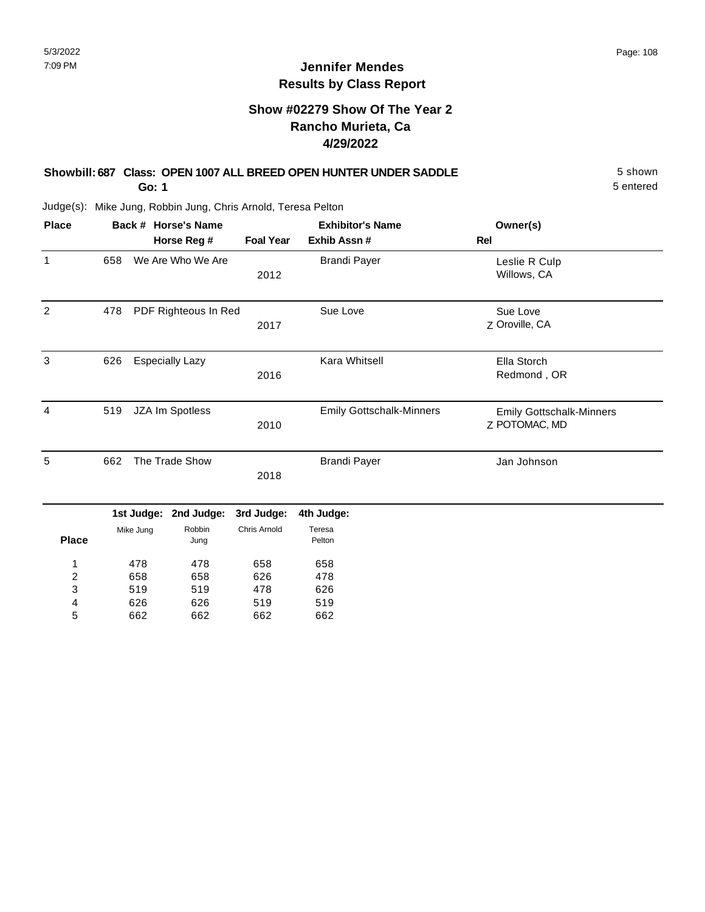## **Show #02279 Show Of The Year 2 Rancho Murieta, Ca 4/29/2022**

#### **Showbill: 687 Class: OPEN 1007 ALL BREED OPEN HUNTER UNDER SADDLE** 5 shown **Go: 1**

5 entered

| <b>Place</b>   |     | Back # Horse's Name |                        | <b>Exhibitor's Name</b> | Owner(s)                        |                                                  |
|----------------|-----|---------------------|------------------------|-------------------------|---------------------------------|--------------------------------------------------|
|                |     |                     | Horse Reg #            | <b>Foal Year</b>        | Exhib Assn #                    | Rel                                              |
| $\mathbf{1}$   | 658 |                     | We Are Who We Are      | 2012                    | <b>Brandi Payer</b>             | Leslie R Culp<br>Willows, CA                     |
| $\overline{2}$ | 478 |                     | PDF Righteous In Red   | 2017                    | Sue Love                        | Sue Love<br>Z Oroville, CA                       |
| 3              | 626 |                     | <b>Especially Lazy</b> | 2016                    | <b>Kara Whitsell</b>            | Ella Storch<br>Redmond, OR                       |
| 4              | 519 |                     | JZA Im Spotless        | 2010                    | <b>Emily Gottschalk-Minners</b> | <b>Emily Gottschalk-Minners</b><br>Z POTOMAC, MD |
| 5              | 662 |                     | The Trade Show         | 2018                    | <b>Brandi Payer</b>             | Jan Johnson                                      |
|                |     | 1st Judge:          | 2nd Judge:             | 3rd Judge:              | 4th Judge:                      |                                                  |
| <b>Place</b>   |     | Mike Jung           | Robbin<br>Jung         | Chris Arnold            | Teresa<br>Pelton                |                                                  |
| 1              |     | 478                 | 478                    | 658                     | 658                             |                                                  |
| $\overline{c}$ |     | 658                 | 658                    | 626                     | 478                             |                                                  |
| 3              |     | 519                 | 519                    | 478                     | 626                             |                                                  |
| 4              |     | 626                 | 626                    | 519                     | 519                             |                                                  |
| 5              |     | 662                 | 662                    | 662                     | 662                             |                                                  |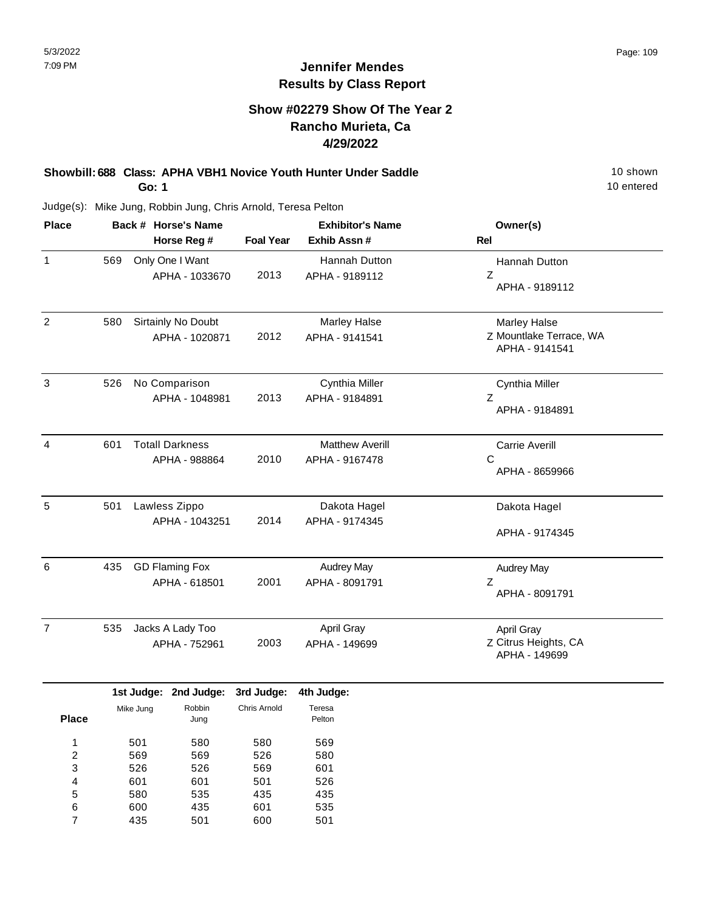### **Show #02279 Show Of The Year 2 Rancho Murieta, Ca 4/29/2022**

**Showbill: 688 Class: APHA VBH1 Novice Youth Hunter Under Saddle** 10 Shown 10 shown **Go: 1**

10 entered

Judge(s): Mike Jung, Robbin Jung, Chris Arnold, Teresa Pelton

| <b>Place</b>        |     |            | Back # Horse's Name                     |                     | <b>Exhibitor's Name</b>                  | Owner(s)                                                         |
|---------------------|-----|------------|-----------------------------------------|---------------------|------------------------------------------|------------------------------------------------------------------|
|                     |     |            | Horse Reg #                             | <b>Foal Year</b>    | Exhib Assn #                             | Rel                                                              |
| $\mathbf{1}$        | 569 |            | Only One I Want<br>APHA - 1033670       | 2013                | Hannah Dutton<br>APHA - 9189112          | Hannah Dutton<br>Z<br>APHA - 9189112                             |
| $\sqrt{2}$          | 580 |            | Sirtainly No Doubt<br>APHA - 1020871    | 2012                | <b>Marley Halse</b><br>APHA - 9141541    | <b>Marley Halse</b><br>Z Mountlake Terrace, WA<br>APHA - 9141541 |
| 3                   | 526 |            | No Comparison<br>APHA - 1048981         | 2013                | Cynthia Miller<br>APHA - 9184891         | Cynthia Miller<br>$\mathsf{Z}$<br>APHA - 9184891                 |
| $\overline{4}$      | 601 |            | <b>Totall Darkness</b><br>APHA - 988864 | 2010                | <b>Matthew Averill</b><br>APHA - 9167478 | <b>Carrie Averill</b><br>C<br>APHA - 8659966                     |
| 5                   | 501 |            | Lawless Zippo<br>APHA - 1043251         | 2014                | Dakota Hagel<br>APHA - 9174345           | Dakota Hagel<br>APHA - 9174345                                   |
| 6                   | 435 |            | <b>GD Flaming Fox</b><br>APHA - 618501  | 2001                | <b>Audrey May</b><br>APHA - 8091791      | <b>Audrey May</b><br>Z<br>APHA - 8091791                         |
| $\overline{7}$      | 535 |            | Jacks A Lady Too<br>APHA - 752961       | 2003                | April Gray<br>APHA - 149699              | April Gray<br>Z Citrus Heights, CA<br>APHA - 149699              |
|                     |     | 1st Judge: | 2nd Judge:                              | 3rd Judge:          | 4th Judge:                               |                                                                  |
| <b>Place</b>        |     | Mike Jung  | Robbin<br>Jung                          | <b>Chris Arnold</b> | Teresa<br>Pelton                         |                                                                  |
| 1<br>$\overline{c}$ |     | 501<br>569 | 580<br>569                              | 580<br>526          | 569<br>580                               |                                                                  |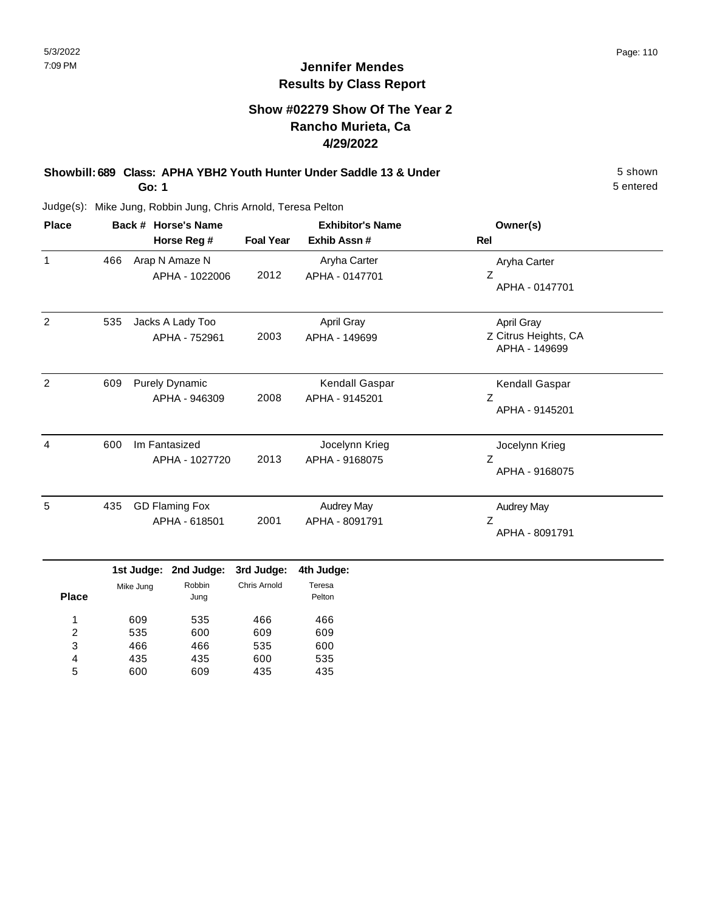## **Show #02279 Show Of The Year 2 Rancho Murieta, Ca 4/29/2022**

#### **Showbill: 689 Class: APHA YBH2 Youth Hunter Under Saddle 13 & Under** 5 Shown 5 shown **Go: 1**

5 entered

| <b>Place</b>   |     | Back # Horse's Name                    | <b>Exhibitor's Name</b> |                                     | Owner(s)                                            |
|----------------|-----|----------------------------------------|-------------------------|-------------------------------------|-----------------------------------------------------|
|                |     | Horse Reg #                            | <b>Foal Year</b>        | Exhib Assn #                        | Rel                                                 |
| $\mathbf{1}$   | 466 | Arap N Amaze N<br>APHA - 1022006       | 2012                    | Aryha Carter<br>APHA - 0147701      | Aryha Carter<br>Z<br>APHA - 0147701                 |
| $\overline{2}$ | 535 | Jacks A Lady Too<br>APHA - 752961      | 2003                    | April Gray<br>APHA - 149699         | April Gray<br>Z Citrus Heights, CA<br>APHA - 149699 |
| 2              | 609 | <b>Purely Dynamic</b><br>APHA - 946309 | 2008                    | Kendall Gaspar<br>APHA - 9145201    | Kendall Gaspar<br>Ζ<br>APHA - 9145201               |
| 4              | 600 | Im Fantasized<br>APHA - 1027720        | 2013                    | Jocelynn Krieg<br>APHA - 9168075    | Jocelynn Krieg<br>Z<br>APHA - 9168075               |
| 5              | 435 | <b>GD Flaming Fox</b><br>APHA - 618501 | 2001                    | <b>Audrey May</b><br>APHA - 8091791 | <b>Audrey May</b><br>Z<br>APHA - 8091791            |

|              |           | 1st Judge: 2nd Judge: | 3rd Judge:   | 4th Judge        |
|--------------|-----------|-----------------------|--------------|------------------|
| <b>Place</b> | Mike Jung | Robbin<br>Jung        | Chris Arnold | Teresa<br>Pelton |
| 1            | 609       | 535                   | 466          | 466              |
| 2            | 535       | 600                   | 609          | 609              |
| 3            | 466       | 466                   | 535          | 600              |
| 4            | 435       | 435                   | 600          | 535              |
| 5            | 600       | 609                   | 435          | 435              |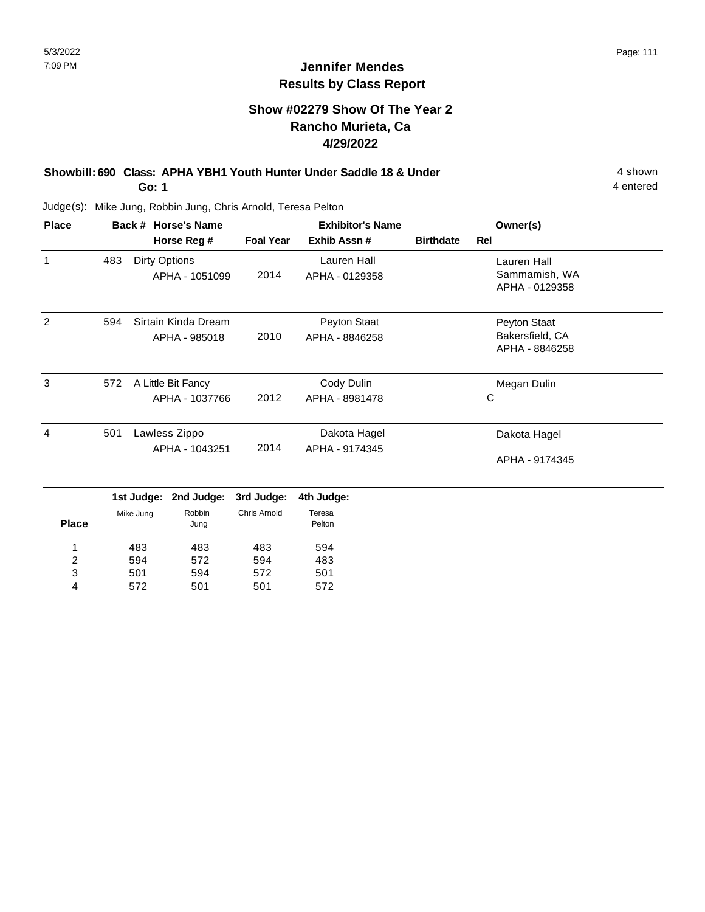## **Show #02279 Show Of The Year 2 Rancho Murieta, Ca 4/29/2022**

**Showbill: 690 Class: APHA YBH1 Youth Hunter Under Saddle 18 & Under** 4 Shown 4 shown **Go: 1**

4 entered

Judge(s): Mike Jung, Robbin Jung, Chris Arnold, Teresa Pelton

501 572

3 4 594 501

572 501

| <b>Place</b> |     | Back # Horse's Name |                     |                  | <b>Exhibitor's Name</b> |                  | Owner(s)                        |  |
|--------------|-----|---------------------|---------------------|------------------|-------------------------|------------------|---------------------------------|--|
|              |     |                     | Horse Reg #         | <b>Foal Year</b> | Exhib Assn#             | <b>Birthdate</b> | <b>Rel</b>                      |  |
| 1            | 483 | Dirty Options       |                     |                  | Lauren Hall             |                  | Lauren Hall                     |  |
|              |     |                     | APHA - 1051099      | 2014             | APHA - 0129358          |                  | Sammamish, WA<br>APHA - 0129358 |  |
| 2            | 594 |                     | Sirtain Kinda Dream |                  | Peyton Staat            |                  | Peyton Staat                    |  |
|              |     |                     | APHA - 985018       | 2010             | APHA - 8846258          |                  | Bakersfield, CA                 |  |
|              |     |                     |                     |                  |                         |                  | APHA - 8846258                  |  |
| 3            | 572 |                     | A Little Bit Fancy  |                  | Cody Dulin              |                  | Megan Dulin                     |  |
|              |     |                     | APHA - 1037766      | 2012             | APHA - 8981478          |                  | C                               |  |
| 4            | 501 |                     | Lawless Zippo       |                  | Dakota Hagel            |                  | Dakota Hagel                    |  |
|              |     |                     | APHA - 1043251      | 2014             | APHA - 9174345          |                  |                                 |  |
|              |     |                     |                     |                  |                         |                  | APHA - 9174345                  |  |
|              |     | 1st Judge:          | 2nd Judge:          | 3rd Judge:       | 4th Judge:              |                  |                                 |  |
|              |     | Mike Jung           | Robbin              | Chris Arnold     | Teresa                  |                  |                                 |  |
| <b>Place</b> |     |                     | Jung                |                  | Pelton                  |                  |                                 |  |
| 1            |     | 483                 | 483                 | 483              | 594                     |                  |                                 |  |
| 2            |     | 594                 | 572                 | 594              | 483                     |                  |                                 |  |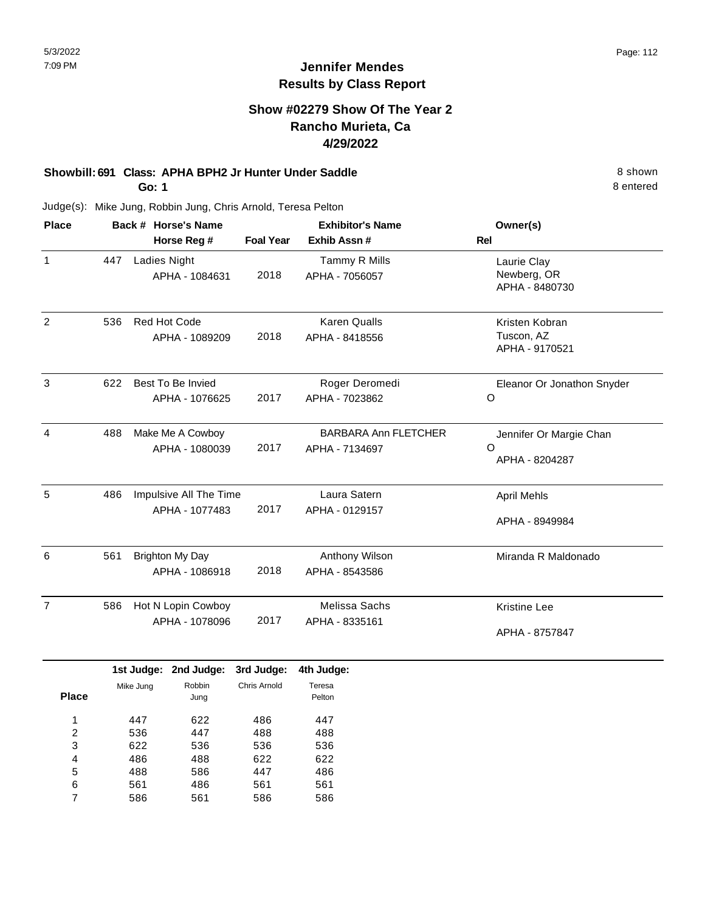### **Show #02279 Show Of The Year 2 Rancho Murieta, Ca 4/29/2022**

# **Showbill: 691 Class: APHA BPH2 Jr Hunter Under Saddle** 8 shown

**Go: 1**

Judge(s): Mike Jung, Robbin Jung, Chris Arnold, Teresa Pelton

| <b>Place</b>   |     | Back # Horse's Name<br>Horse Reg #       |      | <b>Exhibitor's Name</b><br>Exhib Assn#        | Owner(s)<br>Rel                                       |
|----------------|-----|------------------------------------------|------|-----------------------------------------------|-------------------------------------------------------|
| $\mathbf{1}$   | 447 | <b>Ladies Night</b><br>APHA - 1084631    | 2018 | Tammy R Mills<br>APHA - 7056057               | Laurie Clay<br>Newberg, OR<br>APHA - 8480730          |
| 2              | 536 | <b>Red Hot Code</b><br>APHA - 1089209    | 2018 | <b>Karen Qualls</b><br>APHA - 8418556         | Kristen Kobran<br>Tuscon, AZ<br>APHA - 9170521        |
| 3              | 622 | Best To Be Invied<br>APHA - 1076625      | 2017 | Roger Deromedi<br>APHA - 7023862              | Eleanor Or Jonathon Snyder<br>$\circ$                 |
| 4              | 488 | Make Me A Cowboy<br>APHA - 1080039       | 2017 | <b>BARBARA Ann FLETCHER</b><br>APHA - 7134697 | Jennifer Or Margie Chan<br>$\Omega$<br>APHA - 8204287 |
| 5              | 486 | Impulsive All The Time<br>APHA - 1077483 | 2017 | Laura Satern<br>APHA - 0129157                | <b>April Mehls</b><br>APHA - 8949984                  |
| 6              | 561 | Brighton My Day<br>APHA - 1086918        | 2018 | Anthony Wilson<br>APHA - 8543586              | Miranda R Maldonado                                   |
| $\overline{7}$ | 586 | Hot N Lopin Cowboy<br>APHA - 1078096     | 2017 | Melissa Sachs<br>APHA - 8335161               | <b>Kristine Lee</b><br>APHA - 8757847                 |

|              |           | 1st Judge: 2nd Judge: | 3rd Judge:   | 4th Judge:       |
|--------------|-----------|-----------------------|--------------|------------------|
| <b>Place</b> | Mike Jung | Robbin<br>Jung        | Chris Arnold | Teresa<br>Pelton |
| 1            | 447       | 622                   | 486          | 447              |
| 2            | 536       | 447                   | 488          | 488              |
| 3            | 622       | 536                   | 536          | 536              |
| 4            | 486       | 488                   | 622          | 622              |
| 5            | 488       | 586                   | 447          | 486              |
| 6            | 561       | 486                   | 561          | 561              |
|              | 586       | 561                   | 586          | 586              |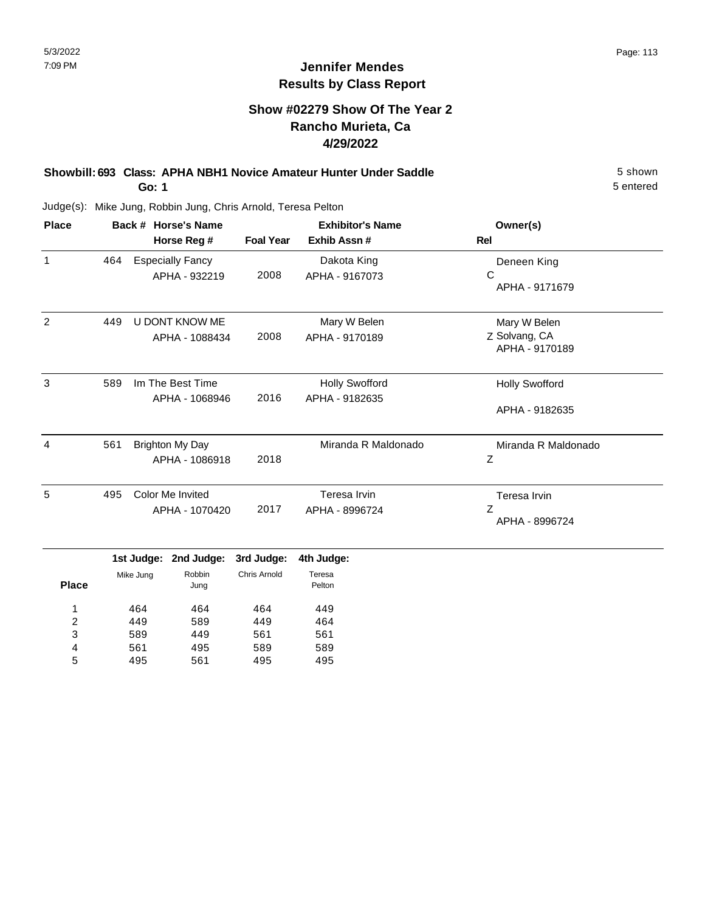## **Show #02279 Show Of The Year 2 Rancho Murieta, Ca 4/29/2022**

#### **Showbill: 693 Class: APHA NBH1 Novice Amateur Hunter Under Saddle** 5 shown **Go: 1**

5 entered

| <b>Place</b> |     | Back # Horse's Name<br>Horse Reg #       | <b>Foal Year</b> | <b>Exhibitor's Name</b><br>Exhib Assn#  | Owner(s)<br>Rel                                 |
|--------------|-----|------------------------------------------|------------------|-----------------------------------------|-------------------------------------------------|
| 1            | 464 | <b>Especially Fancy</b><br>APHA - 932219 | 2008             | Dakota King<br>APHA - 9167073           | Deneen King<br>С<br>APHA - 9171679              |
| 2            | 449 | U DONT KNOW ME<br>APHA - 1088434         | 2008             | Mary W Belen<br>APHA - 9170189          | Mary W Belen<br>Z Solvang, CA<br>APHA - 9170189 |
| 3            | 589 | Im The Best Time<br>APHA - 1068946       | 2016             | <b>Holly Swofford</b><br>APHA - 9182635 | <b>Holly Swofford</b><br>APHA - 9182635         |
| 4            | 561 | Brighton My Day<br>APHA - 1086918        | 2018             | Miranda R Maldonado                     | Miranda R Maldonado<br>Ζ                        |
| 5            | 495 | Color Me Invited<br>APHA - 1070420       | 2017             | Teresa Irvin<br>APHA - 8996724          | Teresa Irvin<br>Z<br>APHA - 8996724             |

|              |           | 1st Judge: 2nd Judge: 3rd Judge: |              | 4th Judge:       |  |
|--------------|-----------|----------------------------------|--------------|------------------|--|
| <b>Place</b> | Mike Jung | Robbin<br>Jung                   | Chris Arnold | Teresa<br>Pelton |  |
| 1            | 464       | 464                              | 464          | 449              |  |
| 2            | 449       | 589                              | 449          | 464              |  |
| 3            | 589       | 449                              | 561          | 561              |  |
| 4            | 561       | 495                              | 589          | 589              |  |
| 5            | 495       | 561                              | 495          | 495              |  |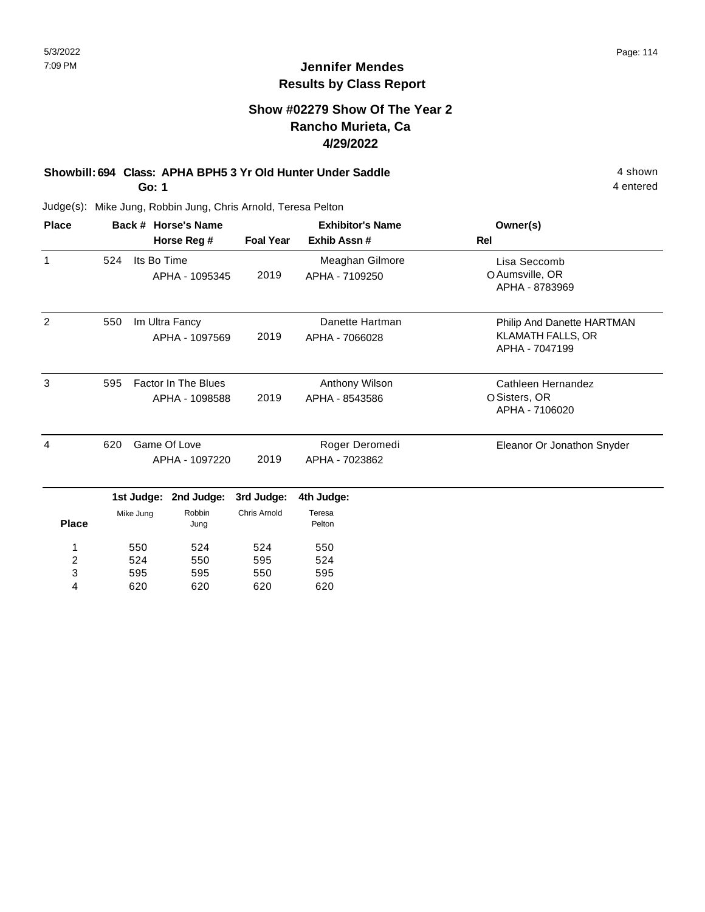## **Show #02279 Show Of The Year 2 Rancho Murieta, Ca 4/29/2022**

# **Showbill: 694 Class: APHA BPH5 3 Yr Old Hunter Under Saddle** 4 shown

**Go: 1**

620

4

620

620

620

Judge(s): Mike Jung, Robbin Jung, Chris Arnold, Teresa Pelton

| <b>Place</b>   |     | Back # Horse's Name |                                              |                     | <b>Exhibitor's Name</b>           | Owner(s)                                                                 |
|----------------|-----|---------------------|----------------------------------------------|---------------------|-----------------------------------|--------------------------------------------------------------------------|
|                |     |                     | Horse Reg #                                  | <b>Foal Year</b>    | Exhib Assn#                       | Rel                                                                      |
| 1              | 524 | Its Bo Time         | APHA - 1095345                               | 2019                | Meaghan Gilmore<br>APHA - 7109250 | Lisa Seccomb<br>O Aumsville, OR<br>APHA - 8783969                        |
| 2              | 550 |                     | Im Ultra Fancy<br>APHA - 1097569             | 2019                | Danette Hartman<br>APHA - 7066028 | Philip And Danette HARTMAN<br><b>KLAMATH FALLS, OR</b><br>APHA - 7047199 |
| 3              | 595 |                     | <b>Factor In The Blues</b><br>APHA - 1098588 | 2019                | Anthony Wilson<br>APHA - 8543586  | Cathleen Hernandez<br>O Sisters, OR<br>APHA - 7106020                    |
| 4              | 620 |                     | Game Of Love<br>APHA - 1097220               | 2019                | Roger Deromedi<br>APHA - 7023862  | Eleanor Or Jonathon Snyder                                               |
|                |     | 1st Judge:          | 2nd Judge:                                   | 3rd Judge:          | 4th Judge:                        |                                                                          |
| <b>Place</b>   |     | Mike Jung           | Robbin<br>Jung                               | <b>Chris Arnold</b> | Teresa<br>Pelton                  |                                                                          |
| 1              |     | 550                 | 524                                          | 524                 | 550                               |                                                                          |
| $\overline{c}$ |     | 524                 | 550                                          | 595                 | 524                               |                                                                          |
| 3              |     | 595                 | 595                                          | 550                 | 595                               |                                                                          |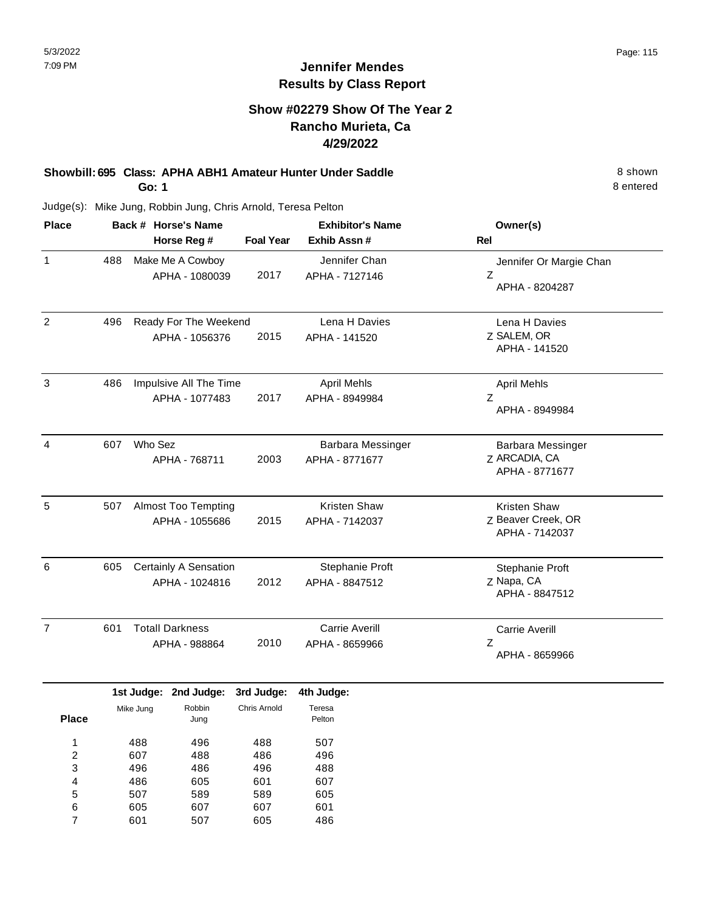## **Show #02279 Show Of The Year 2 Rancho Murieta, Ca 4/29/2022**

#### **Showbill: 695 Class: APHA ABH1 Amateur Hunter Under Saddle** 8 shown **Go: 1**

Judge(s): Mike Jung, Robbin Jung, Chris Arnold, Teresa Pelton

| <b>Place</b>   | Back # Horse's Name |                              |                  | <b>Exhibitor's Name</b> | Owner(s)                             |  |
|----------------|---------------------|------------------------------|------------------|-------------------------|--------------------------------------|--|
|                |                     | Horse Reg #                  | <b>Foal Year</b> | Exhib Assn#             | Rel                                  |  |
| 1              | 488                 | Make Me A Cowboy             |                  | Jennifer Chan           | Jennifer Or Margie Chan              |  |
|                |                     | APHA - 1080039               | 2017             | APHA - 7127146          | Z<br>APHA - 8204287                  |  |
| $\overline{2}$ | 496                 | Ready For The Weekend        |                  | Lena H Davies           | Lena H Davies                        |  |
|                |                     | APHA - 1056376               | 2015             | APHA - 141520           | Z SALEM, OR<br>APHA - 141520         |  |
| 3              | 486                 | Impulsive All The Time       |                  | <b>April Mehls</b>      | <b>April Mehls</b>                   |  |
|                |                     | APHA - 1077483               | 2017             | APHA - 8949984          | Z<br>APHA - 8949984                  |  |
| $\overline{4}$ | 607                 | Who Sez                      |                  | Barbara Messinger       | Barbara Messinger                    |  |
|                |                     | APHA - 768711                | 2003             | APHA - 8771677          | Z ARCADIA, CA<br>APHA - 8771677      |  |
| 5              | 507                 | <b>Almost Too Tempting</b>   |                  | Kristen Shaw            | <b>Kristen Shaw</b>                  |  |
|                |                     | APHA - 1055686               | 2015             | APHA - 7142037          | Z Beaver Creek, OR<br>APHA - 7142037 |  |
| 6              | 605                 | <b>Certainly A Sensation</b> |                  | Stephanie Proft         | Stephanie Proft                      |  |
|                |                     | APHA - 1024816               | 2012             | APHA - 8847512          | Z Napa, CA<br>APHA - 8847512         |  |
| $\overline{7}$ | 601                 | <b>Totall Darkness</b>       |                  | <b>Carrie Averill</b>   | <b>Carrie Averill</b>                |  |
|                |                     | APHA - 988864                | 2010             | APHA - 8659966          | Z<br>APHA - 8659966                  |  |

|       |           | 1st Judge: 2nd Judge: | 3rd Judge:   | 4th Judge        |
|-------|-----------|-----------------------|--------------|------------------|
| Place | Mike Jung | Robbin<br>Jung        | Chris Arnold | Teresa<br>Pelton |
| 1     | 488       | 496                   | 488          | 507              |
| 2     | 607       | 488                   | 486          | 496              |
| 3     | 496       | 486                   | 496          | 488              |
| 4     | 486       | 605                   | 601          | 607              |
| 5     | 507       | 589                   | 589          | 605              |
| 6     | 605       | 607                   | 607          | 601              |
|       | 601       | 507                   | 605          | 486              |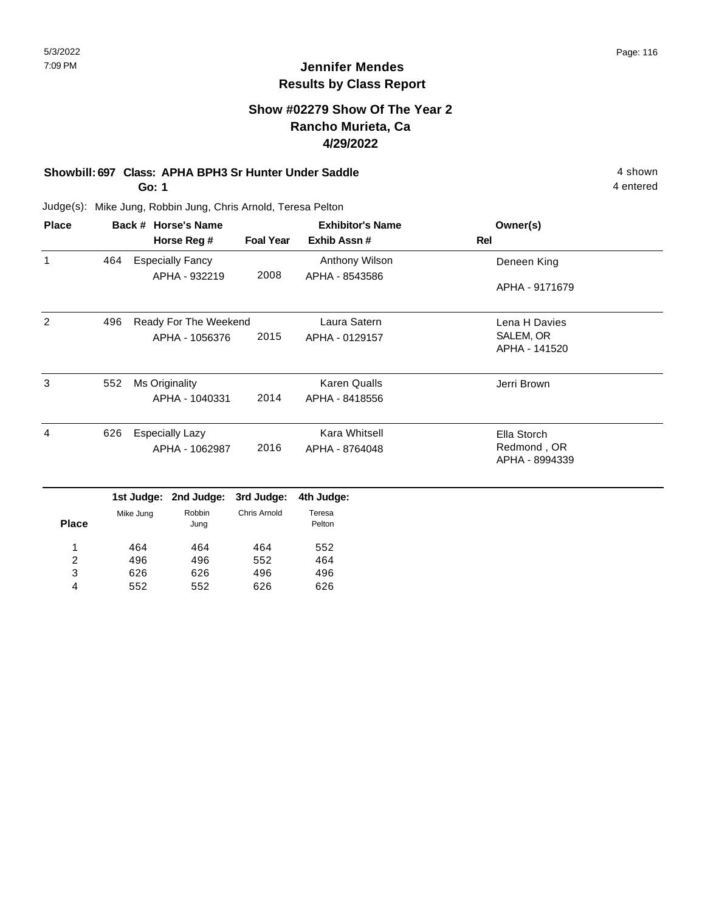### **Show #02279 Show Of The Year 2 Rancho Murieta, Ca 4/29/2022**

# **Showbill: 697 Class: APHA BPH3 Sr Hunter Under Saddle** 4 shown

**Go: 1**

626 552

3 4 626 552 496 626 496 626 4 entered

| <b>Place</b>   | Back # Horse's Name |            |                         |                     | <b>Exhibitor's Name</b> | Owner(s)                      |
|----------------|---------------------|------------|-------------------------|---------------------|-------------------------|-------------------------------|
|                |                     |            | Horse Reg #             | <b>Foal Year</b>    | Exhib Assn#             | Rel                           |
| 1              | 464                 |            | <b>Especially Fancy</b> |                     | Anthony Wilson          | Deneen King                   |
|                |                     |            | APHA - 932219           | 2008                | APHA - 8543586          | APHA - 9171679                |
| $\overline{2}$ | 496                 |            | Ready For The Weekend   |                     | Laura Satern            | Lena H Davies                 |
|                |                     |            | APHA - 1056376          | 2015                | APHA - 0129157          | SALEM, OR<br>APHA - 141520    |
| 3              | 552                 |            | Ms Originality          |                     | <b>Karen Qualls</b>     | Jerri Brown                   |
|                |                     |            | APHA - 1040331          | 2014                | APHA - 8418556          |                               |
| 4              | 626                 |            | <b>Especially Lazy</b>  |                     | Kara Whitsell           | Ella Storch                   |
|                |                     |            | APHA - 1062987          | 2016                | APHA - 8764048          | Redmond, OR<br>APHA - 8994339 |
|                |                     | 1st Judge: | 2nd Judge:              | 3rd Judge:          | 4th Judge:              |                               |
| <b>Place</b>   |                     | Mike Jung  | Robbin<br>Jung          | <b>Chris Arnold</b> | Teresa<br>Pelton        |                               |
| 1              |                     | 464        | 464                     | 464                 | 552                     |                               |
| 2              |                     | 496        | 496                     | 552                 | 464                     |                               |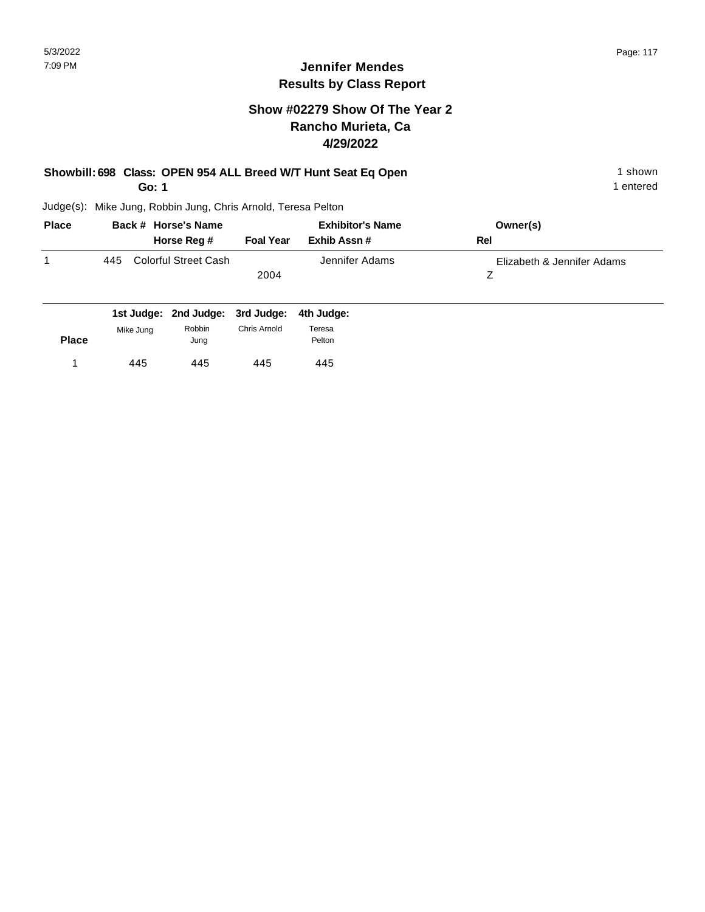## **Show #02279 Show Of The Year 2 Rancho Murieta, Ca 4/29/2022**

#### **Showbill: 698 Class: OPEN 954 ALL Breed W/T Hunt Seat Eq Open** 1 shown 1 shown **Go: 1**

1 entered

|     |                      | <b>Exhibitor's Name</b> |                | Owner(s)                   |
|-----|----------------------|-------------------------|----------------|----------------------------|
|     | Horse Reg #          | <b>Foal Year</b>        | Exhib Assn #   | Rel                        |
| 445 | Colorful Street Cash |                         | Jennifer Adams | Elizabeth & Jennifer Adams |
|     |                      | 2004                    |                |                            |
|     |                      |                         |                |                            |
|     |                      | Back # Horse's Name     |                |                            |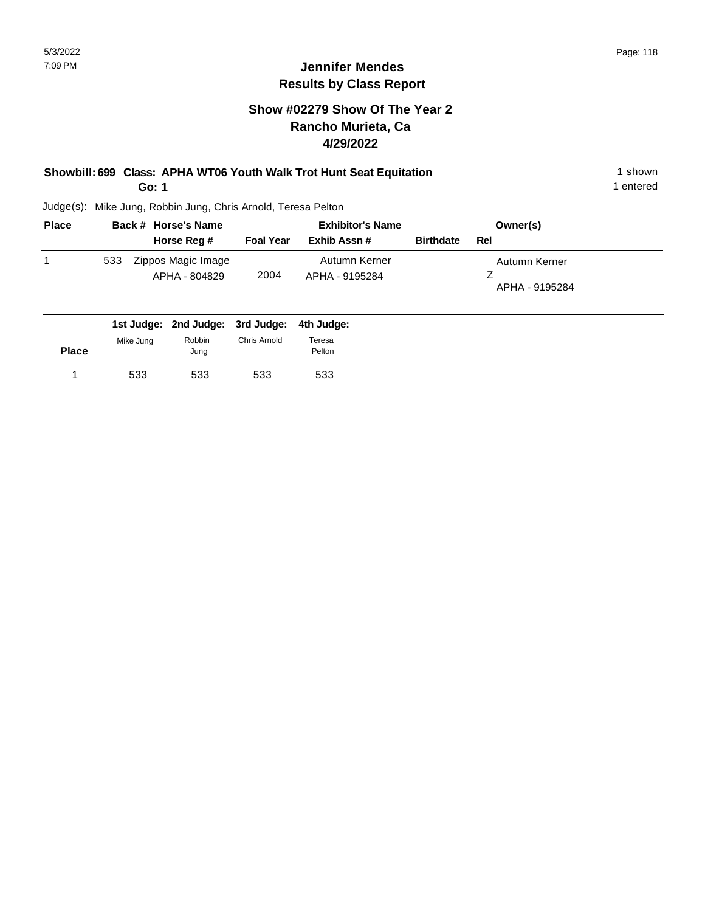## **Show #02279 Show Of The Year 2 Rancho Murieta, Ca 4/29/2022**

#### **Showbill: 699 Class: APHA WT06 Youth Walk Trot Hunt Seat Equitation** 1 Shown 1 shown **Go: 1**

1 entered

| <b>Place</b> | Back # Horse's Name                        | <b>Exhibitor's Name</b> |                                 |                  | Owner(s)                        |
|--------------|--------------------------------------------|-------------------------|---------------------------------|------------------|---------------------------------|
|              | Horse Reg #                                | <b>Foal Year</b>        | Exhib Assn #                    | <b>Birthdate</b> | Rel                             |
|              | Zippos Magic Image<br>533<br>APHA - 804829 | 2004                    | Autumn Kerner<br>APHA - 9195284 |                  | Autumn Kerner<br>APHA - 9195284 |
|              | 1st Judge: 2nd Judge: 3rd Judge:           |                         | 4th Judge:                      |                  |                                 |

| <b>Place</b> | Mike Jung | Robbin<br>Jung | Chris Arnold | Teresa<br>Pelton |
|--------------|-----------|----------------|--------------|------------------|
|              | 533       | 533            | 533          | 533              |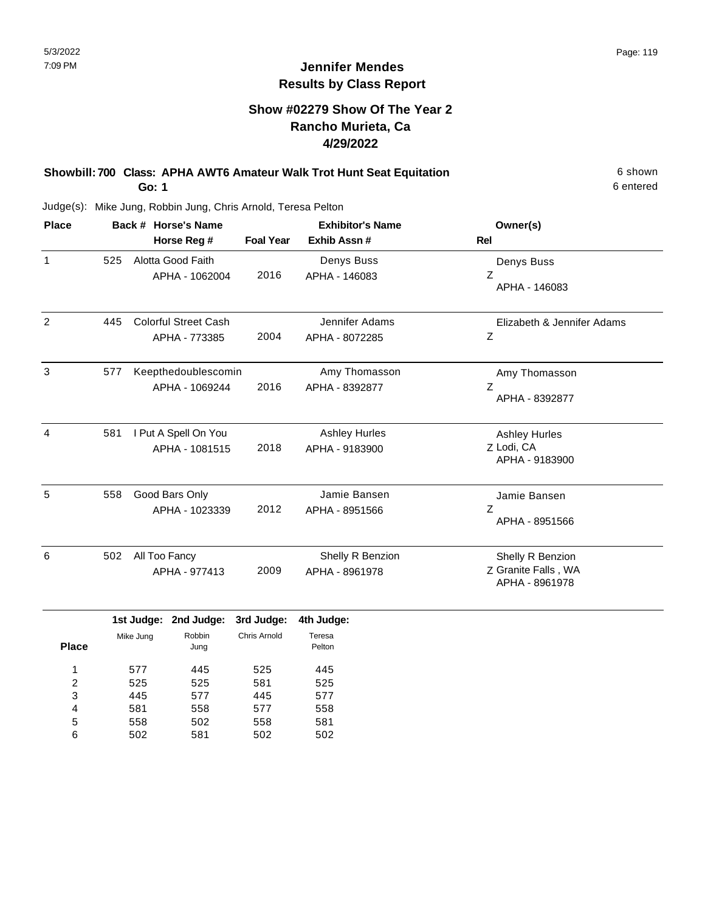## **Show #02279 Show Of The Year 2 Rancho Murieta, Ca 4/29/2022**

**Showbill: 700 Class: APHA AWT6 Amateur Walk Trot Hunt Seat Equitation** 6 shown **Go: 1**

Judge(s): Mike Jung, Robbin Jung, Chris Arnold, Teresa Pelton

| <b>Place</b> |     | Back # Horse's Name<br>Horse Reg #           | <b>Foal Year</b> | <b>Exhibitor's Name</b><br>Exhib Assn# | Owner(s)<br><b>Rel</b>                                    |
|--------------|-----|----------------------------------------------|------------------|----------------------------------------|-----------------------------------------------------------|
| $\mathbf{1}$ | 525 | Alotta Good Faith<br>APHA - 1062004          | 2016             | Denys Buss<br>APHA - 146083            | Denys Buss<br>Z<br>APHA - 146083                          |
| 2            | 445 | <b>Colorful Street Cash</b><br>APHA - 773385 | 2004             | Jennifer Adams<br>APHA - 8072285       | Elizabeth & Jennifer Adams<br>Z                           |
| 3            | 577 | Keepthedoublescomin<br>APHA - 1069244        | 2016             | Amy Thomasson<br>APHA - 8392877        | Amy Thomasson<br>Z<br>APHA - 8392877                      |
| 4            | 581 | I Put A Spell On You<br>APHA - 1081515       | 2018             | <b>Ashley Hurles</b><br>APHA - 9183900 | <b>Ashley Hurles</b><br>Z Lodi, CA<br>APHA - 9183900      |
| 5            | 558 | Good Bars Only<br>APHA - 1023339             | 2012             | Jamie Bansen<br>APHA - 8951566         | Jamie Bansen<br>Z<br>APHA - 8951566                       |
| 6            | 502 | All Too Fancy<br>APHA - 977413               | 2009             | Shelly R Benzion<br>APHA - 8961978     | Shelly R Benzion<br>Z Granite Falls, WA<br>APHA - 8961978 |

|              |           | 1st Judge: 2nd Judge: 3rd Judge: |              | 4th Judge:       |
|--------------|-----------|----------------------------------|--------------|------------------|
| <b>Place</b> | Mike Jung | Robbin<br>Jung                   | Chris Arnold | Teresa<br>Pelton |
|              | 577       | 445                              | 525          | 445              |
| 2            | 525       | 525                              | 581          | 525              |
| 3            | 445       | 577                              | 445          | 577              |
| 4            | 581       | 558                              | 577          | 558              |
| 5            | 558       | 502                              | 558          | 581              |
| 6            | 502       | 581                              | 502          | 502              |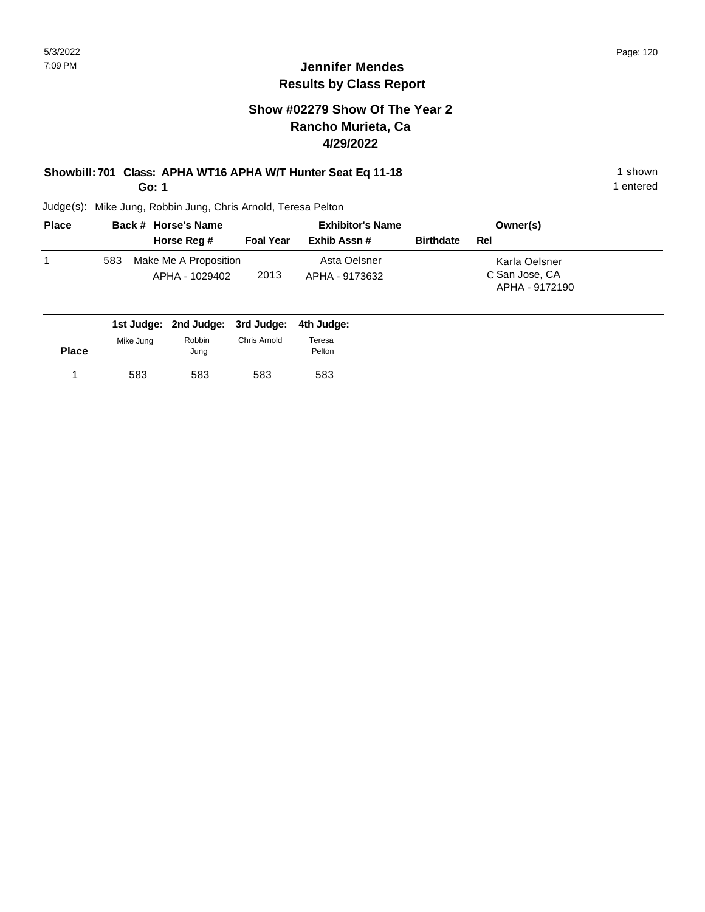## **Show #02279 Show Of The Year 2 Rancho Murieta, Ca 4/29/2022**

# **Showbill: 701 Class: APHA WT16 APHA W/T Hunter Seat Eq 11-18** 1 Shown

**Go: 1**

Judge(s): Mike Jung, Robbin Jung, Chris Arnold, Teresa Pelton

| <b>Place</b> |     | Back # Horse's Name                     | <b>Exhibitor's Name</b> |                                |                  | Owner(s)                                          |  |
|--------------|-----|-----------------------------------------|-------------------------|--------------------------------|------------------|---------------------------------------------------|--|
|              |     | Horse Reg #                             | <b>Foal Year</b>        | Exhib Assn #                   | <b>Birthdate</b> | Rel                                               |  |
|              | 583 | Make Me A Proposition<br>APHA - 1029402 | 2013                    | Asta Oelsner<br>APHA - 9173632 |                  | Karla Oelsner<br>C San Jose, CA<br>APHA - 9172190 |  |

|              |           | 1st Judge: 2nd Judge: 3rd Judge: 4th Judge: |              |                  |
|--------------|-----------|---------------------------------------------|--------------|------------------|
| <b>Place</b> | Mike Jung | Robbin<br>Jung                              | Chris Arnold | Teresa<br>Pelton |
|              | 583       | 583                                         | 583          | 583              |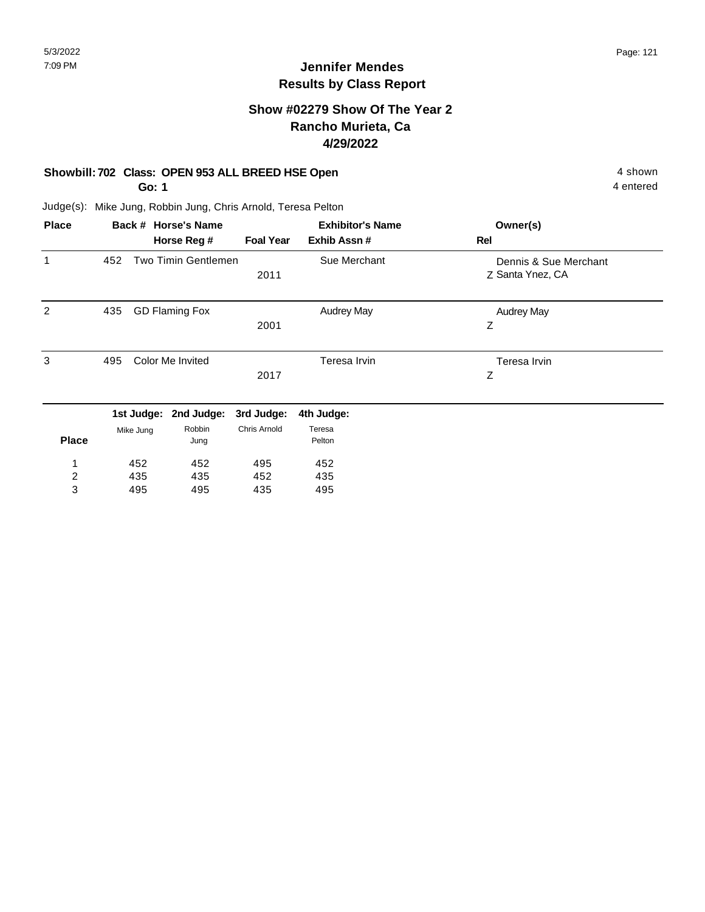### **Show #02279 Show Of The Year 2 Rancho Murieta, Ca 4/29/2022**

#### **Showbill: 702 Class: OPEN 953 ALL BREED HSE Open** 4 shown

**Go: 1**

4 entered

| <b>Place</b>            |     |            | Back # Horse's Name   |                  | <b>Exhibitor's Name</b> | Owner(s)                                  |
|-------------------------|-----|------------|-----------------------|------------------|-------------------------|-------------------------------------------|
|                         |     |            | Horse Reg #           | <b>Foal Year</b> | Exhib Assn#             | Rel                                       |
| 1                       | 452 |            | Two Timin Gentlemen   | 2011             | Sue Merchant            | Dennis & Sue Merchant<br>Z Santa Ynez, CA |
| 2                       | 435 |            | <b>GD Flaming Fox</b> | 2001             | <b>Audrey May</b>       | <b>Audrey May</b><br>Z                    |
| 3                       | 495 |            | Color Me Invited      | 2017             | Teresa Irvin            | Teresa Irvin<br>Z                         |
|                         |     | 1st Judge: | 2nd Judge:            | 3rd Judge:       | 4th Judge:              |                                           |
| <b>Place</b>            |     | Mike Jung  | Robbin<br>Jung        | Chris Arnold     | Teresa<br>Pelton        |                                           |
| 1                       |     | 452        | 452                   | 495              | 452                     |                                           |
| $\overline{\mathbf{c}}$ |     | 435        | 435                   | 452              | 435                     |                                           |
| 3                       |     | 495        | 495                   | 435              | 495                     |                                           |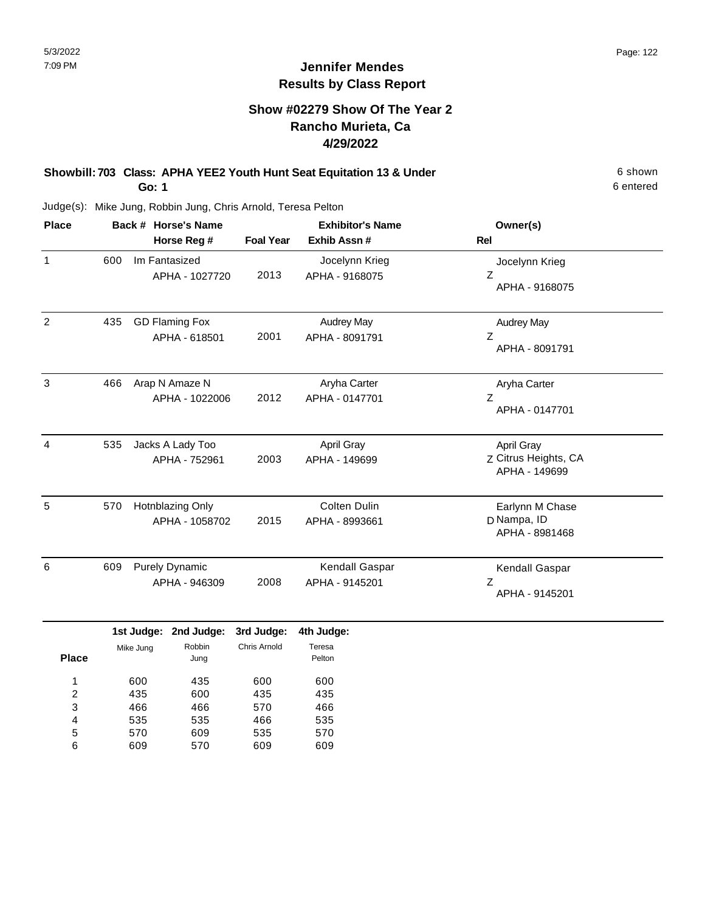## **Show #02279 Show Of The Year 2 Rancho Murieta, Ca 4/29/2022**

#### **Showbill: 703 Class: APHA YEE2 Youth Hunt Seat Equitation 13 & Under** 6 Shown 6 shown **Go: 1**

6 entered

| <b>Place</b> | Back # Horse's Name                           |                                    |                                        |                            | <b>Exhibitor's Name</b>               | Owner(s)                                            |
|--------------|-----------------------------------------------|------------------------------------|----------------------------------------|----------------------------|---------------------------------------|-----------------------------------------------------|
|              |                                               |                                    | Horse Reg #                            | <b>Foal Year</b>           | Exhib Assn #                          | <b>Rel</b>                                          |
| $\mathbf{1}$ | 600                                           |                                    | Im Fantasized<br>APHA - 1027720        | 2013                       | Jocelynn Krieg<br>APHA - 9168075      | Jocelynn Krieg<br>Z<br>APHA - 9168075               |
| 2            | 435                                           |                                    | <b>GD Flaming Fox</b><br>APHA - 618501 | 2001                       | <b>Audrey May</b><br>APHA - 8091791   | <b>Audrey May</b><br>Ζ<br>APHA - 8091791            |
| 3            | 466                                           |                                    | Arap N Amaze N<br>APHA - 1022006       | 2012                       | Aryha Carter<br>APHA - 0147701        | Aryha Carter<br>Ζ<br>APHA - 0147701                 |
| 4            | 535                                           |                                    | Jacks A Lady Too<br>APHA - 752961      | 2003                       | <b>April Gray</b><br>APHA - 149699    | April Gray<br>Z Citrus Heights, CA<br>APHA - 149699 |
| 5            | 570                                           | Hotnblazing Only<br>APHA - 1058702 |                                        | 2015                       | <b>Colten Dulin</b><br>APHA - 8993661 | Earlynn M Chase<br>D Nampa, ID<br>APHA - 8981468    |
| 6            | 609<br><b>Purely Dynamic</b><br>APHA - 946309 |                                    |                                        | 2008                       | Kendall Gaspar<br>APHA - 9145201      | Kendall Gaspar<br>Ζ<br>APHA - 9145201               |
| <b>Place</b> |                                               | 1st Judge:<br>Mike Jung            | 2nd Judge:<br>Robbin<br>Juna           | 3rd Judge:<br>Chris Arnold | 4th Judge:<br>Teresa<br>Pelton        |                                                     |

| <b>Place</b> |     | Jung |     | Pelton |
|--------------|-----|------|-----|--------|
| 1            | 600 | 435  | 600 | 600    |
| 2            | 435 | 600  | 435 | 435    |
| 3            | 466 | 466  | 570 | 466    |
| 4            | 535 | 535  | 466 | 535    |
| 5            | 570 | 609  | 535 | 570    |
| 6            | 609 | 570  | 609 | 609    |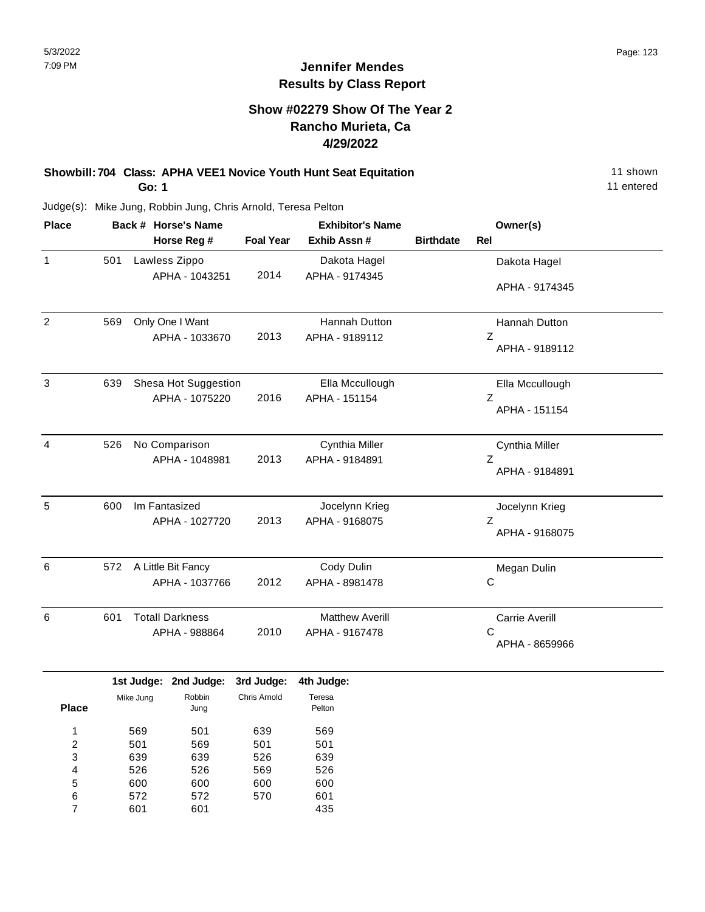### **Show #02279 Show Of The Year 2 Rancho Murieta, Ca 4/29/2022**

#### **Showbill: 704 Class: APHA VEE1 Novice Youth Hunt Seat Equitation** 11 Shown 11 shown **Go: 1**

11 entered

Judge(s): Mike Jung, Robbin Jung, Chris Arnold, Teresa Pelton

569 600 570

| <b>Place</b>    |     |           | Back # Horse's Name    |                  | <b>Exhibitor's Name</b> |                  | Owner(s)        |  |
|-----------------|-----|-----------|------------------------|------------------|-------------------------|------------------|-----------------|--|
|                 |     |           | Horse Reg #            | <b>Foal Year</b> | Exhib Assn #            | <b>Birthdate</b> | Rel             |  |
| $\mathbf{1}$    | 501 |           | Lawless Zippo          |                  | Dakota Hagel            |                  | Dakota Hagel    |  |
|                 |     |           | APHA - 1043251         | 2014             | APHA - 9174345          |                  |                 |  |
|                 |     |           |                        |                  |                         |                  | APHA - 9174345  |  |
| $\overline{2}$  | 569 |           | Only One I Want        |                  | Hannah Dutton           |                  | Hannah Dutton   |  |
|                 |     |           | APHA - 1033670         | 2013             | APHA - 9189112          |                  | Ζ               |  |
|                 |     |           |                        |                  |                         |                  | APHA - 9189112  |  |
| 3               | 639 |           | Shesa Hot Suggestion   |                  | Ella Mccullough         |                  | Ella Mccullough |  |
|                 |     |           | APHA - 1075220         | 2016             | APHA - 151154           |                  | Ζ               |  |
|                 |     |           |                        |                  |                         |                  | APHA - 151154   |  |
| 4               | 526 |           | No Comparison          |                  | Cynthia Miller          |                  | Cynthia Miller  |  |
|                 |     |           | APHA - 1048981         | 2013             | APHA - 9184891          |                  | Ζ               |  |
|                 |     |           |                        |                  |                         |                  | APHA - 9184891  |  |
| 5               | 600 |           | Im Fantasized          |                  | Jocelynn Krieg          |                  | Jocelynn Krieg  |  |
|                 |     |           | APHA - 1027720         | 2013             | APHA - 9168075          |                  | Ζ               |  |
|                 |     |           |                        |                  |                         |                  | APHA - 9168075  |  |
| 6               | 572 |           | A Little Bit Fancy     |                  | Cody Dulin              |                  | Megan Dulin     |  |
|                 |     |           | APHA - 1037766         | 2012             | APHA - 8981478          |                  | $\mathsf C$     |  |
| $6\phantom{1}6$ | 601 |           | <b>Totall Darkness</b> |                  | <b>Matthew Averill</b>  |                  | Carrie Averill  |  |
|                 |     |           | APHA - 988864          | 2010             | APHA - 9167478          |                  | $\mathsf{C}$    |  |
|                 |     |           |                        |                  |                         |                  | APHA - 8659966  |  |
|                 |     |           | 1st Judge: 2nd Judge:  | 3rd Judge:       | 4th Judge:              |                  |                 |  |
|                 |     | Mike Jung | Robbin                 | Chris Arnold     | Teresa                  |                  |                 |  |
| <b>Place</b>    |     |           | Jung                   |                  | Pelton                  |                  |                 |  |
| 1               |     | 569       | 501                    | 639              | 569                     |                  |                 |  |
| 2               |     | 501       | 569                    | 501              | 501                     |                  |                 |  |
| 3               |     | 639       | 639                    | 526              | 639                     |                  |                 |  |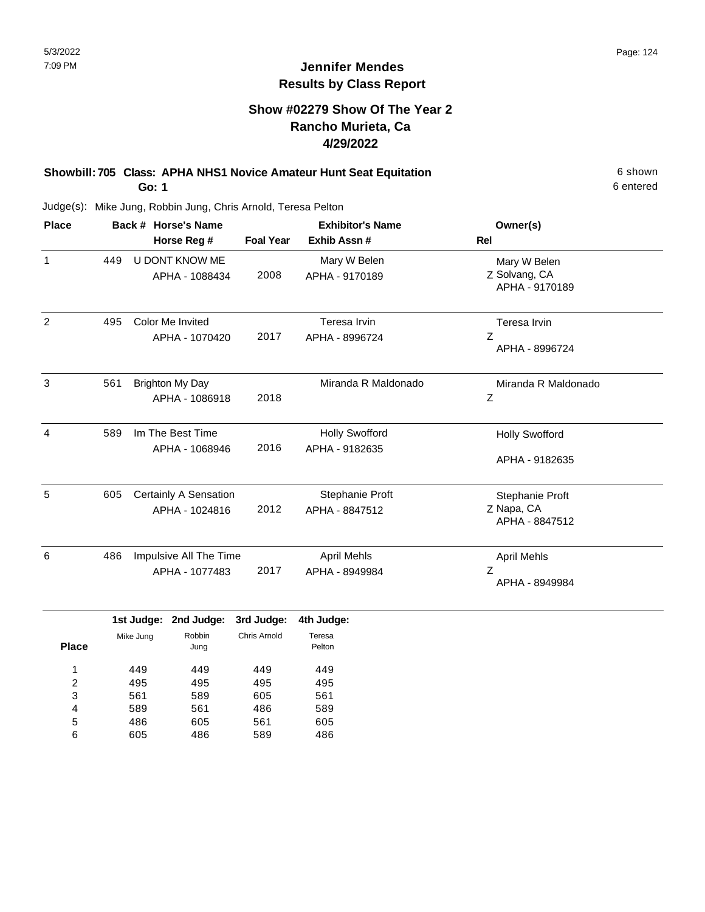## **Show #02279 Show Of The Year 2 Rancho Murieta, Ca 4/29/2022**

**Showbill: 705 Class: APHA NHS1 Novice Amateur Hunt Seat Equitation** 6 shown **Go: 1**

Judge(s): Mike Jung, Robbin Jung, Chris Arnold, Teresa Pelton

| <b>Place</b> | Back # Horse's Name<br>Horse Reg # |                                          | <b>Foal Year</b> | <b>Exhibitor's Name</b><br>Exhib Assn # | Owner(s)<br><b>Rel</b>                          |  |
|--------------|------------------------------------|------------------------------------------|------------------|-----------------------------------------|-------------------------------------------------|--|
| 1            | 449                                | U DONT KNOW ME<br>APHA - 1088434         | 2008             | Mary W Belen<br>APHA - 9170189          | Mary W Belen<br>Z Solvang, CA<br>APHA - 9170189 |  |
| 2            | 495                                | Color Me Invited<br>APHA - 1070420       | 2017             | Teresa Irvin<br>APHA - 8996724          | Teresa Irvin<br>Z<br>APHA - 8996724             |  |
| 3            | 561                                | <b>Brighton My Day</b><br>APHA - 1086918 | 2018             | Miranda R Maldonado                     | Miranda R Maldonado<br>$\mathsf Z$              |  |
| 4            | 589                                | Im The Best Time<br>APHA - 1068946       | 2016             | <b>Holly Swofford</b><br>APHA - 9182635 | <b>Holly Swofford</b><br>APHA - 9182635         |  |
| 5            | 605                                | Certainly A Sensation<br>APHA - 1024816  | 2012             | Stephanie Proft<br>APHA - 8847512       | Stephanie Proft<br>Z Napa, CA<br>APHA - 8847512 |  |
| 6            | 486                                | Impulsive All The Time<br>APHA - 1077483 | 2017             | April Mehls<br>APHA - 8949984           | <b>April Mehls</b><br>Ζ<br>APHA - 8949984       |  |

|              |           |                | 1st Judge: 2nd Judge: 3rd Judge: | 4th Judge:       |
|--------------|-----------|----------------|----------------------------------|------------------|
| <b>Place</b> | Mike Jung | Robbin<br>Jung | Chris Arnold                     | Teresa<br>Pelton |
|              | 449       | 449            | 449                              | 449              |
| 2            | 495       | 495            | 495                              | 495              |
| 3            | 561       | 589            | 605                              | 561              |
| 4            | 589       | 561            | 486                              | 589              |
| 5            | 486       | 605            | 561                              | 605              |
| 6            | 605       | 486            | 589                              | 486              |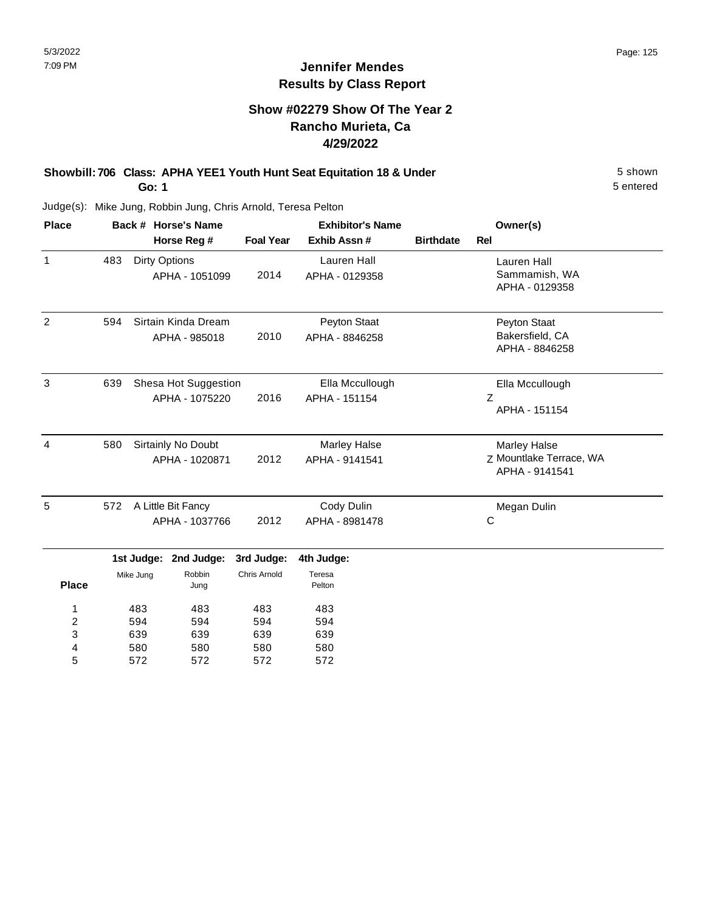## **Show #02279 Show Of The Year 2 Rancho Murieta, Ca 4/29/2022**

#### **Showbill: 706 Class: APHA YEE1 Youth Hunt Seat Equitation 18 & Under** 5 Shown 5 shown **Go: 1**

5 entered

| <b>Place</b>            |                             |                      | Back # Horse's Name   |                  | <b>Exhibitor's Name</b> | Owner(s)                |                     |
|-------------------------|-----------------------------|----------------------|-----------------------|------------------|-------------------------|-------------------------|---------------------|
|                         |                             |                      | Horse Reg #           | <b>Foal Year</b> | Exhib Assn #            | <b>Birthdate</b>        | <b>Rel</b>          |
| $\mathbf{1}$            | 483                         | <b>Dirty Options</b> |                       |                  | <b>Lauren Hall</b>      |                         | Lauren Hall         |
|                         |                             |                      | APHA - 1051099        | 2014             | APHA - 0129358          |                         | Sammamish, WA       |
|                         |                             |                      |                       |                  |                         |                         | APHA - 0129358      |
| $\overline{2}$          | Sirtain Kinda Dream<br>594  |                      |                       |                  | Peyton Staat            |                         | Peyton Staat        |
|                         |                             |                      | APHA - 985018         | 2010             | APHA - 8846258          |                         | Bakersfield, CA     |
|                         |                             |                      |                       |                  |                         |                         | APHA - 8846258      |
| 3                       | 639<br>Shesa Hot Suggestion |                      |                       |                  | Ella Mccullough         |                         | Ella Mccullough     |
|                         | APHA - 1075220              |                      | 2016                  | APHA - 151154    |                         | $\mathsf Z$             |                     |
|                         |                             |                      |                       |                  |                         |                         | APHA - 151154       |
| 4                       | 580                         |                      | Sirtainly No Doubt    |                  | <b>Marley Halse</b>     |                         | <b>Marley Halse</b> |
|                         | APHA - 1020871              |                      | 2012                  | APHA - 9141541   |                         | Z Mountlake Terrace, WA |                     |
|                         |                             |                      |                       |                  |                         |                         | APHA - 9141541      |
| 5                       | 572<br>A Little Bit Fancy   |                      |                       |                  | Cody Dulin              |                         | Megan Dulin         |
|                         | APHA - 1037766              |                      | 2012                  | APHA - 8981478   |                         | C                       |                     |
|                         |                             |                      | 1st Judge: 2nd Judge: | 3rd Judge:       | 4th Judge:              |                         |                     |
|                         |                             | Mike Jung            | Robbin                | Chris Arnold     | Teresa                  |                         |                     |
| <b>Place</b>            |                             |                      | Jung                  |                  | Pelton                  |                         |                     |
| 1                       | 483                         |                      | 483                   | 483              | 483                     |                         |                     |
| $\overline{\mathbf{c}}$ | 594                         |                      | 594                   | 594              | 594                     |                         |                     |
| 3                       | 639<br>639                  |                      | 639                   | 639              |                         |                         |                     |
| 4                       |                             | 580                  | 580                   | 580              | 580                     |                         |                     |
| 5                       |                             | 572                  | 572                   | 572              | 572                     |                         |                     |